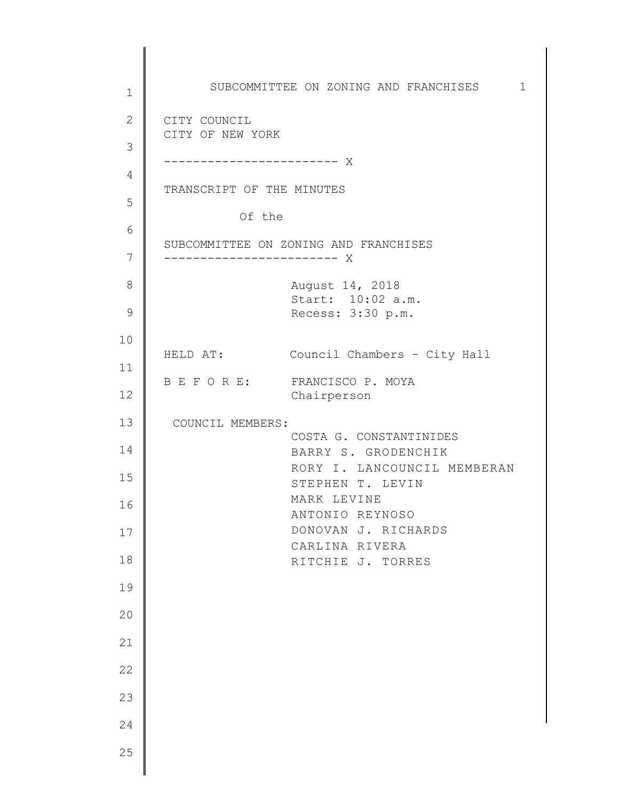1 2 3 4 5 6 7 8 9 10 11 12 13 14 15 16 17 18 19 20 21 22 23 24 25 SUBCOMMITTEE ON ZONING AND FRANCHISES 1 CITY COUNCIL CITY OF NEW YORK ------------------------ X TRANSCRIPT OF THE MINUTES Of the SUBCOMMITTEE ON ZONING AND FRANCHISES ------------------------ X August 14, 2018 Start: 10:02 a.m. Recess: 3:30 p.m. HELD AT: Council Chambers – City Hall B E F O R E: FRANCISCO P. MOYA Chairperson COUNCIL MEMBERS: COSTA G. CONSTANTINIDES BARRY S. GRODENCHIK RORY I. LANCOUNCIL MEMBERAN STEPHEN T. LEVIN MARK LEVINE ANTONIO REYNOSO DONOVAN J. RICHARDS CARLINA RIVERA RITCHIE J. TORRES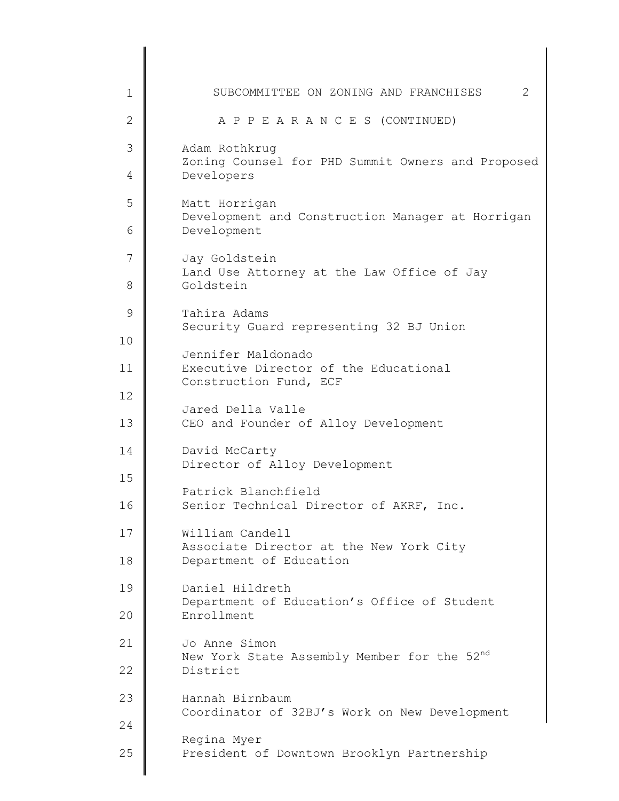| 1  | 2<br>SUBCOMMITTEE ON ZONING AND FRANCHISES                         |
|----|--------------------------------------------------------------------|
| 2  | A P P E A R A N C E S (CONTINUED)                                  |
| 3  | Adam Rothkrug<br>Zoning Counsel for PHD Summit Owners and Proposed |
| 4  | Developers                                                         |
| 5  | Matt Horrigan<br>Development and Construction Manager at Horrigan  |
| 6  | Development                                                        |
| 7  | Jay Goldstein<br>Land Use Attorney at the Law Office of Jay        |
| 8  | Goldstein                                                          |
| 9  | Tahira Adams<br>Security Guard representing 32 BJ Union            |
| 10 | Jennifer Maldonado                                                 |
| 11 | Executive Director of the Educational<br>Construction Fund, ECF    |
| 12 | Jared Della Valle                                                  |
| 13 | CEO and Founder of Alloy Development                               |
| 14 | David McCarty<br>Director of Alloy Development                     |
| 15 | Patrick Blanchfield                                                |
| 16 | Senior Technical Director of AKRF, Inc.                            |
| 17 | William Candell<br>Associate Director at the New York City         |
| 18 | Department of Education                                            |
| 19 | Daniel Hildreth<br>Department of Education's Office of Student     |
| 20 | Enrollment                                                         |
| 21 | Jo Anne Simon<br>New York State Assembly Member for the 52nd       |
| 22 | District                                                           |
| 23 | Hannah Birnbaum<br>Coordinator of 32BJ's Work on New Development   |
| 24 | Regina Myer                                                        |
| 25 | President of Downtown Brooklyn Partnership                         |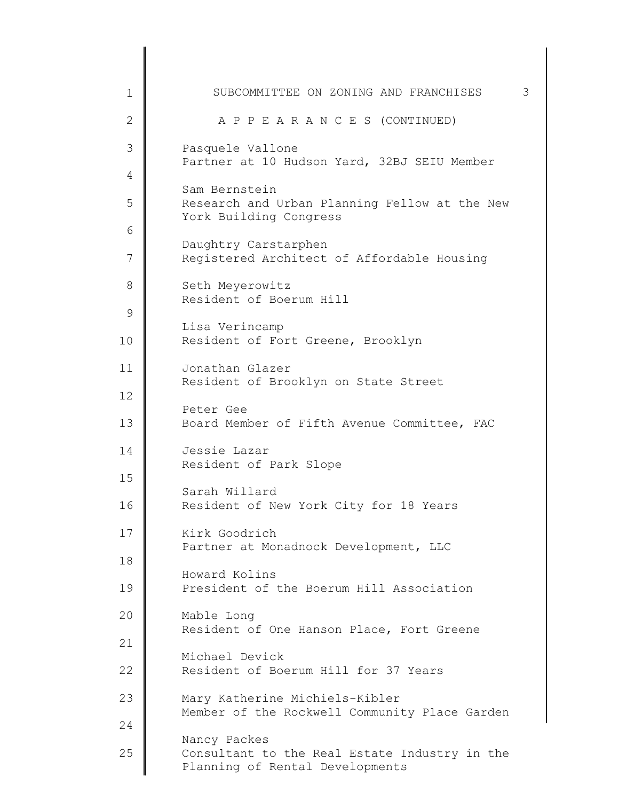| 1                  | SUBCOMMITTEE ON ZONING AND FRANCHISES                                                            | 3 |
|--------------------|--------------------------------------------------------------------------------------------------|---|
| $\mathbf{2}$       | A P P E A R A N C E S (CONTINUED)                                                                |   |
| 3                  | Pasquele Vallone<br>Partner at 10 Hudson Yard, 32BJ SEIU Member                                  |   |
| 4                  |                                                                                                  |   |
| 5                  | Sam Bernstein<br>Research and Urban Planning Fellow at the New<br>York Building Congress         |   |
| 6<br>7             | Daughtry Carstarphen<br>Registered Architect of Affordable Housing                               |   |
| 8<br>$\mathcal{G}$ | Seth Meyerowitz<br>Resident of Boerum Hill                                                       |   |
| 10                 | Lisa Verincamp<br>Resident of Fort Greene, Brooklyn                                              |   |
| 11                 | Jonathan Glazer<br>Resident of Brooklyn on State Street                                          |   |
| 12<br>13           | Peter Gee<br>Board Member of Fifth Avenue Committee, FAC                                         |   |
| 14                 | Jessie Lazar<br>Resident of Park Slope                                                           |   |
| 15<br>16           | Sarah Willard<br>Resident of New York City for 18 Years                                          |   |
| 17                 | Kirk Goodrich<br>Partner at Monadnock Development, LLC                                           |   |
| 18<br>19           | Howard Kolins<br>President of the Boerum Hill Association                                        |   |
| 20                 | Mable Long<br>Resident of One Hanson Place, Fort Greene                                          |   |
| 21                 | Michael Devick                                                                                   |   |
| 22                 | Resident of Boerum Hill for 37 Years                                                             |   |
| 23                 | Mary Katherine Michiels-Kibler<br>Member of the Rockwell Community Place Garden                  |   |
| 24                 |                                                                                                  |   |
| 25                 | Nancy Packes<br>Consultant to the Real Estate Industry in the<br>Planning of Rental Developments |   |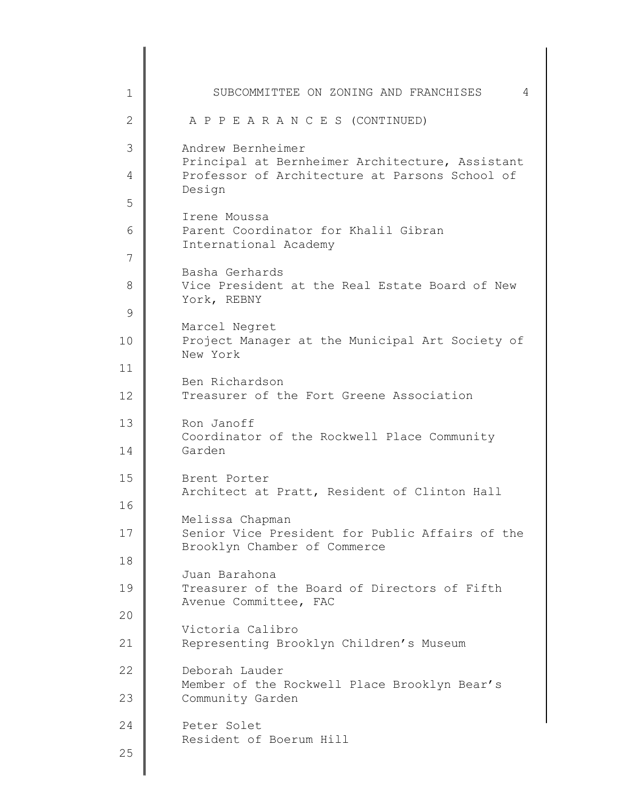1 2 3 4 5 6 7 8 9 10 11 12 13 14 15 16 17 18 19 20 21 22 23 24 25 SUBCOMMITTEE ON ZONING AND FRANCHISES 4 A P P E A R A N C E S (CONTINUED) Andrew Bernheimer Principal at Bernheimer Architecture, Assistant Professor of Architecture at Parsons School of Design Irene Moussa Parent Coordinator for Khalil Gibran International Academy Basha Gerhards Vice President at the Real Estate Board of New York, REBNY Marcel Negret Project Manager at the Municipal Art Society of New York Ben Richardson Treasurer of the Fort Greene Association Ron Janoff Coordinator of the Rockwell Place Community Garden Brent Porter Architect at Pratt, Resident of Clinton Hall Melissa Chapman Senior Vice President for Public Affairs of the Brooklyn Chamber of Commerce Juan Barahona Treasurer of the Board of Directors of Fifth Avenue Committee, FAC Victoria Calibro Representing Brooklyn Children's Museum Deborah Lauder Member of the Rockwell Place Brooklyn Bear's Community Garden Peter Solet Resident of Boerum Hill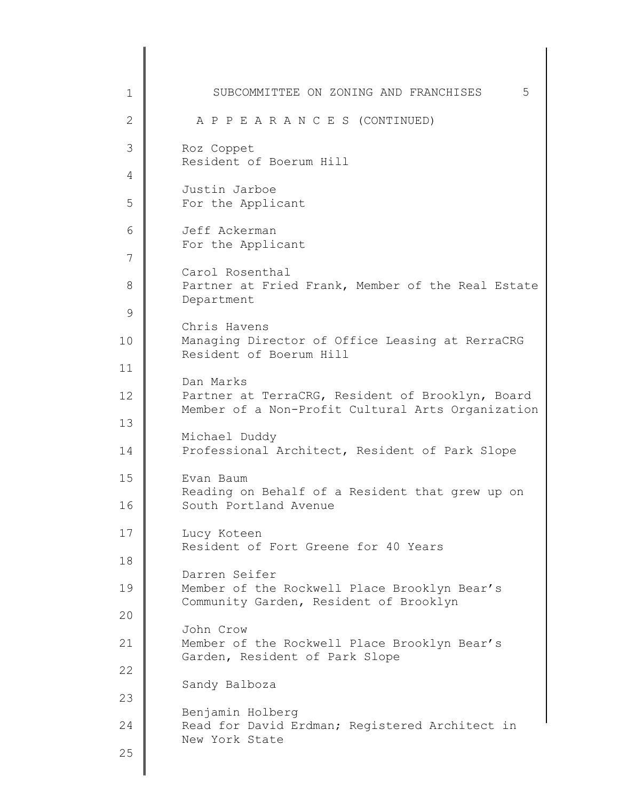1 2 3 4 5 6 7 8 9 10 11 12 13 14 15 16 17 18 19 20 21 22 23 24 25 SUBCOMMITTEE ON ZONING AND FRANCHISES 5 A P P E A R A N C E S (CONTINUED) Roz Coppet Resident of Boerum Hill Justin Jarboe For the Applicant Jeff Ackerman For the Applicant Carol Rosenthal Partner at Fried Frank, Member of the Real Estate Department Chris Havens Managing Director of Office Leasing at RerraCRG Resident of Boerum Hill Dan Marks Partner at TerraCRG, Resident of Brooklyn, Board Member of a Non-Profit Cultural Arts Organization Michael Duddy Professional Architect, Resident of Park Slope Evan Baum Reading on Behalf of a Resident that grew up on South Portland Avenue Lucy Koteen Resident of Fort Greene for 40 Years Darren Seifer Member of the Rockwell Place Brooklyn Bear's Community Garden, Resident of Brooklyn John Crow Member of the Rockwell Place Brooklyn Bear's Garden, Resident of Park Slope Sandy Balboza Benjamin Holberg Read for David Erdman; Registered Architect in New York State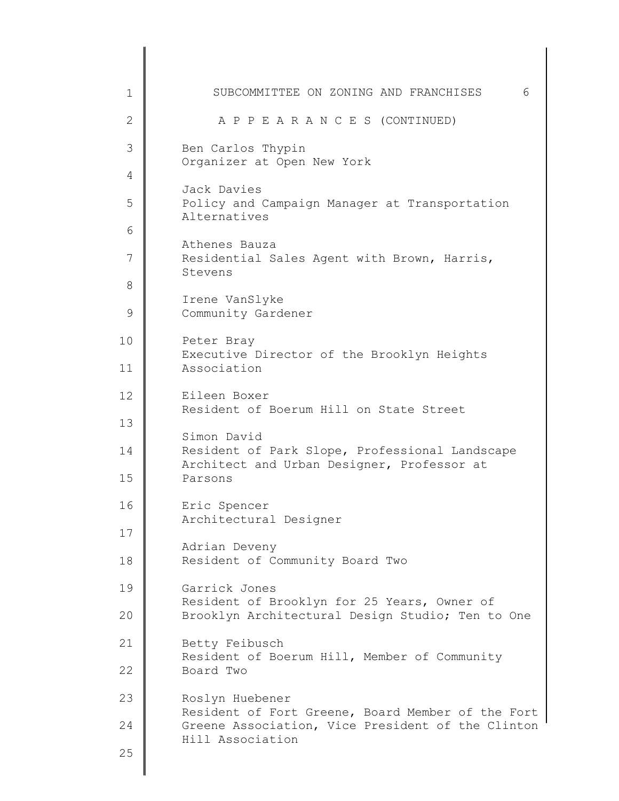| 1  | SUBCOMMITTEE ON ZONING AND FRANCHISES                                                        | 6 |
|----|----------------------------------------------------------------------------------------------|---|
| 2  | A P P E A R A N C E S (CONTINUED)                                                            |   |
| 3  | Ben Carlos Thypin<br>Organizer at Open New York                                              |   |
| 4  | Jack Davies                                                                                  |   |
| 5  | Policy and Campaign Manager at Transportation<br>Alternatives                                |   |
| 6  | Athenes Bauza                                                                                |   |
| 7  | Residential Sales Agent with Brown, Harris,<br>Stevens                                       |   |
| 8  |                                                                                              |   |
| 9  | Irene VanSlyke<br>Community Gardener                                                         |   |
| 10 | Peter Bray<br>Executive Director of the Brooklyn Heights                                     |   |
| 11 | Association                                                                                  |   |
| 12 | Eileen Boxer<br>Resident of Boerum Hill on State Street                                      |   |
| 13 | Simon David                                                                                  |   |
| 14 | Resident of Park Slope, Professional Landscape<br>Architect and Urban Designer, Professor at |   |
| 15 | Parsons                                                                                      |   |
| 16 | Eric Spencer<br>Architectural Designer                                                       |   |
| 17 | Adrian Deveny                                                                                |   |
| 18 | Resident of Community Board Two                                                              |   |
| 19 | Garrick Jones<br>Resident of Brooklyn for 25 Years, Owner of                                 |   |
| 20 | Brooklyn Architectural Design Studio; Ten to One                                             |   |
| 21 | Betty Feibusch<br>Resident of Boerum Hill, Member of Community                               |   |
| 22 | Board Two                                                                                    |   |
| 23 | Roslyn Huebener<br>Resident of Fort Greene, Board Member of the Fort                         |   |
| 24 | Greene Association, Vice President of the Clinton<br>Hill Association                        |   |
| 25 |                                                                                              |   |
|    |                                                                                              |   |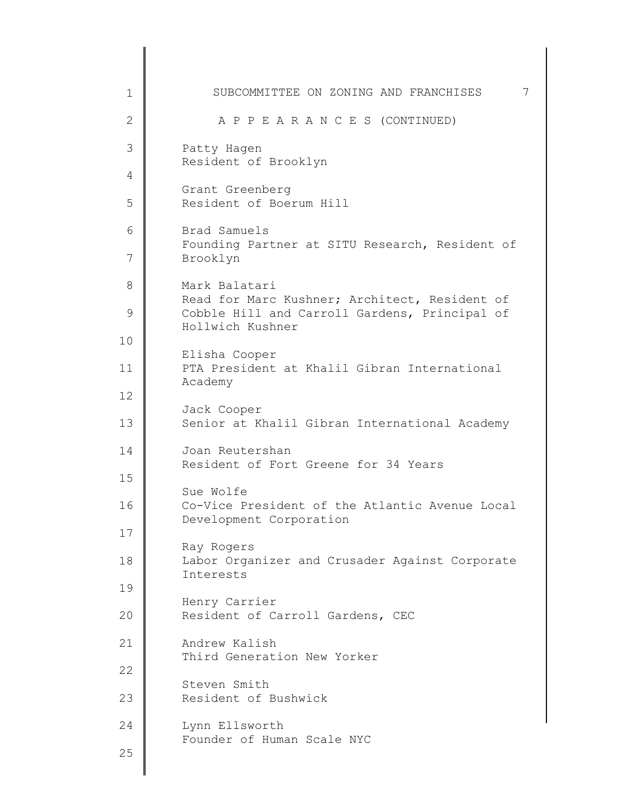1 2 3 4 5 6 7 8 9 10 11 12 13 14 15 16 17 18 19 20 21 22 23 24 25 SUBCOMMITTEE ON ZONING AND FRANCHISES 7 A P P E A R A N C E S (CONTINUED) Patty Hagen Resident of Brooklyn Grant Greenberg Resident of Boerum Hill Brad Samuels Founding Partner at SITU Research, Resident of Brooklyn Mark Balatari Read for Marc Kushner; Architect, Resident of Cobble Hill and Carroll Gardens, Principal of Hollwich Kushner Elisha Cooper PTA President at Khalil Gibran International Academy Jack Cooper Senior at Khalil Gibran International Academy Joan Reutershan Resident of Fort Greene for 34 Years Sue Wolfe Co-Vice President of the Atlantic Avenue Local Development Corporation Ray Rogers Labor Organizer and Crusader Against Corporate Interests Henry Carrier Resident of Carroll Gardens, CEC Andrew Kalish Third Generation New Yorker Steven Smith Resident of Bushwick Lynn Ellsworth Founder of Human Scale NYC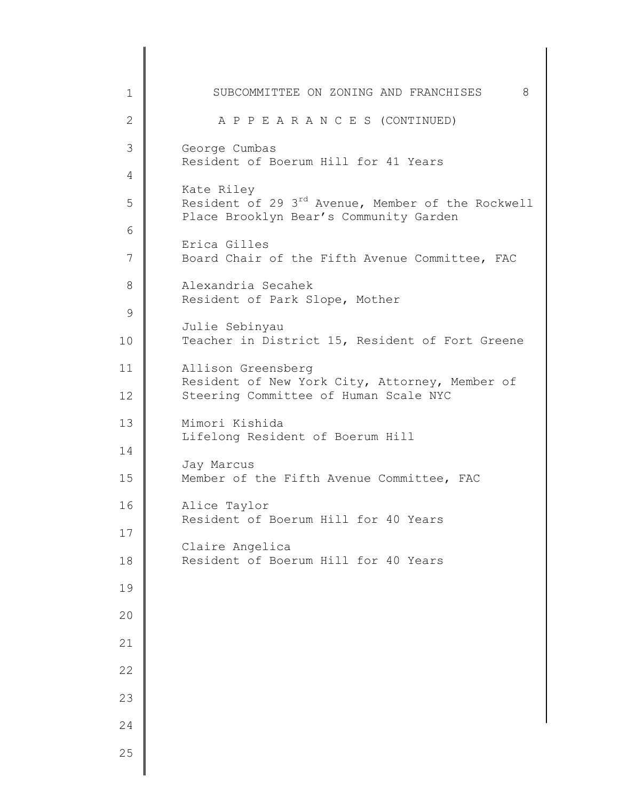| $\mathbf 1$    | SUBCOMMITTEE ON ZONING AND FRANCHISES<br>8                                                              |
|----------------|---------------------------------------------------------------------------------------------------------|
| $\mathbf{2}$   | A P P E A R A N C E S (CONTINUED)                                                                       |
| 3              | George Cumbas<br>Resident of Boerum Hill for 41 Years                                                   |
| 4              | Kate Riley                                                                                              |
| 5              | Resident of 29 3 <sup>rd</sup> Avenue, Member of the Rockwell<br>Place Brooklyn Bear's Community Garden |
| 6              | Erica Gilles                                                                                            |
| $\overline{7}$ | Board Chair of the Fifth Avenue Committee, FAC                                                          |
| 8              | Alexandria Secahek<br>Resident of Park Slope, Mother                                                    |
| $\mathcal{G}$  | Julie Sebinyau                                                                                          |
| 10             | Teacher in District 15, Resident of Fort Greene                                                         |
| 11             | Allison Greensberg<br>Resident of New York City, Attorney, Member of                                    |
| 12             | Steering Committee of Human Scale NYC                                                                   |
| 13             | Mimori Kishida<br>Lifelong Resident of Boerum Hill                                                      |
| 14             | Jay Marcus                                                                                              |
| 15             | Member of the Fifth Avenue Committee, FAC                                                               |
| 16             | Alice Taylor<br>Resident of Boerum Hill for 40 Years                                                    |
| 17             | Claire Angelica                                                                                         |
| 18             | Resident of Boerum Hill for 40 Years                                                                    |
| 19             |                                                                                                         |
| 20             |                                                                                                         |
| 21             |                                                                                                         |
| 22             |                                                                                                         |
| 23             |                                                                                                         |
| 24             |                                                                                                         |
| 25             |                                                                                                         |
|                |                                                                                                         |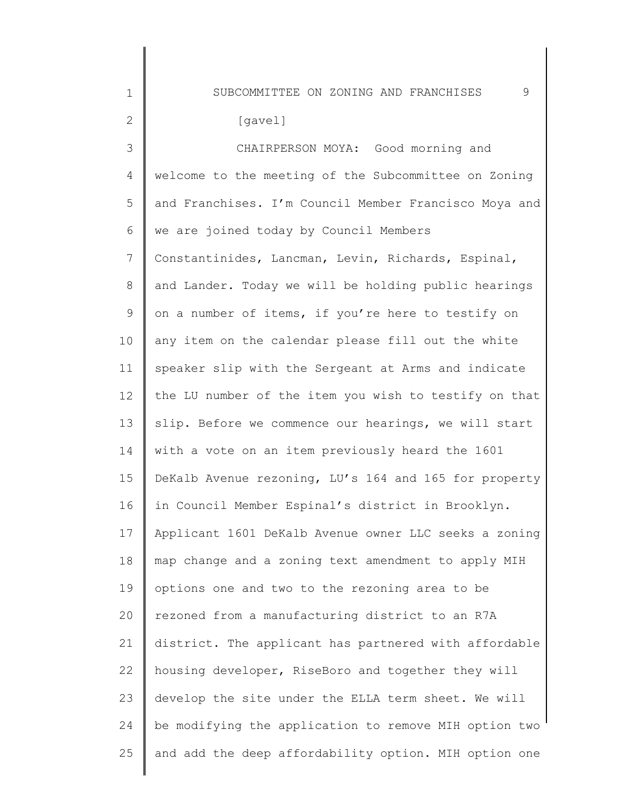SUBCOMMITTEE ON ZONING AND FRANCHISES 9

1

2

3 4 5 6 7 8 9 10 11 12 13 14 15 16 17 18 19 20 21 22 23 24 25 CHAIRPERSON MOYA: Good morning and welcome to the meeting of the Subcommittee on Zoning and Franchises. I'm Council Member Francisco Moya and we are joined today by Council Members Constantinides, Lancman, Levin, Richards, Espinal, and Lander. Today we will be holding public hearings on a number of items, if you're here to testify on any item on the calendar please fill out the white speaker slip with the Sergeant at Arms and indicate the LU number of the item you wish to testify on that slip. Before we commence our hearings, we will start with a vote on an item previously heard the 1601 DeKalb Avenue rezoning, LU's 164 and 165 for property in Council Member Espinal's district in Brooklyn. Applicant 1601 DeKalb Avenue owner LLC seeks a zoning map change and a zoning text amendment to apply MIH options one and two to the rezoning area to be rezoned from a manufacturing district to an R7A district. The applicant has partnered with affordable housing developer, RiseBoro and together they will develop the site under the ELLA term sheet. We will be modifying the application to remove MIH option two and add the deep affordability option. MIH option one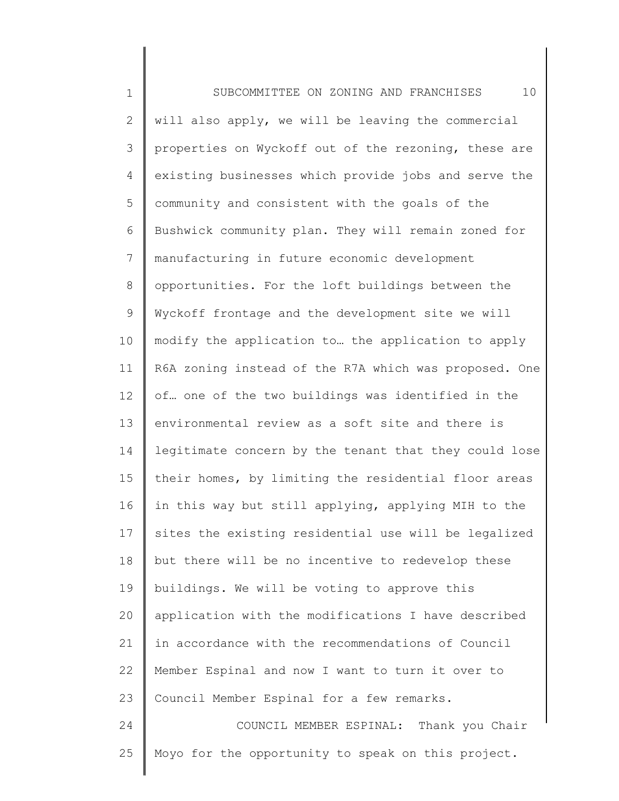1 2 3 4 5 6 7 8 9 10 11 12 13 14 15 16 17 18 19 20 21 22 23 24 25 SUBCOMMITTEE ON ZONING AND FRANCHISES 10 will also apply, we will be leaving the commercial properties on Wyckoff out of the rezoning, these are existing businesses which provide jobs and serve the community and consistent with the goals of the Bushwick community plan. They will remain zoned for manufacturing in future economic development opportunities. For the loft buildings between the Wyckoff frontage and the development site we will modify the application to… the application to apply R6A zoning instead of the R7A which was proposed. One of… one of the two buildings was identified in the environmental review as a soft site and there is legitimate concern by the tenant that they could lose their homes, by limiting the residential floor areas in this way but still applying, applying MIH to the sites the existing residential use will be legalized but there will be no incentive to redevelop these buildings. We will be voting to approve this application with the modifications I have described in accordance with the recommendations of Council Member Espinal and now I want to turn it over to Council Member Espinal for a few remarks. COUNCIL MEMBER ESPINAL: Thank you Chair Moyo for the opportunity to speak on this project.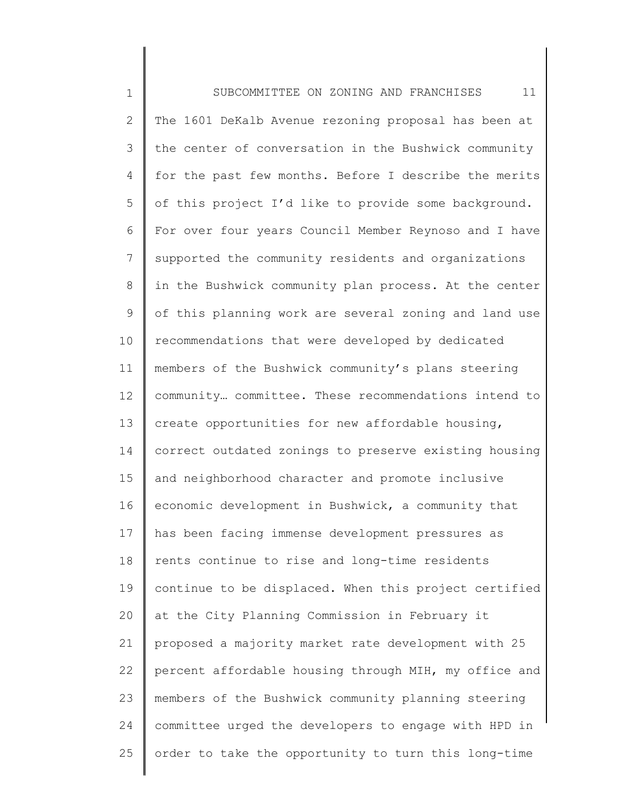| $\mathbf 1$  | 11<br>SUBCOMMITTEE ON ZONING AND FRANCHISES           |
|--------------|-------------------------------------------------------|
| $\mathbf{2}$ | The 1601 DeKalb Avenue rezoning proposal has been at  |
| 3            | the center of conversation in the Bushwick community  |
| 4            | for the past few months. Before I describe the merits |
| 5            | of this project I'd like to provide some background.  |
| 6            | For over four years Council Member Reynoso and I have |
| 7            | supported the community residents and organizations   |
| $8\,$        | in the Bushwick community plan process. At the center |
| 9            | of this planning work are several zoning and land use |
| 10           | recommendations that were developed by dedicated      |
| 11           | members of the Bushwick community's plans steering    |
| 12           | community committee. These recommendations intend to  |
| 13           | create opportunities for new affordable housing,      |
| 14           | correct outdated zonings to preserve existing housing |
| 15           | and neighborhood character and promote inclusive      |
| 16           | economic development in Bushwick, a community that    |
| 17           | has been facing immense development pressures as      |
| 18           | rents continue to rise and long-time residents        |
| 19           | continue to be displaced. When this project certified |
| 20           | at the City Planning Commission in February it        |
| 21           | proposed a majority market rate development with 25   |
| 22           | percent affordable housing through MIH, my office and |
| 23           | members of the Bushwick community planning steering   |
| 24           | committee urged the developers to engage with HPD in  |
| 25           | order to take the opportunity to turn this long-time  |
|              |                                                       |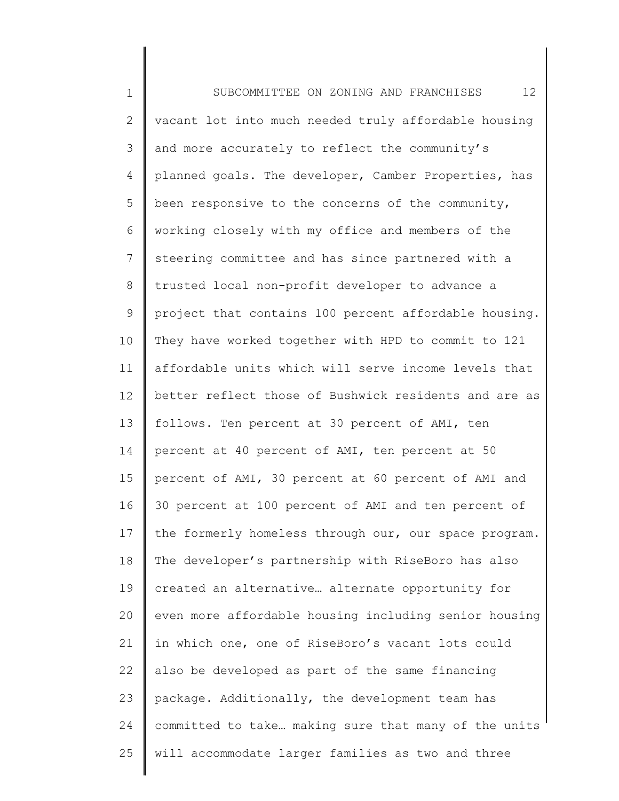1 2 3 4 5 6 7 8 9 10 11 12 13 14 15 16 17 18 19 20 21 22 23 24 25 SUBCOMMITTEE ON ZONING AND FRANCHISES 12 vacant lot into much needed truly affordable housing and more accurately to reflect the community's planned goals. The developer, Camber Properties, has been responsive to the concerns of the community, working closely with my office and members of the steering committee and has since partnered with a trusted local non-profit developer to advance a project that contains 100 percent affordable housing. They have worked together with HPD to commit to 121 affordable units which will serve income levels that better reflect those of Bushwick residents and are as follows. Ten percent at 30 percent of AMI, ten percent at 40 percent of AMI, ten percent at 50 percent of AMI, 30 percent at 60 percent of AMI and 30 percent at 100 percent of AMI and ten percent of the formerly homeless through our, our space program. The developer's partnership with RiseBoro has also created an alternative… alternate opportunity for even more affordable housing including senior housing in which one, one of RiseBoro's vacant lots could also be developed as part of the same financing package. Additionally, the development team has committed to take… making sure that many of the units will accommodate larger families as two and three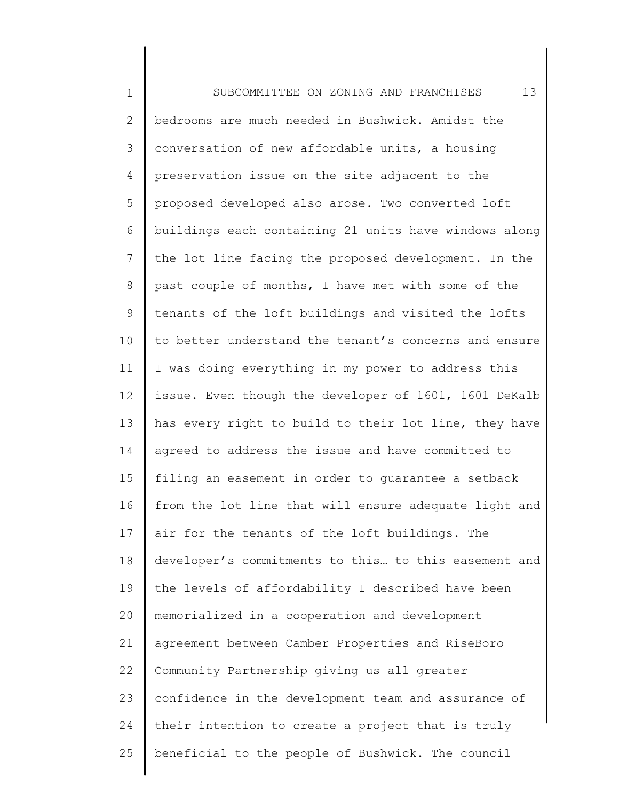1 2 3 4 5 6 7 8 9 10 11 12 13 14 15 16 17 18 19 20 21 22 23 24 25 SUBCOMMITTEE ON ZONING AND FRANCHISES 13 bedrooms are much needed in Bushwick. Amidst the conversation of new affordable units, a housing preservation issue on the site adjacent to the proposed developed also arose. Two converted loft buildings each containing 21 units have windows along the lot line facing the proposed development. In the past couple of months, I have met with some of the tenants of the loft buildings and visited the lofts to better understand the tenant's concerns and ensure I was doing everything in my power to address this issue. Even though the developer of 1601, 1601 DeKalb has every right to build to their lot line, they have agreed to address the issue and have committed to filing an easement in order to guarantee a setback from the lot line that will ensure adequate light and air for the tenants of the loft buildings. The developer's commitments to this… to this easement and the levels of affordability I described have been memorialized in a cooperation and development agreement between Camber Properties and RiseBoro Community Partnership giving us all greater confidence in the development team and assurance of their intention to create a project that is truly beneficial to the people of Bushwick. The council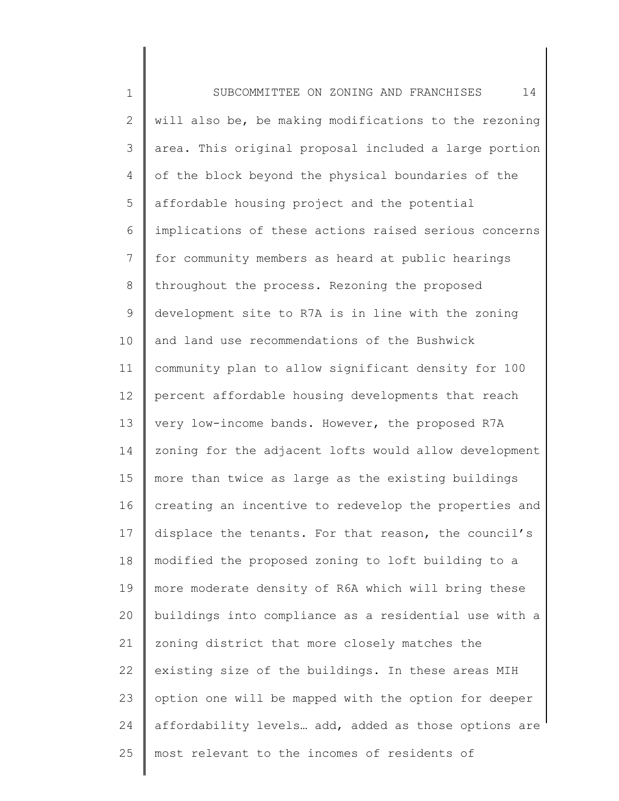1 2 3 4 5 6 7 8 9 10 11 12 13 14 15 16 17 18 19 20 21 22 23 24 25 SUBCOMMITTEE ON ZONING AND FRANCHISES 14 will also be, be making modifications to the rezoning area. This original proposal included a large portion of the block beyond the physical boundaries of the affordable housing project and the potential implications of these actions raised serious concerns for community members as heard at public hearings throughout the process. Rezoning the proposed development site to R7A is in line with the zoning and land use recommendations of the Bushwick community plan to allow significant density for 100 percent affordable housing developments that reach very low-income bands. However, the proposed R7A zoning for the adjacent lofts would allow development more than twice as large as the existing buildings creating an incentive to redevelop the properties and displace the tenants. For that reason, the council's modified the proposed zoning to loft building to a more moderate density of R6A which will bring these buildings into compliance as a residential use with a zoning district that more closely matches the existing size of the buildings. In these areas MIH option one will be mapped with the option for deeper affordability levels… add, added as those options are most relevant to the incomes of residents of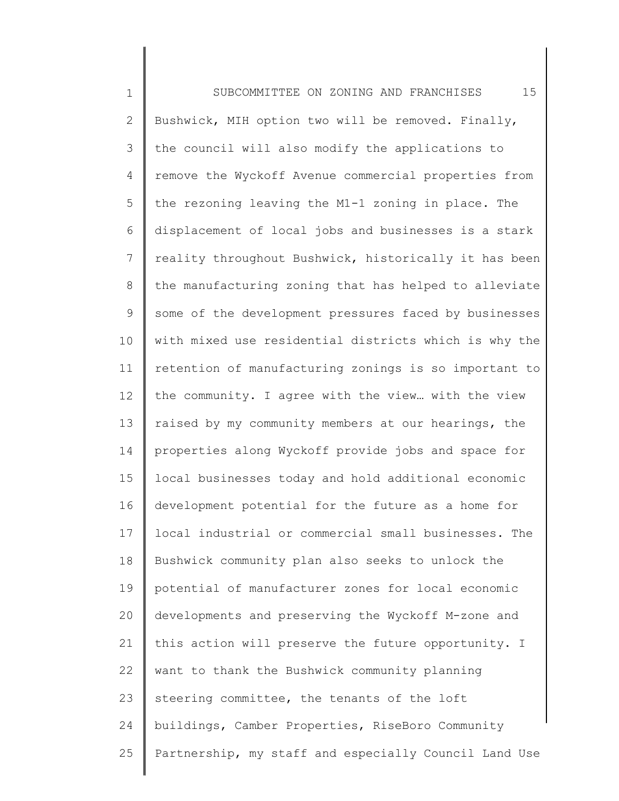1 2 3 4 5 6 7 8 9 10 11 12 13 14 15 16 17 18 19 20 21 22 23 24 25 SUBCOMMITTEE ON ZONING AND FRANCHISES 15 Bushwick, MIH option two will be removed. Finally, the council will also modify the applications to remove the Wyckoff Avenue commercial properties from the rezoning leaving the M1-1 zoning in place. The displacement of local jobs and businesses is a stark reality throughout Bushwick, historically it has been the manufacturing zoning that has helped to alleviate some of the development pressures faced by businesses with mixed use residential districts which is why the retention of manufacturing zonings is so important to the community. I agree with the view… with the view raised by my community members at our hearings, the properties along Wyckoff provide jobs and space for local businesses today and hold additional economic development potential for the future as a home for local industrial or commercial small businesses. The Bushwick community plan also seeks to unlock the potential of manufacturer zones for local economic developments and preserving the Wyckoff M-zone and this action will preserve the future opportunity. I want to thank the Bushwick community planning steering committee, the tenants of the loft buildings, Camber Properties, RiseBoro Community Partnership, my staff and especially Council Land Use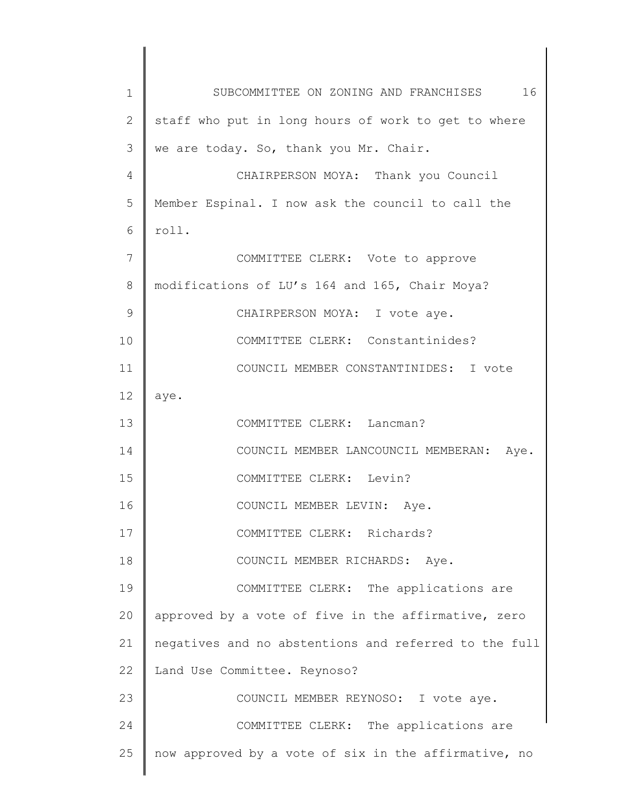| $\mathbf 1$    | SUBCOMMITTEE ON ZONING AND FRANCHISES 16              |
|----------------|-------------------------------------------------------|
| $\overline{2}$ | staff who put in long hours of work to get to where   |
| 3              | we are today. So, thank you Mr. Chair.                |
| $\overline{4}$ | CHAIRPERSON MOYA: Thank you Council                   |
| 5              | Member Espinal. I now ask the council to call the     |
| 6              | roll.                                                 |
| 7              | COMMITTEE CLERK: Vote to approve                      |
| 8              | modifications of LU's 164 and 165, Chair Moya?        |
| $\mathsf 9$    | CHAIRPERSON MOYA: I vote aye.                         |
| 10             | COMMITTEE CLERK: Constantinides?                      |
| 11             | COUNCIL MEMBER CONSTANTINIDES: I vote                 |
| 12             | aye.                                                  |
| 13             | COMMITTEE CLERK: Lancman?                             |
| 14             | COUNCIL MEMBER LANCOUNCIL MEMBERAN: Aye.              |
| 15             | COMMITTEE CLERK: Levin?                               |
| 16             | COUNCIL MEMBER LEVIN: Aye.                            |
| 17             | COMMITTEE CLERK: Richards?                            |
| 18             | COUNCIL MEMBER RICHARDS: Aye.                         |
| 19             | COMMITTEE CLERK: The applications are                 |
| 20             | approved by a vote of five in the affirmative, zero   |
| 21             | negatives and no abstentions and referred to the full |
| 22             | Land Use Committee. Reynoso?                          |
| 23             | COUNCIL MEMBER REYNOSO: I vote aye.                   |
| 24             | COMMITTEE CLERK: The applications are                 |
| 25             | now approved by a vote of six in the affirmative, no  |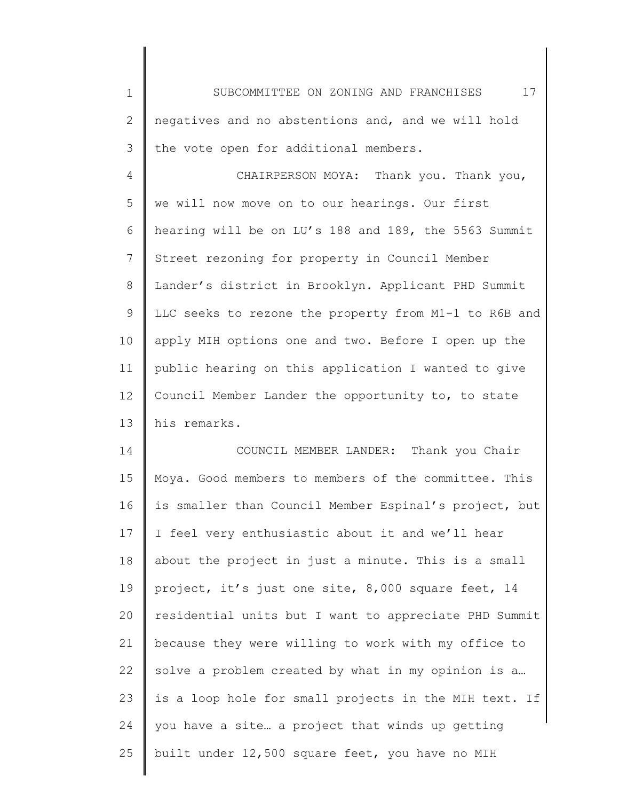1 2 3 SUBCOMMITTEE ON ZONING AND FRANCHISES 17 negatives and no abstentions and, and we will hold the vote open for additional members.

4 5 6 7 8 9 10 11 12 13 CHAIRPERSON MOYA: Thank you. Thank you, we will now move on to our hearings. Our first hearing will be on LU's 188 and 189, the 5563 Summit Street rezoning for property in Council Member Lander's district in Brooklyn. Applicant PHD Summit LLC seeks to rezone the property from M1-1 to R6B and apply MIH options one and two. Before I open up the public hearing on this application I wanted to give Council Member Lander the opportunity to, to state his remarks.

14 15 16 17 18 19 20 21 22 23 24 25 COUNCIL MEMBER LANDER: Thank you Chair Moya. Good members to members of the committee. This is smaller than Council Member Espinal's project, but I feel very enthusiastic about it and we'll hear about the project in just a minute. This is a small project, it's just one site, 8,000 square feet, 14 residential units but I want to appreciate PHD Summit because they were willing to work with my office to solve a problem created by what in my opinion is a… is a loop hole for small projects in the MIH text. If you have a site… a project that winds up getting built under 12,500 square feet, you have no MIH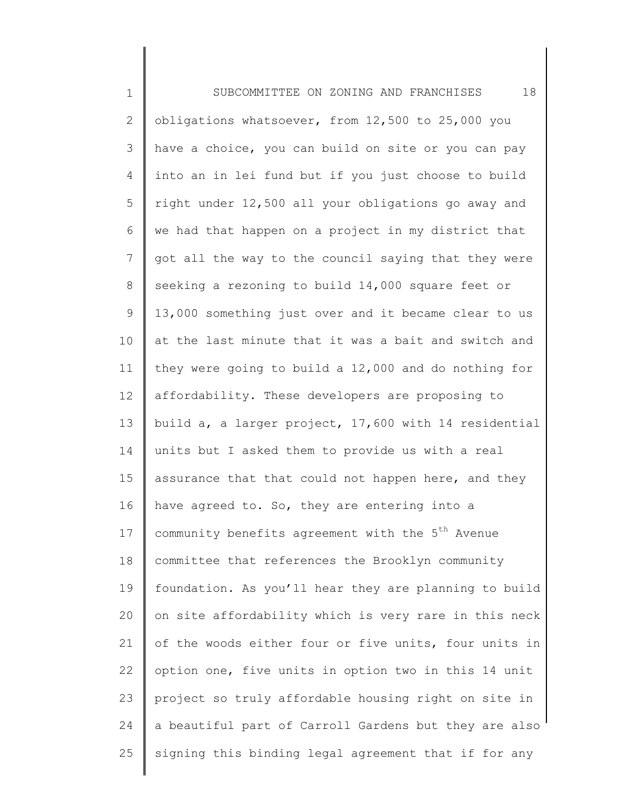1 2 3 4 5 6 7 8 9 10 11 12 13 14 15 16 17 18 19 20 21 22 23 24 25 SUBCOMMITTEE ON ZONING AND FRANCHISES 18 obligations whatsoever, from 12,500 to 25,000 you have a choice, you can build on site or you can pay into an in lei fund but if you just choose to build right under 12,500 all your obligations go away and we had that happen on a project in my district that got all the way to the council saying that they were seeking a rezoning to build 14,000 square feet or 13,000 something just over and it became clear to us at the last minute that it was a bait and switch and they were going to build a 12,000 and do nothing for affordability. These developers are proposing to build a, a larger project, 17,600 with 14 residential units but I asked them to provide us with a real assurance that that could not happen here, and they have agreed to. So, they are entering into a community benefits agreement with the 5<sup>th</sup> Avenue committee that references the Brooklyn community foundation. As you'll hear they are planning to build on site affordability which is very rare in this neck of the woods either four or five units, four units in option one, five units in option two in this 14 unit project so truly affordable housing right on site in a beautiful part of Carroll Gardens but they are also signing this binding legal agreement that if for any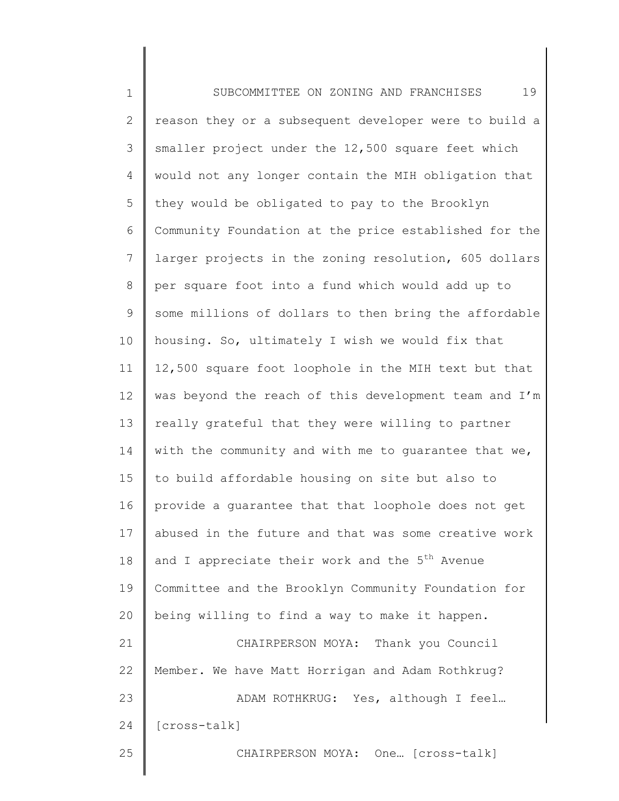1 2 3 4 5 6 7 8 9 10 11 12 13 14 15 16 17 18 19 20 21 22 23 24 25 SUBCOMMITTEE ON ZONING AND FRANCHISES 19 reason they or a subsequent developer were to build a smaller project under the 12,500 square feet which would not any longer contain the MIH obligation that they would be obligated to pay to the Brooklyn Community Foundation at the price established for the larger projects in the zoning resolution, 605 dollars per square foot into a fund which would add up to some millions of dollars to then bring the affordable housing. So, ultimately I wish we would fix that 12,500 square foot loophole in the MIH text but that was beyond the reach of this development team and I'm really grateful that they were willing to partner with the community and with me to quarantee that we, to build affordable housing on site but also to provide a guarantee that that loophole does not get abused in the future and that was some creative work and I appreciate their work and the  $5<sup>th</sup>$  Avenue Committee and the Brooklyn Community Foundation for being willing to find a way to make it happen. CHAIRPERSON MOYA: Thank you Council Member. We have Matt Horrigan and Adam Rothkrug? ADAM ROTHKRUG: Yes, although I feel… [cross-talk] CHAIRPERSON MOYA: One… [cross-talk]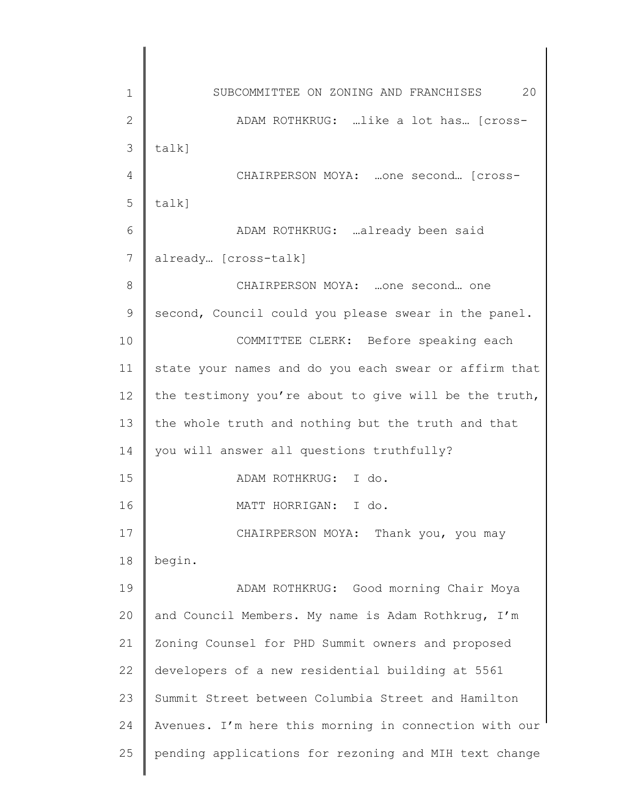1 2 3 4 5 6 7 8 9 10 11 12 13 14 15 16 17 18 19 20 21 22 23 24 25 SUBCOMMITTEE ON ZONING AND FRANCHISES 20 ADAM ROTHKRUG: …like a lot has… [crosstalk] CHAIRPERSON MOYA: …one second… [crosstalk] ADAM ROTHKRUG: …already been said already… [cross-talk] CHAIRPERSON MOYA: …one second… one second, Council could you please swear in the panel. COMMITTEE CLERK: Before speaking each state your names and do you each swear or affirm that the testimony you're about to give will be the truth, the whole truth and nothing but the truth and that you will answer all questions truthfully? ADAM ROTHKRUG: I do. MATT HORRIGAN: I do. CHAIRPERSON MOYA: Thank you, you may begin. ADAM ROTHKRUG: Good morning Chair Moya and Council Members. My name is Adam Rothkrug, I'm Zoning Counsel for PHD Summit owners and proposed developers of a new residential building at 5561 Summit Street between Columbia Street and Hamilton Avenues. I'm here this morning in connection with our pending applications for rezoning and MIH text change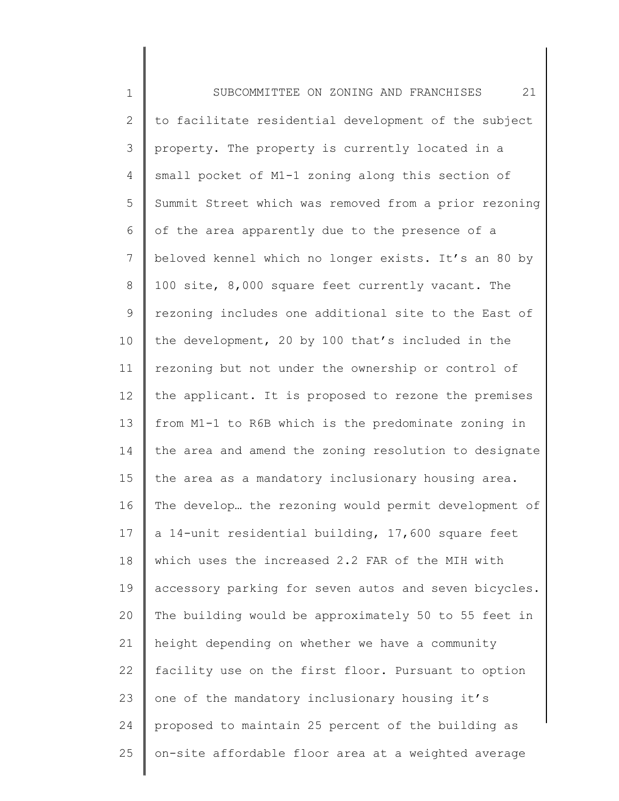1 2 3 4 5 6 7 8 9 10 11 12 13 14 15 16 17 18 19 20 21 22 23 24 25 SUBCOMMITTEE ON ZONING AND FRANCHISES 21 to facilitate residential development of the subject property. The property is currently located in a small pocket of M1-1 zoning along this section of Summit Street which was removed from a prior rezoning of the area apparently due to the presence of a beloved kennel which no longer exists. It's an 80 by 100 site, 8,000 square feet currently vacant. The rezoning includes one additional site to the East of the development, 20 by 100 that's included in the rezoning but not under the ownership or control of the applicant. It is proposed to rezone the premises from M1-1 to R6B which is the predominate zoning in the area and amend the zoning resolution to designate the area as a mandatory inclusionary housing area. The develop… the rezoning would permit development of a 14-unit residential building, 17,600 square feet which uses the increased 2.2 FAR of the MIH with accessory parking for seven autos and seven bicycles. The building would be approximately 50 to 55 feet in height depending on whether we have a community facility use on the first floor. Pursuant to option one of the mandatory inclusionary housing it's proposed to maintain 25 percent of the building as on-site affordable floor area at a weighted average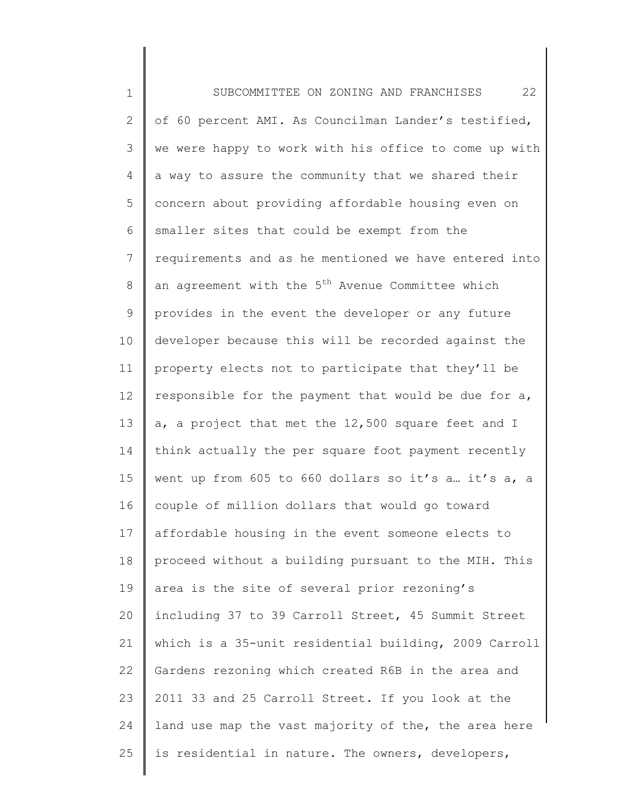1 2 3 4 5 6 7 8 9 10 11 12 13 14 15 16 17 18 19 20 21 22 23 24 25 SUBCOMMITTEE ON ZONING AND FRANCHISES 22 of 60 percent AMI. As Councilman Lander's testified, we were happy to work with his office to come up with a way to assure the community that we shared their concern about providing affordable housing even on smaller sites that could be exempt from the requirements and as he mentioned we have entered into an agreement with the 5<sup>th</sup> Avenue Committee which provides in the event the developer or any future developer because this will be recorded against the property elects not to participate that they'll be responsible for the payment that would be due for a, a, a project that met the 12,500 square feet and I think actually the per square foot payment recently went up from 605 to 660 dollars so it's a. it's a, a couple of million dollars that would go toward affordable housing in the event someone elects to proceed without a building pursuant to the MIH. This area is the site of several prior rezoning's including 37 to 39 Carroll Street, 45 Summit Street which is a 35-unit residential building, 2009 Carroll Gardens rezoning which created R6B in the area and 2011 33 and 25 Carroll Street. If you look at the land use map the vast majority of the, the area here is residential in nature. The owners, developers,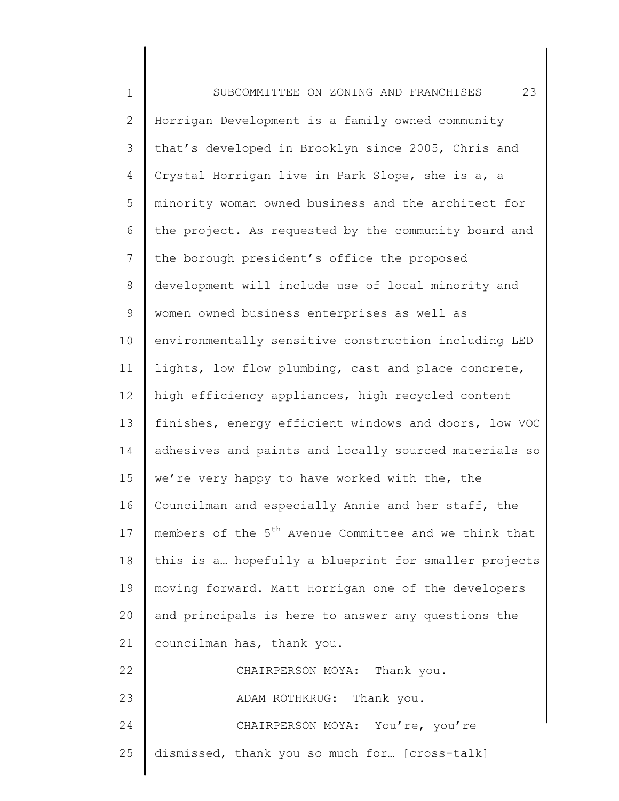| $\mathbf 1$     | 23<br>SUBCOMMITTEE ON ZONING AND FRANCHISES                       |
|-----------------|-------------------------------------------------------------------|
| $\overline{2}$  | Horrigan Development is a family owned community                  |
| 3               | that's developed in Brooklyn since 2005, Chris and                |
| 4               | Crystal Horrigan live in Park Slope, she is a, a                  |
| 5               | minority woman owned business and the architect for               |
| 6               | the project. As requested by the community board and              |
| $7\phantom{.0}$ | the borough president's office the proposed                       |
| 8               | development will include use of local minority and                |
| 9               | women owned business enterprises as well as                       |
| 10              | environmentally sensitive construction including LED              |
| 11              | lights, low flow plumbing, cast and place concrete,               |
| 12              | high efficiency appliances, high recycled content                 |
| 13              | finishes, energy efficient windows and doors, low VOC             |
| 14              | adhesives and paints and locally sourced materials so             |
| 15              | we're very happy to have worked with the, the                     |
| 16              | Councilman and especially Annie and her staff, the                |
| 17              | members of the 5 <sup>th</sup> Avenue Committee and we think that |
| 18              | this is a hopefully a blueprint for smaller projects              |
| 19              | moving forward. Matt Horrigan one of the developers               |
| 20              | and principals is here to answer any questions the                |
| 21              | councilman has, thank you.                                        |
| 22              | CHAIRPERSON MOYA: Thank you.                                      |
| 23              | ADAM ROTHKRUG: Thank you.                                         |
| 24              | CHAIRPERSON MOYA: You're, you're                                  |
| 25              | dismissed, thank you so much for [cross-talk]                     |
|                 |                                                                   |

║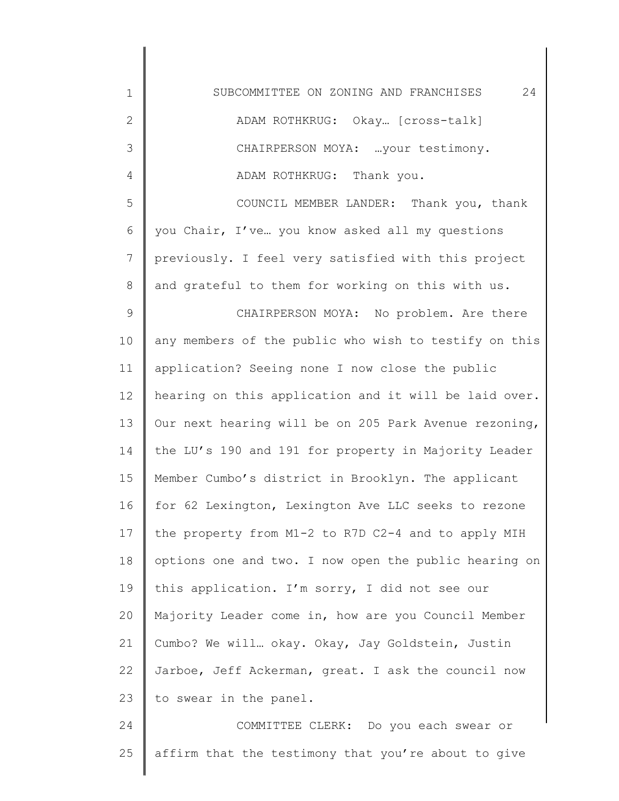| $\mathbf 1$    | 24<br>SUBCOMMITTEE ON ZONING AND FRANCHISES           |
|----------------|-------------------------------------------------------|
| $\mathbf{2}$   | ADAM ROTHKRUG: Okay [cross-talk]                      |
| 3              | CHAIRPERSON MOYA:  your testimony.                    |
| $\overline{4}$ | ADAM ROTHKRUG: Thank you.                             |
| 5              | COUNCIL MEMBER LANDER: Thank you, thank               |
| 6              | you Chair, I've you know asked all my questions       |
| 7              | previously. I feel very satisfied with this project   |
| $8\,$          | and grateful to them for working on this with us.     |
| $\mathsf 9$    | CHAIRPERSON MOYA: No problem. Are there               |
| 10             | any members of the public who wish to testify on this |
| 11             | application? Seeing none I now close the public       |
| 12             | hearing on this application and it will be laid over. |
| 13             | Our next hearing will be on 205 Park Avenue rezoning, |
| 14             | the LU's 190 and 191 for property in Majority Leader  |
| 15             | Member Cumbo's district in Brooklyn. The applicant    |
| 16             | for 62 Lexington, Lexington Ave LLC seeks to rezone   |
| 17             | the property from M1-2 to R7D C2-4 and to apply MIH   |
| 18             | options one and two. I now open the public hearing on |
| 19             | this application. I'm sorry, I did not see our        |
| 20             | Majority Leader come in, how are you Council Member   |
| 21             | Cumbo? We will okay. Okay, Jay Goldstein, Justin      |
| 22             | Jarboe, Jeff Ackerman, great. I ask the council now   |
| 23             | to swear in the panel.                                |
| 24             | COMMITTEE CLERK: Do you each swear or                 |
| 25             | affirm that the testimony that you're about to give   |

∥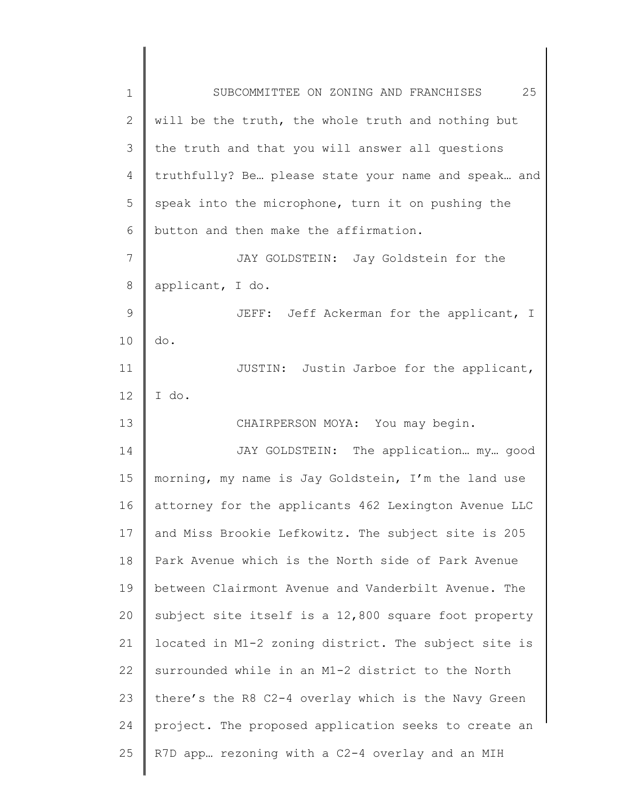| $\mathbf 1$    | 25<br>SUBCOMMITTEE ON ZONING AND FRANCHISES          |
|----------------|------------------------------------------------------|
| 2              | will be the truth, the whole truth and nothing but   |
| 3              | the truth and that you will answer all questions     |
| 4              | truthfully? Be please state your name and speak and  |
| 5              | speak into the microphone, turn it on pushing the    |
| 6              | button and then make the affirmation.                |
| $\overline{7}$ | JAY GOLDSTEIN: Jay Goldstein for the                 |
| 8              | applicant, I do.                                     |
| $\mathsf 9$    | JEFF: Jeff Ackerman for the applicant, I             |
| 10             | do.                                                  |
| 11             | JUSTIN: Justin Jarboe for the applicant,             |
| 12             | I do.                                                |
| 13             | CHAIRPERSON MOYA: You may begin.                     |
| 14             | JAY GOLDSTEIN: The application my good               |
| 15             | morning, my name is Jay Goldstein, I'm the land use  |
| 16             | attorney for the applicants 462 Lexington Avenue LLC |
| 17             | and Miss Brookie Lefkowitz. The subject site is 205  |
| 18             | Park Avenue which is the North side of Park Avenue   |
| 19             | between Clairmont Avenue and Vanderbilt Avenue. The  |
| 20             | subject site itself is a 12,800 square foot property |
| 21             | located in M1-2 zoning district. The subject site is |
| 22             | surrounded while in an M1-2 district to the North    |
| 23             | there's the R8 C2-4 overlay which is the Navy Green  |
| 24             | project. The proposed application seeks to create an |
| 25             | R7D app rezoning with a C2-4 overlay and an MIH      |
|                |                                                      |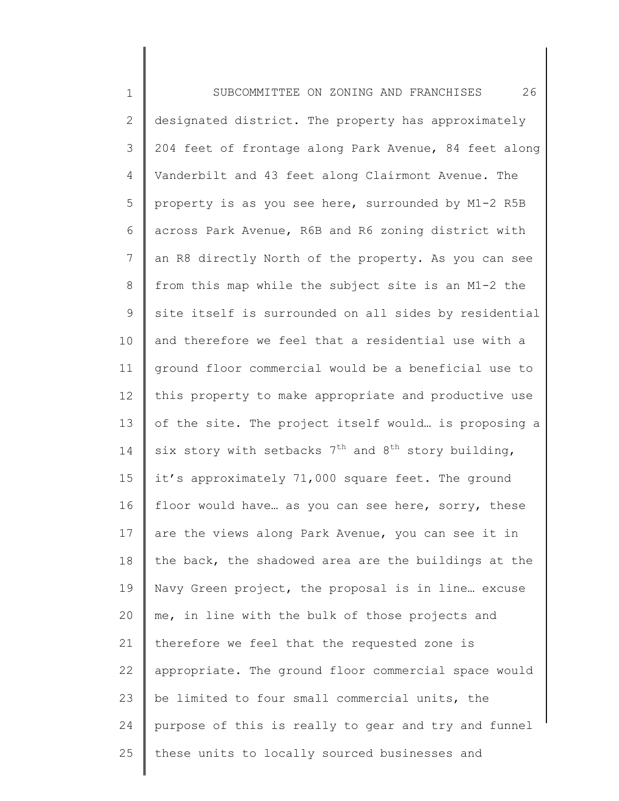1 2 3 4 5 6 7 8 9 10 11 12 13 14 15 16 17 18 19 20 21 22 23 24 25 SUBCOMMITTEE ON ZONING AND FRANCHISES 26 designated district. The property has approximately 204 feet of frontage along Park Avenue, 84 feet along Vanderbilt and 43 feet along Clairmont Avenue. The property is as you see here, surrounded by M1-2 R5B across Park Avenue, R6B and R6 zoning district with an R8 directly North of the property. As you can see from this map while the subject site is an M1-2 the site itself is surrounded on all sides by residential and therefore we feel that a residential use with a ground floor commercial would be a beneficial use to this property to make appropriate and productive use of the site. The project itself would… is proposing a six story with setbacks  $7^{\text{th}}$  and  $8^{\text{th}}$  story building, it's approximately 71,000 square feet. The ground floor would have... as you can see here, sorry, these are the views along Park Avenue, you can see it in the back, the shadowed area are the buildings at the Navy Green project, the proposal is in line… excuse me, in line with the bulk of those projects and therefore we feel that the requested zone is appropriate. The ground floor commercial space would be limited to four small commercial units, the purpose of this is really to gear and try and funnel these units to locally sourced businesses and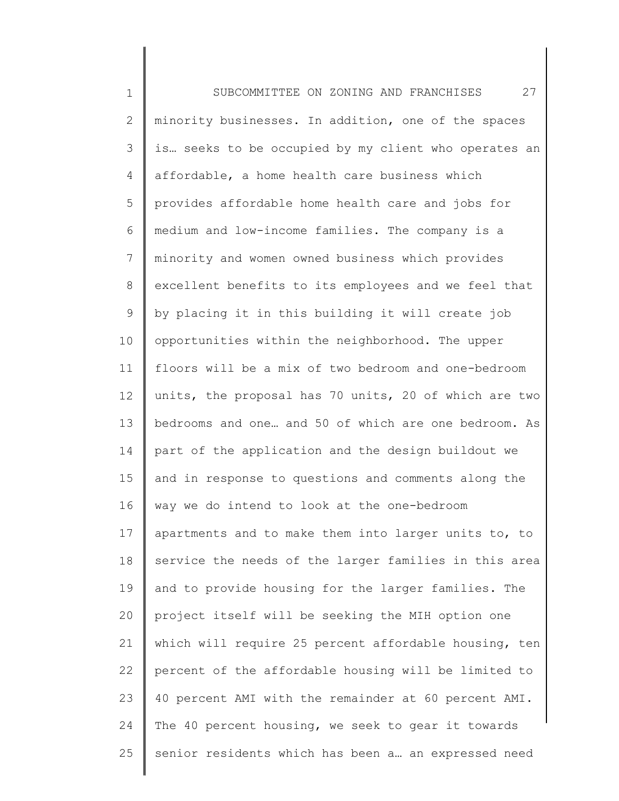1 2 3 4 5 6 7 8 9 10 11 12 13 14 15 16 17 18 19 20 21 22 23 24 25 SUBCOMMITTEE ON ZONING AND FRANCHISES 27 minority businesses. In addition, one of the spaces is… seeks to be occupied by my client who operates an affordable, a home health care business which provides affordable home health care and jobs for medium and low-income families. The company is a minority and women owned business which provides excellent benefits to its employees and we feel that by placing it in this building it will create job opportunities within the neighborhood. The upper floors will be a mix of two bedroom and one-bedroom units, the proposal has 70 units, 20 of which are two bedrooms and one… and 50 of which are one bedroom. As part of the application and the design buildout we and in response to questions and comments along the way we do intend to look at the one-bedroom apartments and to make them into larger units to, to service the needs of the larger families in this area and to provide housing for the larger families. The project itself will be seeking the MIH option one which will require 25 percent affordable housing, ten percent of the affordable housing will be limited to 40 percent AMI with the remainder at 60 percent AMI. The 40 percent housing, we seek to gear it towards senior residents which has been a… an expressed need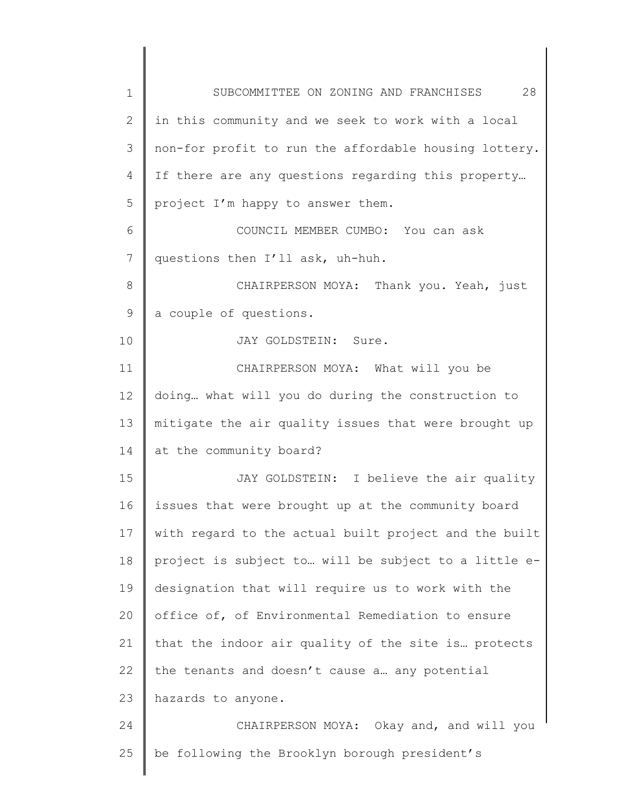| $\mathbf 1$    | 28<br>SUBCOMMITTEE ON ZONING AND FRANCHISES           |
|----------------|-------------------------------------------------------|
| $\mathbf{2}$   | in this community and we seek to work with a local    |
| 3              | non-for profit to run the affordable housing lottery. |
| 4              | If there are any questions regarding this property    |
| 5              | project I'm happy to answer them.                     |
| 6              | COUNCIL MEMBER CUMBO: You can ask                     |
| $\overline{7}$ | questions then I'll ask, uh-huh.                      |
| $\,8\,$        | CHAIRPERSON MOYA: Thank you. Yeah, just               |
| $\mathsf 9$    | a couple of questions.                                |
| 10             | JAY GOLDSTEIN: Sure.                                  |
| 11             | CHAIRPERSON MOYA: What will you be                    |
| 12             | doing what will you do during the construction to     |
| 13             | mitigate the air quality issues that were brought up  |
| 14             | at the community board?                               |
| 15             | JAY GOLDSTEIN: I believe the air quality              |
| 16             | issues that were brought up at the community board    |
| 17             | with regard to the actual built project and the built |
| 18             | project is subject to will be subject to a little e-  |
| 19             | designation that will require us to work with the     |
| 20             | office of, of Environmental Remediation to ensure     |
| 21             | that the indoor air quality of the site is protects   |
| 22             | the tenants and doesn't cause a any potential         |
| 23             |                                                       |
|                | hazards to anyone.                                    |
| 24             | CHAIRPERSON MOYA: Okay and, and will you              |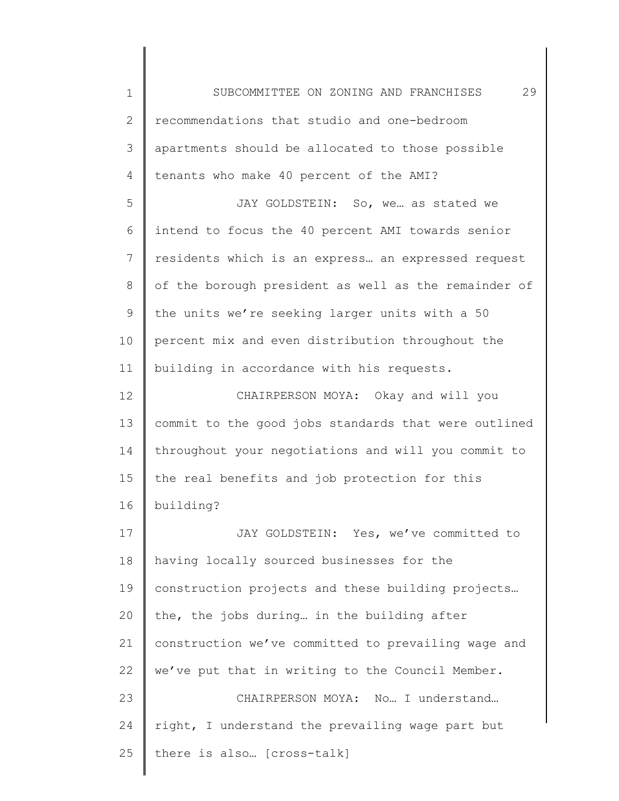1 2 3 4 5 6 7 8 9 10 11 12 13 14 15 16 17 18 19 20 21 22 23 24 25 SUBCOMMITTEE ON ZONING AND FRANCHISES 29 recommendations that studio and one-bedroom apartments should be allocated to those possible tenants who make 40 percent of the AMI? JAY GOLDSTEIN: So, we… as stated we intend to focus the 40 percent AMI towards senior residents which is an express… an expressed request of the borough president as well as the remainder of the units we're seeking larger units with a 50 percent mix and even distribution throughout the building in accordance with his requests. CHAIRPERSON MOYA: Okay and will you commit to the good jobs standards that were outlined throughout your negotiations and will you commit to the real benefits and job protection for this building? JAY GOLDSTEIN: Yes, we've committed to having locally sourced businesses for the construction projects and these building projects… the, the jobs during… in the building after construction we've committed to prevailing wage and we've put that in writing to the Council Member. CHAIRPERSON MOYA: No… I understand… right, I understand the prevailing wage part but there is also… [cross-talk]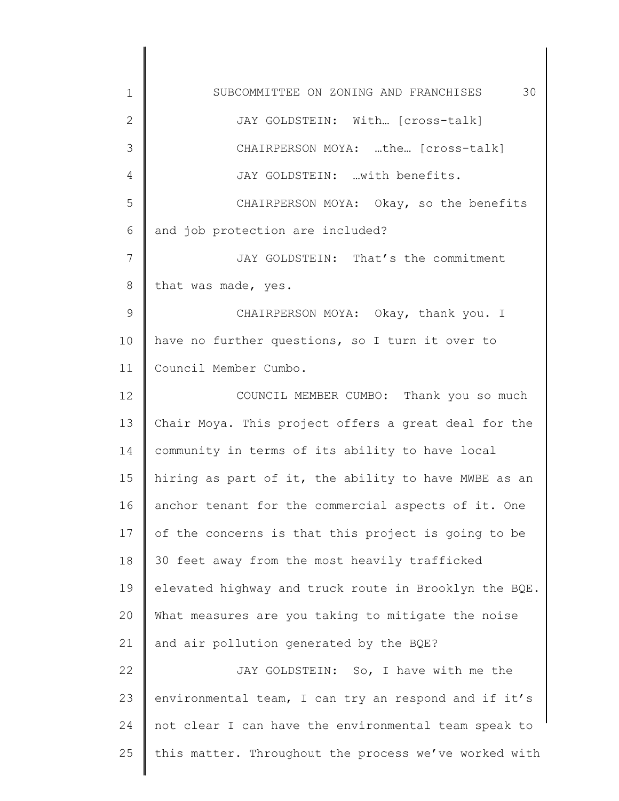1 2 3 4 5 6 7 8 9 10 11 12 13 14 15 16 17 18 19 20 21 22 23 24 25 SUBCOMMITTEE ON ZONING AND FRANCHISES 30 JAY GOLDSTEIN: With… [cross-talk] CHAIRPERSON MOYA: …the… [cross-talk] JAY GOLDSTEIN: …with benefits. CHAIRPERSON MOYA: Okay, so the benefits and job protection are included? JAY GOLDSTEIN: That's the commitment that was made, yes. CHAIRPERSON MOYA: Okay, thank you. I have no further questions, so I turn it over to Council Member Cumbo. COUNCIL MEMBER CUMBO: Thank you so much Chair Moya. This project offers a great deal for the community in terms of its ability to have local hiring as part of it, the ability to have MWBE as an anchor tenant for the commercial aspects of it. One of the concerns is that this project is going to be 30 feet away from the most heavily trafficked elevated highway and truck route in Brooklyn the BQE. What measures are you taking to mitigate the noise and air pollution generated by the BQE? JAY GOLDSTEIN: So, I have with me the environmental team, I can try an respond and if it's not clear I can have the environmental team speak to this matter. Throughout the process we've worked with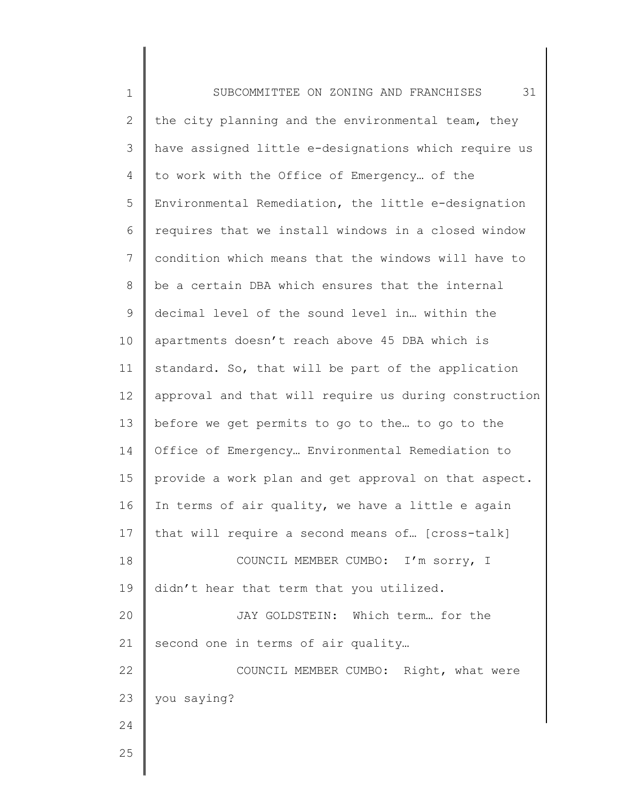| $\mathbf 1$    | 31<br>SUBCOMMITTEE ON ZONING AND FRANCHISES           |
|----------------|-------------------------------------------------------|
| $\overline{2}$ | the city planning and the environmental team, they    |
| 3              | have assigned little e-designations which require us  |
| 4              | to work with the Office of Emergency of the           |
| 5              | Environmental Remediation, the little e-designation   |
| 6              | requires that we install windows in a closed window   |
| $\overline{7}$ | condition which means that the windows will have to   |
| $8\,$          | be a certain DBA which ensures that the internal      |
| 9              | decimal level of the sound level in within the        |
| 10             | apartments doesn't reach above 45 DBA which is        |
| 11             | standard. So, that will be part of the application    |
| 12             | approval and that will require us during construction |
| 13             | before we get permits to go to the to go to the       |
| 14             | Office of Emergency Environmental Remediation to      |
| 15             | provide a work plan and get approval on that aspect.  |
| 16             | In terms of air quality, we have a little e again     |
| 17             | that will require a second means of [cross-talk]      |
| 18             | COUNCIL MEMBER CUMBO: I'm sorry, I                    |
| 19             | didn't hear that term that you utilized.              |
| 20             | JAY GOLDSTEIN: Which term for the                     |
| 21             | second one in terms of air quality                    |
| 22             | COUNCIL MEMBER CUMBO: Right, what were                |
| 23             | you saying?                                           |
| 24             |                                                       |
| 25             |                                                       |
|                |                                                       |

║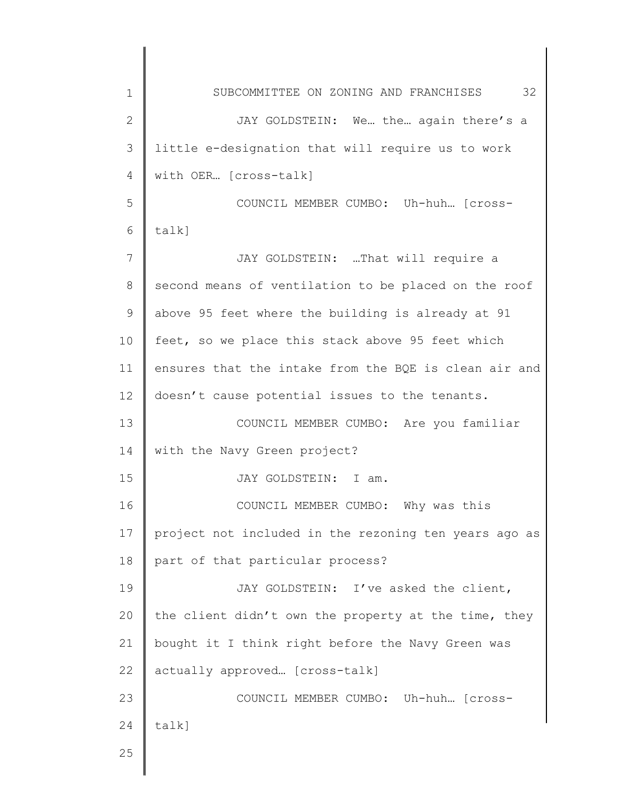| $\mathbf 1$  | 32<br>SUBCOMMITTEE ON ZONING AND FRANCHISES           |
|--------------|-------------------------------------------------------|
| $\mathbf{2}$ | JAY GOLDSTEIN: We the again there's a                 |
| 3            | little e-designation that will require us to work     |
| 4            | with OER [cross-talk]                                 |
| 5            | COUNCIL MEMBER CUMBO: Uh-huh [Cross-                  |
| 6            | talk]                                                 |
| 7            | JAY GOLDSTEIN: That will require a                    |
| 8            | second means of ventilation to be placed on the roof  |
| 9            | above 95 feet where the building is already at 91     |
| 10           | feet, so we place this stack above 95 feet which      |
| 11           | ensures that the intake from the BQE is clean air and |
| 12           | doesn't cause potential issues to the tenants.        |
| 13           | COUNCIL MEMBER CUMBO: Are you familiar                |
| 14           | with the Navy Green project?                          |
| 15           | JAY GOLDSTEIN: I am.                                  |
| 16           | COUNCIL MEMBER CUMBO: Why was this                    |
| 17           | project not included in the rezoning ten years ago as |
| 18           | part of that particular process?                      |
| 19           | JAY GOLDSTEIN: I've asked the client,                 |
| 20           | the client didn't own the property at the time, they  |
| 21           | bought it I think right before the Navy Green was     |
| 22           | actually approved [cross-talk]                        |
| 23           | COUNCIL MEMBER CUMBO: Uh-huh [cross-                  |
| 24           | $talk$ ]                                              |
| 25           |                                                       |
|              |                                                       |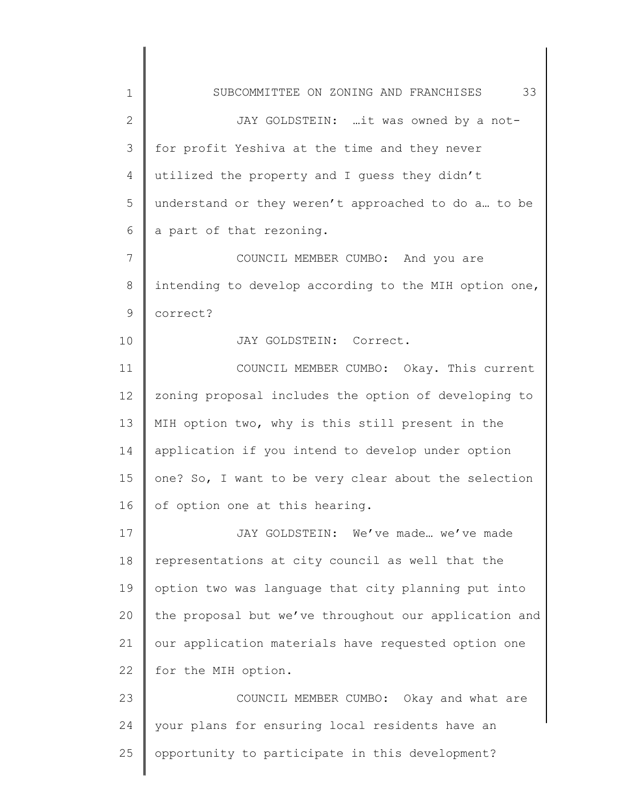1 2 3 4 5 6 7 8 9 10 11 12 13 14 15 16 17 18 19 20 21 22 23 24 25 SUBCOMMITTEE ON ZONING AND FRANCHISES 33 JAY GOLDSTEIN: …it was owned by a notfor profit Yeshiva at the time and they never utilized the property and I guess they didn't understand or they weren't approached to do a… to be a part of that rezoning. COUNCIL MEMBER CUMBO: And you are intending to develop according to the MIH option one, correct? JAY GOLDSTEIN: Correct. COUNCIL MEMBER CUMBO: Okay. This current zoning proposal includes the option of developing to MIH option two, why is this still present in the application if you intend to develop under option one? So, I want to be very clear about the selection of option one at this hearing. JAY GOLDSTEIN: We've made… we've made representations at city council as well that the option two was language that city planning put into the proposal but we've throughout our application and our application materials have requested option one for the MIH option. COUNCIL MEMBER CUMBO: Okay and what are your plans for ensuring local residents have an opportunity to participate in this development?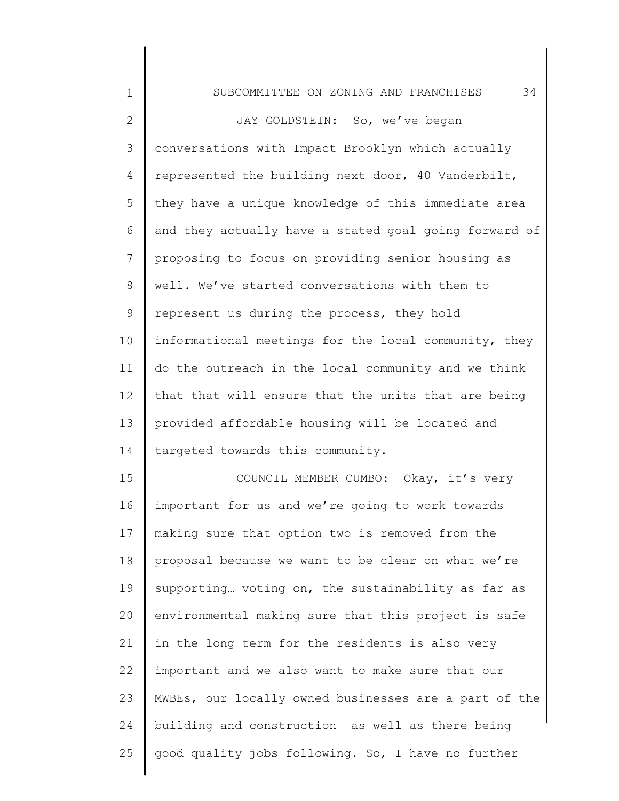| 1            | 34<br>SUBCOMMITTEE ON ZONING AND FRANCHISES           |
|--------------|-------------------------------------------------------|
| $\mathbf{2}$ | JAY GOLDSTEIN: So, we've began                        |
| 3            | conversations with Impact Brooklyn which actually     |
| 4            | represented the building next door, 40 Vanderbilt,    |
| 5            | they have a unique knowledge of this immediate area   |
| 6            | and they actually have a stated goal going forward of |
| 7            | proposing to focus on providing senior housing as     |
| 8            | well. We've started conversations with them to        |
| 9            | represent us during the process, they hold            |
| 10           | informational meetings for the local community, they  |
| 11           | do the outreach in the local community and we think   |
| 12           | that that will ensure that the units that are being   |
| 13           | provided affordable housing will be located and       |
| 14           | targeted towards this community.                      |
| 15           | COUNCIL MEMBER CUMBO: Okay, it's very                 |
| 16           | important for us and we're going to work towards      |
| 17           | making sure that option two is removed from the       |
| 18           | proposal because we want to be clear on what we're    |
| 19           | supporting voting on, the sustainability as far as    |
| 20           | environmental making sure that this project is safe   |
| 21           | in the long term for the residents is also very       |
| 22           | important and we also want to make sure that our      |
| 23           | MWBEs, our locally owned businesses are a part of the |
| 24           | building and construction as well as there being      |
| 25           | good quality jobs following. So, I have no further    |
|              |                                                       |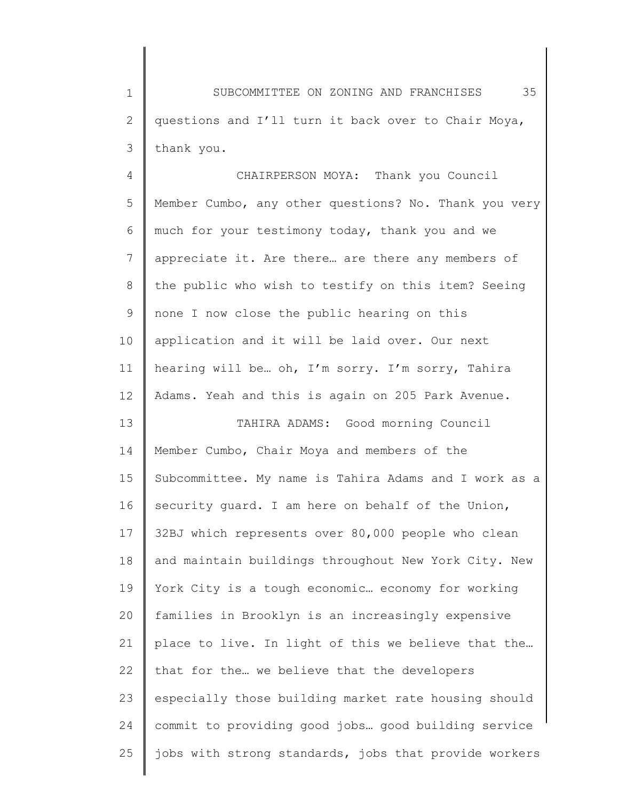1 2 3 SUBCOMMITTEE ON ZONING AND FRANCHISES 35 questions and I'll turn it back over to Chair Moya, thank you.

4 5 6 7 8 9 10 11 12 13 14 15 16 17 18 19 20 21 22 23 24 25 CHAIRPERSON MOYA: Thank you Council Member Cumbo, any other questions? No. Thank you very much for your testimony today, thank you and we appreciate it. Are there… are there any members of the public who wish to testify on this item? Seeing none I now close the public hearing on this application and it will be laid over. Our next hearing will be… oh, I'm sorry. I'm sorry, Tahira Adams. Yeah and this is again on 205 Park Avenue. TAHIRA ADAMS: Good morning Council Member Cumbo, Chair Moya and members of the Subcommittee. My name is Tahira Adams and I work as a security quard. I am here on behalf of the Union, 32BJ which represents over 80,000 people who clean and maintain buildings throughout New York City. New York City is a tough economic… economy for working families in Brooklyn is an increasingly expensive place to live. In light of this we believe that the… that for the… we believe that the developers especially those building market rate housing should commit to providing good jobs… good building service jobs with strong standards, jobs that provide workers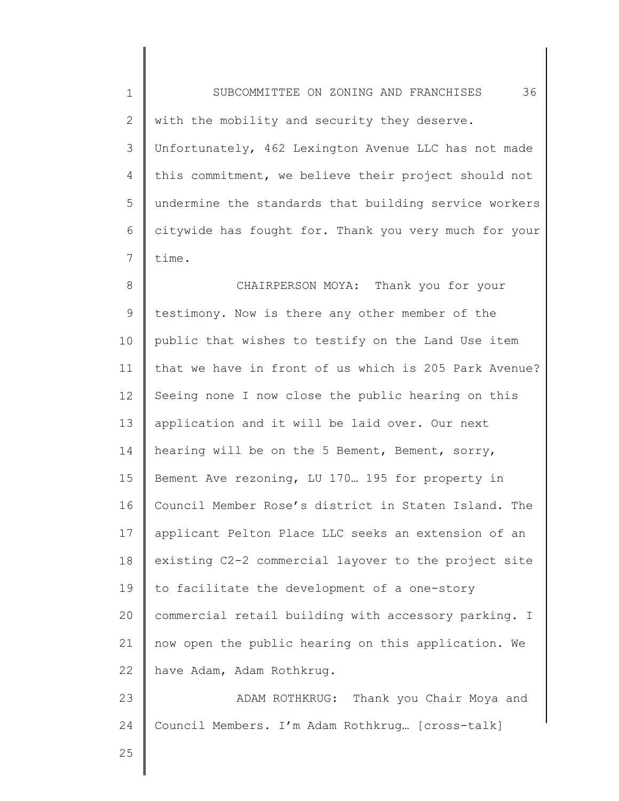1 2 3 4 5 6 7 8 9 10 11 12 13 14 15 16 17 18 19 20 21 22 23 24 SUBCOMMITTEE ON ZONING AND FRANCHISES 36 with the mobility and security they deserve. Unfortunately, 462 Lexington Avenue LLC has not made this commitment, we believe their project should not undermine the standards that building service workers citywide has fought for. Thank you very much for your time. CHAIRPERSON MOYA: Thank you for your testimony. Now is there any other member of the public that wishes to testify on the Land Use item that we have in front of us which is 205 Park Avenue? Seeing none I now close the public hearing on this application and it will be laid over. Our next hearing will be on the 5 Bement, Bement, sorry, Bement Ave rezoning, LU 170… 195 for property in Council Member Rose's district in Staten Island. The applicant Pelton Place LLC seeks an extension of an existing C2-2 commercial layover to the project site to facilitate the development of a one-story commercial retail building with accessory parking. I now open the public hearing on this application. We have Adam, Adam Rothkrug. ADAM ROTHKRUG: Thank you Chair Moya and Council Members. I'm Adam Rothkrug… [cross-talk]

25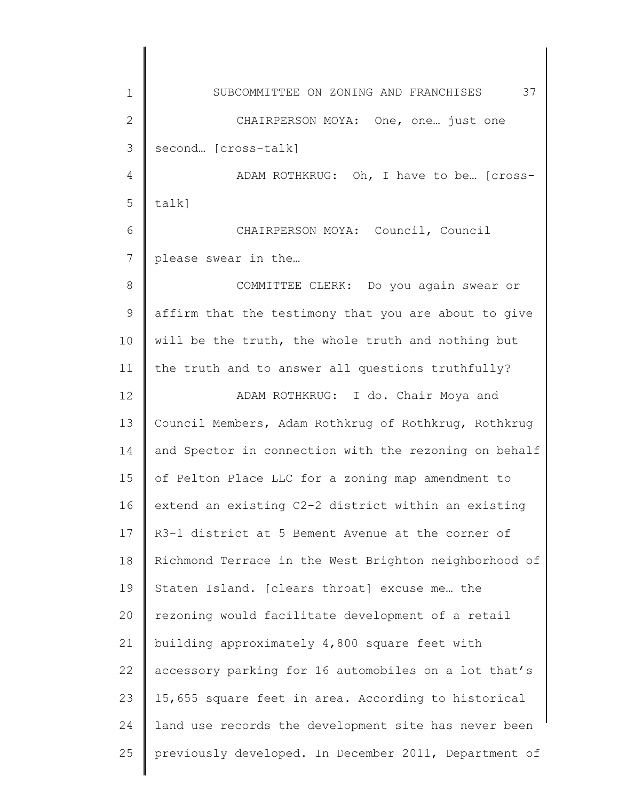1 2 3 4 5 6 7 8 9 10 11 12 13 14 15 16 17 18 19 20 21 22 23 24 25 SUBCOMMITTEE ON ZONING AND FRANCHISES 37 CHAIRPERSON MOYA: One, one… just one second… [cross-talk] ADAM ROTHKRUG: Oh, I have to be… [crosstalk] CHAIRPERSON MOYA: Council, Council please swear in the… COMMITTEE CLERK: Do you again swear or affirm that the testimony that you are about to give will be the truth, the whole truth and nothing but the truth and to answer all questions truthfully? ADAM ROTHKRUG: I do. Chair Moya and Council Members, Adam Rothkrug of Rothkrug, Rothkrug and Spector in connection with the rezoning on behalf of Pelton Place LLC for a zoning map amendment to extend an existing C2-2 district within an existing R3-1 district at 5 Bement Avenue at the corner of Richmond Terrace in the West Brighton neighborhood of Staten Island. [clears throat] excuse me… the rezoning would facilitate development of a retail building approximately 4,800 square feet with accessory parking for 16 automobiles on a lot that's 15,655 square feet in area. According to historical land use records the development site has never been previously developed. In December 2011, Department of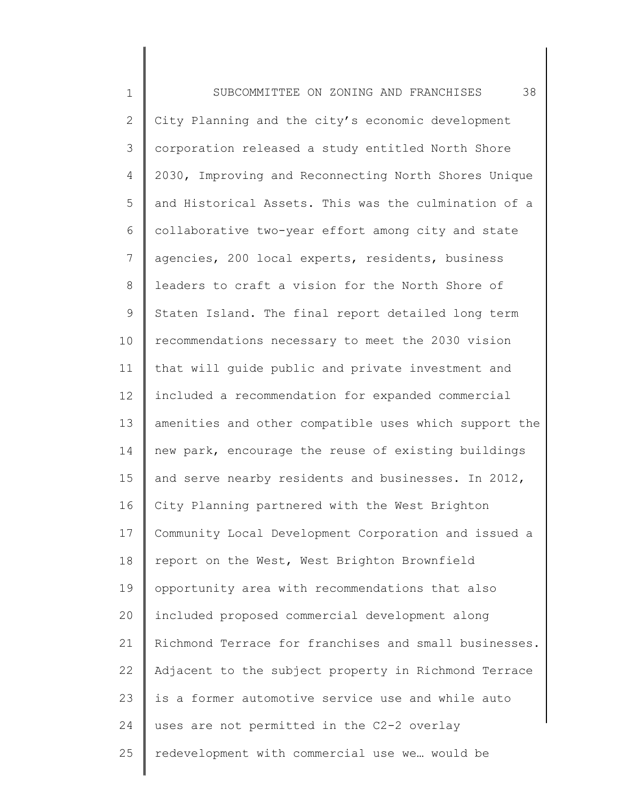1 2 3 4 5 6 7 8 9 10 11 12 13 14 15 16 17 18 19 20 21 22 23 24 25 SUBCOMMITTEE ON ZONING AND FRANCHISES 38 City Planning and the city's economic development corporation released a study entitled North Shore 2030, Improving and Reconnecting North Shores Unique and Historical Assets. This was the culmination of a collaborative two-year effort among city and state agencies, 200 local experts, residents, business leaders to craft a vision for the North Shore of Staten Island. The final report detailed long term recommendations necessary to meet the 2030 vision that will guide public and private investment and included a recommendation for expanded commercial amenities and other compatible uses which support the new park, encourage the reuse of existing buildings and serve nearby residents and businesses. In 2012, City Planning partnered with the West Brighton Community Local Development Corporation and issued a report on the West, West Brighton Brownfield opportunity area with recommendations that also included proposed commercial development along Richmond Terrace for franchises and small businesses. Adjacent to the subject property in Richmond Terrace is a former automotive service use and while auto uses are not permitted in the C2-2 overlay redevelopment with commercial use we… would be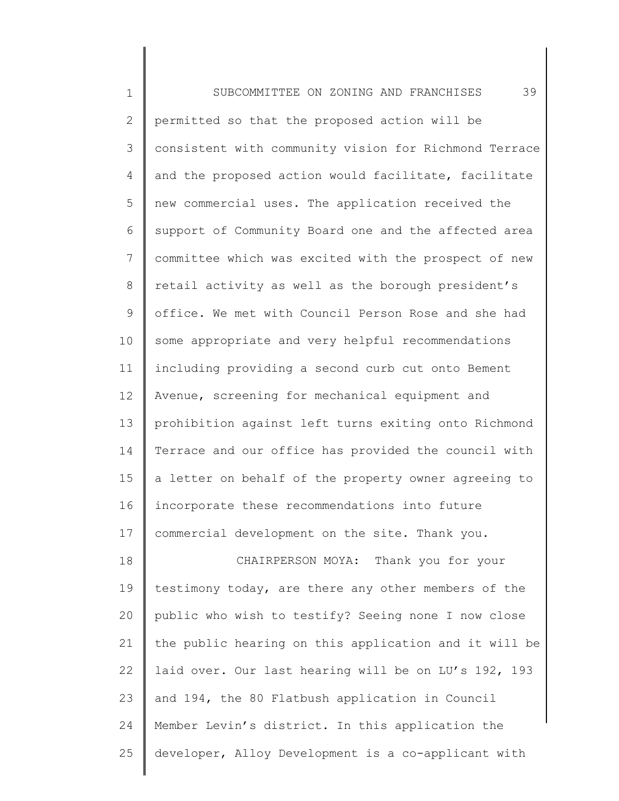1 2 3 4 5 6 7 8 9 10 11 12 13 14 15 16 17 18 19 20 21 22 23 24 25 SUBCOMMITTEE ON ZONING AND FRANCHISES 39 permitted so that the proposed action will be consistent with community vision for Richmond Terrace and the proposed action would facilitate, facilitate new commercial uses. The application received the support of Community Board one and the affected area committee which was excited with the prospect of new retail activity as well as the borough president's office. We met with Council Person Rose and she had some appropriate and very helpful recommendations including providing a second curb cut onto Bement Avenue, screening for mechanical equipment and prohibition against left turns exiting onto Richmond Terrace and our office has provided the council with a letter on behalf of the property owner agreeing to incorporate these recommendations into future commercial development on the site. Thank you. CHAIRPERSON MOYA: Thank you for your testimony today, are there any other members of the public who wish to testify? Seeing none I now close the public hearing on this application and it will be laid over. Our last hearing will be on LU's 192, 193 and 194, the 80 Flatbush application in Council Member Levin's district. In this application the developer, Alloy Development is a co-applicant with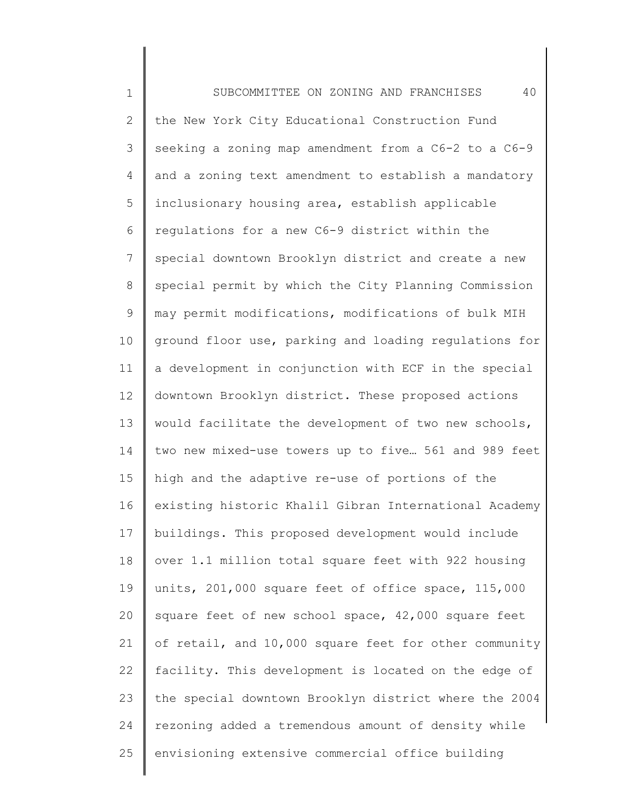1 2 3 4 5 6 7 8 9 10 11 12 13 14 15 16 17 18 19 20 21 22 23 24 25 SUBCOMMITTEE ON ZONING AND FRANCHISES 40 the New York City Educational Construction Fund seeking a zoning map amendment from a C6-2 to a C6-9 and a zoning text amendment to establish a mandatory inclusionary housing area, establish applicable regulations for a new C6-9 district within the special downtown Brooklyn district and create a new special permit by which the City Planning Commission may permit modifications, modifications of bulk MIH ground floor use, parking and loading regulations for a development in conjunction with ECF in the special downtown Brooklyn district. These proposed actions would facilitate the development of two new schools, two new mixed-use towers up to five… 561 and 989 feet high and the adaptive re-use of portions of the existing historic Khalil Gibran International Academy buildings. This proposed development would include over 1.1 million total square feet with 922 housing units, 201,000 square feet of office space, 115,000 square feet of new school space, 42,000 square feet of retail, and 10,000 square feet for other community facility. This development is located on the edge of the special downtown Brooklyn district where the 2004 rezoning added a tremendous amount of density while envisioning extensive commercial office building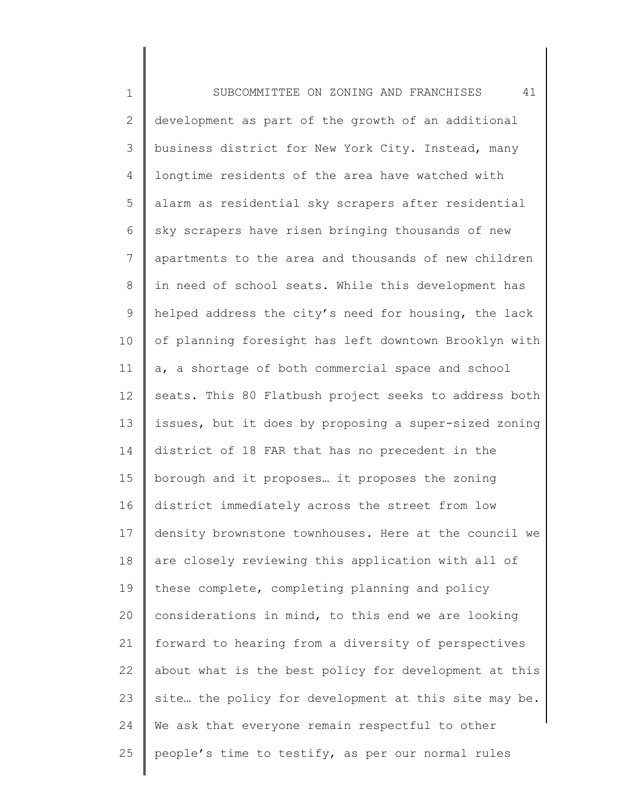1 2 3 4 5 6 7 8 9 10 11 12 13 14 15 16 17 18 19 20 21 22 23 24 25 SUBCOMMITTEE ON ZONING AND FRANCHISES 41 development as part of the growth of an additional business district for New York City. Instead, many longtime residents of the area have watched with alarm as residential sky scrapers after residential sky scrapers have risen bringing thousands of new apartments to the area and thousands of new children in need of school seats. While this development has helped address the city's need for housing, the lack of planning foresight has left downtown Brooklyn with a, a shortage of both commercial space and school seats. This 80 Flatbush project seeks to address both issues, but it does by proposing a super-sized zoning district of 18 FAR that has no precedent in the borough and it proposes… it proposes the zoning district immediately across the street from low density brownstone townhouses. Here at the council we are closely reviewing this application with all of these complete, completing planning and policy considerations in mind, to this end we are looking forward to hearing from a diversity of perspectives about what is the best policy for development at this site… the policy for development at this site may be. We ask that everyone remain respectful to other people's time to testify, as per our normal rules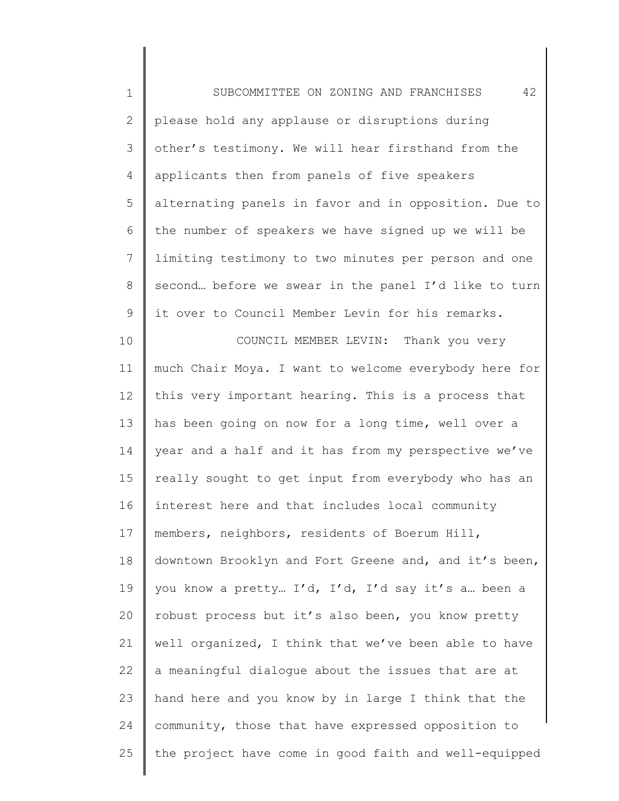1 2 3 4 5 6 7 8 9 10 11 12 13 14 15 16 17 18 19 20 21 22 23 24 25 SUBCOMMITTEE ON ZONING AND FRANCHISES 42 please hold any applause or disruptions during other's testimony. We will hear firsthand from the applicants then from panels of five speakers alternating panels in favor and in opposition. Due to the number of speakers we have signed up we will be limiting testimony to two minutes per person and one second… before we swear in the panel I'd like to turn it over to Council Member Levin for his remarks. COUNCIL MEMBER LEVIN: Thank you very much Chair Moya. I want to welcome everybody here for this very important hearing. This is a process that has been going on now for a long time, well over a year and a half and it has from my perspective we've really sought to get input from everybody who has an interest here and that includes local community members, neighbors, residents of Boerum Hill, downtown Brooklyn and Fort Greene and, and it's been, you know a pretty… I'd, I'd, I'd say it's a… been a robust process but it's also been, you know pretty well organized, I think that we've been able to have a meaningful dialogue about the issues that are at hand here and you know by in large I think that the community, those that have expressed opposition to the project have come in good faith and well-equipped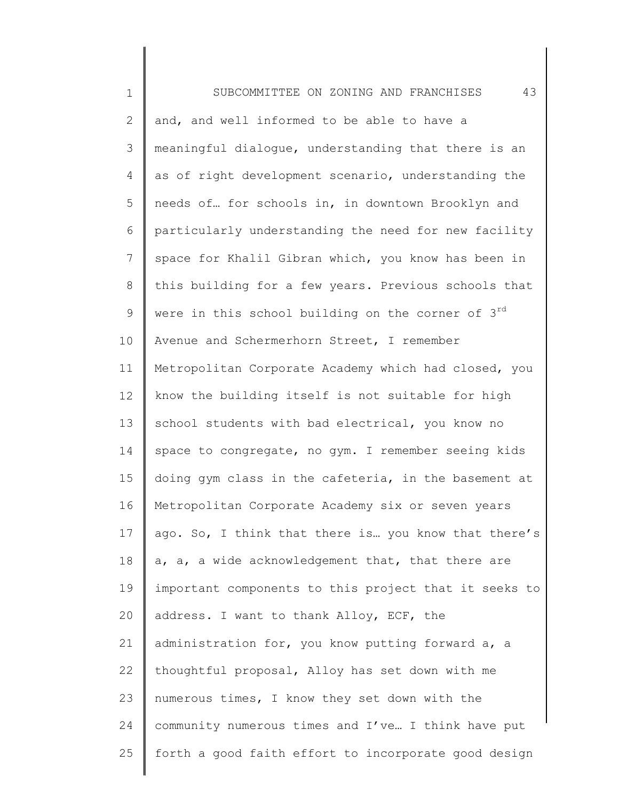| $\mathbf 1$   | 43<br>SUBCOMMITTEE ON ZONING AND FRANCHISES           |
|---------------|-------------------------------------------------------|
| $\mathbf{2}$  | and, and well informed to be able to have a           |
| $\mathcal{S}$ | meaningful dialoque, understanding that there is an   |
| 4             | as of right development scenario, understanding the   |
| 5             | needs of for schools in, in downtown Brooklyn and     |
| 6             | particularly understanding the need for new facility  |
| 7             | space for Khalil Gibran which, you know has been in   |
| 8             | this building for a few years. Previous schools that  |
| $\mathsf 9$   | were in this school building on the corner of 3rd     |
| 10            | Avenue and Schermerhorn Street, I remember            |
| 11            | Metropolitan Corporate Academy which had closed, you  |
| 12            | know the building itself is not suitable for high     |
| 13            | school students with bad electrical, you know no      |
| 14            | space to congregate, no gym. I remember seeing kids   |
| 15            | doing gym class in the cafeteria, in the basement at  |
| 16            | Metropolitan Corporate Academy six or seven years     |
| 17            | ago. So, I think that there is you know that there's  |
| 18            | a, a, a wide acknowledgement that, that there are     |
| 19            | important components to this project that it seeks to |
| 20            | address. I want to thank Alloy, ECF, the              |
| 21            | administration for, you know putting forward a, a     |
| 22            | thoughtful proposal, Alloy has set down with me       |
| 23            | numerous times, I know they set down with the         |
| 24            | community numerous times and I've I think have put    |
| 25            | forth a good faith effort to incorporate good design  |
|               |                                                       |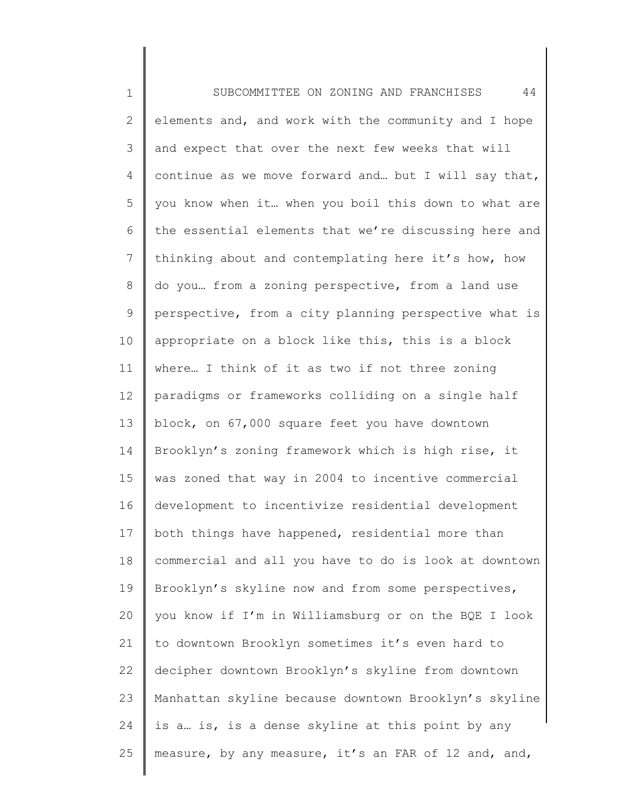1 2 3 4 5 6 7 8 9 10 11 12 13 14 15 16 17 18 19 20 21 22 23 24 25 SUBCOMMITTEE ON ZONING AND FRANCHISES 44 elements and, and work with the community and I hope and expect that over the next few weeks that will continue as we move forward and… but I will say that, you know when it… when you boil this down to what are the essential elements that we're discussing here and thinking about and contemplating here it's how, how do you… from a zoning perspective, from a land use perspective, from a city planning perspective what is appropriate on a block like this, this is a block where… I think of it as two if not three zoning paradigms or frameworks colliding on a single half block, on 67,000 square feet you have downtown Brooklyn's zoning framework which is high rise, it was zoned that way in 2004 to incentive commercial development to incentivize residential development both things have happened, residential more than commercial and all you have to do is look at downtown Brooklyn's skyline now and from some perspectives, you know if I'm in Williamsburg or on the BQE I look to downtown Brooklyn sometimes it's even hard to decipher downtown Brooklyn's skyline from downtown Manhattan skyline because downtown Brooklyn's skyline is a… is, is a dense skyline at this point by any measure, by any measure, it's an FAR of 12 and, and,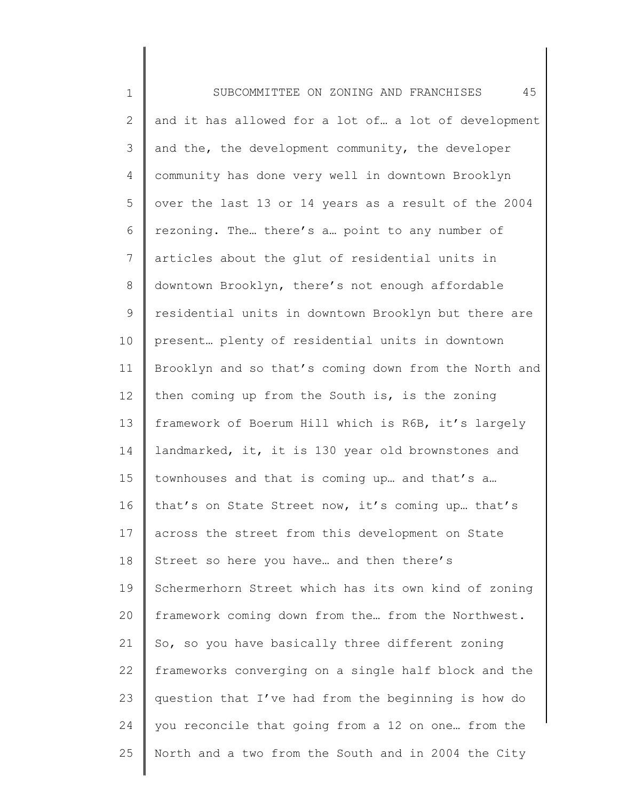1 2 3 4 5 6 7 8 9 10 11 12 13 14 15 16 17 18 19 20 21 22 23 24 25 SUBCOMMITTEE ON ZONING AND FRANCHISES 45 and it has allowed for a lot of… a lot of development and the, the development community, the developer community has done very well in downtown Brooklyn over the last 13 or 14 years as a result of the 2004 rezoning. The… there's a… point to any number of articles about the glut of residential units in downtown Brooklyn, there's not enough affordable residential units in downtown Brooklyn but there are present… plenty of residential units in downtown Brooklyn and so that's coming down from the North and then coming up from the South is, is the zoning framework of Boerum Hill which is R6B, it's largely landmarked, it, it is 130 year old brownstones and townhouses and that is coming up… and that's a… that's on State Street now, it's coming up… that's across the street from this development on State Street so here you have… and then there's Schermerhorn Street which has its own kind of zoning framework coming down from the… from the Northwest. So, so you have basically three different zoning frameworks converging on a single half block and the question that I've had from the beginning is how do you reconcile that going from a 12 on one… from the North and a two from the South and in 2004 the City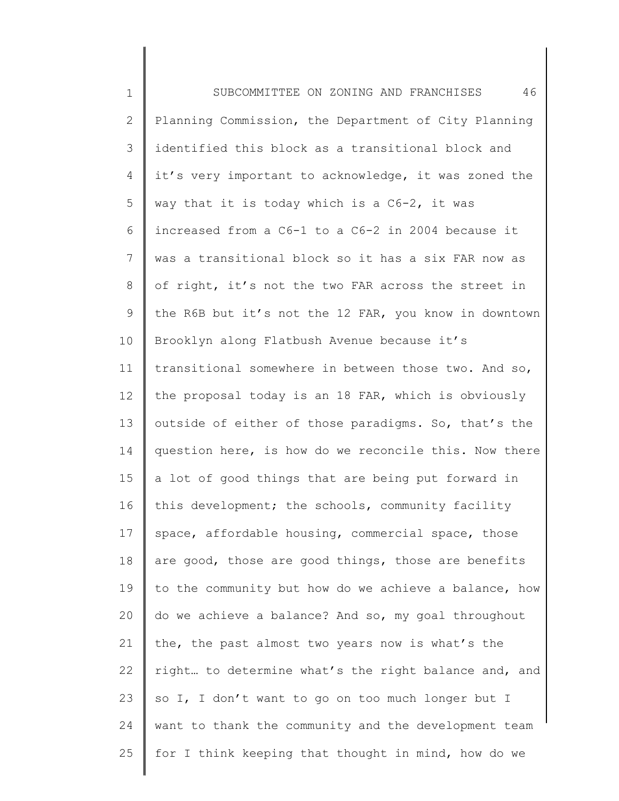1 2 3 4 5 6 7 8 9 10 11 12 13 14 15 16 17 18 19 20 21 22 23 24 25 SUBCOMMITTEE ON ZONING AND FRANCHISES 46 Planning Commission, the Department of City Planning identified this block as a transitional block and it's very important to acknowledge, it was zoned the way that it is today which is a C6-2, it was increased from a C6-1 to a C6-2 in 2004 because it was a transitional block so it has a six FAR now as of right, it's not the two FAR across the street in the R6B but it's not the 12 FAR, you know in downtown Brooklyn along Flatbush Avenue because it's transitional somewhere in between those two. And so, the proposal today is an 18 FAR, which is obviously outside of either of those paradigms. So, that's the question here, is how do we reconcile this. Now there a lot of good things that are being put forward in this development; the schools, community facility space, affordable housing, commercial space, those are good, those are good things, those are benefits to the community but how do we achieve a balance, how do we achieve a balance? And so, my goal throughout the, the past almost two years now is what's the right… to determine what's the right balance and, and so I, I don't want to go on too much longer but I want to thank the community and the development team for I think keeping that thought in mind, how do we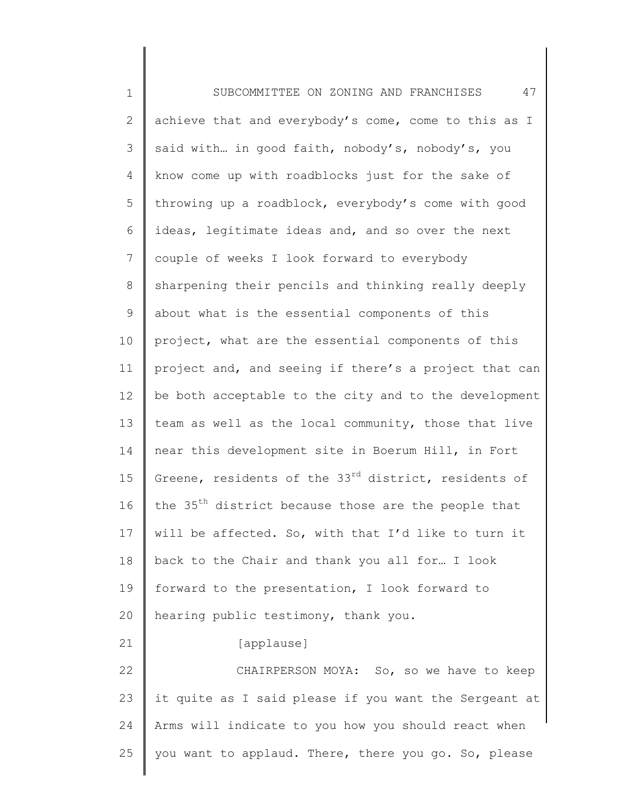1 2 3 4 5 6 7 8 9 10 11 12 13 14 15 16 17 18 19 20 21 22 23 24 25 SUBCOMMITTEE ON ZONING AND FRANCHISES 47 achieve that and everybody's come, come to this as I said with… in good faith, nobody's, nobody's, you know come up with roadblocks just for the sake of throwing up a roadblock, everybody's come with good ideas, legitimate ideas and, and so over the next couple of weeks I look forward to everybody sharpening their pencils and thinking really deeply about what is the essential components of this project, what are the essential components of this project and, and seeing if there's a project that can be both acceptable to the city and to the development team as well as the local community, those that live near this development site in Boerum Hill, in Fort Greene, residents of the 33<sup>rd</sup> district, residents of the 35<sup>th</sup> district because those are the people that will be affected. So, with that I'd like to turn it back to the Chair and thank you all for… I look forward to the presentation, I look forward to hearing public testimony, thank you. [applause] CHAIRPERSON MOYA: So, so we have to keep it quite as I said please if you want the Sergeant at Arms will indicate to you how you should react when you want to applaud. There, there you go. So, please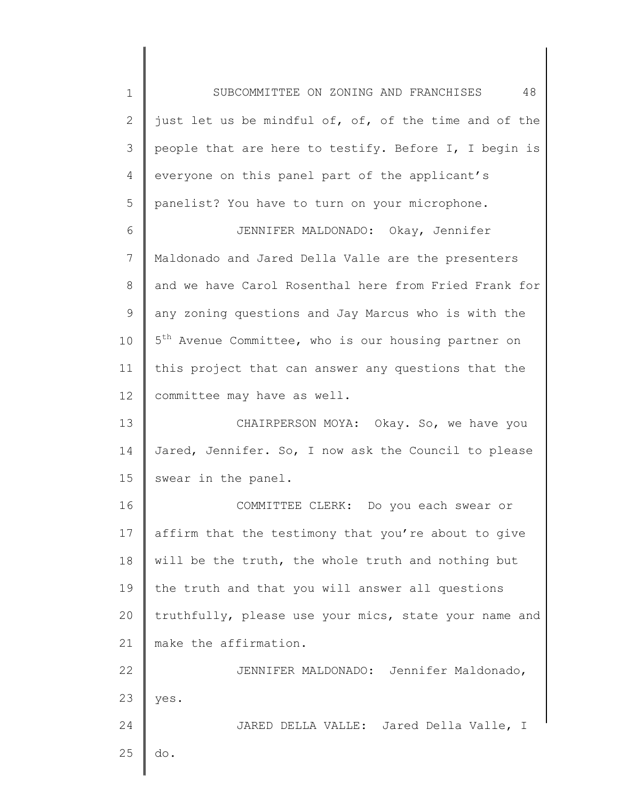1 2 3 4 5 SUBCOMMITTEE ON ZONING AND FRANCHISES 48 just let us be mindful of, of, of the time and of the people that are here to testify. Before I, I begin is everyone on this panel part of the applicant's panelist? You have to turn on your microphone.

7 8 9 10 11 12 JENNIFER MALDONADO: Okay, Jennifer Maldonado and Jared Della Valle are the presenters and we have Carol Rosenthal here from Fried Frank for any zoning questions and Jay Marcus who is with the 5<sup>th</sup> Avenue Committee, who is our housing partner on this project that can answer any questions that the committee may have as well.

6

13 14 15 CHAIRPERSON MOYA: Okay. So, we have you Jared, Jennifer. So, I now ask the Council to please swear in the panel.

16 17 18 19 20 21 COMMITTEE CLERK: Do you each swear or affirm that the testimony that you're about to give will be the truth, the whole truth and nothing but the truth and that you will answer all questions truthfully, please use your mics, state your name and make the affirmation.

22 23 24 25 JENNIFER MALDONADO: Jennifer Maldonado, yes. JARED DELLA VALLE: Jared Della Valle, I do.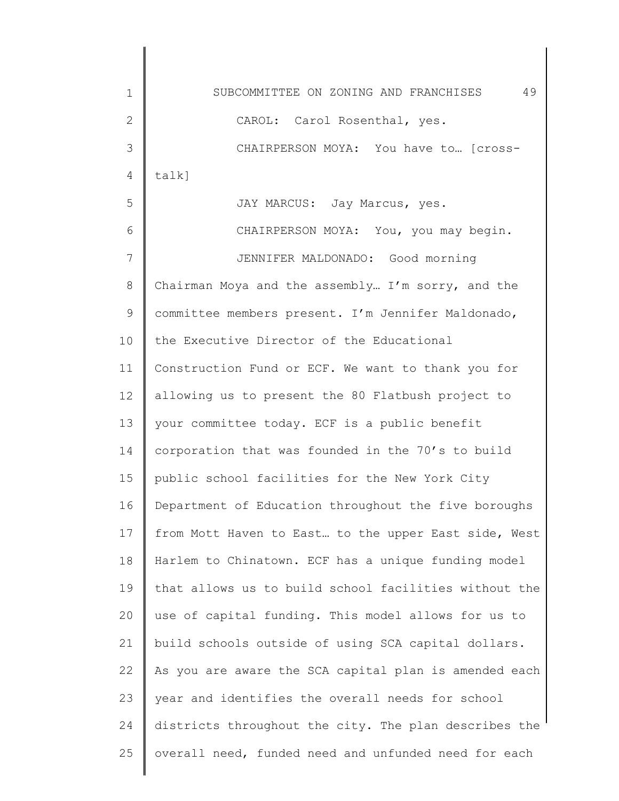| $\mathbf 1$ | 49<br>SUBCOMMITTEE ON ZONING AND FRANCHISES           |
|-------------|-------------------------------------------------------|
| 2           | CAROL: Carol Rosenthal, yes.                          |
| 3           | CHAIRPERSON MOYA: You have to [cross-                 |
| 4           | $talk$ ]                                              |
| 5           | JAY MARCUS: Jay Marcus, yes.                          |
| 6           | CHAIRPERSON MOYA: You, you may begin.                 |
| 7           | JENNIFER MALDONADO: Good morning                      |
| 8           | Chairman Moya and the assembly I'm sorry, and the     |
| 9           | committee members present. I'm Jennifer Maldonado,    |
| 10          | the Executive Director of the Educational             |
| 11          | Construction Fund or ECF. We want to thank you for    |
| 12          | allowing us to present the 80 Flatbush project to     |
| 13          | your committee today. ECF is a public benefit         |
| 14          | corporation that was founded in the 70's to build     |
| 15          | public school facilities for the New York City        |
| 16          | Department of Education throughout the five boroughs  |
| 17          | from Mott Haven to East to the upper East side, West  |
| 18          | Harlem to Chinatown. ECF has a unique funding model   |
| 19          | that allows us to build school facilities without the |
| 20          | use of capital funding. This model allows for us to   |
| 21          | build schools outside of using SCA capital dollars.   |
| 22          | As you are aware the SCA capital plan is amended each |
| 23          | year and identifies the overall needs for school      |
| 24          | districts throughout the city. The plan describes the |
| 25          | overall need, funded need and unfunded need for each  |
|             |                                                       |

 $\begin{array}{c} \hline \end{array}$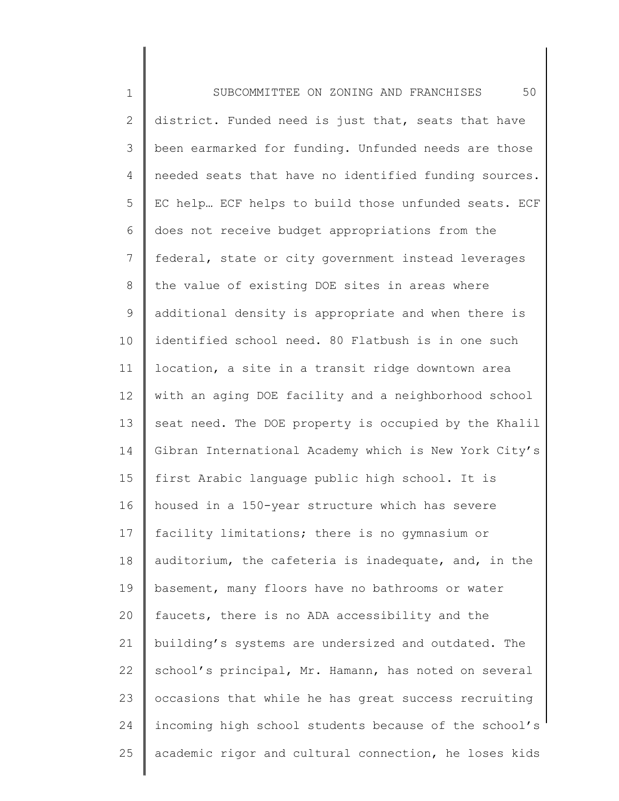1 2 3 4 5 6 7 8 9 10 11 12 13 14 15 16 17 18 19 20 21 22 23 24 25 SUBCOMMITTEE ON ZONING AND FRANCHISES 50 district. Funded need is just that, seats that have been earmarked for funding. Unfunded needs are those needed seats that have no identified funding sources. EC help… ECF helps to build those unfunded seats. ECF does not receive budget appropriations from the federal, state or city government instead leverages the value of existing DOE sites in areas where additional density is appropriate and when there is identified school need. 80 Flatbush is in one such location, a site in a transit ridge downtown area with an aging DOE facility and a neighborhood school seat need. The DOE property is occupied by the Khalil Gibran International Academy which is New York City's first Arabic language public high school. It is housed in a 150-year structure which has severe facility limitations; there is no gymnasium or auditorium, the cafeteria is inadequate, and, in the basement, many floors have no bathrooms or water faucets, there is no ADA accessibility and the building's systems are undersized and outdated. The school's principal, Mr. Hamann, has noted on several occasions that while he has great success recruiting incoming high school students because of the school's academic rigor and cultural connection, he loses kids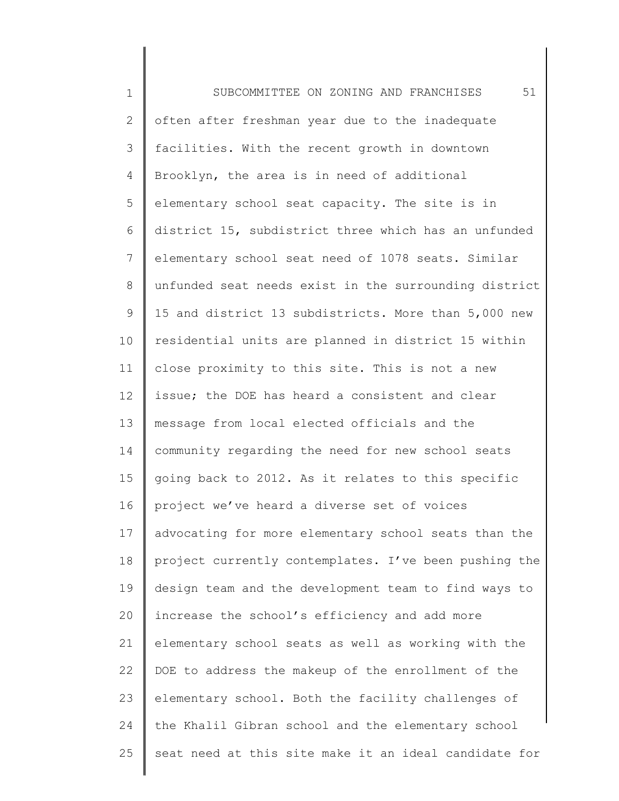1 2 3 4 5 6 7 8 9 10 11 12 13 14 15 16 17 18 19 20 21 22 23 24 25 SUBCOMMITTEE ON ZONING AND FRANCHISES 51 often after freshman year due to the inadequate facilities. With the recent growth in downtown Brooklyn, the area is in need of additional elementary school seat capacity. The site is in district 15, subdistrict three which has an unfunded elementary school seat need of 1078 seats. Similar unfunded seat needs exist in the surrounding district 15 and district 13 subdistricts. More than 5,000 new residential units are planned in district 15 within close proximity to this site. This is not a new issue; the DOE has heard a consistent and clear message from local elected officials and the community regarding the need for new school seats going back to 2012. As it relates to this specific project we've heard a diverse set of voices advocating for more elementary school seats than the project currently contemplates. I've been pushing the design team and the development team to find ways to increase the school's efficiency and add more elementary school seats as well as working with the DOE to address the makeup of the enrollment of the elementary school. Both the facility challenges of the Khalil Gibran school and the elementary school seat need at this site make it an ideal candidate for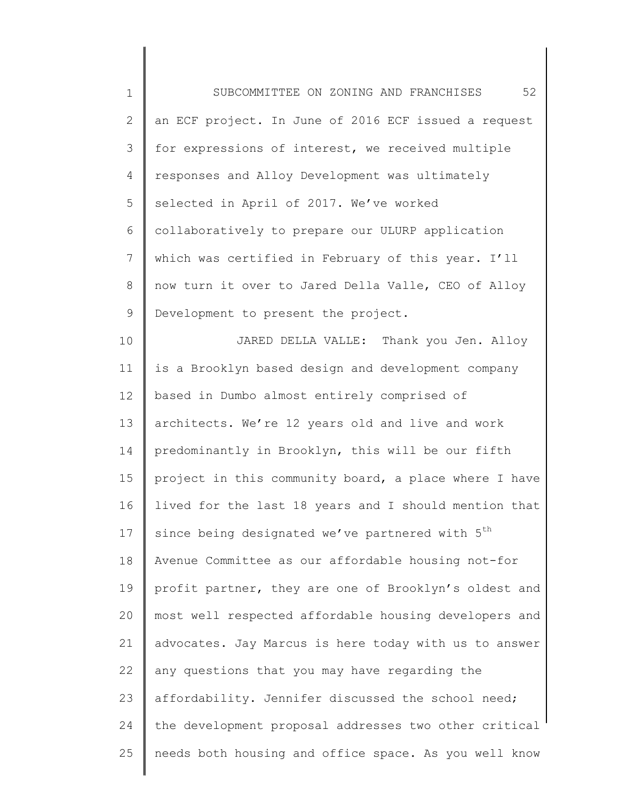| $\mathbf 1$    | 52<br>SUBCOMMITTEE ON ZONING AND FRANCHISES                 |
|----------------|-------------------------------------------------------------|
| $\mathbf{2}$   | an ECF project. In June of 2016 ECF issued a request        |
| 3              | for expressions of interest, we received multiple           |
| 4              | responses and Alloy Development was ultimately              |
| 5              | selected in April of 2017. We've worked                     |
| 6              | collaboratively to prepare our ULURP application            |
| $\overline{7}$ | which was certified in February of this year. I'll          |
| 8              | now turn it over to Jared Della Valle, CEO of Alloy         |
| 9              | Development to present the project.                         |
| 10             | JARED DELLA VALLE: Thank you Jen. Alloy                     |
| 11             | is a Brooklyn based design and development company          |
| 12             | based in Dumbo almost entirely comprised of                 |
| 13             | architects. We're 12 years old and live and work            |
| 14             | predominantly in Brooklyn, this will be our fifth           |
| 15             | project in this community board, a place where I have       |
| 16             | lived for the last 18 years and I should mention that       |
| 17             | since being designated we've partnered with 5 <sup>th</sup> |
| 18             | Avenue Committee as our affordable housing not-for          |
| 19             | profit partner, they are one of Brooklyn's oldest and       |
| 20             | most well respected affordable housing developers and       |
| 21             | advocates. Jay Marcus is here today with us to answer       |
| 22             | any questions that you may have regarding the               |
| 23             | affordability. Jennifer discussed the school need;          |
| 24             | the development proposal addresses two other critical       |
| 25             | needs both housing and office space. As you well know       |
|                |                                                             |

║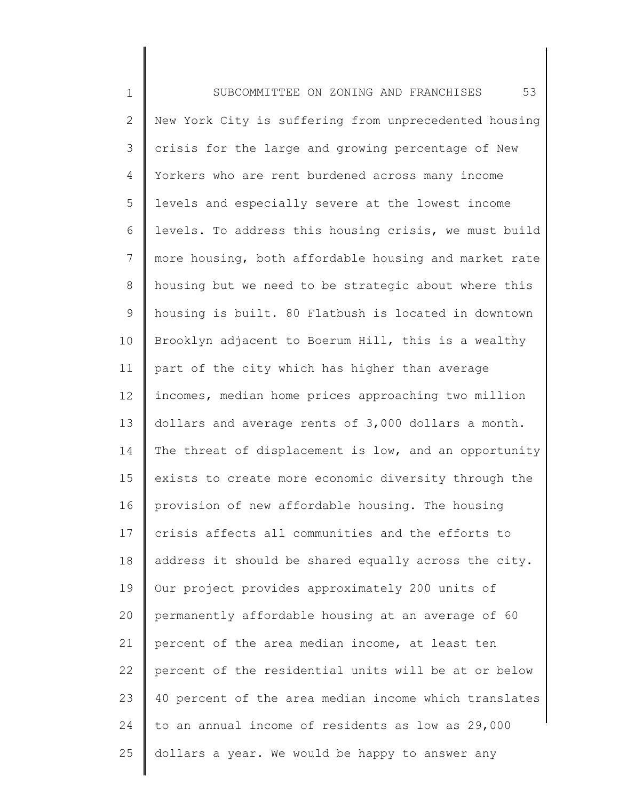1 2 3 4 5 6 7 8 9 10 11 12 13 14 15 16 17 18 19 20 21 22 23 24 25 SUBCOMMITTEE ON ZONING AND FRANCHISES 53 New York City is suffering from unprecedented housing crisis for the large and growing percentage of New Yorkers who are rent burdened across many income levels and especially severe at the lowest income levels. To address this housing crisis, we must build more housing, both affordable housing and market rate housing but we need to be strategic about where this housing is built. 80 Flatbush is located in downtown Brooklyn adjacent to Boerum Hill, this is a wealthy part of the city which has higher than average incomes, median home prices approaching two million dollars and average rents of 3,000 dollars a month. The threat of displacement is low, and an opportunity exists to create more economic diversity through the provision of new affordable housing. The housing crisis affects all communities and the efforts to address it should be shared equally across the city. Our project provides approximately 200 units of permanently affordable housing at an average of 60 percent of the area median income, at least ten percent of the residential units will be at or below 40 percent of the area median income which translates to an annual income of residents as low as 29,000 dollars a year. We would be happy to answer any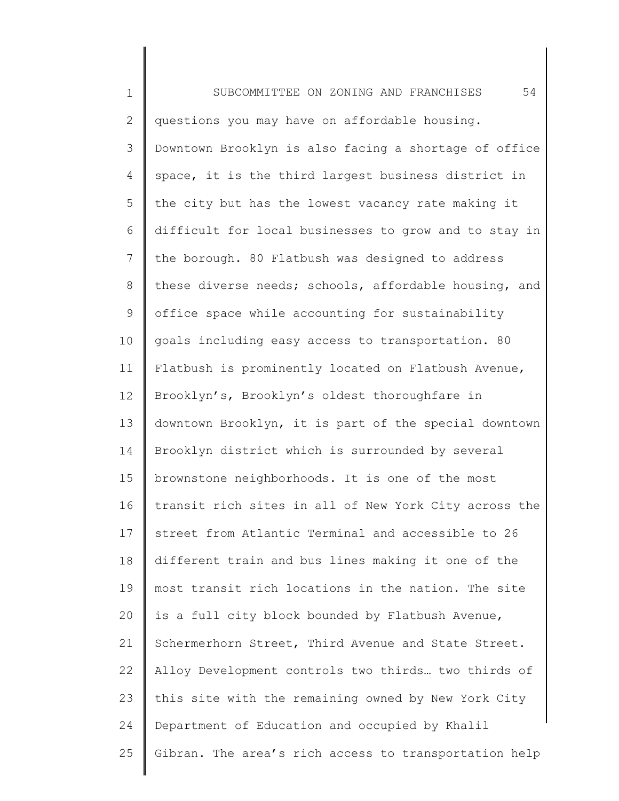1 2 3 4 5 6 7 8 9 10 11 12 13 14 15 16 17 18 19 20 21 22 23 24 25 SUBCOMMITTEE ON ZONING AND FRANCHISES 54 questions you may have on affordable housing. Downtown Brooklyn is also facing a shortage of office space, it is the third largest business district in the city but has the lowest vacancy rate making it difficult for local businesses to grow and to stay in the borough. 80 Flatbush was designed to address these diverse needs; schools, affordable housing, and office space while accounting for sustainability goals including easy access to transportation. 80 Flatbush is prominently located on Flatbush Avenue, Brooklyn's, Brooklyn's oldest thoroughfare in downtown Brooklyn, it is part of the special downtown Brooklyn district which is surrounded by several brownstone neighborhoods. It is one of the most transit rich sites in all of New York City across the street from Atlantic Terminal and accessible to 26 different train and bus lines making it one of the most transit rich locations in the nation. The site is a full city block bounded by Flatbush Avenue, Schermerhorn Street, Third Avenue and State Street. Alloy Development controls two thirds… two thirds of this site with the remaining owned by New York City Department of Education and occupied by Khalil Gibran. The area's rich access to transportation help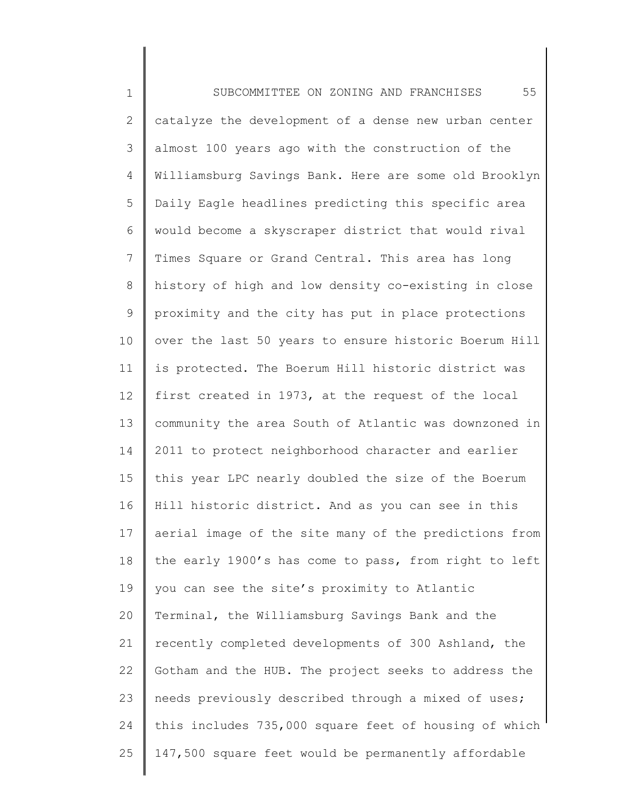1 2 3 4 5 6 7 8 9 10 11 12 13 14 15 16 17 18 19 20 21 22 23 24 25 SUBCOMMITTEE ON ZONING AND FRANCHISES 55 catalyze the development of a dense new urban center almost 100 years ago with the construction of the Williamsburg Savings Bank. Here are some old Brooklyn Daily Eagle headlines predicting this specific area would become a skyscraper district that would rival Times Square or Grand Central. This area has long history of high and low density co-existing in close proximity and the city has put in place protections over the last 50 years to ensure historic Boerum Hill is protected. The Boerum Hill historic district was first created in 1973, at the request of the local community the area South of Atlantic was downzoned in 2011 to protect neighborhood character and earlier this year LPC nearly doubled the size of the Boerum Hill historic district. And as you can see in this aerial image of the site many of the predictions from the early 1900's has come to pass, from right to left you can see the site's proximity to Atlantic Terminal, the Williamsburg Savings Bank and the recently completed developments of 300 Ashland, the Gotham and the HUB. The project seeks to address the needs previously described through a mixed of uses; this includes 735,000 square feet of housing of which 147,500 square feet would be permanently affordable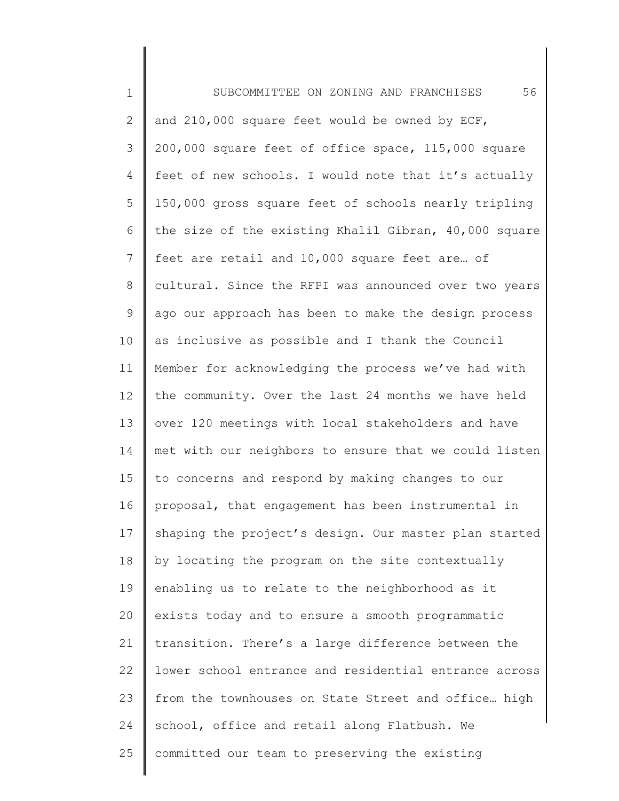| $\mathbf 1$     | 56<br>SUBCOMMITTEE ON ZONING AND FRANCHISES           |
|-----------------|-------------------------------------------------------|
| 2               | and 210,000 square feet would be owned by ECF,        |
| 3               | 200,000 square feet of office space, 115,000 square   |
| $\overline{4}$  | feet of new schools. I would note that it's actually  |
| 5               | 150,000 gross square feet of schools nearly tripling  |
| 6               | the size of the existing Khalil Gibran, 40,000 square |
| $7\phantom{.0}$ | feet are retail and 10,000 square feet are of         |
| $8\,$           | cultural. Since the RFPI was announced over two years |
| 9               | ago our approach has been to make the design process  |
| 10              | as inclusive as possible and I thank the Council      |
| 11              | Member for acknowledging the process we've had with   |
| 12              | the community. Over the last 24 months we have held   |
| 13              | over 120 meetings with local stakeholders and have    |
| 14              | met with our neighbors to ensure that we could listen |
| 15              | to concerns and respond by making changes to our      |
| 16              | proposal, that engagement has been instrumental in    |
| 17              | shaping the project's design. Our master plan started |
| 18              | by locating the program on the site contextually      |
| 19              | enabling us to relate to the neighborhood as it       |
| 20              | exists today and to ensure a smooth programmatic      |
| 21              | transition. There's a large difference between the    |
| 22              | lower school entrance and residential entrance across |
| 23              | from the townhouses on State Street and office high   |
| 24              | school, office and retail along Flatbush. We          |
| 25              | committed our team to preserving the existing         |
|                 |                                                       |

║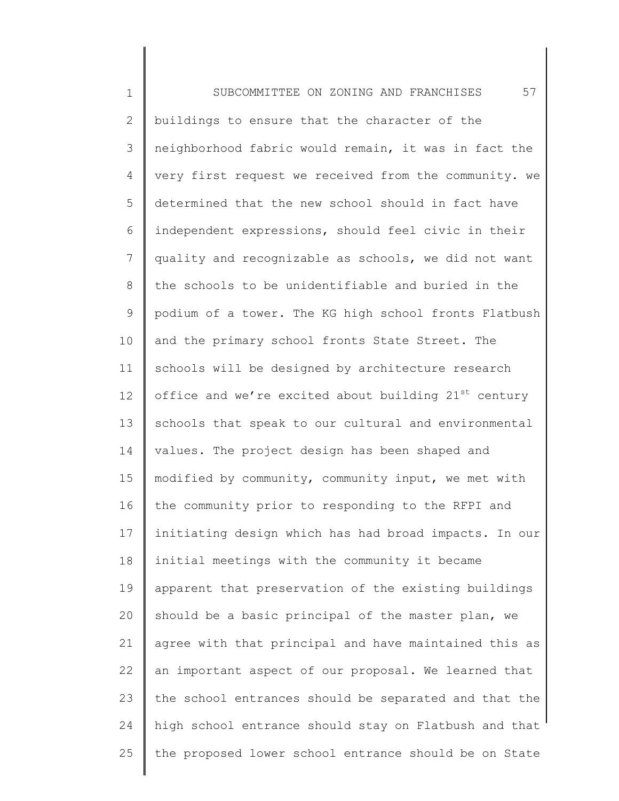1 2 3 4 5 6 7 8 9 10 11 12 13 14 15 16 17 18 19 20 21 22 23 24 25 SUBCOMMITTEE ON ZONING AND FRANCHISES 57 buildings to ensure that the character of the neighborhood fabric would remain, it was in fact the very first request we received from the community. we determined that the new school should in fact have independent expressions, should feel civic in their quality and recognizable as schools, we did not want the schools to be unidentifiable and buried in the podium of a tower. The KG high school fronts Flatbush and the primary school fronts State Street. The schools will be designed by architecture research office and we're excited about building  $21^{st}$  century schools that speak to our cultural and environmental values. The project design has been shaped and modified by community, community input, we met with the community prior to responding to the RFPI and initiating design which has had broad impacts. In our initial meetings with the community it became apparent that preservation of the existing buildings should be a basic principal of the master plan, we agree with that principal and have maintained this as an important aspect of our proposal. We learned that the school entrances should be separated and that the high school entrance should stay on Flatbush and that the proposed lower school entrance should be on State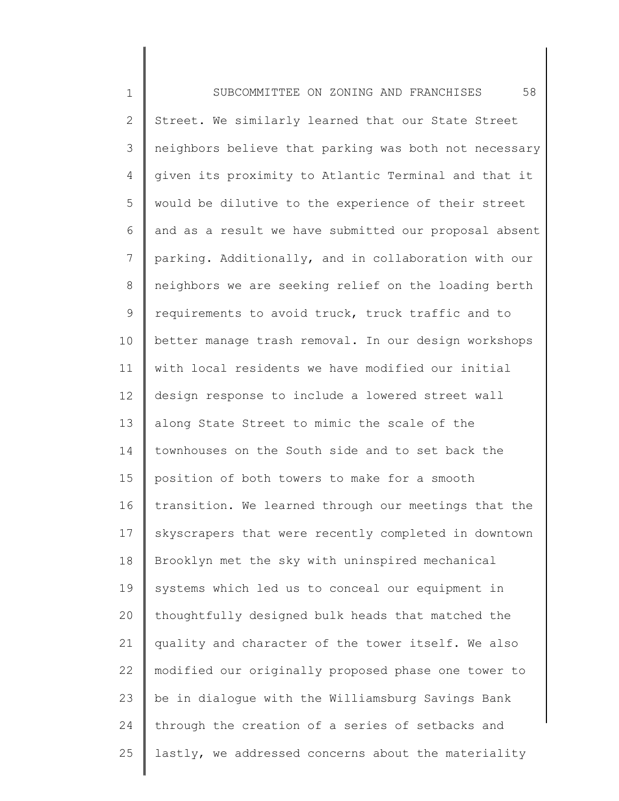1 2 3 4 5 6 7 8 9 10 11 12 13 14 15 16 17 18 19 20 21 22 23 24 25 SUBCOMMITTEE ON ZONING AND FRANCHISES 58 Street. We similarly learned that our State Street neighbors believe that parking was both not necessary given its proximity to Atlantic Terminal and that it would be dilutive to the experience of their street and as a result we have submitted our proposal absent parking. Additionally, and in collaboration with our neighbors we are seeking relief on the loading berth requirements to avoid truck, truck traffic and to better manage trash removal. In our design workshops with local residents we have modified our initial design response to include a lowered street wall along State Street to mimic the scale of the townhouses on the South side and to set back the position of both towers to make for a smooth transition. We learned through our meetings that the skyscrapers that were recently completed in downtown Brooklyn met the sky with uninspired mechanical systems which led us to conceal our equipment in thoughtfully designed bulk heads that matched the quality and character of the tower itself. We also modified our originally proposed phase one tower to be in dialogue with the Williamsburg Savings Bank through the creation of a series of setbacks and lastly, we addressed concerns about the materiality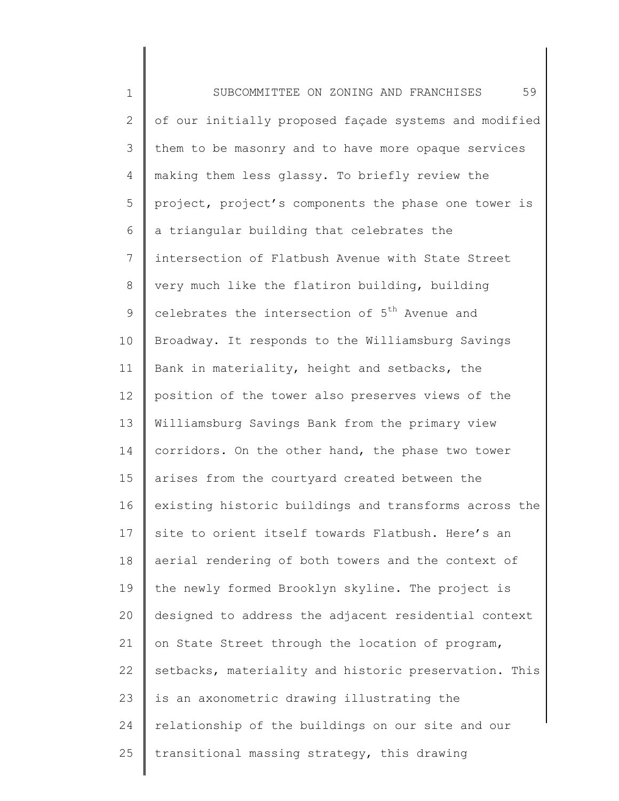1 2 3 4 5 6 7 8 9 10 11 12 13 14 15 16 17 18 19 20 21 22 23 24 25 SUBCOMMITTEE ON ZONING AND FRANCHISES 59 of our initially proposed façade systems and modified them to be masonry and to have more opaque services making them less glassy. To briefly review the project, project's components the phase one tower is a triangular building that celebrates the intersection of Flatbush Avenue with State Street very much like the flatiron building, building celebrates the intersection of 5<sup>th</sup> Avenue and Broadway. It responds to the Williamsburg Savings Bank in materiality, height and setbacks, the position of the tower also preserves views of the Williamsburg Savings Bank from the primary view corridors. On the other hand, the phase two tower arises from the courtyard created between the existing historic buildings and transforms across the site to orient itself towards Flatbush. Here's an aerial rendering of both towers and the context of the newly formed Brooklyn skyline. The project is designed to address the adjacent residential context on State Street through the location of program, setbacks, materiality and historic preservation. This is an axonometric drawing illustrating the relationship of the buildings on our site and our transitional massing strategy, this drawing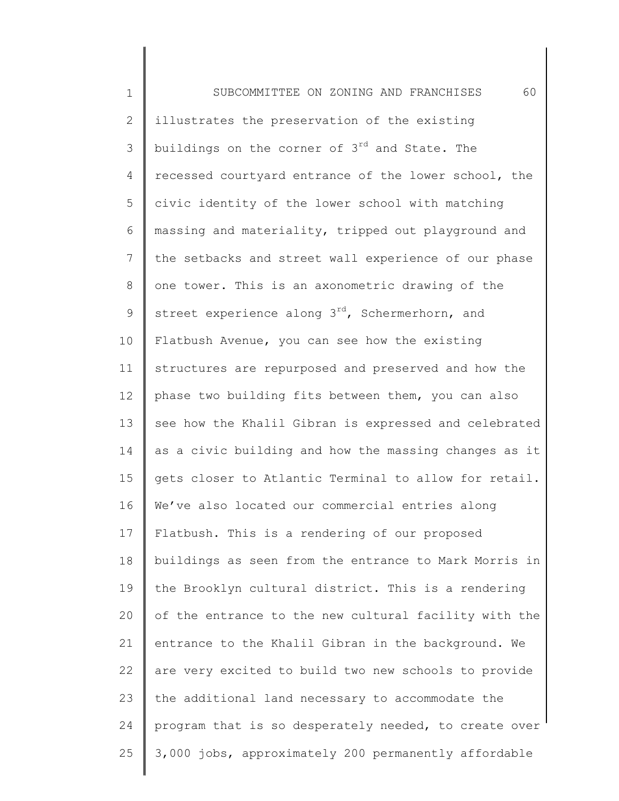1 2 3 4 5 6 7 8 9 10 11 12 13 14 15 16 17 18 19 20 21 22 23 24 25 SUBCOMMITTEE ON ZONING AND FRANCHISES 60 illustrates the preservation of the existing buildings on the corner of 3<sup>rd</sup> and State. The recessed courtyard entrance of the lower school, the civic identity of the lower school with matching massing and materiality, tripped out playground and the setbacks and street wall experience of our phase one tower. This is an axonometric drawing of the street experience along  $3^{rd}$ , Schermerhorn, and Flatbush Avenue, you can see how the existing structures are repurposed and preserved and how the phase two building fits between them, you can also see how the Khalil Gibran is expressed and celebrated as a civic building and how the massing changes as it gets closer to Atlantic Terminal to allow for retail. We've also located our commercial entries along Flatbush. This is a rendering of our proposed buildings as seen from the entrance to Mark Morris in the Brooklyn cultural district. This is a rendering of the entrance to the new cultural facility with the entrance to the Khalil Gibran in the background. We are very excited to build two new schools to provide the additional land necessary to accommodate the program that is so desperately needed, to create over 3,000 jobs, approximately 200 permanently affordable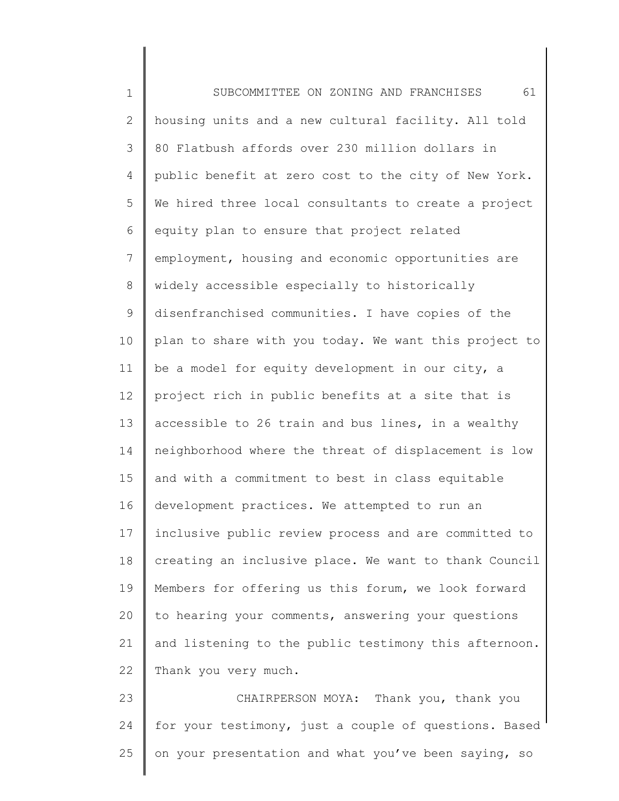1 2 3 4 5 6 7 8 9 10 11 12 13 14 15 16 17 18 19 20 21 22 23 24 SUBCOMMITTEE ON ZONING AND FRANCHISES 61 housing units and a new cultural facility. All told 80 Flatbush affords over 230 million dollars in public benefit at zero cost to the city of New York. We hired three local consultants to create a project equity plan to ensure that project related employment, housing and economic opportunities are widely accessible especially to historically disenfranchised communities. I have copies of the plan to share with you today. We want this project to be a model for equity development in our city, a project rich in public benefits at a site that is accessible to 26 train and bus lines, in a wealthy neighborhood where the threat of displacement is low and with a commitment to best in class equitable development practices. We attempted to run an inclusive public review process and are committed to creating an inclusive place. We want to thank Council Members for offering us this forum, we look forward to hearing your comments, answering your questions and listening to the public testimony this afternoon. Thank you very much. CHAIRPERSON MOYA: Thank you, thank you for your testimony, just a couple of questions. Based

25 on your presentation and what you've been saying, so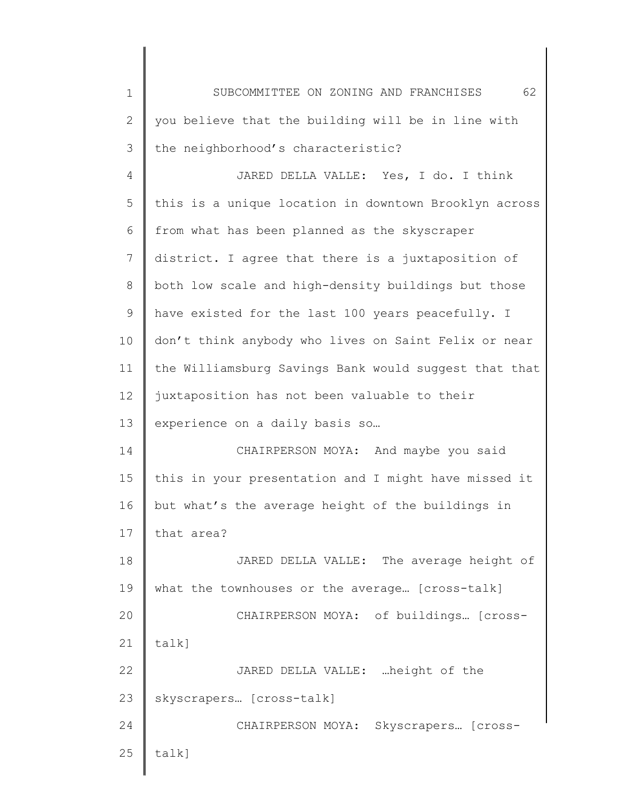| $\mathbf 1$ | 62<br>SUBCOMMITTEE ON ZONING AND FRANCHISES           |
|-------------|-------------------------------------------------------|
| 2           | you believe that the building will be in line with    |
| 3           | the neighborhood's characteristic?                    |
| 4           | JARED DELLA VALLE: Yes, I do. I think                 |
| 5           | this is a unique location in downtown Brooklyn across |
| 6           | from what has been planned as the skyscraper          |
| 7           | district. I agree that there is a juxtaposition of    |
| 8           | both low scale and high-density buildings but those   |
| 9           | have existed for the last 100 years peacefully. I     |
| 10          | don't think anybody who lives on Saint Felix or near  |
| 11          | the Williamsburg Savings Bank would suggest that that |
| 12          | juxtaposition has not been valuable to their          |
| 13          | experience on a daily basis so                        |
| 14          | CHAIRPERSON MOYA: And maybe you said                  |
| 15          | this in your presentation and I might have missed it  |
| 16          | but what's the average height of the buildings in     |
| 17          | that area?                                            |
| 18          | JARED DELLA VALLE: The average height of              |
| 19          | what the townhouses or the average [cross-talk]       |
| 20          | CHAIRPERSON MOYA: of buildings [cross-                |
| 21          | talk]                                                 |
| 22          | JARED DELLA VALLE:  height of the                     |
| 23          | skyscrapers [cross-talk]                              |
| 24          | CHAIRPERSON MOYA: Skyscrapers [cross-                 |
| 25          | talk]                                                 |
|             |                                                       |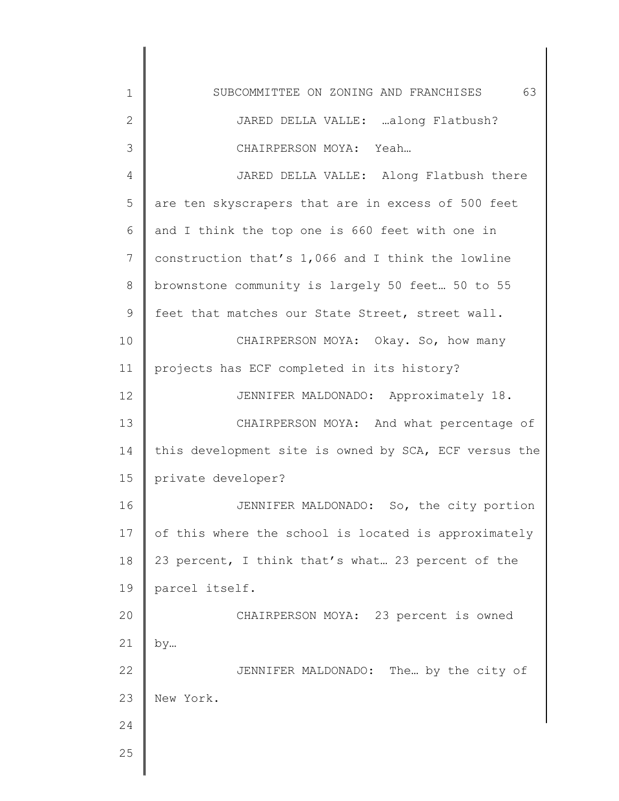1 2 3 4 5 6 7 8 9 10 11 12 13 14 15 16 17 18 19 20 21 22 23 24 25 SUBCOMMITTEE ON ZONING AND FRANCHISES 63 JARED DELLA VALLE: …along Flatbush? CHAIRPERSON MOYA: Yeah… JARED DELLA VALLE: Along Flatbush there are ten skyscrapers that are in excess of 500 feet and I think the top one is 660 feet with one in construction that's 1,066 and I think the lowline brownstone community is largely 50 feet… 50 to 55 feet that matches our State Street, street wall. CHAIRPERSON MOYA: Okay. So, how many projects has ECF completed in its history? JENNIFER MALDONADO: Approximately 18. CHAIRPERSON MOYA: And what percentage of this development site is owned by SCA, ECF versus the private developer? JENNIFER MALDONADO: So, the city portion of this where the school is located is approximately 23 percent, I think that's what… 23 percent of the parcel itself. CHAIRPERSON MOYA: 23 percent is owned by… JENNIFER MALDONADO: The… by the city of New York.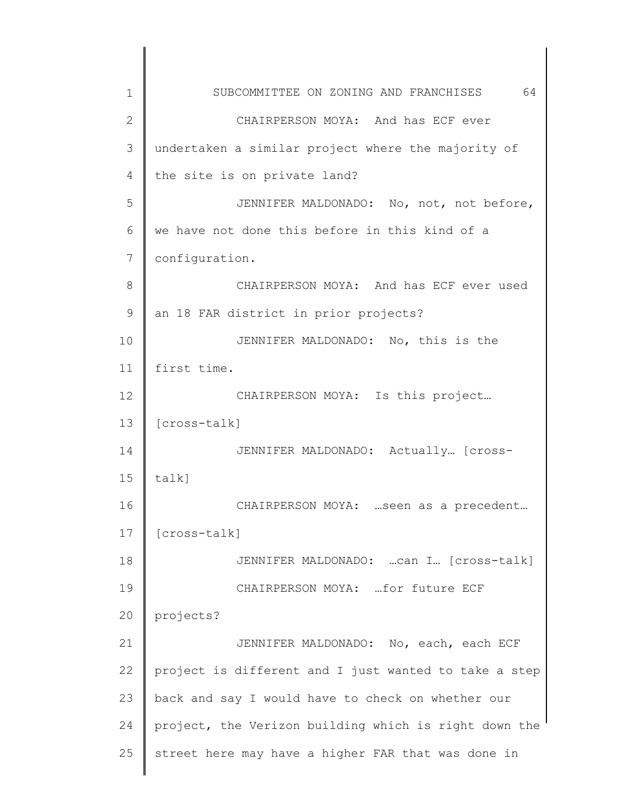| 1             | 64<br>SUBCOMMITTEE ON ZONING AND FRANCHISES           |
|---------------|-------------------------------------------------------|
| 2             | CHAIRPERSON MOYA: And has ECF ever                    |
| 3             | undertaken a similar project where the majority of    |
| 4             | the site is on private land?                          |
| 5             | JENNIFER MALDONADO: No, not, not before,              |
| 6             | we have not done this before in this kind of a        |
| 7             | configuration.                                        |
| 8             | CHAIRPERSON MOYA: And has ECF ever used               |
| $\mathcal{G}$ | an 18 FAR district in prior projects?                 |
| 10            | JENNIFER MALDONADO: No, this is the                   |
| 11            | first time.                                           |
| 12            | CHAIRPERSON MOYA: Is this project                     |
| 13            | $[cross-talk]$                                        |
| 14            | JENNIFER MALDONADO: Actually [cross-                  |
| 15            | talk]                                                 |
| 16            | CHAIRPERSON MOYA:  seen as a precedent                |
| 17            | [cross-talk]                                          |
| 18            | JENNIFER MALDONADO:  Can I [Cross-talk]               |
| 19            | CHAIRPERSON MOYA:  for future ECF                     |
| 20            | projects?                                             |
| 21            | JENNIFER MALDONADO: No, each, each ECF                |
| 22            | project is different and I just wanted to take a step |
| 23            | back and say I would have to check on whether our     |
| 24            | project, the Verizon building which is right down the |
| 25            | street here may have a higher FAR that was done in    |
|               |                                                       |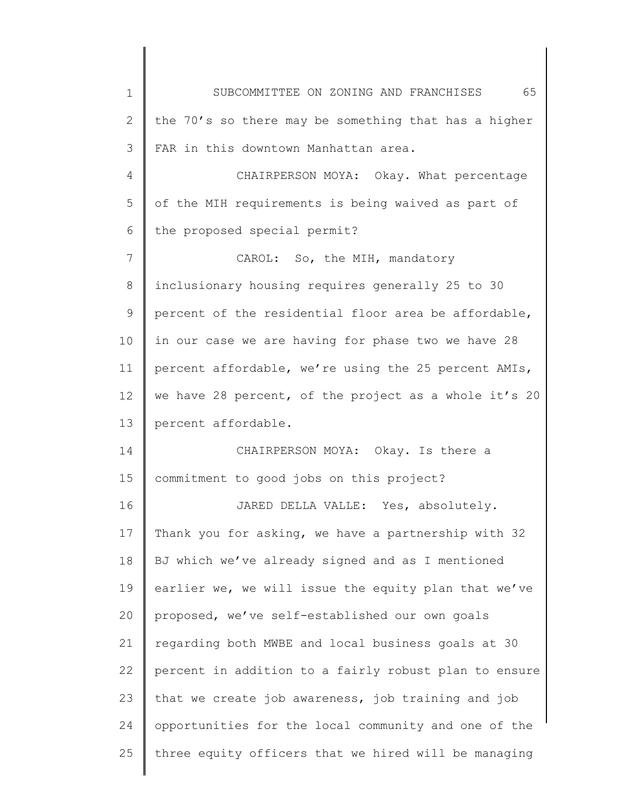| $\mathbf 1$ | 65<br>SUBCOMMITTEE ON ZONING AND FRANCHISES           |
|-------------|-------------------------------------------------------|
| 2           | the 70's so there may be something that has a higher  |
| 3           | FAR in this downtown Manhattan area.                  |
| 4           | CHAIRPERSON MOYA: Okay. What percentage               |
| 5           | of the MIH requirements is being waived as part of    |
| 6           | the proposed special permit?                          |
| 7           | CAROL: So, the MIH, mandatory                         |
| 8           | inclusionary housing requires generally 25 to 30      |
| 9           | percent of the residential floor area be affordable,  |
| 10          | in our case we are having for phase two we have 28    |
| 11          | percent affordable, we're using the 25 percent AMIs,  |
| 12          | we have 28 percent, of the project as a whole it's 20 |
| 13          | percent affordable.                                   |
| 14          | CHAIRPERSON MOYA: Okay. Is there a                    |
| 15          | commitment to good jobs on this project?              |
| 16          | JARED DELLA VALLE: Yes, absolutely.                   |
| 17          | Thank you for asking, we have a partnership with 32   |
| 18          | BJ which we've already signed and as I mentioned      |
| 19          | earlier we, we will issue the equity plan that we've  |
| 20          | proposed, we've self-established our own goals        |
| 21          | regarding both MWBE and local business goals at 30    |
| 22          | percent in addition to a fairly robust plan to ensure |
| 23          | that we create job awareness, job training and job    |
| 24          | opportunities for the local community and one of the  |
| 25          | three equity officers that we hired will be managing  |
|             |                                                       |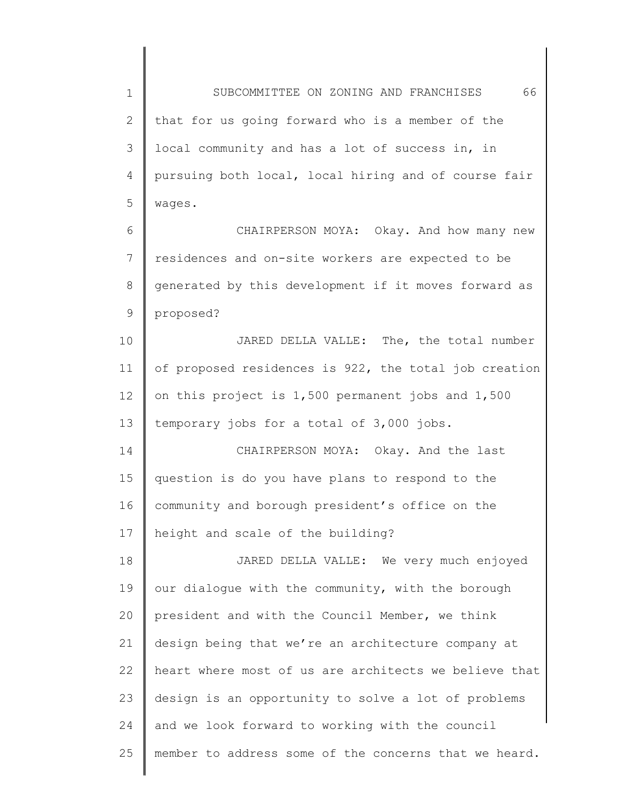1 2 3 4 5 6 7 8 9 10 11 12 13 14 15 16 17 18 19 20 21 22 23 24 SUBCOMMITTEE ON ZONING AND FRANCHISES 66 that for us going forward who is a member of the local community and has a lot of success in, in pursuing both local, local hiring and of course fair wages. CHAIRPERSON MOYA: Okay. And how many new residences and on-site workers are expected to be generated by this development if it moves forward as proposed? JARED DELLA VALLE: The, the total number of proposed residences is 922, the total job creation on this project is 1,500 permanent jobs and 1,500 temporary jobs for a total of 3,000 jobs. CHAIRPERSON MOYA: Okay. And the last question is do you have plans to respond to the community and borough president's office on the height and scale of the building? JARED DELLA VALLE: We very much enjoyed our dialogue with the community, with the borough president and with the Council Member, we think design being that we're an architecture company at heart where most of us are architects we believe that design is an opportunity to solve a lot of problems and we look forward to working with the council

25 member to address some of the concerns that we heard.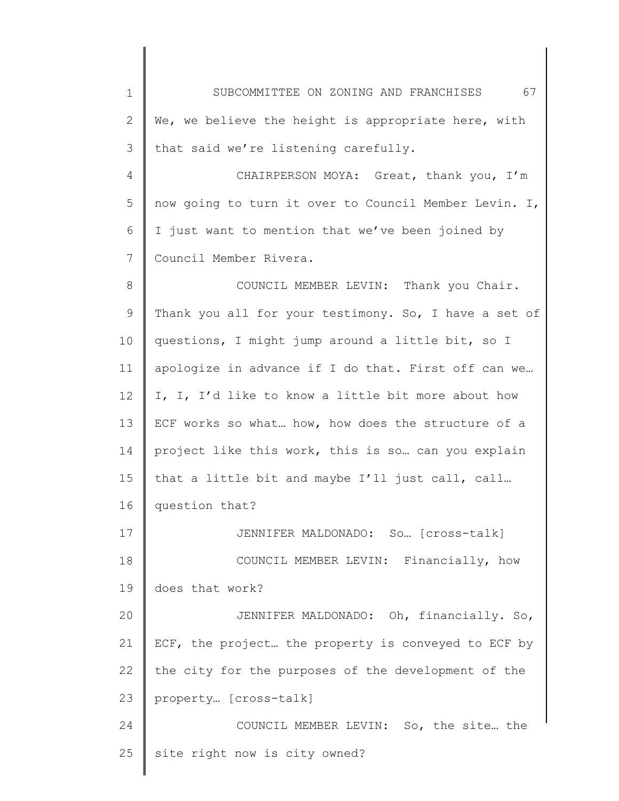| $\mathbf 1$ | 67<br>SUBCOMMITTEE ON ZONING AND FRANCHISES           |
|-------------|-------------------------------------------------------|
| 2           | We, we believe the height is appropriate here, with   |
| 3           | that said we're listening carefully.                  |
| 4           | CHAIRPERSON MOYA: Great, thank you, I'm               |
| 5           | now going to turn it over to Council Member Levin. I, |
| 6           | I just want to mention that we've been joined by      |
| 7           | Council Member Rivera.                                |
| 8           | COUNCIL MEMBER LEVIN: Thank you Chair.                |
| 9           | Thank you all for your testimony. So, I have a set of |
| 10          | questions, I might jump around a little bit, so I     |
| 11          | apologize in advance if I do that. First off can we   |
| 12          | I, I, I'd like to know a little bit more about how    |
| 13          | ECF works so what how, how does the structure of a    |
| 14          | project like this work, this is so can you explain    |
| 15          | that a little bit and maybe I'll just call, call      |
| 16          | question that?                                        |
| 17          | JENNIFER MALDONADO: So [Cross-talk]                   |
| 18          | COUNCIL MEMBER LEVIN: Financially, how                |
| 19          | does that work?                                       |
| 20          | JENNIFER MALDONADO: Oh, financially. So,              |
| 21          | ECF, the project the property is conveyed to ECF by   |
| 22          | the city for the purposes of the development of the   |
| 23          | property [cross-talk]                                 |
| 24          | COUNCIL MEMBER LEVIN: So, the site the                |
| 25          | site right now is city owned?                         |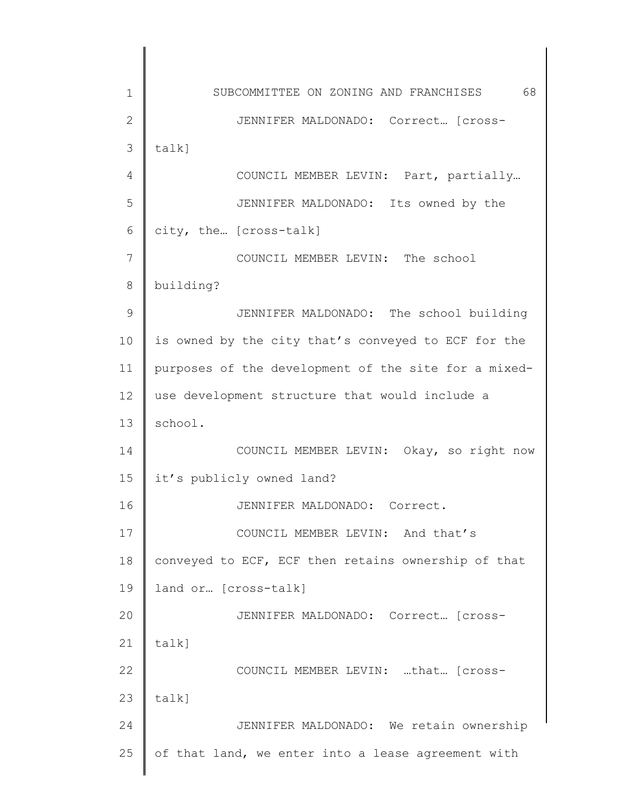1 2 3 4 5 6 7 8 9 10 11 12 13 14 15 16 17 18 19 20 21 22 23 24 25 SUBCOMMITTEE ON ZONING AND FRANCHISES 68 JENNIFER MALDONADO: Correct… [crosstalk] COUNCIL MEMBER LEVIN: Part, partially… JENNIFER MALDONADO: Its owned by the city, the… [cross-talk] COUNCIL MEMBER LEVIN: The school building? JENNIFER MALDONADO: The school building is owned by the city that's conveyed to ECF for the purposes of the development of the site for a mixeduse development structure that would include a school. COUNCIL MEMBER LEVIN: Okay, so right now it's publicly owned land? JENNIFER MALDONADO: Correct. COUNCIL MEMBER LEVIN: And that's conveyed to ECF, ECF then retains ownership of that land or… [cross-talk] JENNIFER MALDONADO: Correct… [crosstalk] COUNCIL MEMBER LEVIN: …that… [crosstalk] JENNIFER MALDONADO: We retain ownership of that land, we enter into a lease agreement with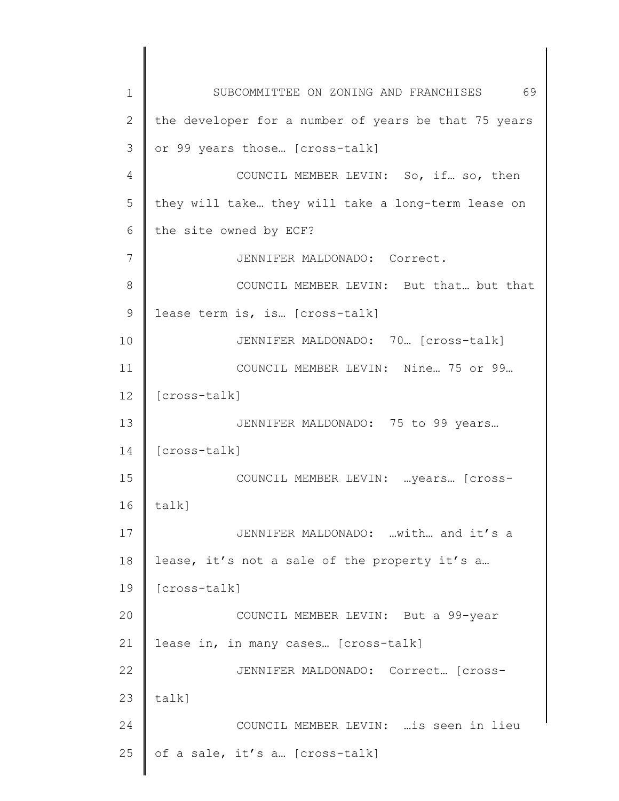1 2 3 4 5 6 7 8 9 10 11 12 13 14 15 16 17 18 19 20 21 22 23 24 25 SUBCOMMITTEE ON ZONING AND FRANCHISES 69 the developer for a number of years be that 75 years or 99 years those… [cross-talk] COUNCIL MEMBER LEVIN: So, if… so, then they will take… they will take a long-term lease on the site owned by ECF? JENNIFER MALDONADO: Correct. COUNCIL MEMBER LEVIN: But that… but that lease term is, is… [cross-talk] JENNIFER MALDONADO: 70… [cross-talk] COUNCIL MEMBER LEVIN: Nine… 75 or 99… [cross-talk] JENNIFER MALDONADO: 75 to 99 years… [cross-talk] COUNCIL MEMBER LEVIN: …years… [crosstalk] JENNIFER MALDONADO: …with… and it's a lease, it's not a sale of the property it's a… [cross-talk] COUNCIL MEMBER LEVIN: But a 99-year lease in, in many cases… [cross-talk] JENNIFER MALDONADO: Correct… [crosstalk] COUNCIL MEMBER LEVIN: …is seen in lieu of a sale, it's a… [cross-talk]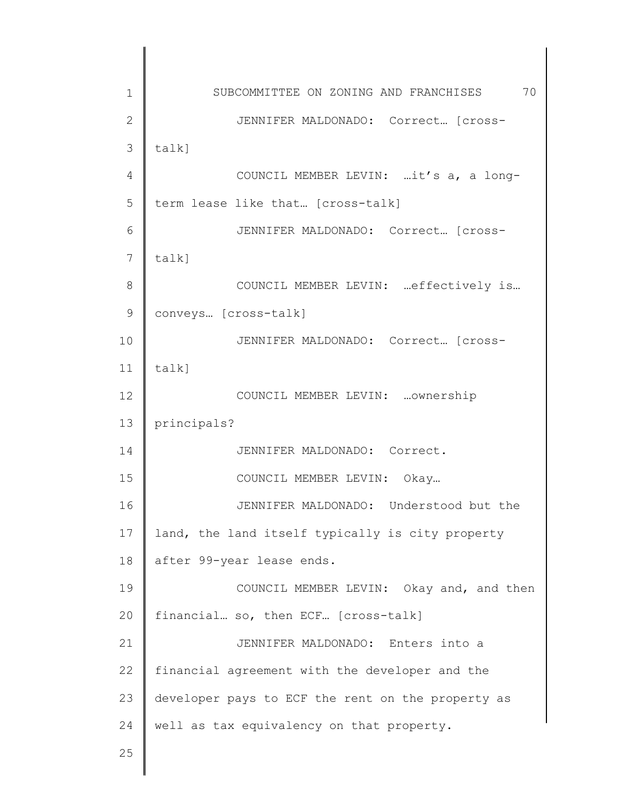1 2 3 4 5 6 7 8 9 10 11 12 13 14 15 16 17 18 19 20 21 22 23 24 25 SUBCOMMITTEE ON ZONING AND FRANCHISES 70 JENNIFER MALDONADO: Correct… [crosstalk] COUNCIL MEMBER LEVIN: …it's a, a longterm lease like that… [cross-talk] JENNIFER MALDONADO: Correct… [crosstalk] COUNCIL MEMBER LEVIN: …effectively is… conveys… [cross-talk] JENNIFER MALDONADO: Correct… [crosstalk] COUNCIL MEMBER LEVIN: …ownership principals? JENNIFER MALDONADO: Correct. COUNCIL MEMBER LEVIN: Okay… JENNIFER MALDONADO: Understood but the land, the land itself typically is city property after 99-year lease ends. COUNCIL MEMBER LEVIN: Okay and, and then financial… so, then ECF… [cross-talk] JENNIFER MALDONADO: Enters into a financial agreement with the developer and the developer pays to ECF the rent on the property as well as tax equivalency on that property.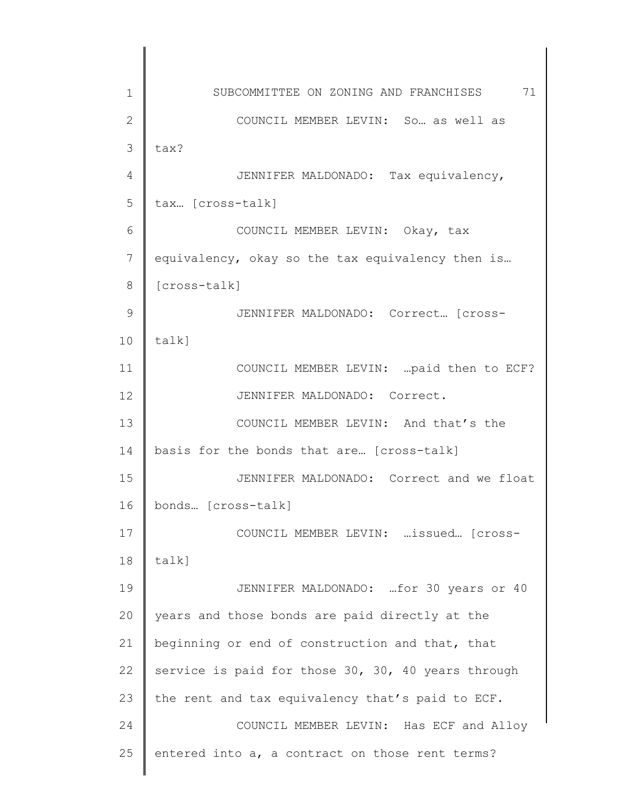1 2 3 4 5 6 7 8 9 10 11 12 13 14 15 16 17 18 19 20 21 22 23 24 25 SUBCOMMITTEE ON ZONING AND FRANCHISES 71 COUNCIL MEMBER LEVIN: So… as well as tax? JENNIFER MALDONADO: Tax equivalency, tax… [cross-talk] COUNCIL MEMBER LEVIN: Okay, tax equivalency, okay so the tax equivalency then is… [cross-talk] JENNIFER MALDONADO: Correct… [crosstalk] COUNCIL MEMBER LEVIN: …paid then to ECF? JENNIFER MALDONADO: Correct. COUNCIL MEMBER LEVIN: And that's the basis for the bonds that are… [cross-talk] JENNIFER MALDONADO: Correct and we float bonds… [cross-talk] COUNCIL MEMBER LEVIN: …issued… [crosstalk] JENNIFER MALDONADO: …for 30 years or 40 years and those bonds are paid directly at the beginning or end of construction and that, that service is paid for those 30, 30, 40 years through the rent and tax equivalency that's paid to ECF. COUNCIL MEMBER LEVIN: Has ECF and Alloy entered into a, a contract on those rent terms?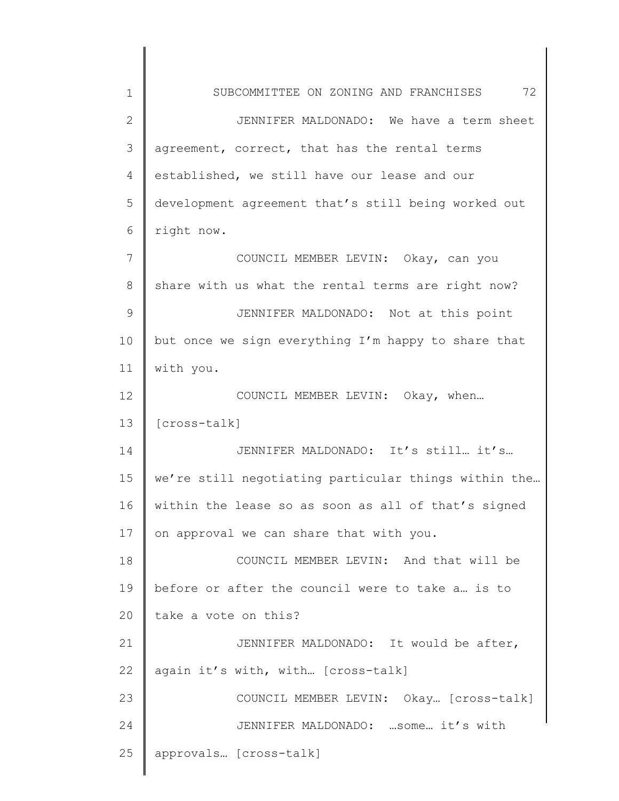| $\mathbf 1$    | 72<br>SUBCOMMITTEE ON ZONING AND FRANCHISES          |
|----------------|------------------------------------------------------|
| $\overline{2}$ | JENNIFER MALDONADO: We have a term sheet             |
| 3              | agreement, correct, that has the rental terms        |
| 4              | established, we still have our lease and our         |
| 5              | development agreement that's still being worked out  |
| 6              | right now.                                           |
| 7              | COUNCIL MEMBER LEVIN: Okay, can you                  |
| 8              | share with us what the rental terms are right now?   |
| $\mathcal{G}$  | JENNIFER MALDONADO: Not at this point                |
| 10             | but once we sign everything I'm happy to share that  |
| 11             | with you.                                            |
| 12             | COUNCIL MEMBER LEVIN: Okay, when                     |
| 13             | [cross-talk]                                         |
| 14             | JENNIFER MALDONADO: It's still it's                  |
| 15             | we're still negotiating particular things within the |
| 16             | within the lease so as soon as all of that's signed  |
| 17             | on approval we can share that with you.              |
| 18             | COUNCIL MEMBER LEVIN: And that will be               |
| 19             | before or after the council were to take a is to     |
| 20             | take a vote on this?                                 |
| 21             | JENNIFER MALDONADO: It would be after,               |
| 22             | again it's with, with [cross-talk]                   |
| 23             | COUNCIL MEMBER LEVIN: Okay [Cross-talk]              |
| 24             | JENNIFER MALDONADO:  some it's with                  |
| 25             | approvals [cross-talk]                               |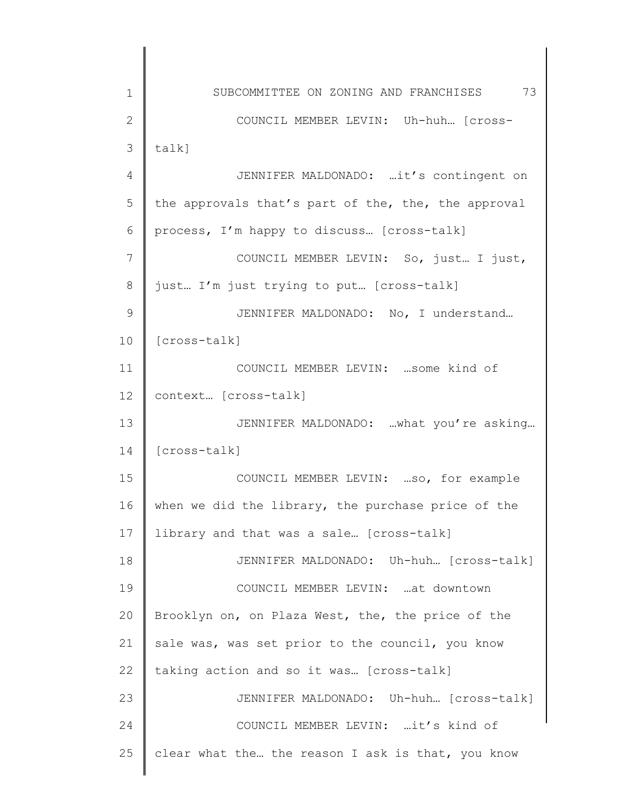| 1  | SUBCOMMITTEE ON ZONING AND FRANCHISES 73            |
|----|-----------------------------------------------------|
| 2  | COUNCIL MEMBER LEVIN: Uh-huh [cross-                |
| 3  | $talk$ ]                                            |
| 4  | JENNIFER MALDONADO: it's contingent on              |
| 5  | the approvals that's part of the, the, the approval |
| 6  | process, I'm happy to discuss [cross-talk]          |
| 7  | COUNCIL MEMBER LEVIN: So, just I just,              |
| 8  | just I'm just trying to put [cross-talk]            |
| 9  | JENNIFER MALDONADO: No, I understand                |
| 10 | [cross-talk]                                        |
| 11 | COUNCIL MEMBER LEVIN:  some kind of                 |
| 12 | context [cross-talk]                                |
| 13 | JENNIFER MALDONADO: what you're asking              |
| 14 | [cross-talk]                                        |
| 15 | COUNCIL MEMBER LEVIN: so, for example               |
| 16 | when we did the library, the purchase price of the  |
| 17 | library and that was a sale [cross-talk]            |
| 18 | JENNIFER MALDONADO: Uh-huh [cross-talk]             |
| 19 | COUNCIL MEMBER LEVIN: at downtown                   |
| 20 | Brooklyn on, on Plaza West, the, the price of the   |
| 21 | sale was, was set prior to the council, you know    |
| 22 | taking action and so it was [cross-talk]            |
| 23 | JENNIFER MALDONADO: Uh-huh [Cross-talk]             |
| 24 | COUNCIL MEMBER LEVIN: it's kind of                  |
| 25 | clear what the the reason I ask is that, you know   |
|    |                                                     |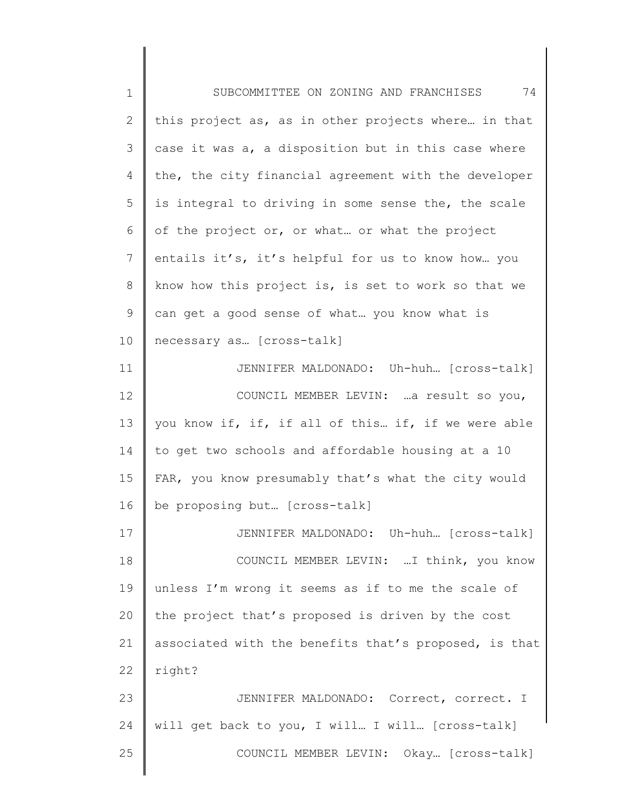| $1\,$           | 74<br>SUBCOMMITTEE ON ZONING AND FRANCHISES           |
|-----------------|-------------------------------------------------------|
| $\mathbf{2}$    | this project as, as in other projects where in that   |
| $\mathcal{S}$   | case it was a, a disposition but in this case where   |
| 4               | the, the city financial agreement with the developer  |
| 5               | is integral to driving in some sense the, the scale   |
| 6               | of the project or, or what or what the project        |
| $7\phantom{.0}$ | entails it's, it's helpful for us to know how you     |
| 8               | know how this project is, is set to work so that we   |
| $\mathsf 9$     | can get a good sense of what you know what is         |
| 10              | necessary as [cross-talk]                             |
| 11              | JENNIFER MALDONADO: Uh-huh [Cross-talk]               |
| 12              | COUNCIL MEMBER LEVIN:  a result so you,               |
| 13              | you know if, if, if all of this if, if we were able   |
| 14              | to get two schools and affordable housing at a 10     |
| 15              | FAR, you know presumably that's what the city would   |
| 16              | be proposing but [cross-talk]                         |
| 17              | JENNIFER MALDONADO: Uh-huh [Cross-talk]               |
| 18              | COUNCIL MEMBER LEVIN:  I think, you know              |
| 19              | unless I'm wrong it seems as if to me the scale of    |
| 20              | the project that's proposed is driven by the cost     |
| 21              | associated with the benefits that's proposed, is that |
| 22              | right?                                                |
| 23              | JENNIFER MALDONADO: Correct, correct. I               |
| 24              | will get back to you, I will I will [cross-talk]      |
| 25              | COUNCIL MEMBER LEVIN: Okay [cross-talk]               |
|                 |                                                       |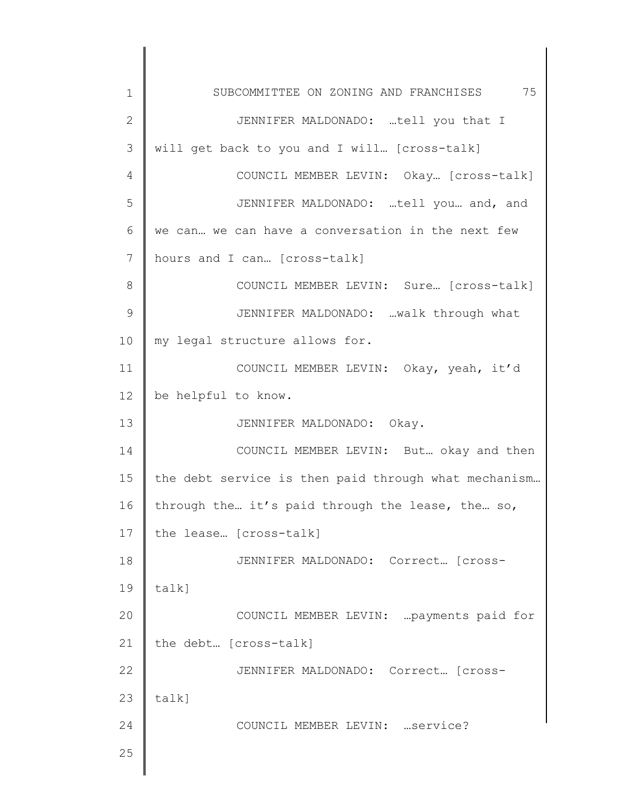| 1            | SUBCOMMITTEE ON ZONING AND FRANCHISES 75             |
|--------------|------------------------------------------------------|
| $\mathbf{2}$ | JENNIFER MALDONADO: tell you that I                  |
| 3            | will get back to you and I will [cross-talk]         |
| 4            | COUNCIL MEMBER LEVIN: Okay [Cross-talk]              |
| 5            | JENNIFER MALDONADO: tell you and, and                |
| 6            | we can we can have a conversation in the next few    |
| 7            | hours and I can [cross-talk]                         |
| 8            | COUNCIL MEMBER LEVIN: Sure [cross-talk]              |
| 9            | JENNIFER MALDONADO: walk through what                |
| 10           | my legal structure allows for.                       |
| 11           | COUNCIL MEMBER LEVIN: Okay, yeah, it'd               |
| 12           | be helpful to know.                                  |
| 13           | JENNIFER MALDONADO: Okay.                            |
| 14           | COUNCIL MEMBER LEVIN: But okay and then              |
| 15           | the debt service is then paid through what mechanism |
| 16           | through the it's paid through the lease, the so,     |
| 17           | the lease [cross-talk]                               |
| 18           | JENNIFER MALDONADO: Correct [cross-                  |
| 19           | talk]                                                |
| 20           | COUNCIL MEMBER LEVIN:  payments paid for             |
| 21           | the debt [cross-talk]                                |
| 22           | JENNIFER MALDONADO: Correct [cross-                  |
| 23           | talk]                                                |
| 24           | COUNCIL MEMBER LEVIN:  service?                      |
| 25           |                                                      |
|              |                                                      |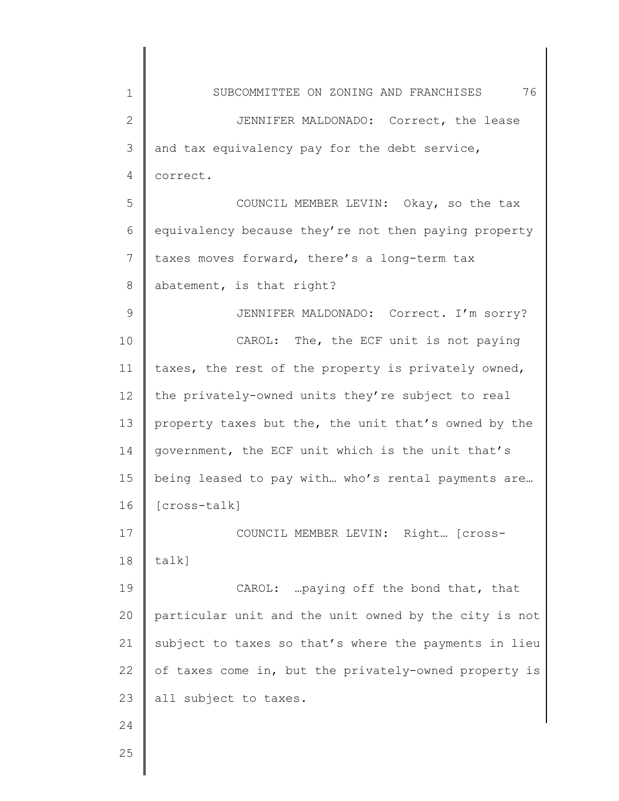| $\mathbf 1$    | 76<br>SUBCOMMITTEE ON ZONING AND FRANCHISES           |
|----------------|-------------------------------------------------------|
| $\mathbf{2}$   | JENNIFER MALDONADO: Correct, the lease                |
| 3              | and tax equivalency pay for the debt service,         |
| 4              | correct.                                              |
| 5              | COUNCIL MEMBER LEVIN: Okay, so the tax                |
| 6              | equivalency because they're not then paying property  |
| $7\phantom{.}$ | taxes moves forward, there's a long-term tax          |
| 8              | abatement, is that right?                             |
| $\mathcal{G}$  | JENNIFER MALDONADO: Correct. I'm sorry?               |
| 10             | CAROL: The, the ECF unit is not paying                |
| 11             | taxes, the rest of the property is privately owned,   |
| 12             | the privately-owned units they're subject to real     |
| 13             | property taxes but the, the unit that's owned by the  |
| 14             | government, the ECF unit which is the unit that's     |
| 15             | being leased to pay with who's rental payments are    |
| 16             | [cross-talk]                                          |
| 17             | COUNCIL MEMBER LEVIN: Right [cross-                   |
| 18             | $talk$ ]                                              |
| 19             | CAROL:  paying off the bond that, that                |
| 20             | particular unit and the unit owned by the city is not |
| 21             | subject to taxes so that's where the payments in lieu |
| 22             | of taxes come in, but the privately-owned property is |
|                | all subject to taxes.                                 |
|                |                                                       |
|                |                                                       |
| 23<br>24<br>25 |                                                       |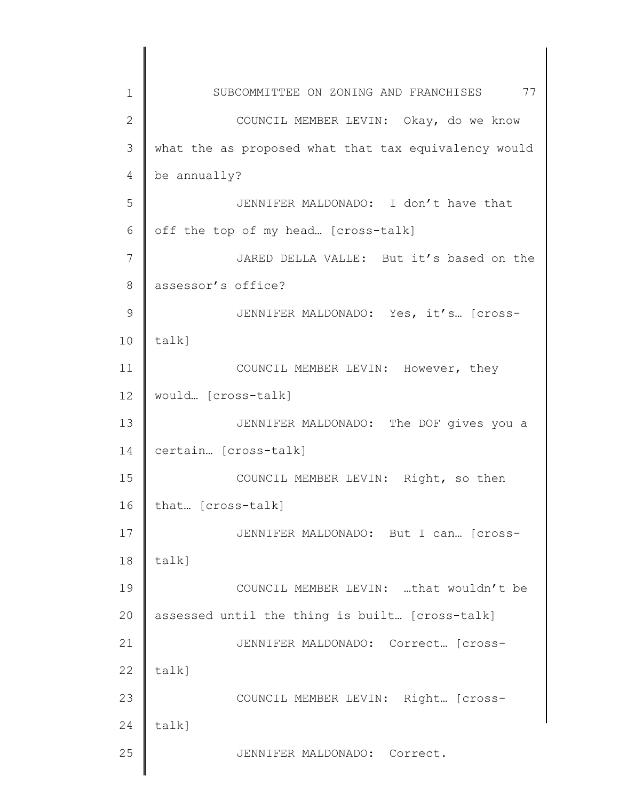| 1             | SUBCOMMITTEE ON ZONING AND FRANCHISES 77             |
|---------------|------------------------------------------------------|
| $\mathbf{2}$  | COUNCIL MEMBER LEVIN: Okay, do we know               |
| 3             | what the as proposed what that tax equivalency would |
| 4             | be annually?                                         |
| 5             | JENNIFER MALDONADO: I don't have that                |
| 6             | off the top of my head [cross-talk]                  |
| 7             | JARED DELLA VALLE: But it's based on the             |
| 8             | assessor's office?                                   |
| $\mathcal{G}$ | JENNIFER MALDONADO: Yes, it's [cross-                |
| 10            | talk]                                                |
| 11            | COUNCIL MEMBER LEVIN: However, they                  |
| 12            | would [cross-talk]                                   |
| 13            | JENNIFER MALDONADO: The DOF gives you a              |
| 14            | certain [cross-talk]                                 |
| 15            | COUNCIL MEMBER LEVIN: Right, so then                 |
| 16            | that [cross-talk]                                    |
| 17            | JENNIFER MALDONADO: But I can [cross-                |
| 18            | talk]                                                |
| 19            | COUNCIL MEMBER LEVIN: that wouldn't be               |
| 20            | assessed until the thing is built [cross-talk]       |
| 21            | JENNIFER MALDONADO: Correct [cross-                  |
| 22            | $talk$ ]                                             |
| 23            | COUNCIL MEMBER LEVIN: Right [cross-                  |
| 24            | $talk$ ]                                             |
| 25            | JENNIFER MALDONADO: Correct.                         |
|               |                                                      |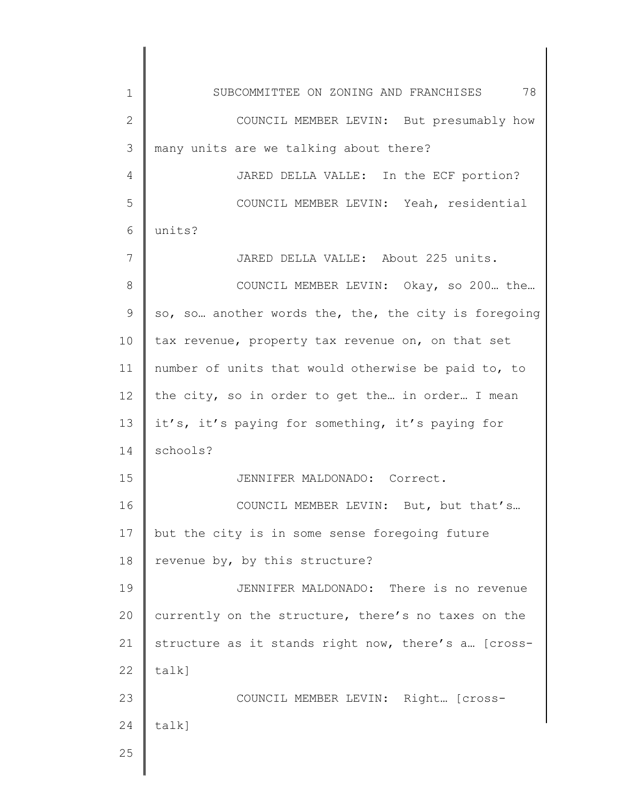| 1             | SUBCOMMITTEE ON ZONING AND FRANCHISES 78             |
|---------------|------------------------------------------------------|
| $\mathbf{2}$  | COUNCIL MEMBER LEVIN: But presumably how             |
| 3             | many units are we talking about there?               |
| 4             | JARED DELLA VALLE: In the ECF portion?               |
| 5             | COUNCIL MEMBER LEVIN: Yeah, residential              |
| 6             | units?                                               |
| 7             | JARED DELLA VALLE: About 225 units.                  |
| 8             | COUNCIL MEMBER LEVIN: Okay, so 200 the               |
| $\mathcal{G}$ | so, so another words the, the, the city is foregoing |
| 10            | tax revenue, property tax revenue on, on that set    |
| 11            | number of units that would otherwise be paid to, to  |
| 12            | the city, so in order to get the in order I mean     |
| 13            | it's, it's paying for something, it's paying for     |
| 14            | schools?                                             |
| 15            | JENNIFER MALDONADO: Correct.                         |
| 16            | COUNCIL MEMBER LEVIN: But, but that's                |
| 17            | but the city is in some sense foregoing future       |
| 18            | revenue by, by this structure?                       |
| 19            | JENNIFER MALDONADO: There is no revenue              |
| 20            | currently on the structure, there's no taxes on the  |
| 21            | structure as it stands right now, there's a [cross-  |
| 22            | talk]                                                |
| 23            | COUNCIL MEMBER LEVIN: Right [cross-                  |
| 24            | talk]                                                |
| 25            |                                                      |
|               |                                                      |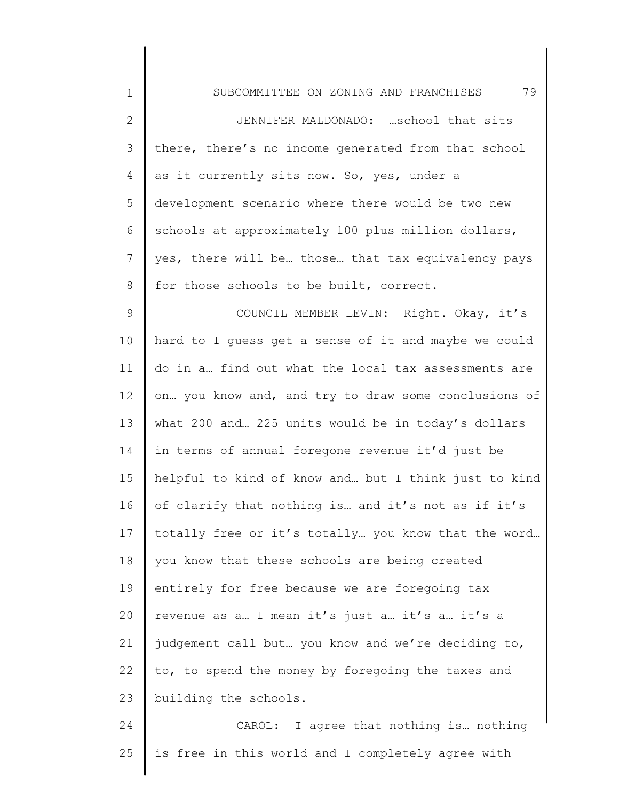| $\mathbf 1$     | 79<br>SUBCOMMITTEE ON ZONING AND FRANCHISES          |
|-----------------|------------------------------------------------------|
| $\mathbf{2}$    | JENNIFER MALDONADO:  school that sits                |
| 3               | there, there's no income generated from that school  |
| 4               | as it currently sits now. So, yes, under a           |
| 5               | development scenario where there would be two new    |
| 6               | schools at approximately 100 plus million dollars,   |
| $7\phantom{.0}$ | yes, there will be those that tax equivalency pays   |
| 8               | for those schools to be built, correct.              |
| $\mathsf 9$     | COUNCIL MEMBER LEVIN: Right. Okay, it's              |
| 10              | hard to I guess get a sense of it and maybe we could |
| 11              | do in a find out what the local tax assessments are  |
| 12              | on you know and, and try to draw some conclusions of |
| 13              | what 200 and 225 units would be in today's dollars   |
| 14              | in terms of annual foregone revenue it'd just be     |
| 15              | helpful to kind of know and but I think just to kind |
| 16              | of clarify that nothing is and it's not as if it's   |
| 17              | totally free or it's totally you know that the word  |
| 18              | you know that these schools are being created        |
| 19              | entirely for free because we are foregoing tax       |
| 20              | revenue as a I mean it's just a it's a it's a        |
| 21              | judgement call but you know and we're deciding to,   |
| 22              | to, to spend the money by foregoing the taxes and    |
| 23              | building the schools.                                |
| 24              | CAROL: I agree that nothing is nothing               |
|                 |                                                      |

25 is free in this world and I completely agree with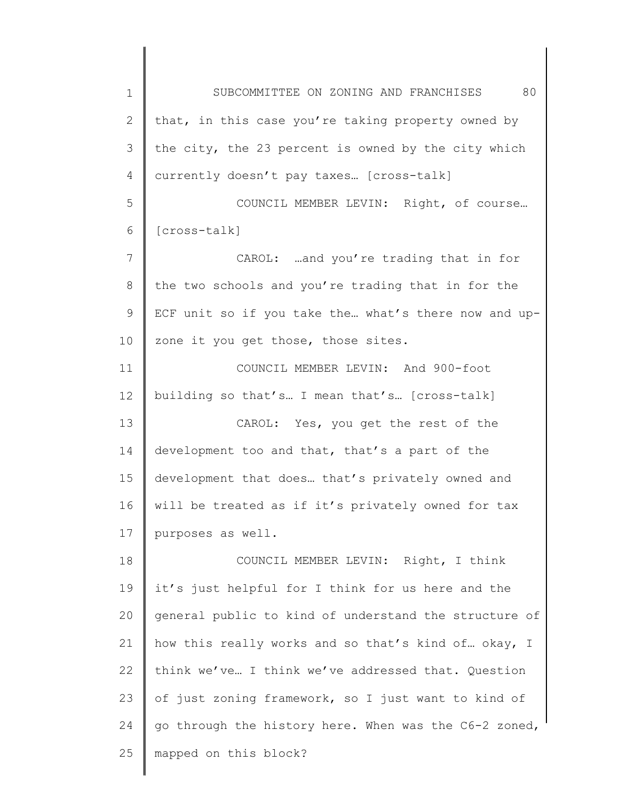1 2 3 4 5 6 7 8 9 10 11 12 13 14 15 16 17 18 19 20 21 22 23 24 25 SUBCOMMITTEE ON ZONING AND FRANCHISES 80 that, in this case you're taking property owned by the city, the 23 percent is owned by the city which currently doesn't pay taxes… [cross-talk] COUNCIL MEMBER LEVIN: Right, of course… [cross-talk] CAROL: …and you're trading that in for the two schools and you're trading that in for the ECF unit so if you take the… what's there now and upzone it you get those, those sites. COUNCIL MEMBER LEVIN: And 900-foot building so that's… I mean that's… [cross-talk] CAROL: Yes, you get the rest of the development too and that, that's a part of the development that does… that's privately owned and will be treated as if it's privately owned for tax purposes as well. COUNCIL MEMBER LEVIN: Right, I think it's just helpful for I think for us here and the general public to kind of understand the structure of how this really works and so that's kind of… okay, I think we've… I think we've addressed that. Question of just zoning framework, so I just want to kind of go through the history here. When was the C6-2 zoned, mapped on this block?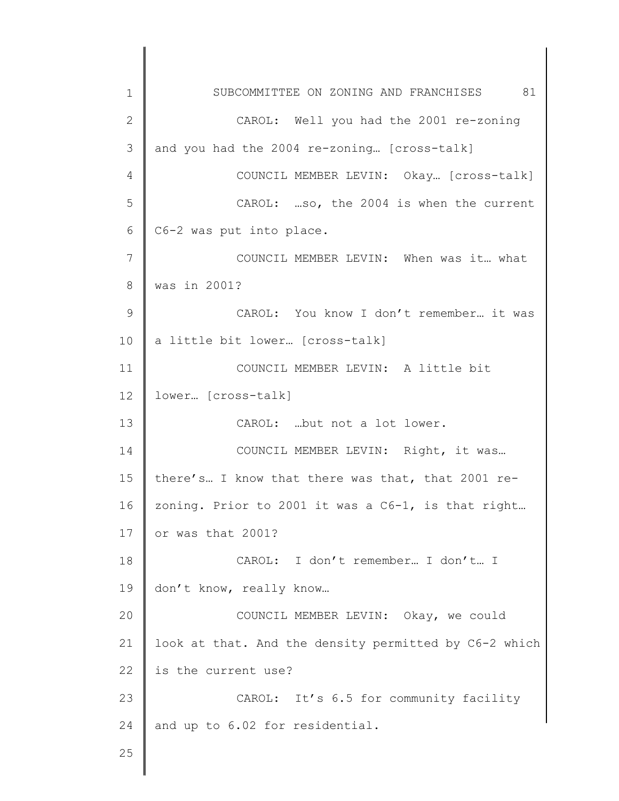1 2 3 4 5 6 7 8 9 10 11 12 13 14 15 16 17 18 19 20 21 22 23 24 25 SUBCOMMITTEE ON ZONING AND FRANCHISES 81 CAROL: Well you had the 2001 re-zoning and you had the 2004 re-zoning… [cross-talk] COUNCIL MEMBER LEVIN: Okay… [cross-talk] CAROL: …so, the 2004 is when the current C6-2 was put into place. COUNCIL MEMBER LEVIN: When was it… what was in 2001? CAROL: You know I don't remember… it was a little bit lower… [cross-talk] COUNCIL MEMBER LEVIN: A little bit lower… [cross-talk] CAROL: …but not a lot lower. COUNCIL MEMBER LEVIN: Right, it was… there's… I know that there was that, that 2001 rezoning. Prior to 2001 it was a C6-1, is that right… or was that 2001? CAROL: I don't remember… I don't… I don't know, really know… COUNCIL MEMBER LEVIN: Okay, we could look at that. And the density permitted by C6-2 which is the current use? CAROL: It's 6.5 for community facility and up to 6.02 for residential.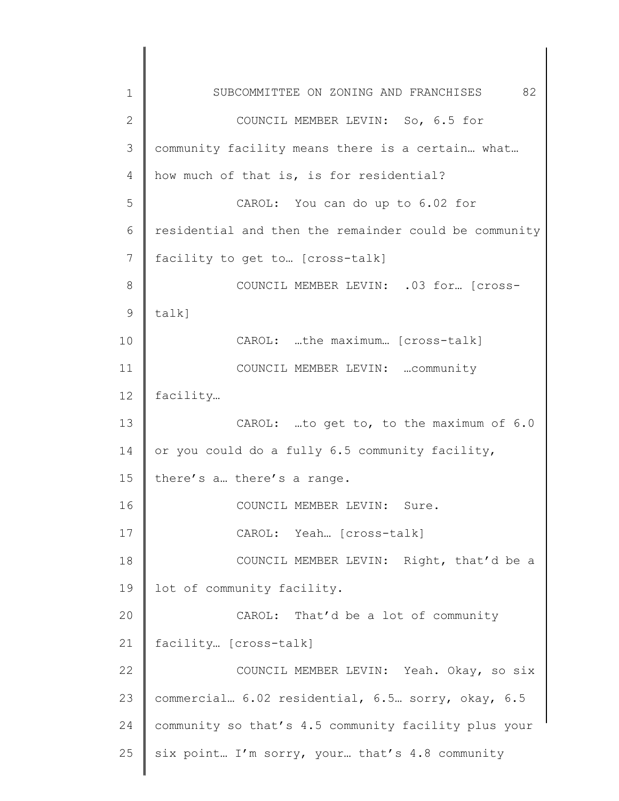1 2 3 4 5 6 7 8 9 10 11 12 13 14 15 16 17 18 19 20 21 22 23 24 25 SUBCOMMITTEE ON ZONING AND FRANCHISES 82 COUNCIL MEMBER LEVIN: So, 6.5 for community facility means there is a certain… what… how much of that is, is for residential? CAROL: You can do up to 6.02 for residential and then the remainder could be community facility to get to… [cross-talk] COUNCIL MEMBER LEVIN: .03 for… [crosstalk] CAROL: …the maximum… [cross-talk] COUNCIL MEMBER LEVIN: …community facility… CAROL: …to get to, to the maximum of 6.0 or you could do a fully 6.5 community facility, there's a… there's a range. COUNCIL MEMBER LEVIN: Sure. CAROL: Yeah… [cross-talk] COUNCIL MEMBER LEVIN: Right, that'd be a lot of community facility. CAROL: That'd be a lot of community facility… [cross-talk] COUNCIL MEMBER LEVIN: Yeah. Okay, so six commercial… 6.02 residential, 6.5… sorry, okay, 6.5 community so that's 4.5 community facility plus your six point… I'm sorry, your… that's 4.8 community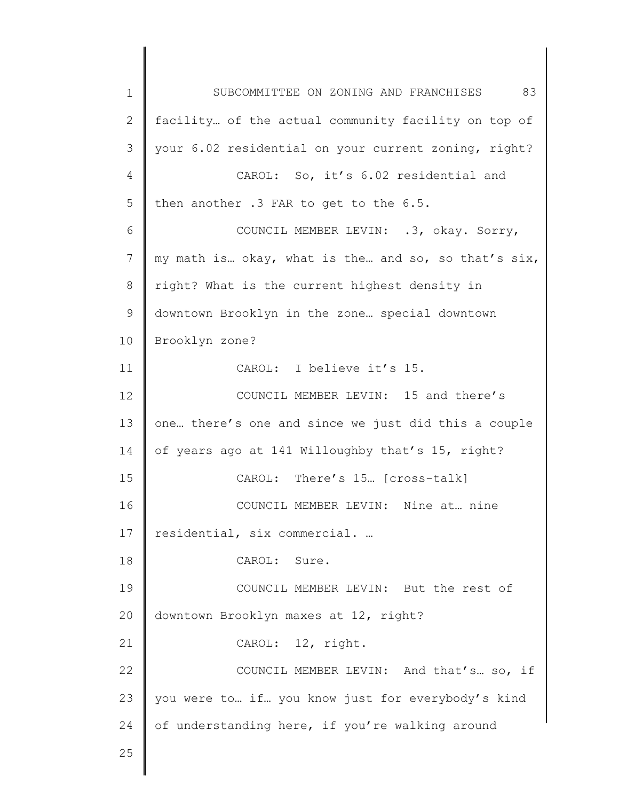1 2 3 4 5 6 7 8 9 10 11 12 13 14 15 16 17 18 19 20 21 22 23 24 25 SUBCOMMITTEE ON ZONING AND FRANCHISES 83 facility… of the actual community facility on top of your 6.02 residential on your current zoning, right? CAROL: So, it's 6.02 residential and then another .3 FAR to get to the 6.5. COUNCIL MEMBER LEVIN: .3, okay. Sorry, my math is… okay, what is the… and so, so that's six, right? What is the current highest density in downtown Brooklyn in the zone… special downtown Brooklyn zone? CAROL: I believe it's 15. COUNCIL MEMBER LEVIN: 15 and there's one… there's one and since we just did this a couple of years ago at 141 Willoughby that's 15, right? CAROL: There's 15… [cross-talk] COUNCIL MEMBER LEVIN: Nine at… nine residential, six commercial. … CAROL: Sure. COUNCIL MEMBER LEVIN: But the rest of downtown Brooklyn maxes at 12, right? CAROL: 12, right. COUNCIL MEMBER LEVIN: And that's… so, if you were to… if… you know just for everybody's kind of understanding here, if you're walking around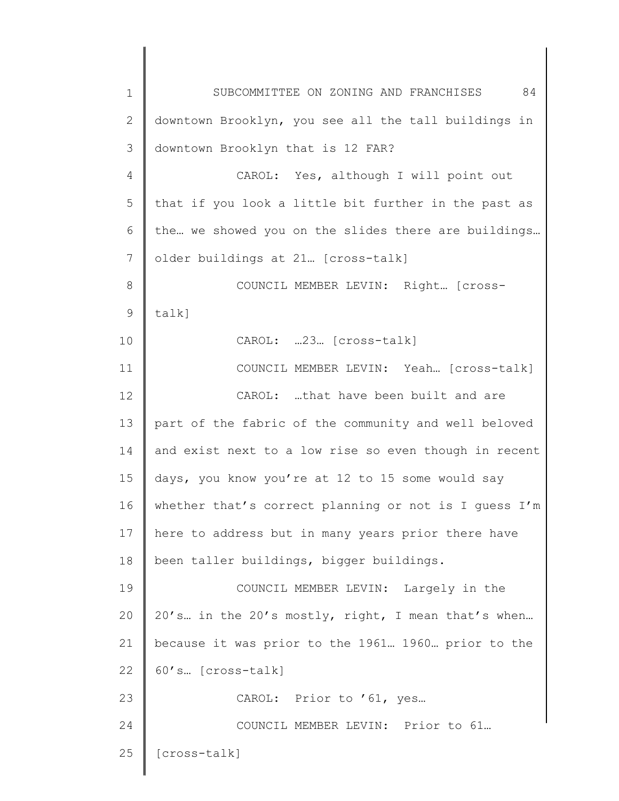1 2 3 4 5 6 7 8 9 10 11 12 13 14 15 16 17 18 19 20 21 22 23 24 25 SUBCOMMITTEE ON ZONING AND FRANCHISES 84 downtown Brooklyn, you see all the tall buildings in downtown Brooklyn that is 12 FAR? CAROL: Yes, although I will point out that if you look a little bit further in the past as the… we showed you on the slides there are buildings… older buildings at 21… [cross-talk] COUNCIL MEMBER LEVIN: Right… [crosstalk] CAROL: …23… [cross-talk] COUNCIL MEMBER LEVIN: Yeah… [cross-talk] CAROL: …that have been built and are part of the fabric of the community and well beloved and exist next to a low rise so even though in recent days, you know you're at 12 to 15 some would say whether that's correct planning or not is I guess I'm here to address but in many years prior there have been taller buildings, bigger buildings. COUNCIL MEMBER LEVIN: Largely in the 20's… in the 20's mostly, right, I mean that's when… because it was prior to the 1961… 1960… prior to the 60's… [cross-talk] CAROL: Prior to '61, yes… COUNCIL MEMBER LEVIN: Prior to 61… [cross-talk]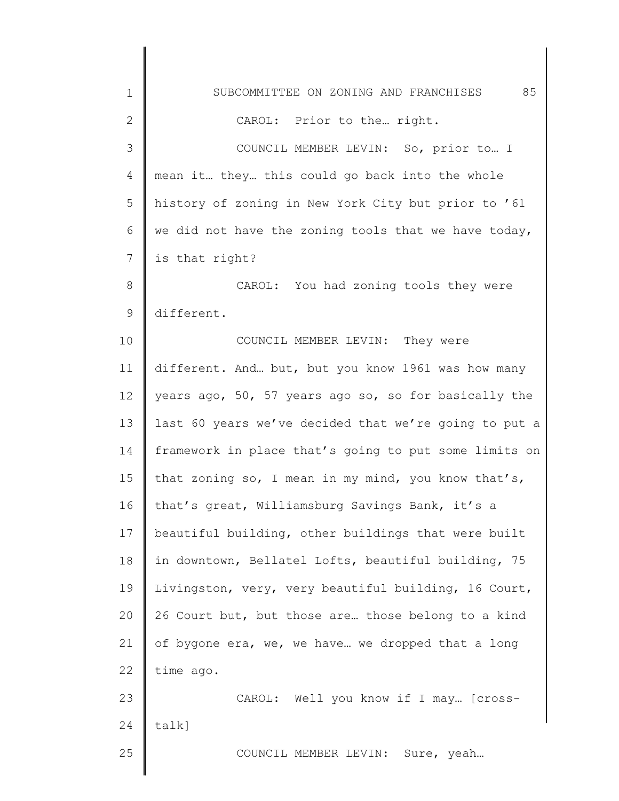| $\mathbf 1$  | 85<br>SUBCOMMITTEE ON ZONING AND FRANCHISES           |
|--------------|-------------------------------------------------------|
| $\mathbf{2}$ | CAROL: Prior to the right.                            |
| 3            | COUNCIL MEMBER LEVIN: So, prior to I                  |
| 4            | mean it they this could go back into the whole        |
| 5            | history of zoning in New York City but prior to '61   |
| 6            | we did not have the zoning tools that we have today,  |
| 7            | is that right?                                        |
| 8            | CAROL: You had zoning tools they were                 |
| $\mathsf 9$  | different.                                            |
| 10           | COUNCIL MEMBER LEVIN: They were                       |
| 11           | different. And but, but you know 1961 was how many    |
| 12           | years ago, 50, 57 years ago so, so for basically the  |
| 13           | last 60 years we've decided that we're going to put a |
| 14           | framework in place that's going to put some limits on |
| 15           | that zoning so, I mean in my mind, you know that's,   |
| 16           | that's great, Williamsburg Savings Bank, it's a       |
| 17           | beautiful building, other buildings that were built   |
| 18           | in downtown, Bellatel Lofts, beautiful building, 75   |
| 19           | Livingston, very, very beautiful building, 16 Court,  |
| 20           | 26 Court but, but those are those belong to a kind    |
| 21           | of bygone era, we, we have we dropped that a long     |
| 22           | time ago.                                             |
| 23           | CAROL: Well you know if I may [cross-                 |
| 24           | talk]                                                 |
| 25           | COUNCIL MEMBER LEVIN: Sure, yeah                      |
|              |                                                       |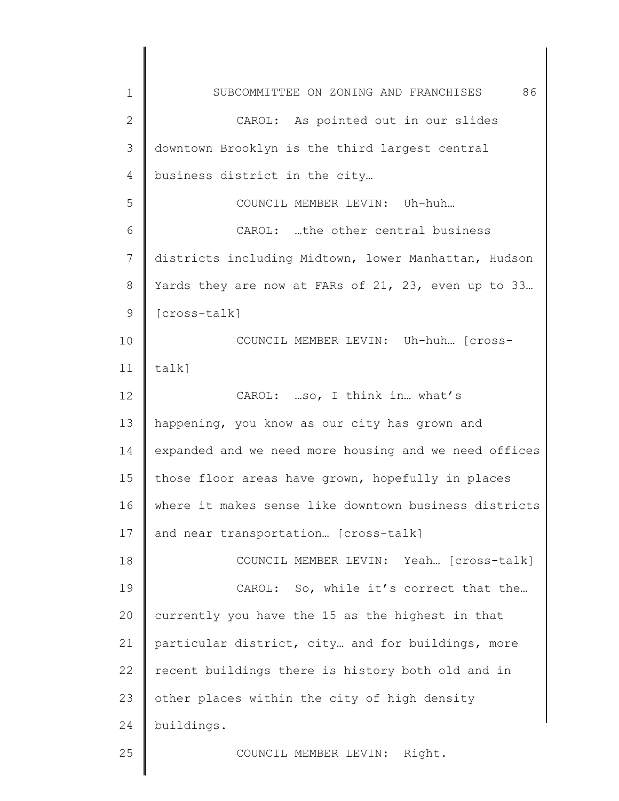| $\mathbf 1$  | 86<br>SUBCOMMITTEE ON ZONING AND FRANCHISES           |
|--------------|-------------------------------------------------------|
| $\mathbf{2}$ | CAROL: As pointed out in our slides                   |
| 3            | downtown Brooklyn is the third largest central        |
| 4            | business district in the city                         |
| 5            | COUNCIL MEMBER LEVIN: Uh-huh                          |
| 6            | CAROL: the other central business                     |
| 7            | districts including Midtown, lower Manhattan, Hudson  |
| 8            | Yards they are now at FARs of 21, 23, even up to 33   |
| 9            | $[cross-talk]$                                        |
| 10           | COUNCIL MEMBER LEVIN: Uh-huh [Cross-                  |
| 11           | $talk$ ]                                              |
| 12           | CAROL: so, I think in what's                          |
| 13           | happening, you know as our city has grown and         |
| 14           | expanded and we need more housing and we need offices |
| 15           | those floor areas have grown, hopefully in places     |
| 16           | where it makes sense like downtown business districts |
| 17           | and near transportation [cross-talk]                  |
| 18           | COUNCIL MEMBER LEVIN: Yeah [Cross-talk]               |
| 19           | CAROL: So, while it's correct that the                |
| 20           | currently you have the 15 as the highest in that      |
| 21           | particular district, city and for buildings, more     |
| 22           | recent buildings there is history both old and in     |
| 23           | other places within the city of high density          |
| 24           | buildings.                                            |
| 25           | COUNCIL MEMBER LEVIN: Right.                          |
|              |                                                       |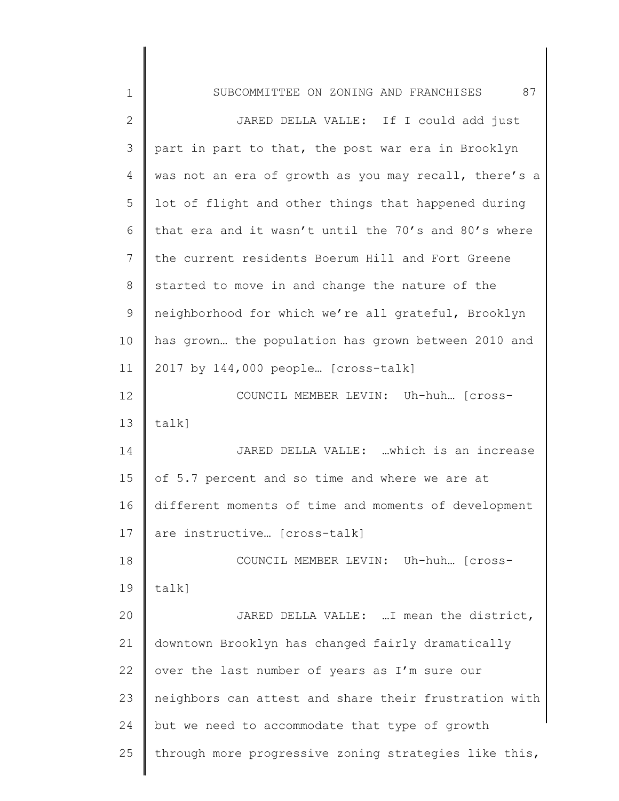| $\mathbf 1$  | 87<br>SUBCOMMITTEE ON ZONING AND FRANCHISES           |
|--------------|-------------------------------------------------------|
| $\mathbf{2}$ | JARED DELLA VALLE: If I could add just                |
| 3            | part in part to that, the post war era in Brooklyn    |
| 4            | was not an era of growth as you may recall, there's a |
| 5            | lot of flight and other things that happened during   |
| 6            | that era and it wasn't until the 70's and 80's where  |
| 7            | the current residents Boerum Hill and Fort Greene     |
| 8            | started to move in and change the nature of the       |
| 9            | neighborhood for which we're all grateful, Brooklyn   |
| 10           | has grown the population has grown between 2010 and   |
| 11           | 2017 by 144,000 people [cross-talk]                   |
| 12           | COUNCIL MEMBER LEVIN: Uh-huh [cross-                  |
| 13           | $talk$ ]                                              |
| 14           | JARED DELLA VALLE: which is an increase               |
| 15           | of 5.7 percent and so time and where we are at        |
| 16           | different moments of time and moments of development  |
| 17           | are instructive [cross-talk]                          |
| 18           | COUNCIL MEMBER LEVIN: Uh-huh [cross-                  |
| 19           | $talk$ ]                                              |
| 20           | JARED DELLA VALLE: I mean the district,               |
| 21           | downtown Brooklyn has changed fairly dramatically     |
| 22           | over the last number of years as I'm sure our         |
| 23           | neighbors can attest and share their frustration with |
| 24           | but we need to accommodate that type of growth        |
| 25           | through more progressive zoning strategies like this, |
|              |                                                       |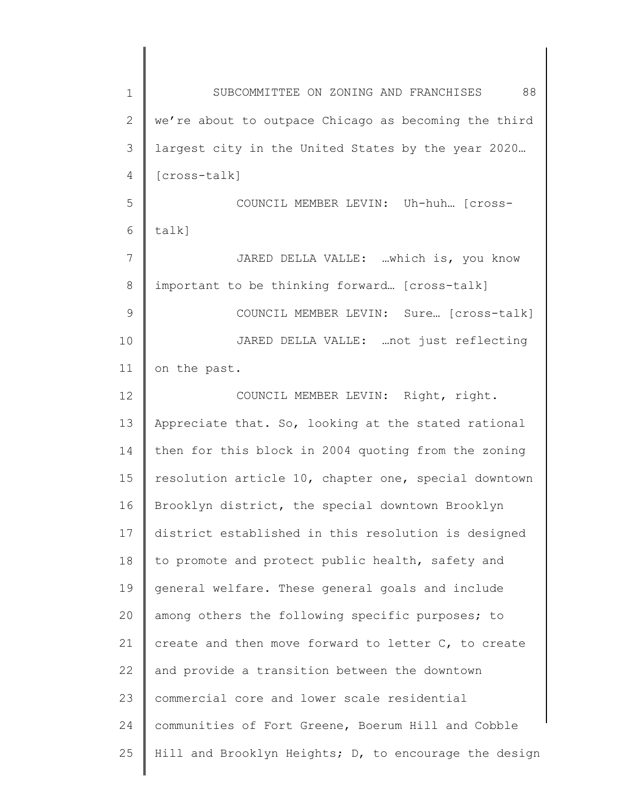| $\mathbf 1$    | 88<br>SUBCOMMITTEE ON ZONING AND FRANCHISES           |
|----------------|-------------------------------------------------------|
| 2              | we're about to outpace Chicago as becoming the third  |
| 3              | largest city in the United States by the year 2020    |
| 4              | [cross-talk]                                          |
| 5              | COUNCIL MEMBER LEVIN: Uh-huh [cross-                  |
| 6              | talk]                                                 |
| $\overline{7}$ | JARED DELLA VALLE: which is, you know                 |
| 8              | important to be thinking forward [cross-talk]         |
| 9              | COUNCIL MEMBER LEVIN: Sure [cross-talk]               |
| 10             | JARED DELLA VALLE:  not just reflecting               |
| 11             | on the past.                                          |
| 12             | COUNCIL MEMBER LEVIN: Right, right.                   |
| 13             | Appreciate that. So, looking at the stated rational   |
| 14             | then for this block in 2004 quoting from the zoning   |
| 15             | resolution article 10, chapter one, special downtown  |
| 16             | Brooklyn district, the special downtown Brooklyn      |
| 17             | district established in this resolution is designed   |
| 18             | to promote and protect public health, safety and      |
| 19             | general welfare. These general goals and include      |
| 20             | among others the following specific purposes; to      |
| 21             | create and then move forward to letter C, to create   |
| 22             | and provide a transition between the downtown         |
| 23             | commercial core and lower scale residential           |
| 24             | communities of Fort Greene, Boerum Hill and Cobble    |
| 25             | Hill and Brooklyn Heights; D, to encourage the design |
|                |                                                       |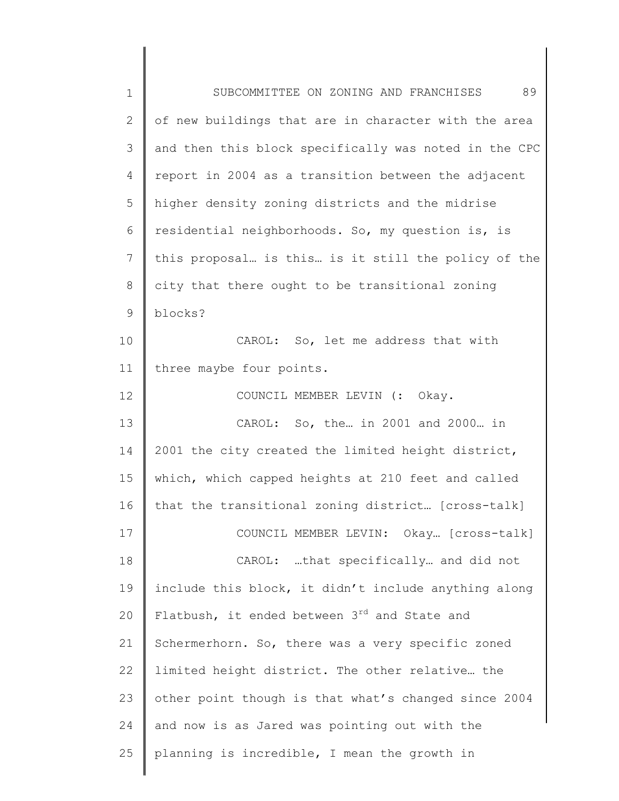| $1\,$          | 89<br>SUBCOMMITTEE ON ZONING AND FRANCHISES           |
|----------------|-------------------------------------------------------|
| $\overline{2}$ | of new buildings that are in character with the area  |
| 3              | and then this block specifically was noted in the CPC |
| 4              | report in 2004 as a transition between the adjacent   |
| 5              | higher density zoning districts and the midrise       |
| 6              | residential neighborhoods. So, my question is, is     |
| $\overline{7}$ | this proposal is this is it still the policy of the   |
| 8              | city that there ought to be transitional zoning       |
| 9              | blocks?                                               |
| 10             | CAROL: So, let me address that with                   |
| 11             | three maybe four points.                              |
| 12             | COUNCIL MEMBER LEVIN (: Okay.                         |
| 13             | CAROL: So, the in 2001 and 2000 in                    |
| 14             | 2001 the city created the limited height district,    |
| 15             | which, which capped heights at 210 feet and called    |
| 16             | that the transitional zoning district [cross-talk]    |
| 17             | COUNCIL MEMBER LEVIN: Okay [cross-talk]               |
| 18             | CAROL: that specifically and did not                  |
| 19             | include this block, it didn't include anything along  |
| 20             | Flatbush, it ended between 3rd and State and          |
| 21             | Schermerhorn. So, there was a very specific zoned     |
| 22             | limited height district. The other relative the       |
| 23             | other point though is that what's changed since 2004  |
| 24             | and now is as Jared was pointing out with the         |
| 25             | planning is incredible, I mean the growth in          |
|                |                                                       |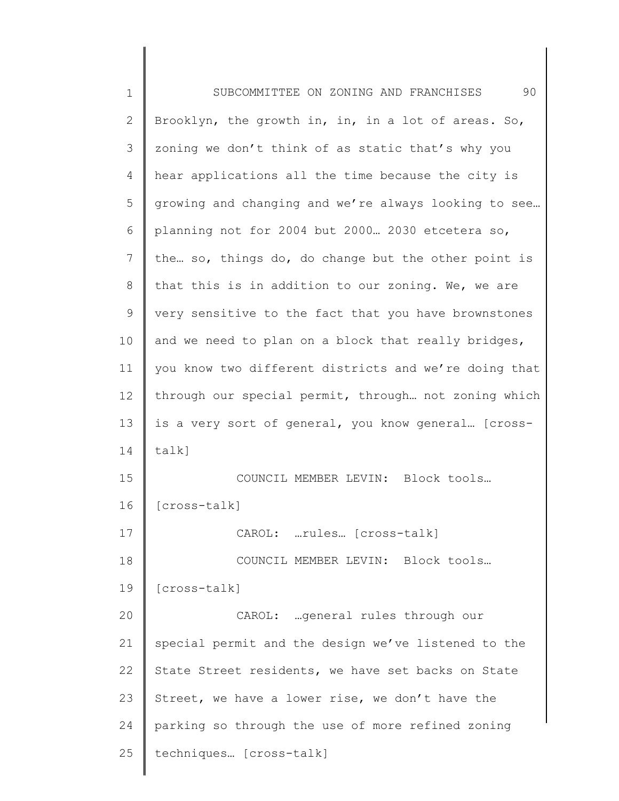| $\mathbf 1$    | 90<br>SUBCOMMITTEE ON ZONING AND FRANCHISES           |
|----------------|-------------------------------------------------------|
| $\mathbf{2}$   | Brooklyn, the growth in, in, in a lot of areas. So,   |
| 3              | zoning we don't think of as static that's why you     |
| 4              | hear applications all the time because the city is    |
| 5              | growing and changing and we're always looking to see  |
| 6              | planning not for 2004 but 2000 2030 etcetera so,      |
| $7\phantom{.}$ | the so, things do, do change but the other point is   |
| 8              | that this is in addition to our zoning. We, we are    |
| $\mathsf 9$    | very sensitive to the fact that you have brownstones  |
| 10             | and we need to plan on a block that really bridges,   |
| 11             | you know two different districts and we're doing that |
| 12             | through our special permit, through not zoning which  |
| 13             | is a very sort of general, you know general [cross-   |
| 14             | $talk$ ]                                              |
| 15             | COUNCIL MEMBER LEVIN: Block tools                     |
| 16             | [cross-talk]                                          |
| 17             | CAROL: rules [cross-talk]                             |
| 18             | COUNCIL MEMBER LEVIN: Block tools                     |
| 19             | [cross-talk]                                          |
| 20             | CAROL: general rules through our                      |
| 21             | special permit and the design we've listened to the   |
| 22             | State Street residents, we have set backs on State    |
| 23             | Street, we have a lower rise, we don't have the       |
| 24             | parking so through the use of more refined zoning     |
| 25             | techniques [cross-talk]                               |
|                |                                                       |

 $\begin{array}{c} \hline \end{array}$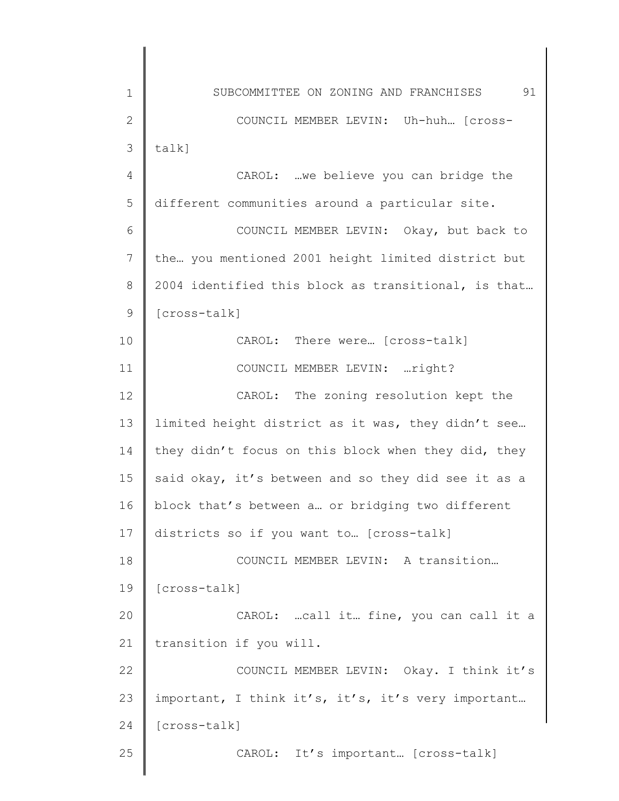1 2 3 4 5 6 7 8 9 10 11 12 13 14 15 16 17 18 19 20 21 22 23 24 25 SUBCOMMITTEE ON ZONING AND FRANCHISES 91 COUNCIL MEMBER LEVIN: Uh-huh… [crosstalk] CAROL: …we believe you can bridge the different communities around a particular site. COUNCIL MEMBER LEVIN: Okay, but back to the… you mentioned 2001 height limited district but 2004 identified this block as transitional, is that… [cross-talk] CAROL: There were… [cross-talk] COUNCIL MEMBER LEVIN: …right? CAROL: The zoning resolution kept the limited height district as it was, they didn't see… they didn't focus on this block when they did, they said okay, it's between and so they did see it as a block that's between a… or bridging two different districts so if you want to… [cross-talk] COUNCIL MEMBER LEVIN: A transition… [cross-talk] CAROL: …call it… fine, you can call it a transition if you will. COUNCIL MEMBER LEVIN: Okay. I think it's important, I think it's, it's, it's very important… [cross-talk] CAROL: It's important… [cross-talk]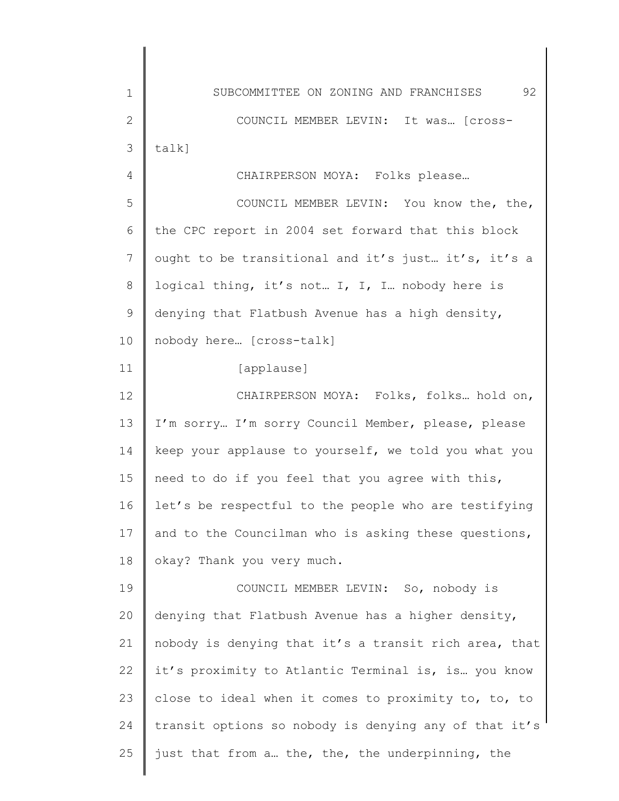1 2 3 4 5 6 7 8 9 10 11 12 13 14 15 16 17 18 19 20 21 22 23 24 25 SUBCOMMITTEE ON ZONING AND FRANCHISES 92 COUNCIL MEMBER LEVIN: It was… [crosstalk] CHAIRPERSON MOYA: Folks please… COUNCIL MEMBER LEVIN: You know the, the, the CPC report in 2004 set forward that this block ought to be transitional and it's just… it's, it's a logical thing, it's not… I, I, I… nobody here is denying that Flatbush Avenue has a high density, nobody here… [cross-talk] [applause] CHAIRPERSON MOYA: Folks, folks… hold on, I'm sorry… I'm sorry Council Member, please, please keep your applause to yourself, we told you what you need to do if you feel that you agree with this, let's be respectful to the people who are testifying and to the Councilman who is asking these questions, okay? Thank you very much. COUNCIL MEMBER LEVIN: So, nobody is denying that Flatbush Avenue has a higher density, nobody is denying that it's a transit rich area, that it's proximity to Atlantic Terminal is, is… you know close to ideal when it comes to proximity to, to, to transit options so nobody is denying any of that it's just that from a… the, the, the underpinning, the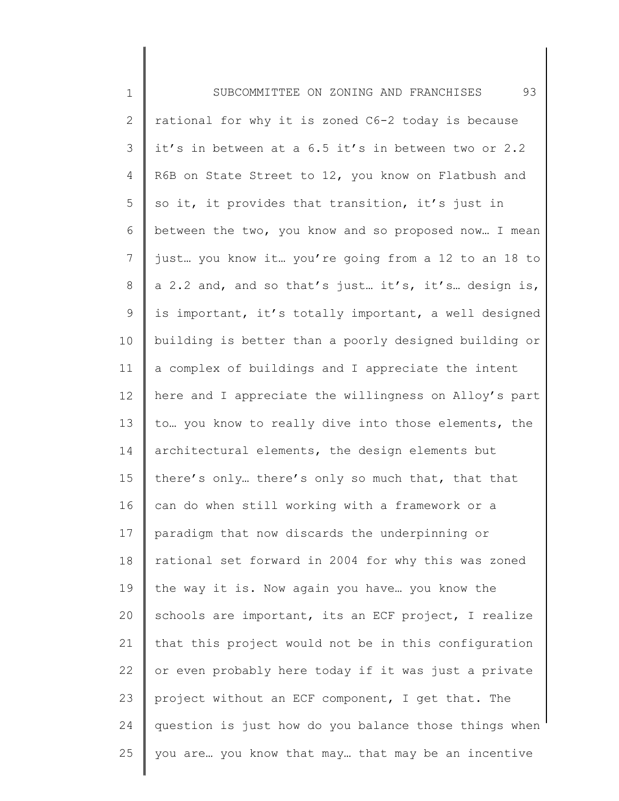1 2 3 4 5 6 7 8 9 10 11 12 13 14 15 16 17 18 19 20 21 22 23 24 25 SUBCOMMITTEE ON ZONING AND FRANCHISES 93 rational for why it is zoned C6-2 today is because it's in between at a 6.5 it's in between two or 2.2 R6B on State Street to 12, you know on Flatbush and so it, it provides that transition, it's just in between the two, you know and so proposed now… I mean just… you know it… you're going from a 12 to an 18 to a 2.2 and, and so that's just… it's, it's… design is, is important, it's totally important, a well designed building is better than a poorly designed building or a complex of buildings and I appreciate the intent here and I appreciate the willingness on Alloy's part to… you know to really dive into those elements, the architectural elements, the design elements but there's only… there's only so much that, that that can do when still working with a framework or a paradigm that now discards the underpinning or rational set forward in 2004 for why this was zoned the way it is. Now again you have… you know the schools are important, its an ECF project, I realize that this project would not be in this configuration or even probably here today if it was just a private project without an ECF component, I get that. The question is just how do you balance those things when you are… you know that may… that may be an incentive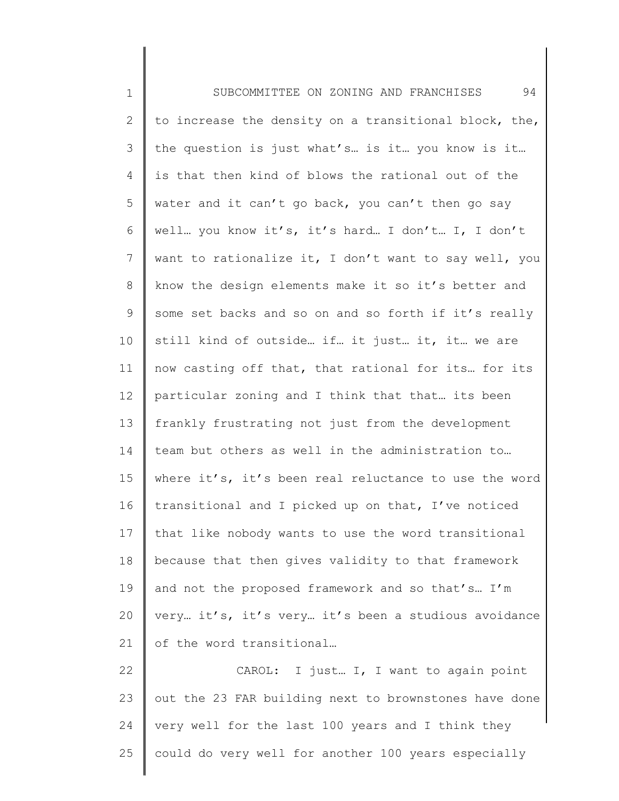1 2 3 4 5 6 7 8 9 10 11 12 13 14 15 16 17 18 19 20 21 22 23 24 SUBCOMMITTEE ON ZONING AND FRANCHISES 94 to increase the density on a transitional block, the, the question is just what's… is it… you know is it… is that then kind of blows the rational out of the water and it can't go back, you can't then go say well… you know it's, it's hard… I don't… I, I don't want to rationalize it, I don't want to say well, you know the design elements make it so it's better and some set backs and so on and so forth if it's really still kind of outside… if… it just… it, it… we are now casting off that, that rational for its… for its particular zoning and I think that that… its been frankly frustrating not just from the development team but others as well in the administration to… where it's, it's been real reluctance to use the word transitional and I picked up on that, I've noticed that like nobody wants to use the word transitional because that then gives validity to that framework and not the proposed framework and so that's… I'm very… it's, it's very… it's been a studious avoidance of the word transitional… CAROL: I just… I, I want to again point out the 23 FAR building next to brownstones have done very well for the last 100 years and I think they

could do very well for another 100 years especially

25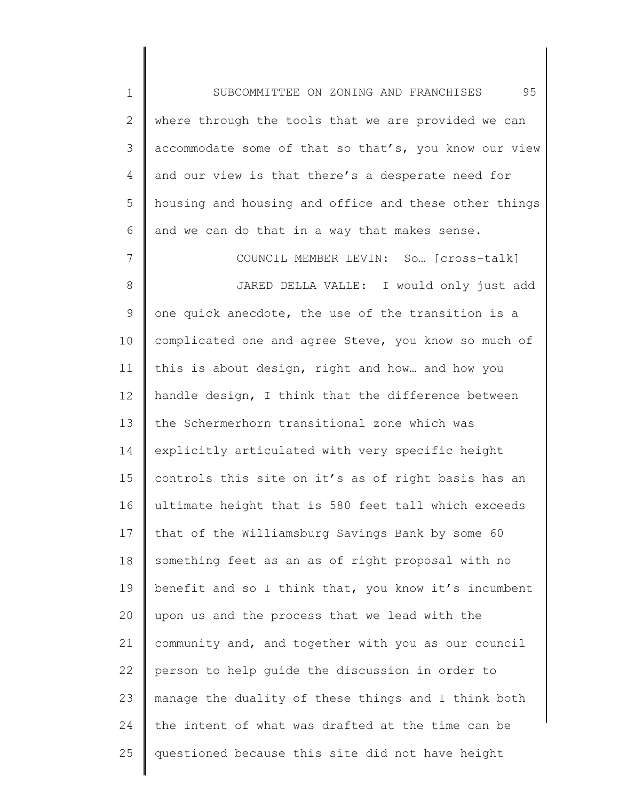1 2 3 4 5 6 SUBCOMMITTEE ON ZONING AND FRANCHISES 95 where through the tools that we are provided we can accommodate some of that so that's, you know our view and our view is that there's a desperate need for housing and housing and office and these other things and we can do that in a way that makes sense.

7 8 9 10 11 12 13 14 15 16 17 18 19 20 21 22 23 24 25 COUNCIL MEMBER LEVIN: So… [cross-talk] JARED DELLA VALLE: I would only just add one quick anecdote, the use of the transition is a complicated one and agree Steve, you know so much of this is about design, right and how… and how you handle design, I think that the difference between the Schermerhorn transitional zone which was explicitly articulated with very specific height controls this site on it's as of right basis has an ultimate height that is 580 feet tall which exceeds that of the Williamsburg Savings Bank by some 60 something feet as an as of right proposal with no benefit and so I think that, you know it's incumbent upon us and the process that we lead with the community and, and together with you as our council person to help guide the discussion in order to manage the duality of these things and I think both the intent of what was drafted at the time can be questioned because this site did not have height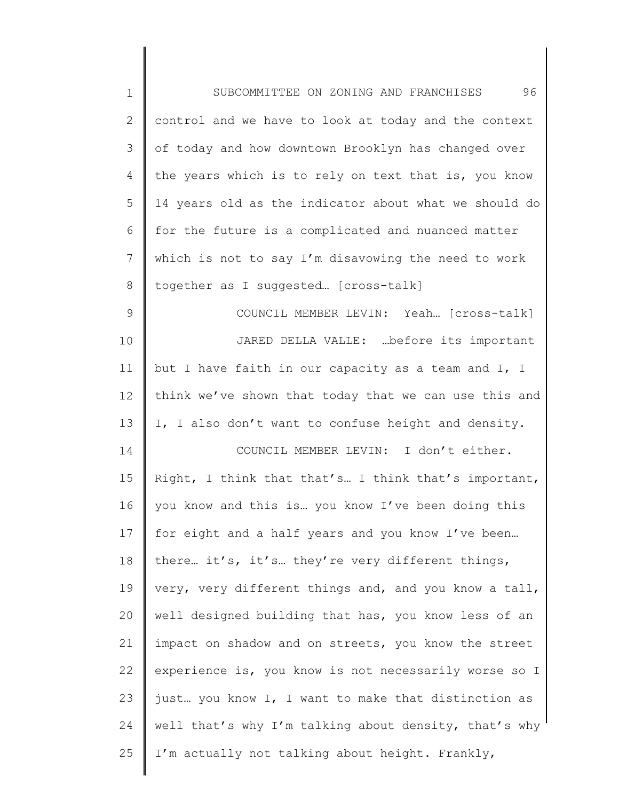| $\mathbf 1$  | 96<br>SUBCOMMITTEE ON ZONING AND FRANCHISES           |
|--------------|-------------------------------------------------------|
| $\mathbf{2}$ | control and we have to look at today and the context  |
| 3            | of today and how downtown Brooklyn has changed over   |
| 4            | the years which is to rely on text that is, you know  |
| 5            | 14 years old as the indicator about what we should do |
| 6            | for the future is a complicated and nuanced matter    |
| 7            | which is not to say I'm disavowing the need to work   |
| $8\,$        | together as I suggested [cross-talk]                  |
| $\mathsf 9$  | COUNCIL MEMBER LEVIN: Yeah [cross-talk]               |
| 10           | JARED DELLA VALLE: before its important               |
| 11           | but I have faith in our capacity as a team and I, I   |
| 12           | think we've shown that today that we can use this and |
| 13           | I, I also don't want to confuse height and density.   |
| 14           | COUNCIL MEMBER LEVIN: I don't either.                 |
| 15           | Right, I think that that's I think that's important,  |
| 16           | you know and this is you know I've been doing this    |
| 17           | for eight and a half years and you know I've been     |
| 18           | there it's, it's they're very different things,       |
| 19           | very, very different things and, and you know a tall, |
| 20           | well designed building that has, you know less of an  |
| 21           | impact on shadow and on streets, you know the street  |
| 22           | experience is, you know is not necessarily worse so I |
| 23           | just you know I, I want to make that distinction as   |
| 24           | well that's why I'm talking about density, that's why |
| 25           | I'm actually not talking about height. Frankly,       |
|              |                                                       |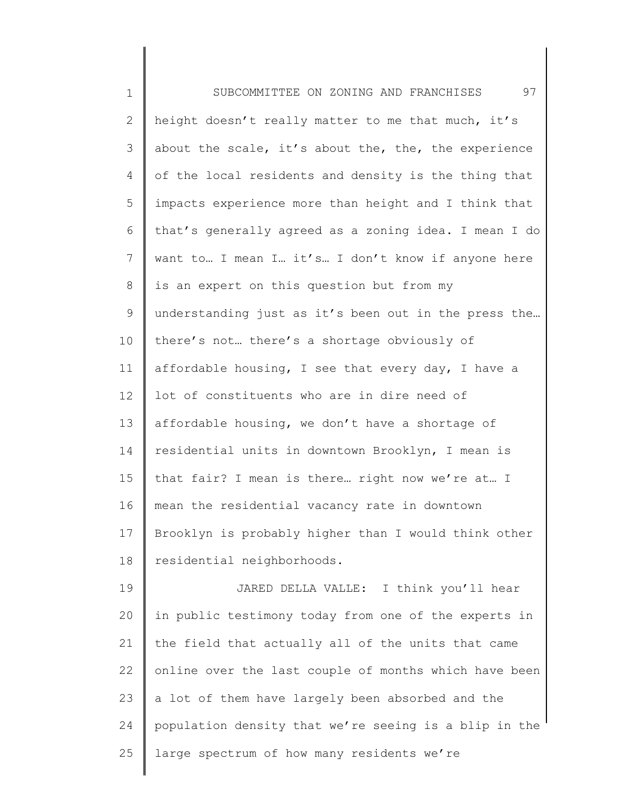| $\mathbf 1$    | 97<br>SUBCOMMITTEE ON ZONING AND FRANCHISES           |
|----------------|-------------------------------------------------------|
| $\overline{2}$ | height doesn't really matter to me that much, it's    |
| 3              | about the scale, it's about the, the, the experience  |
| 4              | of the local residents and density is the thing that  |
| 5              | impacts experience more than height and I think that  |
| 6              | that's generally agreed as a zoning idea. I mean I do |
| 7              | want to I mean I it's I don't know if anyone here     |
| 8              | is an expert on this question but from my             |
| 9              | understanding just as it's been out in the press the  |
| 10             | there's not there's a shortage obviously of           |
| 11             | affordable housing, I see that every day, I have a    |
| 12             | lot of constituents who are in dire need of           |
| 13             | affordable housing, we don't have a shortage of       |
| 14             | residential units in downtown Brooklyn, I mean is     |
| 15             | that fair? I mean is there right now we're at I       |
| 16             | mean the residential vacancy rate in downtown         |
| 17             | Brooklyn is probably higher than I would think other  |
| 18             | residential neighborhoods.                            |
| 19             | JARED DELLA VALLE: I think you'll hear                |
| 20             | in public testimony today from one of the experts in  |
| 21             | the field that actually all of the units that came    |
| 22             | online over the last couple of months which have been |
| 23             | a lot of them have largely been absorbed and the      |
| 24             | population density that we're seeing is a blip in the |
| 25             | large spectrum of how many residents we're            |
|                |                                                       |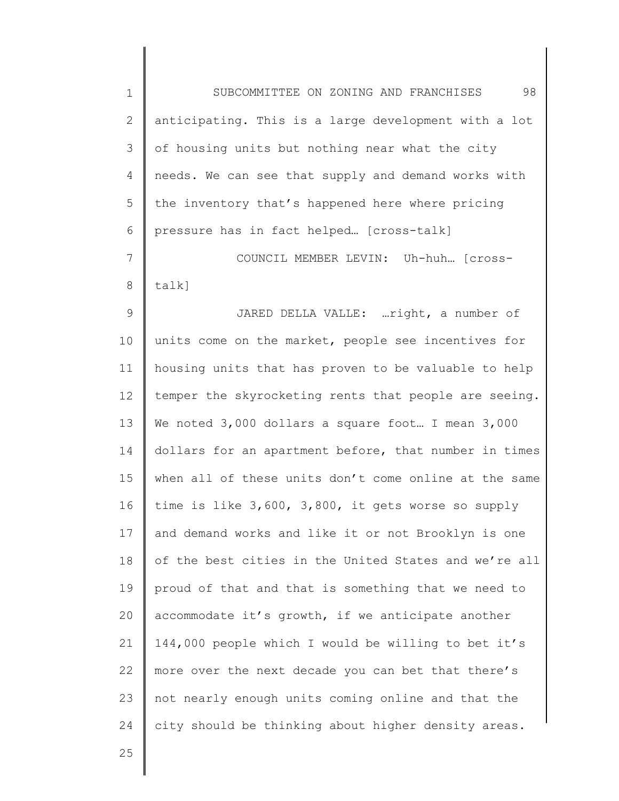1 2 3 4 5 6 7 8 9 10 11 12 13 14 15 16 17 18 19 20 21 22 23 24 SUBCOMMITTEE ON ZONING AND FRANCHISES 98 anticipating. This is a large development with a lot of housing units but nothing near what the city needs. We can see that supply and demand works with the inventory that's happened here where pricing pressure has in fact helped… [cross-talk] COUNCIL MEMBER LEVIN: Uh-huh… [crosstalk] JARED DELLA VALLE: …right, a number of units come on the market, people see incentives for housing units that has proven to be valuable to help temper the skyrocketing rents that people are seeing. We noted 3,000 dollars a square foot... I mean 3,000 dollars for an apartment before, that number in times when all of these units don't come online at the same time is like 3,600, 3,800, it gets worse so supply and demand works and like it or not Brooklyn is one of the best cities in the United States and we're all proud of that and that is something that we need to accommodate it's growth, if we anticipate another 144,000 people which I would be willing to bet it's more over the next decade you can bet that there's not nearly enough units coming online and that the city should be thinking about higher density areas.

25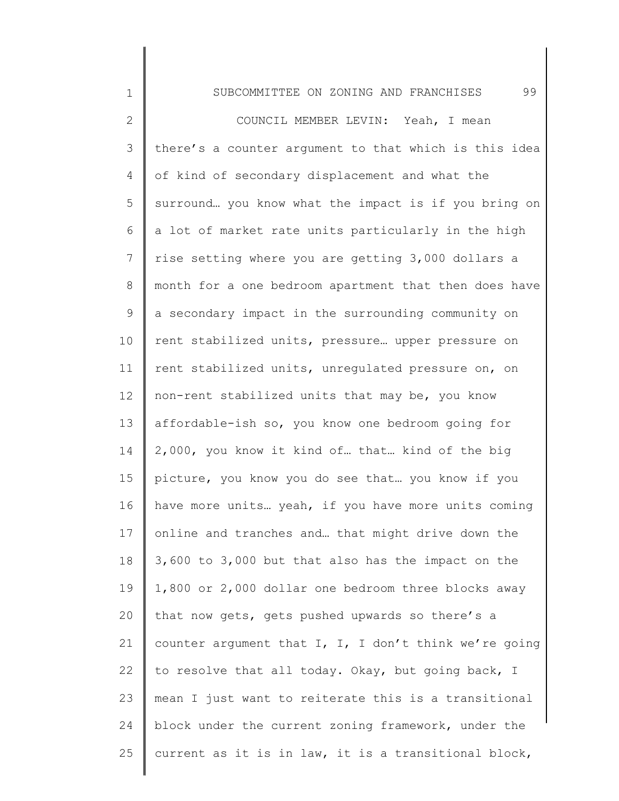| $\mathbf 1$     | 99<br>SUBCOMMITTEE ON ZONING AND FRANCHISES           |
|-----------------|-------------------------------------------------------|
| $\mathbf{2}$    | COUNCIL MEMBER LEVIN: Yeah, I mean                    |
| 3               | there's a counter argument to that which is this idea |
| 4               | of kind of secondary displacement and what the        |
| 5               | surround you know what the impact is if you bring on  |
| 6               | a lot of market rate units particularly in the high   |
| $7\phantom{.0}$ | rise setting where you are getting 3,000 dollars a    |
| 8               | month for a one bedroom apartment that then does have |
| 9               | a secondary impact in the surrounding community on    |
| 10              | rent stabilized units, pressure upper pressure on     |
| 11              | rent stabilized units, unregulated pressure on, on    |
| 12              | non-rent stabilized units that may be, you know       |
| 13              | affordable-ish so, you know one bedroom going for     |
| 14              | 2,000, you know it kind of that kind of the big       |
| 15              | picture, you know you do see that you know if you     |
| 16              | have more units yeah, if you have more units coming   |
| 17              | online and tranches and that might drive down the     |
| 18              | 3,600 to 3,000 but that also has the impact on the    |
| 19              | 1,800 or 2,000 dollar one bedroom three blocks away   |
| 20              | that now gets, gets pushed upwards so there's a       |
| 21              | counter argument that I, I, I don't think we're going |
| 22              | to resolve that all today. Okay, but going back, I    |
| 23              | mean I just want to reiterate this is a transitional  |
| 24              | block under the current zoning framework, under the   |
| 25              | current as it is in law, it is a transitional block,  |
|                 |                                                       |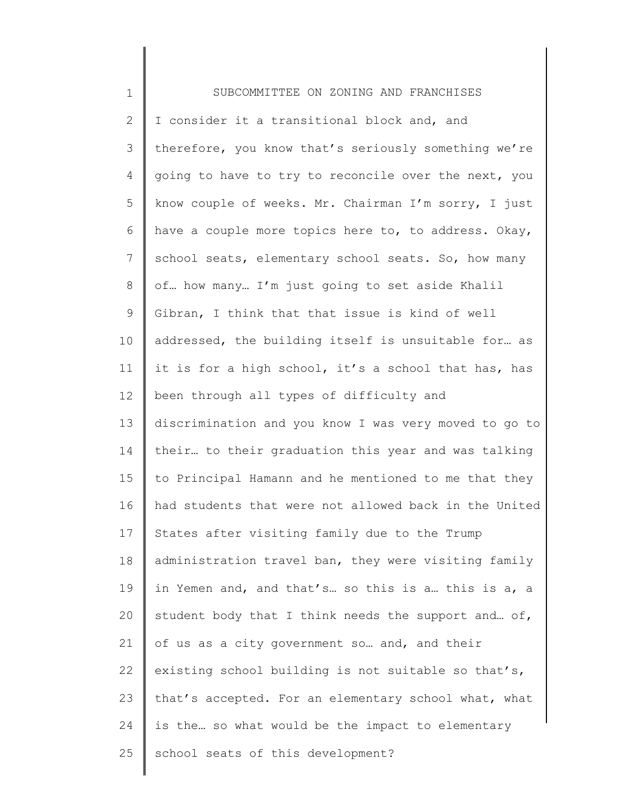| $\mathbf 1$   | SUBCOMMITTEE ON ZONING AND FRANCHISES                 |
|---------------|-------------------------------------------------------|
| $\mathbf{2}$  | I consider it a transitional block and, and           |
| $\mathcal{S}$ | therefore, you know that's seriously something we're  |
| 4             | going to have to try to reconcile over the next, you  |
| 5             | know couple of weeks. Mr. Chairman I'm sorry, I just  |
| 6             | have a couple more topics here to, to address. Okay,  |
| 7             | school seats, elementary school seats. So, how many   |
| $8\,$         | of how many I'm just going to set aside Khalil        |
| $\mathsf 9$   | Gibran, I think that that issue is kind of well       |
| 10            | addressed, the building itself is unsuitable for as   |
| 11            | it is for a high school, it's a school that has, has  |
| 12            | been through all types of difficulty and              |
| 13            | discrimination and you know I was very moved to go to |
| 14            | their to their graduation this year and was talking   |
| 15            | to Principal Hamann and he mentioned to me that they  |
| 16            | had students that were not allowed back in the United |
| 17            | States after visiting family due to the Trump         |
| 18            | administration travel ban, they were visiting family  |
| 19            | in Yemen and, and that's so this is a this is a, a    |
| 20            | student body that I think needs the support and of,   |
| 21            | of us as a city government so and, and their          |
| 22            | existing school building is not suitable so that's,   |
| 23            | that's accepted. For an elementary school what, what  |
| 24            | is the so what would be the impact to elementary      |
| 25            | school seats of this development?                     |
|               |                                                       |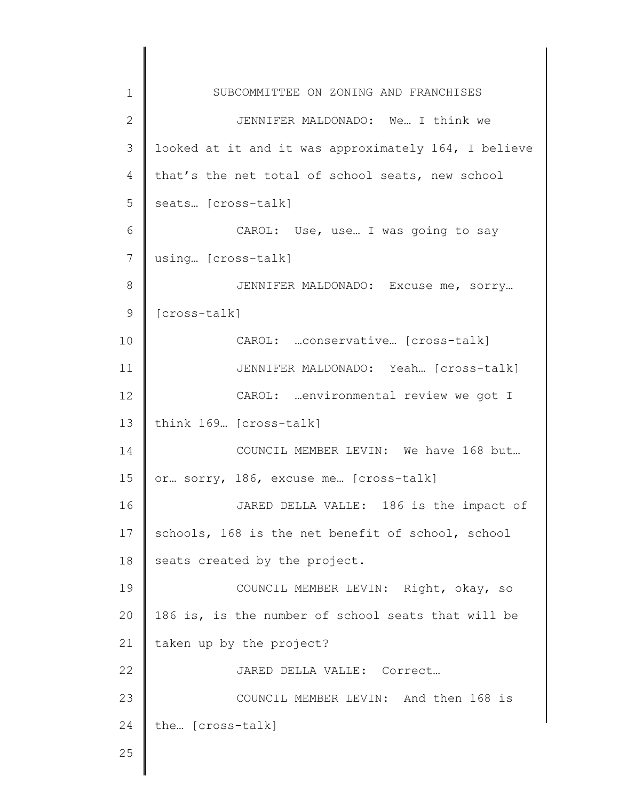| $\mathbf 1$    | SUBCOMMITTEE ON ZONING AND FRANCHISES                |
|----------------|------------------------------------------------------|
| $\overline{2}$ | JENNIFER MALDONADO: We I think we                    |
| $\mathfrak{Z}$ | looked at it and it was approximately 164, I believe |
| 4              | that's the net total of school seats, new school     |
| 5              | seats [cross-talk]                                   |
| 6              | CAROL: Use, use I was going to say                   |
| 7              | using [cross-talk]                                   |
| 8              | JENNIFER MALDONADO: Excuse me, sorry                 |
| $\mathsf 9$    | [cross-talk]                                         |
| 10             | CAROL:  conservative [cross-talk]                    |
| 11             | JENNIFER MALDONADO: Yeah [Cross-talk]                |
| 12             | CAROL:  environmental review we got I                |
| 13             | think 169. [cross-talk]                              |
| 14             | COUNCIL MEMBER LEVIN: We have 168 but                |
| 15             | or sorry, 186, excuse me [cross-talk]                |
| 16             | JARED DELLA VALLE: 186 is the impact of              |
| 17             | schools, 168 is the net benefit of school, school    |
| 18             | seats created by the project.                        |
| 19             | COUNCIL MEMBER LEVIN: Right, okay, so                |
| 20             | 186 is, is the number of school seats that will be   |
| 21             | taken up by the project?                             |
| 22             | JARED DELLA VALLE: Correct                           |
| 23             | COUNCIL MEMBER LEVIN: And then 168 is                |
| 24             | the [cross-talk]                                     |
| 25             |                                                      |
|                |                                                      |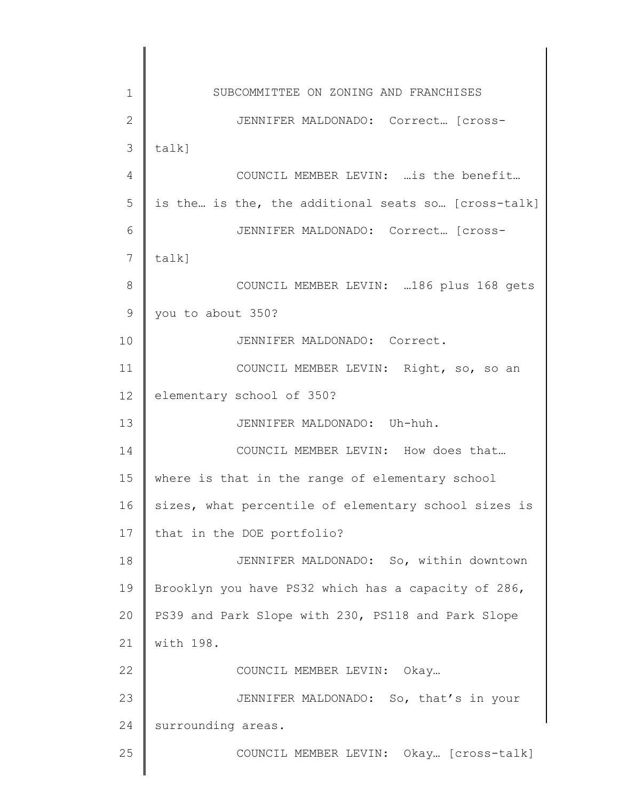1 2 3 4 5 6 7 8 9 10 11 12 13 14 15 16 17 18 19 20 21 22 23 24 25 SUBCOMMITTEE ON ZONING AND FRANCHISES JENNIFER MALDONADO: Correct... [crosstalk] COUNCIL MEMBER LEVIN: …is the benefit… is the… is the, the additional seats so… [cross-talk] JENNIFER MALDONADO: Correct… [crosstalk] COUNCIL MEMBER LEVIN: …186 plus 168 gets you to about 350? JENNIFER MALDONADO: Correct. COUNCIL MEMBER LEVIN: Right, so, so an elementary school of 350? JENNIFER MALDONADO: Uh-huh. COUNCIL MEMBER LEVIN: How does that… where is that in the range of elementary school sizes, what percentile of elementary school sizes is that in the DOE portfolio? JENNIFER MALDONADO: So, within downtown Brooklyn you have PS32 which has a capacity of 286, PS39 and Park Slope with 230, PS118 and Park Slope with 198. COUNCIL MEMBER LEVIN: Okay… JENNIFER MALDONADO: So, that's in your surrounding areas. COUNCIL MEMBER LEVIN: Okay… [cross-talk]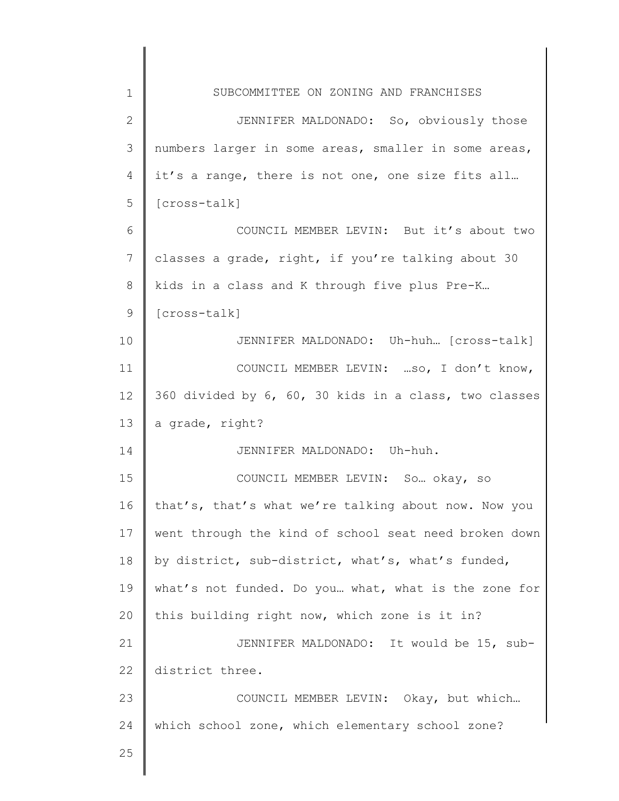| $\mathbf 1$     | SUBCOMMITTEE ON ZONING AND FRANCHISES                 |
|-----------------|-------------------------------------------------------|
| $\overline{2}$  | JENNIFER MALDONADO: So, obviously those               |
| 3               | numbers larger in some areas, smaller in some areas,  |
| 4               | it's a range, there is not one, one size fits all     |
| 5               | [cross-talk]                                          |
| 6               | COUNCIL MEMBER LEVIN: But it's about two              |
| $7\phantom{.0}$ | classes a grade, right, if you're talking about 30    |
| 8               | kids in a class and K through five plus Pre-K         |
| 9               | [cross-talk]                                          |
| 10              | JENNIFER MALDONADO: Uh-huh [Cross-talk]               |
| 11              | COUNCIL MEMBER LEVIN:  so, I don't know,              |
| 12              | 360 divided by 6, 60, 30 kids in a class, two classes |
| 13              | a grade, right?                                       |
| 14              | JENNIFER MALDONADO: Uh-huh.                           |
| 15              | COUNCIL MEMBER LEVIN: So okay, so                     |
| 16              | that's, that's what we're talking about now. Now you  |
| 17              | went through the kind of school seat need broken down |
| 18              | by district, sub-district, what's, what's funded,     |
| 19              | what's not funded. Do you what, what is the zone for  |
| 20              | this building right now, which zone is it in?         |
| 21              | JENNIFER MALDONADO: It would be 15, sub-              |
| 22              | district three.                                       |
| 23              | COUNCIL MEMBER LEVIN: Okay, but which                 |
| 24              | which school zone, which elementary school zone?      |
| 25              |                                                       |
|                 |                                                       |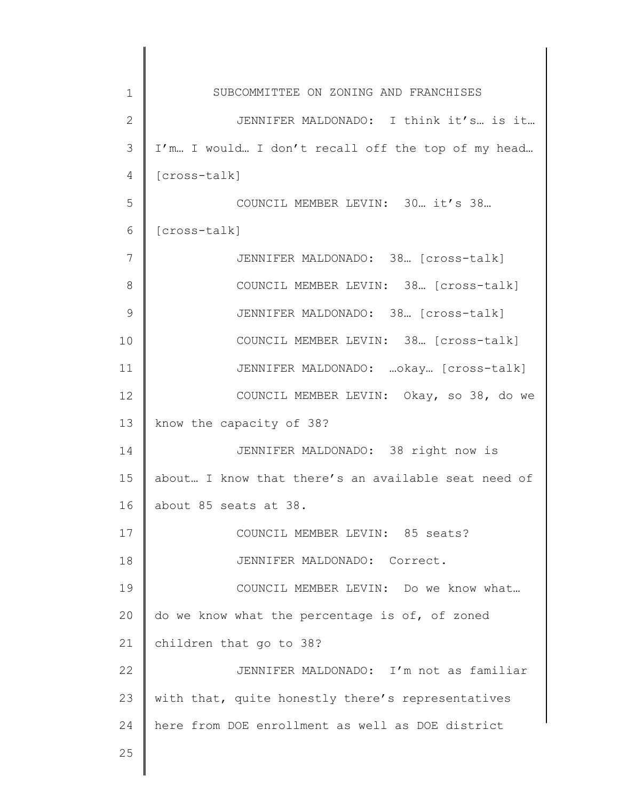| $\mathbf 1$   | SUBCOMMITTEE ON ZONING AND FRANCHISES               |
|---------------|-----------------------------------------------------|
| $\mathbf{2}$  | JENNIFER MALDONADO: I think it's is it              |
| 3             | I'm I would I don't recall off the top of my head   |
| 4             | [cross-talk]                                        |
| 5             | COUNCIL MEMBER LEVIN: 30. it's 38.                  |
| 6             | [cross-talk]                                        |
| 7             | JENNIFER MALDONADO: 38 [cross-talk]                 |
| 8             | COUNCIL MEMBER LEVIN: 38. [cross-talk]              |
| $\mathcal{G}$ | JENNIFER MALDONADO: 38. [cross-talk]                |
| 10            | COUNCIL MEMBER LEVIN: 38. [cross-talk]              |
| 11            | JENNIFER MALDONADO:  okay [cross-talk]              |
| 12            | COUNCIL MEMBER LEVIN: Okay, so 38, do we            |
| 13            | know the capacity of 38?                            |
| 14            | JENNIFER MALDONADO: 38 right now is                 |
| 15            | about I know that there's an available seat need of |
| 16            | about 85 seats at 38.                               |
| 17            | COUNCIL MEMBER LEVIN: 85 seats?                     |
| 18            | JENNIFER MALDONADO: Correct.                        |
| 19            | COUNCIL MEMBER LEVIN: Do we know what               |
| 20            | do we know what the percentage is of, of zoned      |
| 21            | children that go to 38?                             |
| 22            | JENNIFER MALDONADO: I'm not as familiar             |
| 23            | with that, quite honestly there's representatives   |
| 24            | here from DOE enrollment as well as DOE district    |
| 25            |                                                     |
|               |                                                     |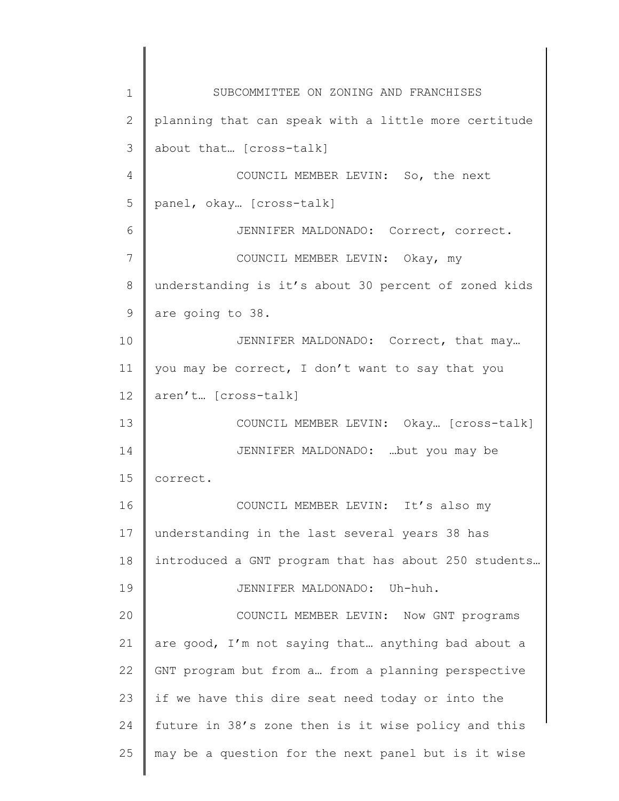1 2 3 4 5 6 7 8 9 10 11 12 13 14 15 16 17 18 19 20 21 22 23 24 25 SUBCOMMITTEE ON ZONING AND FRANCHISES planning that can speak with a little more certitude about that… [cross-talk] COUNCIL MEMBER LEVIN: So, the next panel, okay… [cross-talk] JENNIFER MALDONADO: Correct, correct. COUNCIL MEMBER LEVIN: Okay, my understanding is it's about 30 percent of zoned kids are going to 38. JENNIFER MALDONADO: Correct, that may… you may be correct, I don't want to say that you aren't… [cross-talk] COUNCIL MEMBER LEVIN: Okay… [cross-talk] JENNIFER MALDONADO: …but you may be correct. COUNCIL MEMBER LEVIN: It's also my understanding in the last several years 38 has introduced a GNT program that has about 250 students… JENNIFER MALDONADO: Uh-huh. COUNCIL MEMBER LEVIN: Now GNT programs are good, I'm not saying that… anything bad about a GNT program but from a… from a planning perspective if we have this dire seat need today or into the future in 38's zone then is it wise policy and this may be a question for the next panel but is it wise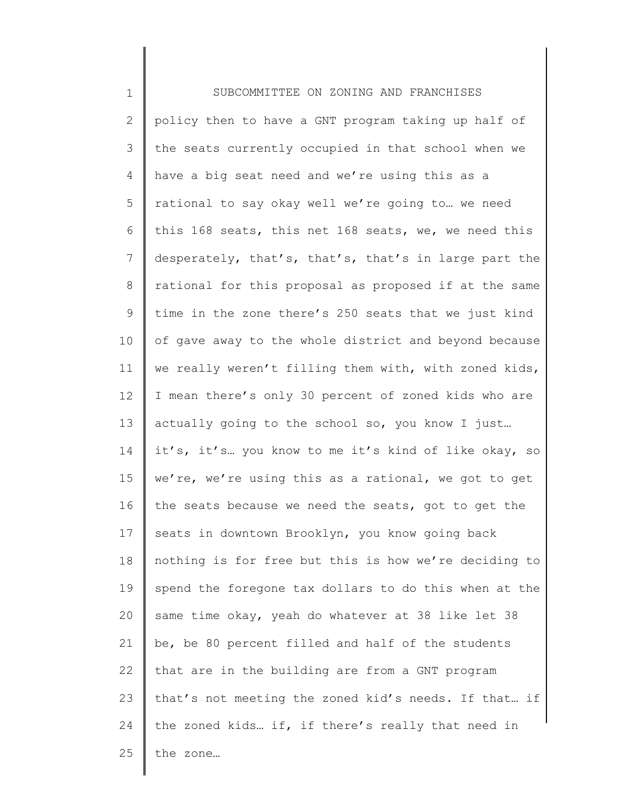1 2 3 4 5 6 7 8 9 10 11 12 13 14 15 16 17 18 19 20 21 22 23 24 25 SUBCOMMITTEE ON ZONING AND FRANCHISES policy then to have a GNT program taking up half of the seats currently occupied in that school when we have a big seat need and we're using this as a rational to say okay well we're going to… we need this 168 seats, this net 168 seats, we, we need this desperately, that's, that's, that's in large part the rational for this proposal as proposed if at the same time in the zone there's 250 seats that we just kind of gave away to the whole district and beyond because we really weren't filling them with, with zoned kids, I mean there's only 30 percent of zoned kids who are actually going to the school so, you know I just… it's, it's… you know to me it's kind of like okay, so we're, we're using this as a rational, we got to get the seats because we need the seats, got to get the seats in downtown Brooklyn, you know going back nothing is for free but this is how we're deciding to spend the foregone tax dollars to do this when at the same time okay, yeah do whatever at 38 like let 38 be, be 80 percent filled and half of the students that are in the building are from a GNT program that's not meeting the zoned kid's needs. If that… if the zoned kids… if, if there's really that need in the zone…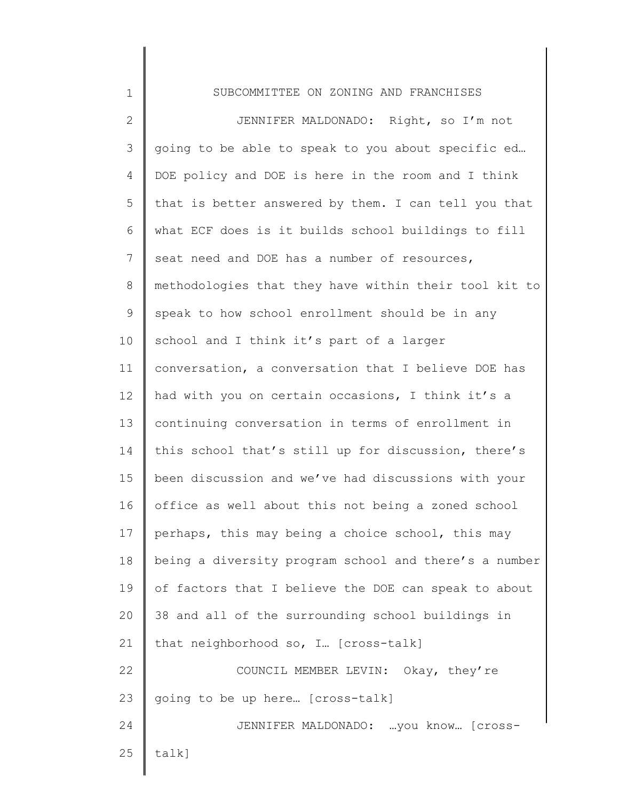| $\mathbf 1$    | SUBCOMMITTEE ON ZONING AND FRANCHISES                 |
|----------------|-------------------------------------------------------|
| $\mathbf{2}$   | JENNIFER MALDONADO: Right, so I'm not                 |
| 3              | going to be able to speak to you about specific ed    |
| 4              | DOE policy and DOE is here in the room and I think    |
| 5              | that is better answered by them. I can tell you that  |
| 6              | what ECF does is it builds school buildings to fill   |
| $\overline{7}$ | seat need and DOE has a number of resources,          |
| $\,8\,$        | methodologies that they have within their tool kit to |
| $\mathsf 9$    | speak to how school enrollment should be in any       |
| 10             | school and I think it's part of a larger              |
| 11             | conversation, a conversation that I believe DOE has   |
| 12             | had with you on certain occasions, I think it's a     |
| 13             | continuing conversation in terms of enrollment in     |
| 14             | this school that's still up for discussion, there's   |
| 15             | been discussion and we've had discussions with your   |
| 16             | office as well about this not being a zoned school    |
| 17             | perhaps, this may being a choice school, this may     |
| 18             | being a diversity program school and there's a number |
| 19             | of factors that I believe the DOE can speak to about  |
| 20             | 38 and all of the surrounding school buildings in     |
| 21             | that neighborhood so, I [cross-talk]                  |
| 22             | COUNCIL MEMBER LEVIN: Okay, they're                   |
| 23             | going to be up here [cross-talk]                      |
| 24             | JENNIFER MALDONADO:  you know [Cross-                 |
| 25             | talk]                                                 |
|                |                                                       |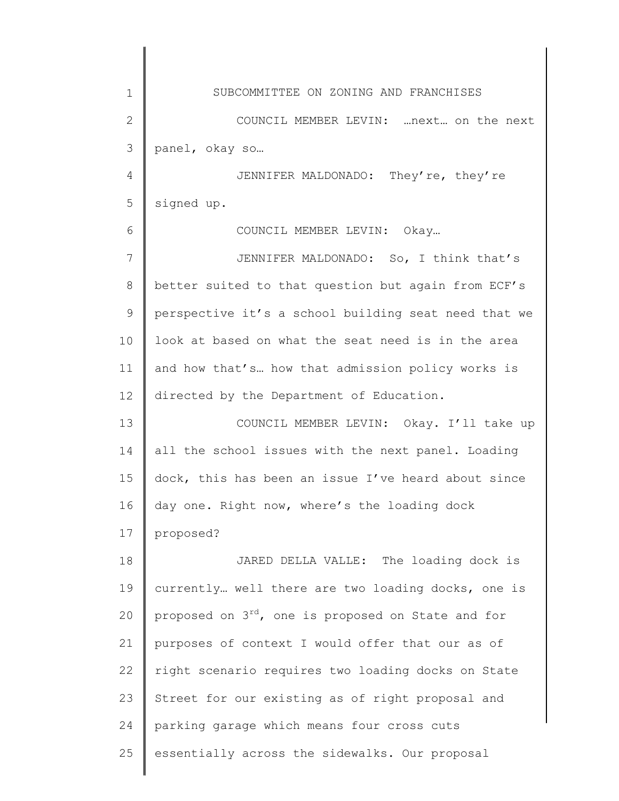| $\mathbf 1$    | SUBCOMMITTEE ON ZONING AND FRANCHISES                          |
|----------------|----------------------------------------------------------------|
| $\mathbf{2}$   | COUNCIL MEMBER LEVIN:  next on the next                        |
| 3              | panel, okay so                                                 |
| $\overline{4}$ | JENNIFER MALDONADO: They're, they're                           |
| 5              | signed up.                                                     |
| 6              | COUNCIL MEMBER LEVIN: Okay                                     |
| 7              | JENNIFER MALDONADO: So, I think that's                         |
| $8\,$          | better suited to that question but again from ECF's            |
| $\mathcal{G}$  | perspective it's a school building seat need that we           |
| 10             | look at based on what the seat need is in the area             |
| 11             | and how that's how that admission policy works is              |
| 12             | directed by the Department of Education.                       |
| 13             | COUNCIL MEMBER LEVIN: Okay. I'll take up                       |
| 14             | all the school issues with the next panel. Loading             |
| 15             | dock, this has been an issue I've heard about since            |
| 16             | day one. Right now, where's the loading dock                   |
| 17             | proposed?                                                      |
| 18             | JARED DELLA VALLE: The loading dock is                         |
| 19             | currently well there are two loading docks, one is             |
| 20             | proposed on 3 <sup>rd</sup> , one is proposed on State and for |
| 21             | purposes of context I would offer that our as of               |
| 22             | right scenario requires two loading docks on State             |
| 23             | Street for our existing as of right proposal and               |
| 24             | parking garage which means four cross cuts                     |
| 25             | essentially across the sidewalks. Our proposal                 |
|                |                                                                |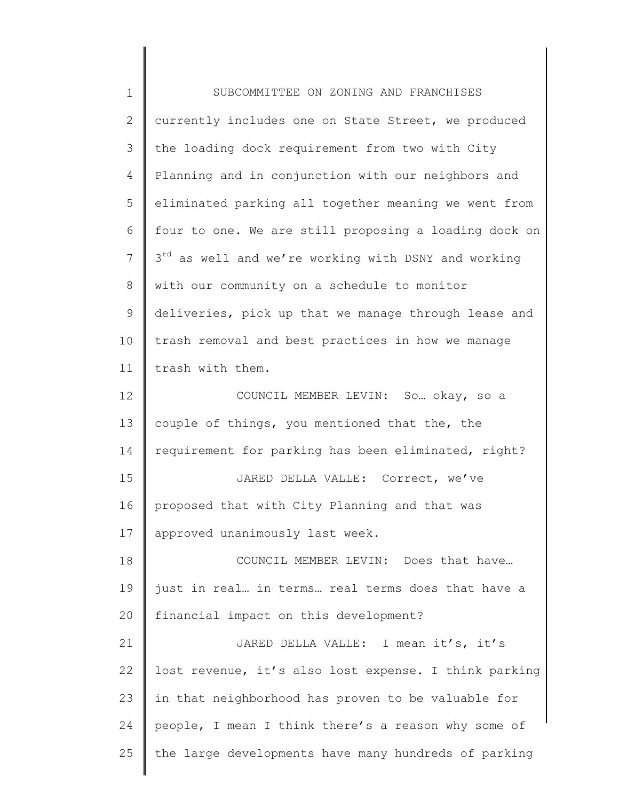| $\mathbf 1$    | SUBCOMMITTEE ON ZONING AND FRANCHISES                           |
|----------------|-----------------------------------------------------------------|
| $\overline{2}$ | currently includes one on State Street, we produced             |
| 3              | the loading dock requirement from two with City                 |
| 4              | Planning and in conjunction with our neighbors and              |
| 5              | eliminated parking all together meaning we went from            |
| 6              | four to one. We are still proposing a loading dock on           |
| $\overline{7}$ | 3 <sup>rd</sup> as well and we're working with DSNY and working |
| 8              | with our community on a schedule to monitor                     |
| 9              | deliveries, pick up that we manage through lease and            |
| 10             | trash removal and best practices in how we manage               |
| 11             | trash with them.                                                |
| 12             | COUNCIL MEMBER LEVIN: So okay, so a                             |
| 13             | couple of things, you mentioned that the, the                   |
| 14             | requirement for parking has been eliminated, right?             |
| 15             | JARED DELLA VALLE: Correct, we've                               |
| 16             | proposed that with City Planning and that was                   |
| 17             | approved unanimously last week.                                 |
| 18             | COUNCIL MEMBER LEVIN: Does that have                            |
| 19             | just in real in terms real terms does that have a               |
| 20             | financial impact on this development?                           |
| 21             | JARED DELLA VALLE: I mean it's, it's                            |
| 22             | lost revenue, it's also lost expense. I think parking           |
| 23             | in that neighborhood has proven to be valuable for              |
| 24             | people, I mean I think there's a reason why some of             |
| 25             | the large developments have many hundreds of parking            |
|                |                                                                 |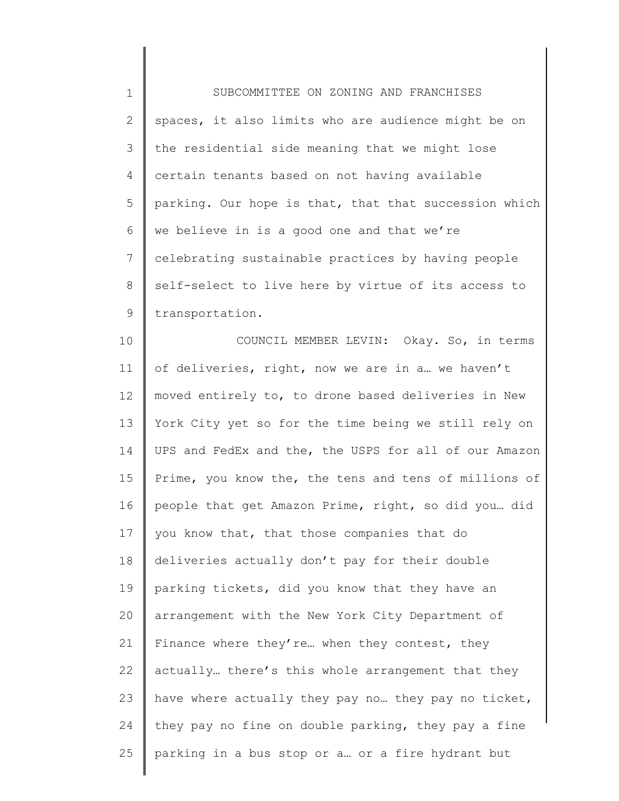1 2 3 4 5 6 7 8 9 10 11 12 13 14 15 16 17 18 19 20 21 22 SUBCOMMITTEE ON ZONING AND FRANCHISES spaces, it also limits who are audience might be on the residential side meaning that we might lose certain tenants based on not having available parking. Our hope is that, that that succession which we believe in is a good one and that we're celebrating sustainable practices by having people self-select to live here by virtue of its access to transportation. COUNCIL MEMBER LEVIN: Okay. So, in terms of deliveries, right, now we are in a… we haven't moved entirely to, to drone based deliveries in New York City yet so for the time being we still rely on UPS and FedEx and the, the USPS for all of our Amazon Prime, you know the, the tens and tens of millions of people that get Amazon Prime, right, so did you… did you know that, that those companies that do deliveries actually don't pay for their double parking tickets, did you know that they have an arrangement with the New York City Department of Finance where they're… when they contest, they actually… there's this whole arrangement that they

have where actually they pay no… they pay no ticket,

they pay no fine on double parking, they pay a fine

parking in a bus stop or a… or a fire hydrant but

23

24

25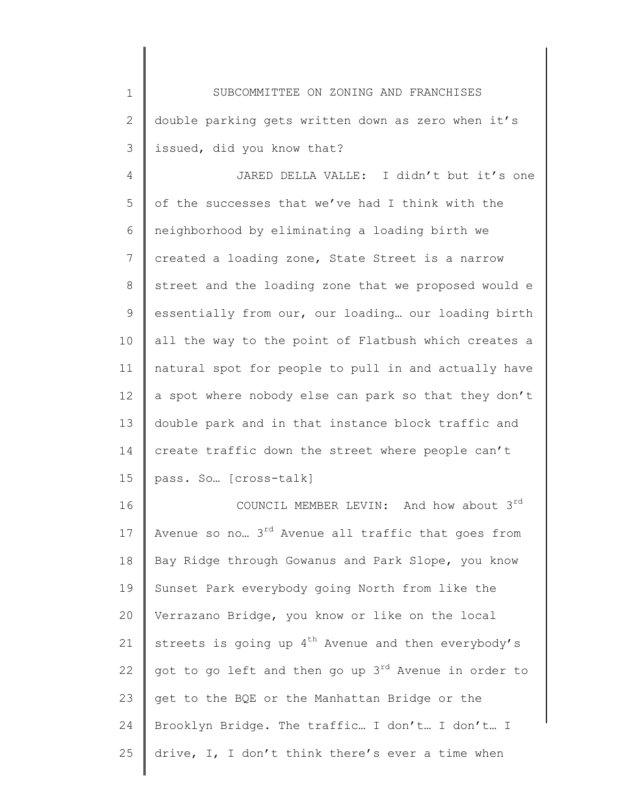1 2 3 SUBCOMMITTEE ON ZONING AND FRANCHISES double parking gets written down as zero when it's issued, did you know that?

4 5 6 7 8 9 10 11 12 13 14 15 JARED DELLA VALLE: I didn't but it's one of the successes that we've had I think with the neighborhood by eliminating a loading birth we created a loading zone, State Street is a narrow street and the loading zone that we proposed would e essentially from our, our loading… our loading birth all the way to the point of Flatbush which creates a natural spot for people to pull in and actually have a spot where nobody else can park so that they don't double park and in that instance block traffic and create traffic down the street where people can't pass. So… [cross-talk]

16 17 18 19 20 21 22 23 24 25 COUNCIL MEMBER LEVIN: And how about  $3^{rd}$ Avenue so no...  $3^{rd}$  Avenue all traffic that goes from Bay Ridge through Gowanus and Park Slope, you know Sunset Park everybody going North from like the Verrazano Bridge, you know or like on the local streets is going up  $4^{th}$  Avenue and then everybody's got to go left and then go up  $3<sup>rd</sup>$  Avenue in order to get to the BQE or the Manhattan Bridge or the Brooklyn Bridge. The traffic… I don't… I don't… I drive, I, I don't think there's ever a time when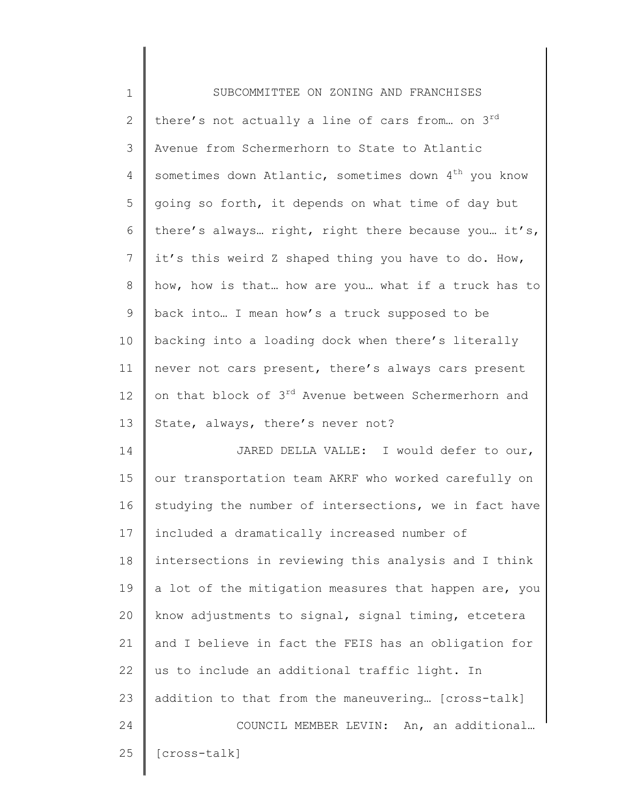| $\mathbf 1$     | SUBCOMMITTEE ON ZONING AND FRANCHISES                            |
|-----------------|------------------------------------------------------------------|
| $\mathbf{2}$    | there's not actually a line of cars from on 3rd                  |
| 3               | Avenue from Schermerhorn to State to Atlantic                    |
| 4               | sometimes down Atlantic, sometimes down 4 <sup>th</sup> you know |
| 5               | going so forth, it depends on what time of day but               |
| 6               | there's always right, right there because you it's,              |
| $7\phantom{.0}$ | it's this weird Z shaped thing you have to do. How,              |
| 8               | how, how is that how are you what if a truck has to              |
| $\mathsf 9$     | back into I mean how's a truck supposed to be                    |
| 10              | backing into a loading dock when there's literally               |
| 11              | never not cars present, there's always cars present              |
| 12              | on that block of 3 <sup>rd</sup> Avenue between Schermerhorn and |
| 13              | State, always, there's never not?                                |
| 14              | JARED DELLA VALLE: I would defer to our,                         |
| 15              | our transportation team AKRF who worked carefully on             |
| 16              | studying the number of intersections, we in fact have            |
| 17              | included a dramatically increased number of                      |
| 18              | intersections in reviewing this analysis and I think             |
| 19              | a lot of the mitigation measures that happen are, you            |
| 20              | know adjustments to signal, signal timing, etcetera              |
| 21              | and I believe in fact the FEIS has an obligation for             |
| 22              | us to include an additional traffic light. In                    |
| 23              | addition to that from the maneuvering [cross-talk]               |
| 24              | COUNCIL MEMBER LEVIN: An, an additional                          |
| 25              | [cross-talk]                                                     |
|                 |                                                                  |

║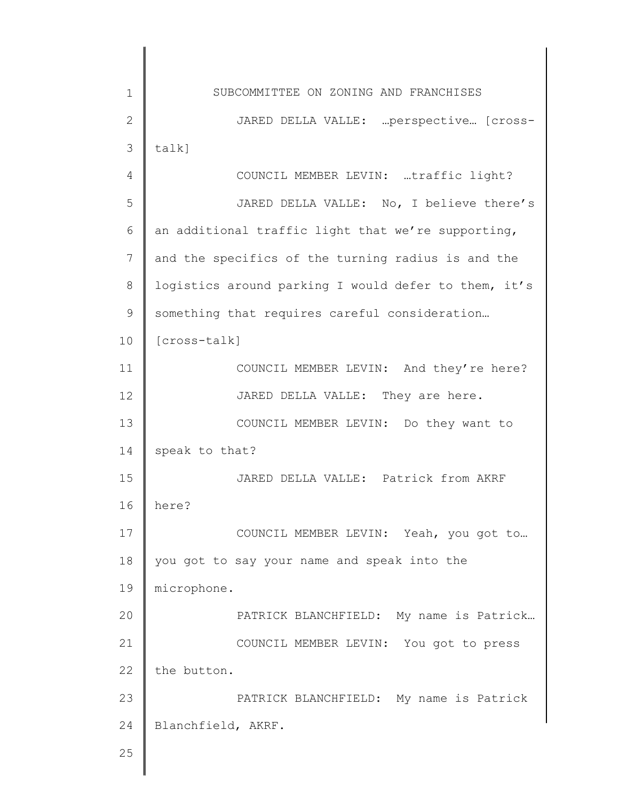1 2 3 4 5 6 7 8 9 10 11 12 13 14 15 16 17 18 19 20 21 22 23 24 25 SUBCOMMITTEE ON ZONING AND FRANCHISES JARED DELLA VALLE: …perspective… [crosstalk] COUNCIL MEMBER LEVIN: …traffic light? JARED DELLA VALLE: No, I believe there's an additional traffic light that we're supporting, and the specifics of the turning radius is and the logistics around parking I would defer to them, it's something that requires careful consideration… [cross-talk] COUNCIL MEMBER LEVIN: And they're here? JARED DELLA VALLE: They are here. COUNCIL MEMBER LEVIN: Do they want to speak to that? JARED DELLA VALLE: Patrick from AKRF here? COUNCIL MEMBER LEVIN: Yeah, you got to… you got to say your name and speak into the microphone. PATRICK BLANCHFIELD: My name is Patrick… COUNCIL MEMBER LEVIN: You got to press the button. PATRICK BLANCHFIELD: My name is Patrick Blanchfield, AKRF.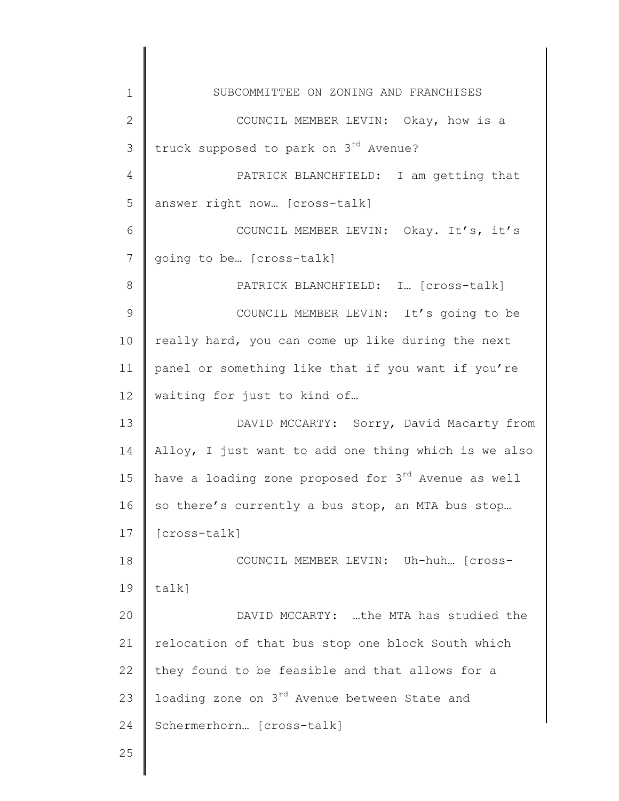| $\mathbf 1$     | SUBCOMMITTEE ON ZONING AND FRANCHISES                |
|-----------------|------------------------------------------------------|
| $\mathbf{2}$    | COUNCIL MEMBER LEVIN: Okay, how is a                 |
| 3               | truck supposed to park on 3 <sup>rd</sup> Avenue?    |
| $\overline{4}$  | PATRICK BLANCHFIELD: I am getting that               |
| 5               | answer right now [cross-talk]                        |
| 6               | COUNCIL MEMBER LEVIN: Okay. It's, it's               |
| $7\phantom{.0}$ | going to be [cross-talk]                             |
| 8               | PATRICK BLANCHFIELD: I [cross-talk]                  |
| $\mathcal{G}$   | COUNCIL MEMBER LEVIN: It's going to be               |
| 10              | really hard, you can come up like during the next    |
| 11              | panel or something like that if you want if you're   |
| 12              | waiting for just to kind of                          |
| 13              | DAVID MCCARTY: Sorry, David Macarty from             |
| 14              | Alloy, I just want to add one thing which is we also |
| 15              | have a loading zone proposed for 3rd Avenue as well  |
| 16              | so there's currently a bus stop, an MTA bus stop     |
| 17              | [cross-talk]                                         |
| 18              | COUNCIL MEMBER LEVIN: Uh-huh [cross-                 |
| 19              | talk]                                                |
| 20              | DAVID MCCARTY: the MTA has studied the               |
| 21              | relocation of that bus stop one block South which    |
| 22              | they found to be feasible and that allows for a      |
| 23              | loading zone on 3rd Avenue between State and         |
| 24              | Schermerhorn [cross-talk]                            |
| 25              |                                                      |
|                 |                                                      |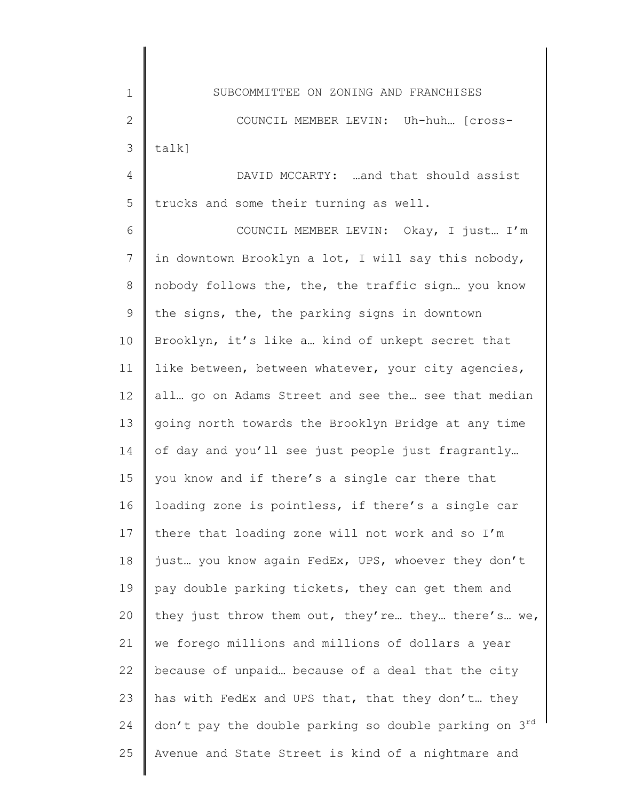3 talk]

1

2

4 5 DAVID MCCARTY: …and that should assist trucks and some their turning as well.

6 7 8 9 10 11 12 13 14 15 16 17 18 19 20 21 22 23 24 25 COUNCIL MEMBER LEVIN: Okay, I just… I'm in downtown Brooklyn a lot, I will say this nobody, nobody follows the, the, the traffic sign… you know the signs, the, the parking signs in downtown Brooklyn, it's like a… kind of unkept secret that like between, between whatever, your city agencies, all… go on Adams Street and see the… see that median going north towards the Brooklyn Bridge at any time of day and you'll see just people just fragrantly… you know and if there's a single car there that loading zone is pointless, if there's a single car there that loading zone will not work and so I'm just… you know again FedEx, UPS, whoever they don't pay double parking tickets, they can get them and they just throw them out, they're… they… there's… we, we forego millions and millions of dollars a year because of unpaid… because of a deal that the city has with FedEx and UPS that, that they don't… they don't pay the double parking so double parking on  $3^{rd}$ Avenue and State Street is kind of a nightmare and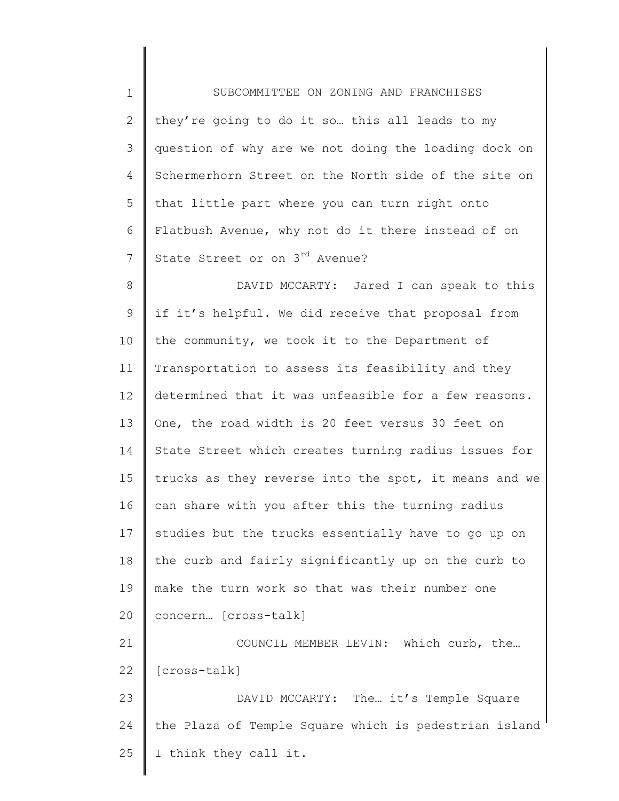| $\mathbf 1$  | SUBCOMMITTEE ON ZONING AND FRANCHISES                 |
|--------------|-------------------------------------------------------|
| $\mathbf{2}$ | they're going to do it so this all leads to my        |
| 3            | question of why are we not doing the loading dock on  |
| 4            | Schermerhorn Street on the North side of the site on  |
| 5            | that little part where you can turn right onto        |
| 6            | Flatbush Avenue, why not do it there instead of on    |
| 7            | State Street or on 3rd Avenue?                        |
| 8            | DAVID MCCARTY: Jared I can speak to this              |
| 9            | if it's helpful. We did receive that proposal from    |
| 10           | the community, we took it to the Department of        |
| 11           | Transportation to assess its feasibility and they     |
| 12           | determined that it was unfeasible for a few reasons.  |
| 13           | One, the road width is 20 feet versus 30 feet on      |
| 14           | State Street which creates turning radius issues for  |
| 15           | trucks as they reverse into the spot, it means and we |
| 16           | can share with you after this the turning radius      |
| 17           | studies but the trucks essentially have to go up on   |
| 18           | the curb and fairly significantly up on the curb to   |
| 19           | make the turn work so that was their number one       |
| 20           | concern [cross-talk]                                  |
| 21           | COUNCIL MEMBER LEVIN: Which curb, the                 |
| 22           | [cross-talk]                                          |
| 23           | DAVID MCCARTY: The it's Temple Square                 |
| 24           | the Plaza of Temple Square which is pedestrian island |
| 25           | I think they call it.                                 |
|              |                                                       |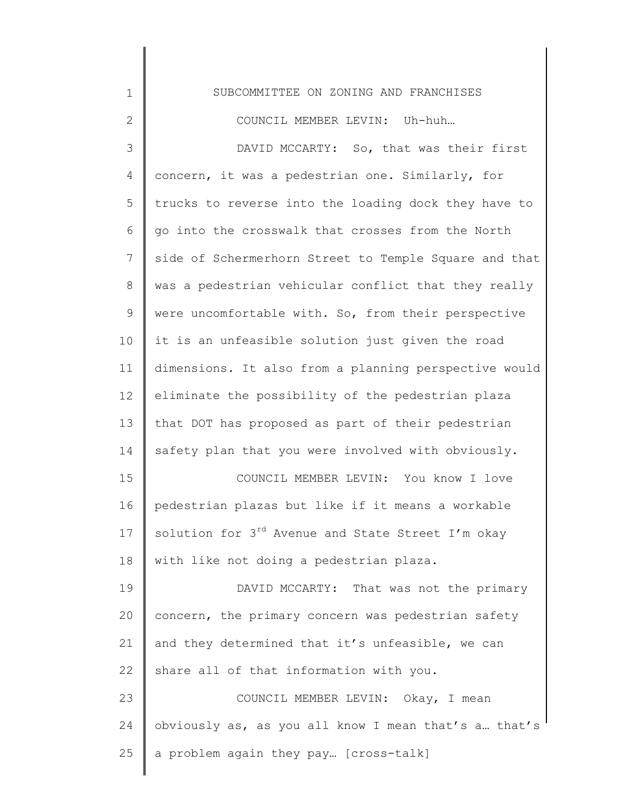| 1              | SUBCOMMITTEE ON ZONING AND FRANCHISES                         |
|----------------|---------------------------------------------------------------|
| $\overline{2}$ | COUNCIL MEMBER LEVIN: Uh-huh                                  |
| 3              | DAVID MCCARTY: So, that was their first                       |
| 4              | concern, it was a pedestrian one. Similarly, for              |
| 5              | trucks to reverse into the loading dock they have to          |
| 6              | go into the crosswalk that crosses from the North             |
| 7              | side of Schermerhorn Street to Temple Square and that         |
| 8              | was a pedestrian vehicular conflict that they really          |
| 9              | were uncomfortable with. So, from their perspective           |
| 10             | it is an unfeasible solution just given the road              |
| 11             | dimensions. It also from a planning perspective would         |
| 12             | eliminate the possibility of the pedestrian plaza             |
| 13             | that DOT has proposed as part of their pedestrian             |
| 14             | safety plan that you were involved with obviously.            |
| 15             | COUNCIL MEMBER LEVIN: You know I love                         |
| 16             | pedestrian plazas but like if it means a workable             |
| 17             | solution for 3 <sup>rd</sup> Avenue and State Street I'm okay |
| 18             | with like not doing a pedestrian plaza.                       |
| 19             | DAVID MCCARTY: That was not the primary                       |
| 20             | concern, the primary concern was pedestrian safety            |
| 21             | and they determined that it's unfeasible, we can              |
| 22             | share all of that information with you.                       |
| 23             | COUNCIL MEMBER LEVIN: Okay, I mean                            |
| 24             | obviously as, as you all know I mean that's a that's          |
| 25             | a problem again they pay [cross-talk]                         |
|                |                                                               |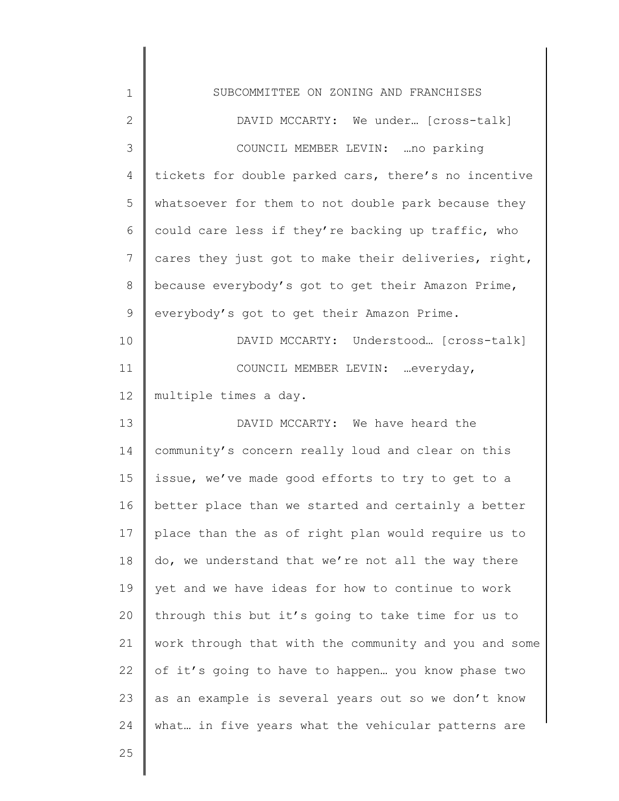| $\mathbf 1$     | SUBCOMMITTEE ON ZONING AND FRANCHISES                 |
|-----------------|-------------------------------------------------------|
| $\mathbf{2}$    | DAVID MCCARTY: We under [cross-talk]                  |
| 3               | COUNCIL MEMBER LEVIN:  no parking                     |
| 4               | tickets for double parked cars, there's no incentive  |
| 5               | whatsoever for them to not double park because they   |
| 6               | could care less if they're backing up traffic, who    |
| $7\phantom{.0}$ | cares they just got to make their deliveries, right,  |
| 8               | because everybody's got to get their Amazon Prime,    |
| 9               | everybody's got to get their Amazon Prime.            |
| 10              | DAVID MCCARTY: Understood [cross-talk]                |
| 11              | COUNCIL MEMBER LEVIN:  everyday,                      |
| 12              | multiple times a day.                                 |
| 13              | DAVID MCCARTY: We have heard the                      |
| 14              | community's concern really loud and clear on this     |
| 15              | issue, we've made good efforts to try to get to a     |
| 16              | better place than we started and certainly a better   |
| 17              | place than the as of right plan would require us to   |
| 18              | do, we understand that we're not all the way there    |
| 19              | yet and we have ideas for how to continue to work     |
| 20              | through this but it's going to take time for us to    |
| 21              | work through that with the community and you and some |
| 22              | of it's going to have to happen you know phase two    |
| 23              | as an example is several years out so we don't know   |
| 24              | what in five years what the vehicular patterns are    |
| 25              |                                                       |

∥ ∥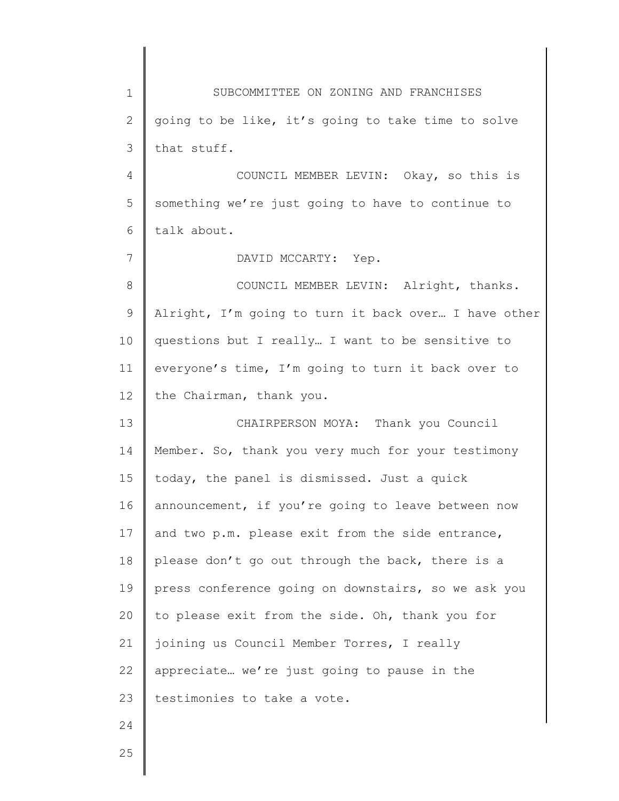| $\mathbf 1$     | SUBCOMMITTEE ON ZONING AND FRANCHISES                |
|-----------------|------------------------------------------------------|
| $\overline{2}$  | going to be like, it's going to take time to solve   |
| 3               | that stuff.                                          |
| 4               | COUNCIL MEMBER LEVIN: Okay, so this is               |
| 5               | something we're just going to have to continue to    |
| 6               | talk about.                                          |
| $7\overline{ }$ | DAVID MCCARTY: Yep.                                  |
| 8               | COUNCIL MEMBER LEVIN: Alright, thanks.               |
| 9               | Alright, I'm going to turn it back over I have other |
| 10              | questions but I really I want to be sensitive to     |
| 11              | everyone's time, I'm going to turn it back over to   |
| 12              | the Chairman, thank you.                             |
| 13              | CHAIRPERSON MOYA: Thank you Council                  |
| 14              | Member. So, thank you very much for your testimony   |
| 15              | today, the panel is dismissed. Just a quick          |
| 16              | announcement, if you're going to leave between now   |
| 17              | and two p.m. please exit from the side entrance,     |
| 18              | please don't go out through the back, there is a     |
| 19              | press conference going on downstairs, so we ask you  |
| 20              | to please exit from the side. Oh, thank you for      |
| 21              | joining us Council Member Torres, I really           |
| 22              | appreciate we're just going to pause in the          |
| 23              | testimonies to take a vote.                          |
| 24              |                                                      |
| 25              |                                                      |
|                 |                                                      |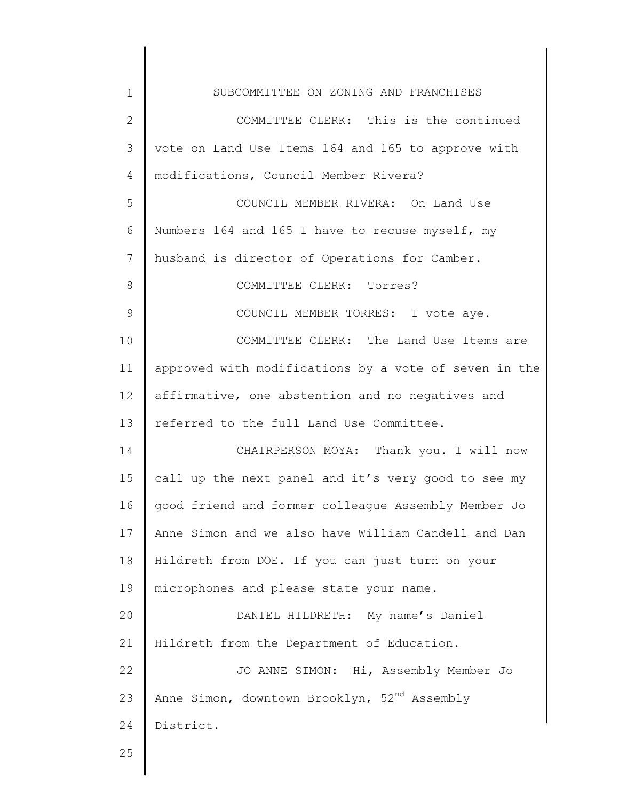| $\mathbf{1}$ | SUBCOMMITTEE ON ZONING AND FRANCHISES                    |
|--------------|----------------------------------------------------------|
| 2            | COMMITTEE CLERK: This is the continued                   |
| 3            | vote on Land Use Items 164 and 165 to approve with       |
| 4            | modifications, Council Member Rivera?                    |
| 5            | COUNCIL MEMBER RIVERA: On Land Use                       |
| 6            | Numbers 164 and 165 I have to recuse myself, my          |
| 7            | husband is director of Operations for Camber.            |
| 8            | COMMITTEE CLERK: Torres?                                 |
| 9            | COUNCIL MEMBER TORRES: I vote aye.                       |
| 10           | COMMITTEE CLERK: The Land Use Items are                  |
| 11           | approved with modifications by a vote of seven in the    |
| 12           | affirmative, one abstention and no negatives and         |
| 13           | referred to the full Land Use Committee.                 |
| 14           | CHAIRPERSON MOYA: Thank you. I will now                  |
| 15           | call up the next panel and it's very good to see my      |
| 16           | good friend and former colleague Assembly Member Jo      |
| 17           | Anne Simon and we also have William Candell and Dan      |
| 18           | Hildreth from DOE. If you can just turn on your          |
| 19           | microphones and please state your name.                  |
| 20           | DANIEL HILDRETH: My name's Daniel                        |
| 21           | Hildreth from the Department of Education.               |
| 22           | JO ANNE SIMON: Hi, Assembly Member Jo                    |
| 23           | Anne Simon, downtown Brooklyn, 52 <sup>nd</sup> Assembly |
| 24           | District.                                                |
| 25           |                                                          |
|              |                                                          |

 $\begin{array}{c} \hline \end{array}$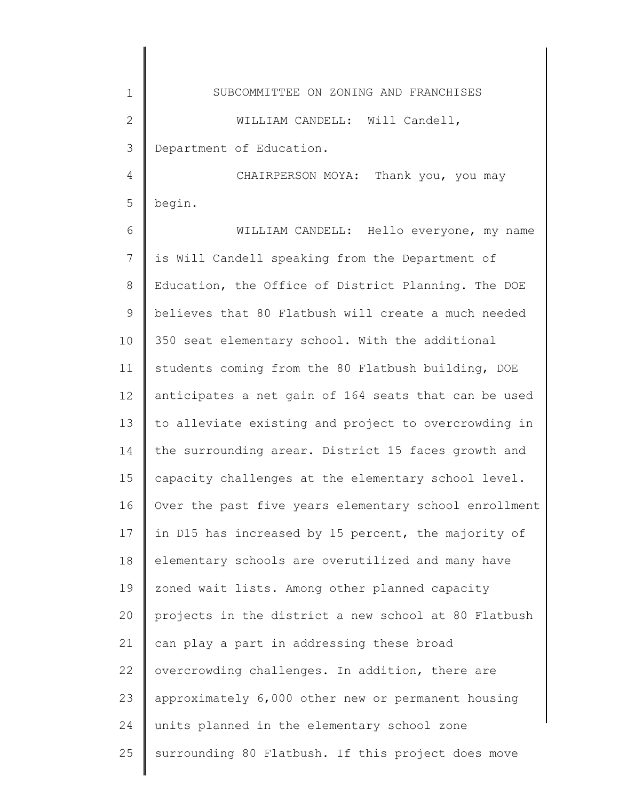1 2 3 4 5 6 7 8 9 10 11 12 13 14 15 16 17 18 19 20 21 22 23 24 25 SUBCOMMITTEE ON ZONING AND FRANCHISES WILLIAM CANDELL: Will Candell, Department of Education. CHAIRPERSON MOYA: Thank you, you may begin. WILLIAM CANDELL: Hello everyone, my name is Will Candell speaking from the Department of Education, the Office of District Planning. The DOE believes that 80 Flatbush will create a much needed 350 seat elementary school. With the additional students coming from the 80 Flatbush building, DOE anticipates a net gain of 164 seats that can be used to alleviate existing and project to overcrowding in the surrounding arear. District 15 faces growth and capacity challenges at the elementary school level. Over the past five years elementary school enrollment in D15 has increased by 15 percent, the majority of elementary schools are overutilized and many have zoned wait lists. Among other planned capacity projects in the district a new school at 80 Flatbush can play a part in addressing these broad overcrowding challenges. In addition, there are approximately 6,000 other new or permanent housing units planned in the elementary school zone surrounding 80 Flatbush. If this project does move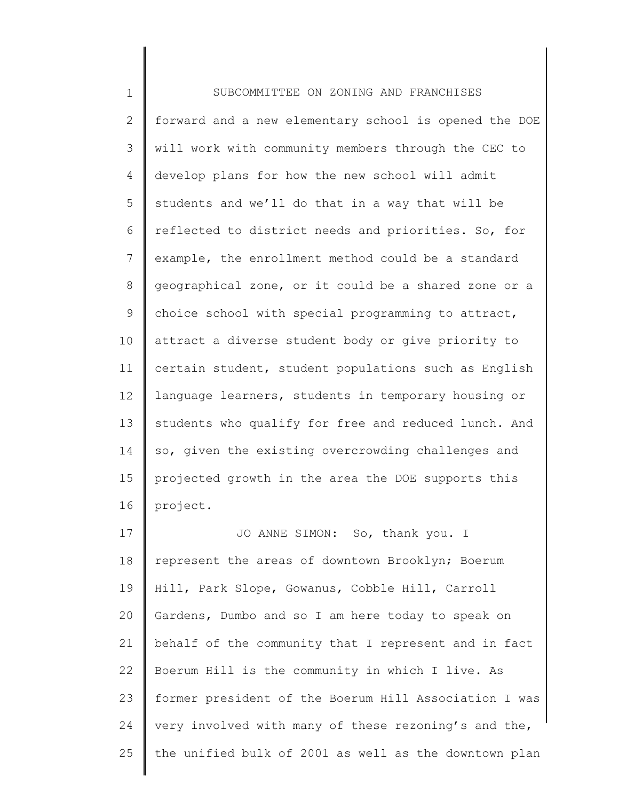1 2 3 4 5 6 7 8 9 10 11 12 13 14 15 16 17 18 19 SUBCOMMITTEE ON ZONING AND FRANCHISES forward and a new elementary school is opened the DOE will work with community members through the CEC to develop plans for how the new school will admit students and we'll do that in a way that will be reflected to district needs and priorities. So, for example, the enrollment method could be a standard geographical zone, or it could be a shared zone or a choice school with special programming to attract, attract a diverse student body or give priority to certain student, student populations such as English language learners, students in temporary housing or students who qualify for free and reduced lunch. And so, given the existing overcrowding challenges and projected growth in the area the DOE supports this project. JO ANNE SIMON: So, thank you. I represent the areas of downtown Brooklyn; Boerum Hill, Park Slope, Gowanus, Cobble Hill, Carroll Gardens, Dumbo and so I am here today to speak on

20 21 22 23 24 25 behalf of the community that I represent and in fact Boerum Hill is the community in which I live. As former president of the Boerum Hill Association I was very involved with many of these rezoning's and the, the unified bulk of 2001 as well as the downtown plan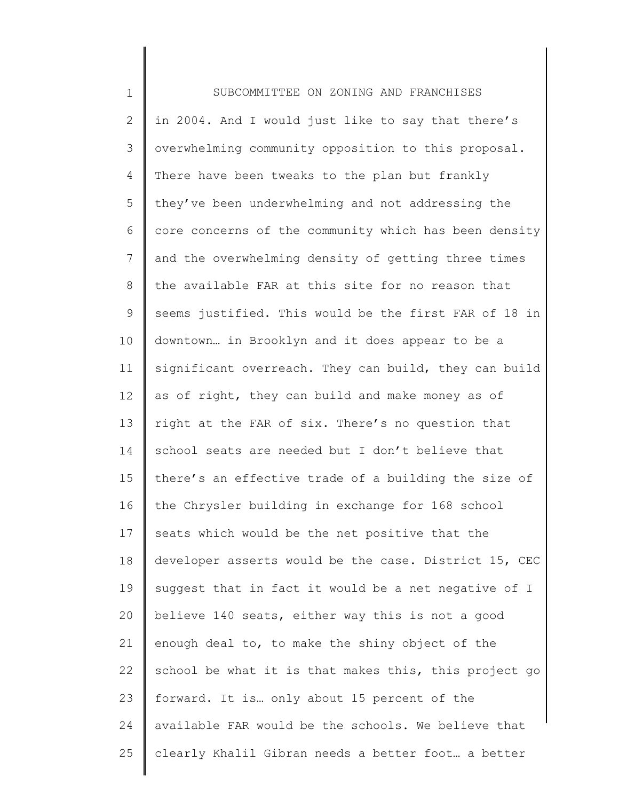| $\mathbf 1$    | SUBCOMMITTEE ON ZONING AND FRANCHISES                 |
|----------------|-------------------------------------------------------|
| $\mathbf{2}$   | in 2004. And I would just like to say that there's    |
| 3              | overwhelming community opposition to this proposal.   |
| 4              | There have been tweaks to the plan but frankly        |
| 5              | they've been underwhelming and not addressing the     |
| 6              | core concerns of the community which has been density |
| $\overline{7}$ | and the overwhelming density of getting three times   |
| 8              | the available FAR at this site for no reason that     |
| 9              | seems justified. This would be the first FAR of 18 in |
| 10             | downtown in Brooklyn and it does appear to be a       |
| 11             | significant overreach. They can build, they can build |
| 12             | as of right, they can build and make money as of      |
| 13             | right at the FAR of six. There's no question that     |
| 14             | school seats are needed but I don't believe that      |
| 15             | there's an effective trade of a building the size of  |
| 16             | the Chrysler building in exchange for 168 school      |
| 17             | seats which would be the net positive that the        |
| 18             | developer asserts would be the case. District 15, CEC |
| 19             | suggest that in fact it would be a net negative of I  |
| 20             | believe 140 seats, either way this is not a good      |
| 21             | enough deal to, to make the shiny object of the       |
| 22             | school be what it is that makes this, this project go |
| 23             | forward. It is only about 15 percent of the           |
| 24             | available FAR would be the schools. We believe that   |
| 25             | clearly Khalil Gibran needs a better foot a better    |
|                |                                                       |

∥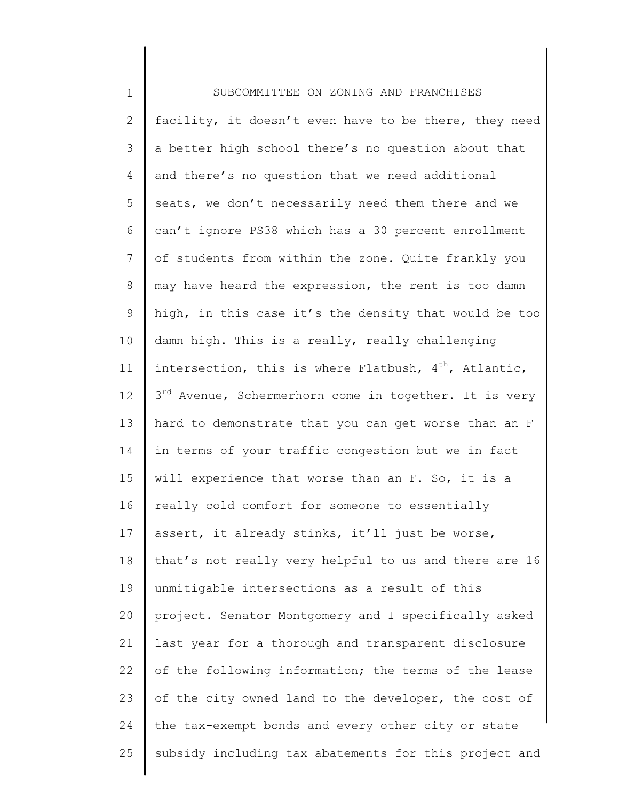| $\mathbf 1$    | SUBCOMMITTEE ON ZONING AND FRANCHISES                             |
|----------------|-------------------------------------------------------------------|
| $\mathbf{2}$   | facility, it doesn't even have to be there, they need             |
| 3              | a better high school there's no question about that               |
| 4              | and there's no question that we need additional                   |
| 5              | seats, we don't necessarily need them there and we                |
| 6              | can't ignore PS38 which has a 30 percent enrollment               |
| $7\phantom{.}$ | of students from within the zone. Quite frankly you               |
| 8              | may have heard the expression, the rent is too damn               |
| 9              | high, in this case it's the density that would be too             |
| 10             | damn high. This is a really, really challenging                   |
| 11             | intersection, this is where Flatbush, $4^{th}$ , Atlantic,        |
| 12             | 3 <sup>rd</sup> Avenue, Schermerhorn come in together. It is very |
| 13             | hard to demonstrate that you can get worse than an F              |
| 14             | in terms of your traffic congestion but we in fact                |
| 15             | will experience that worse than an F. So, it is a                 |
| 16             | really cold comfort for someone to essentially                    |
| 17             | assert, it already stinks, it'll just be worse,                   |
| 18             | that's not really very helpful to us and there are 16             |
| 19             | unmitigable intersections as a result of this                     |
| 20             | project. Senator Montgomery and I specifically asked              |
| 21             | last year for a thorough and transparent disclosure               |
| 22             | of the following information; the terms of the lease              |
| 23             | of the city owned land to the developer, the cost of              |
| 24             | the tax-exempt bonds and every other city or state                |
| 25             | subsidy including tax abatements for this project and             |
|                |                                                                   |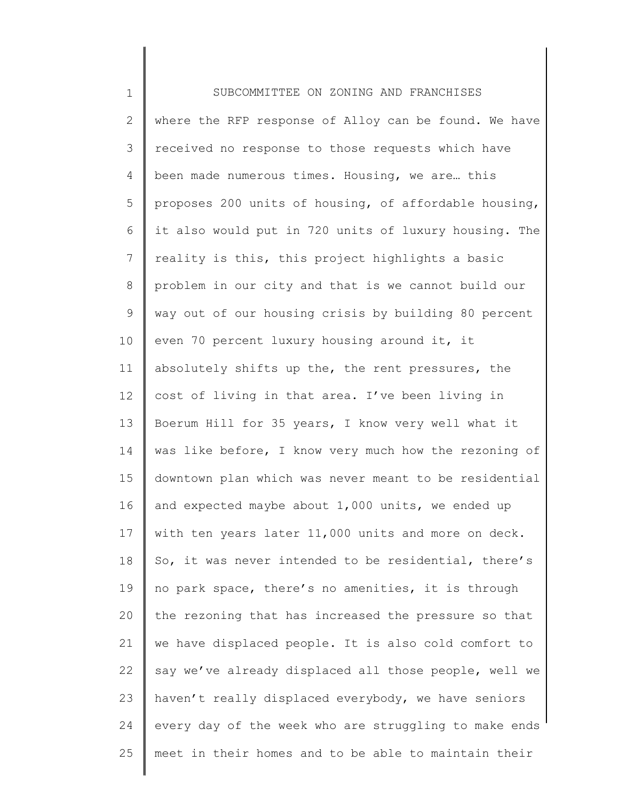1 2 3 4 5 6 7 8 9 10 11 12 13 14 15 16 17 18 19 20 21 22 23 24 25 SUBCOMMITTEE ON ZONING AND FRANCHISES where the RFP response of Alloy can be found. We have received no response to those requests which have been made numerous times. Housing, we are… this proposes 200 units of housing, of affordable housing, it also would put in 720 units of luxury housing. The reality is this, this project highlights a basic problem in our city and that is we cannot build our way out of our housing crisis by building 80 percent even 70 percent luxury housing around it, it absolutely shifts up the, the rent pressures, the cost of living in that area. I've been living in Boerum Hill for 35 years, I know very well what it was like before, I know very much how the rezoning of downtown plan which was never meant to be residential and expected maybe about 1,000 units, we ended up with ten years later 11,000 units and more on deck. So, it was never intended to be residential, there's no park space, there's no amenities, it is through the rezoning that has increased the pressure so that we have displaced people. It is also cold comfort to say we've already displaced all those people, well we haven't really displaced everybody, we have seniors every day of the week who are struggling to make ends meet in their homes and to be able to maintain their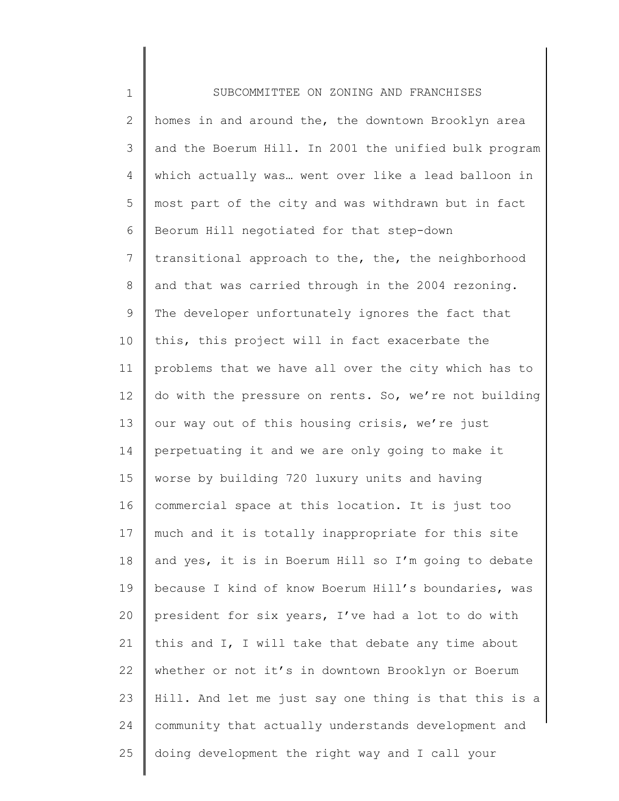1 2 3 4 5 6 7 8 9 10 11 12 13 14 15 16 17 18 19 20 21 22 23 24 25 SUBCOMMITTEE ON ZONING AND FRANCHISES homes in and around the, the downtown Brooklyn area and the Boerum Hill. In 2001 the unified bulk program which actually was… went over like a lead balloon in most part of the city and was withdrawn but in fact Beorum Hill negotiated for that step-down transitional approach to the, the, the neighborhood and that was carried through in the 2004 rezoning. The developer unfortunately ignores the fact that this, this project will in fact exacerbate the problems that we have all over the city which has to do with the pressure on rents. So, we're not building our way out of this housing crisis, we're just perpetuating it and we are only going to make it worse by building 720 luxury units and having commercial space at this location. It is just too much and it is totally inappropriate for this site and yes, it is in Boerum Hill so I'm going to debate because I kind of know Boerum Hill's boundaries, was president for six years, I've had a lot to do with this and I, I will take that debate any time about whether or not it's in downtown Brooklyn or Boerum Hill. And let me just say one thing is that this is a community that actually understands development and doing development the right way and I call your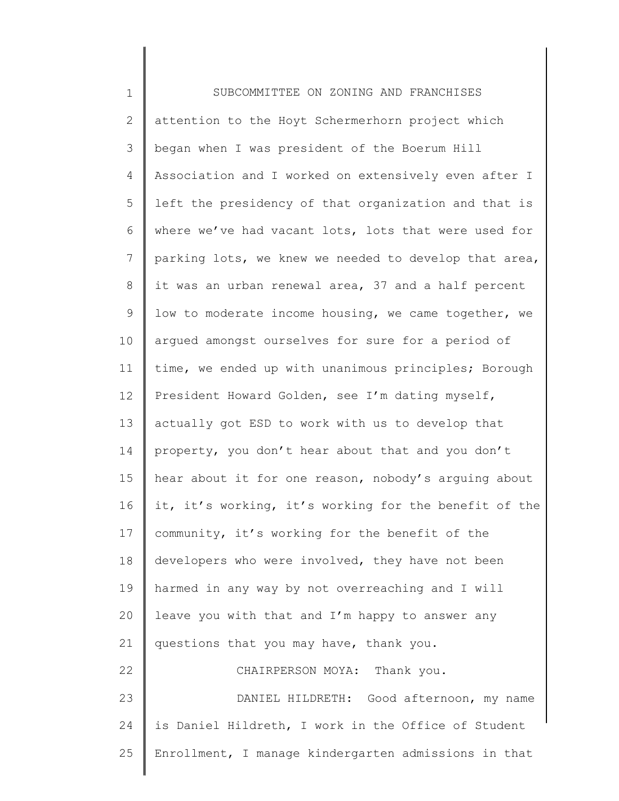1 2 3 4 5 6 7 8 9 10 11 12 13 14 15 16 17 18 19 20 21 22 23 24 25 SUBCOMMITTEE ON ZONING AND FRANCHISES attention to the Hoyt Schermerhorn project which began when I was president of the Boerum Hill Association and I worked on extensively even after I left the presidency of that organization and that is where we've had vacant lots, lots that were used for parking lots, we knew we needed to develop that area, it was an urban renewal area, 37 and a half percent low to moderate income housing, we came together, we argued amongst ourselves for sure for a period of time, we ended up with unanimous principles; Borough President Howard Golden, see I'm dating myself, actually got ESD to work with us to develop that property, you don't hear about that and you don't hear about it for one reason, nobody's arguing about it, it's working, it's working for the benefit of the community, it's working for the benefit of the developers who were involved, they have not been harmed in any way by not overreaching and I will leave you with that and I'm happy to answer any questions that you may have, thank you. CHAIRPERSON MOYA: Thank you. DANIEL HILDRETH: Good afternoon, my name is Daniel Hildreth, I work in the Office of Student Enrollment, I manage kindergarten admissions in that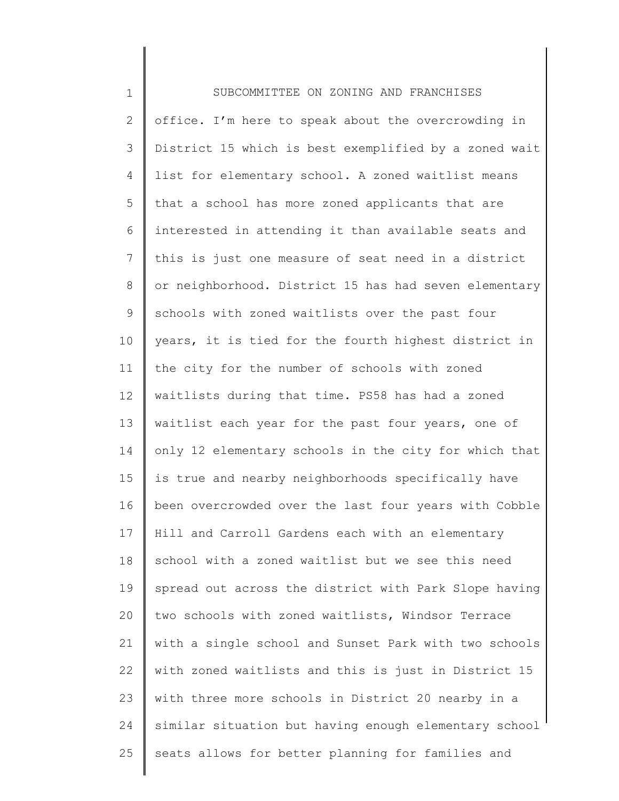| $1\,$          | SUBCOMMITTEE ON ZONING AND FRANCHISES                 |
|----------------|-------------------------------------------------------|
| $\mathbf{2}$   | office. I'm here to speak about the overcrowding in   |
| 3              | District 15 which is best exemplified by a zoned wait |
| 4              | list for elementary school. A zoned waitlist means    |
| 5              | that a school has more zoned applicants that are      |
| 6              | interested in attending it than available seats and   |
| $\overline{7}$ | this is just one measure of seat need in a district   |
| 8              | or neighborhood. District 15 has had seven elementary |
| 9              | schools with zoned waitlists over the past four       |
| 10             | years, it is tied for the fourth highest district in  |
| 11             | the city for the number of schools with zoned         |
| 12             | waitlists during that time. PS58 has had a zoned      |
| 13             | waitlist each year for the past four years, one of    |
| 14             | only 12 elementary schools in the city for which that |
| 15             | is true and nearby neighborhoods specifically have    |
| 16             | been overcrowded over the last four years with Cobble |
| 17             | Hill and Carroll Gardens each with an elementary      |
| 18             | school with a zoned waitlist but we see this need     |
| 19             | spread out across the district with Park Slope having |
| 20             | two schools with zoned waitlists, Windsor Terrace     |
| 21             | with a single school and Sunset Park with two schools |
| 22             | with zoned waitlists and this is just in District 15  |
| 23             | with three more schools in District 20 nearby in a    |
| 24             | similar situation but having enough elementary school |
| 25             | seats allows for better planning for families and     |
|                |                                                       |

║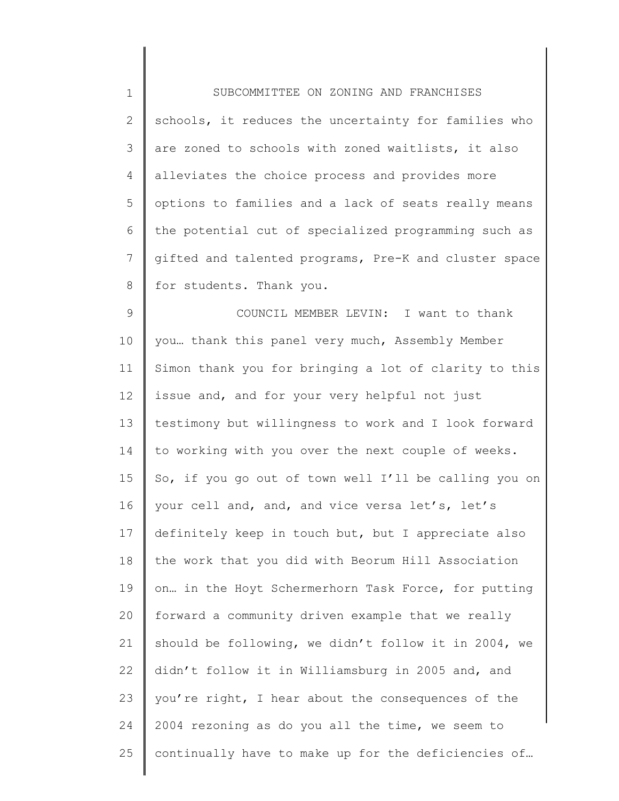| $\mathbf 1$  | SUBCOMMITTEE ON ZONING AND FRANCHISES                 |
|--------------|-------------------------------------------------------|
| $\mathbf{2}$ | schools, it reduces the uncertainty for families who  |
| 3            | are zoned to schools with zoned waitlists, it also    |
| 4            | alleviates the choice process and provides more       |
| 5            | options to families and a lack of seats really means  |
| 6            | the potential cut of specialized programming such as  |
| 7            | gifted and talented programs, Pre-K and cluster space |
| 8            | for students. Thank you.                              |
| $\mathsf 9$  | COUNCIL MEMBER LEVIN: I want to thank                 |
| 10           | you thank this panel very much, Assembly Member       |
| 11           | Simon thank you for bringing a lot of clarity to this |
| 12           | issue and, and for your very helpful not just         |
| 13           | testimony but willingness to work and I look forward  |
| 14           | to working with you over the next couple of weeks.    |
| 15           | So, if you go out of town well I'll be calling you on |
| 16           | your cell and, and, and vice versa let's, let's       |
| 17           | definitely keep in touch but, but I appreciate also   |
| 18           | the work that you did with Beorum Hill Association    |
| 19           | on in the Hoyt Schermerhorn Task Force, for putting   |
| 20           | forward a community driven example that we really     |
| 21           | should be following, we didn't follow it in 2004, we  |
| 22           | didn't follow it in Williamsburg in 2005 and, and     |
| 23           | you're right, I hear about the consequences of the    |
| 24           | 2004 rezoning as do you all the time, we seem to      |
| 25           | continually have to make up for the deficiencies of   |
|              |                                                       |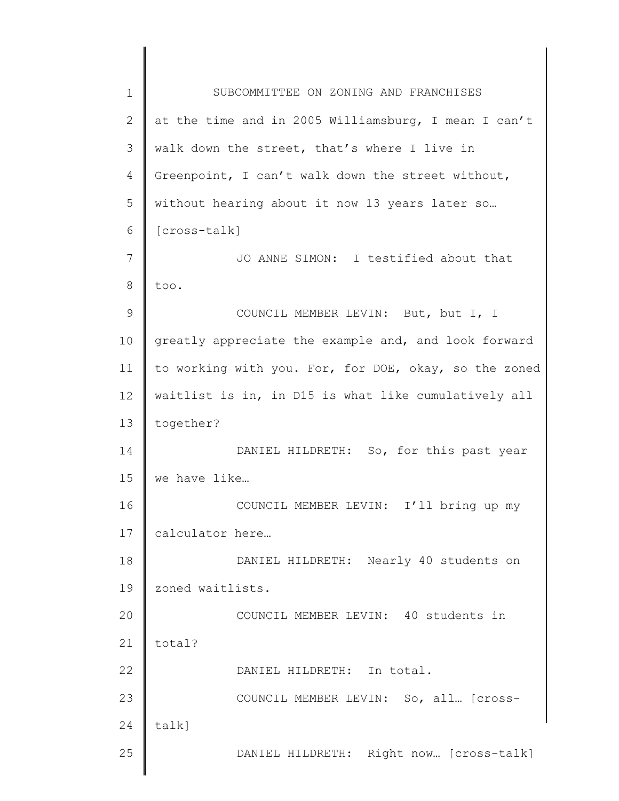1 2 3 4 5 6 7 8 9 10 11 12 13 14 15 16 17 18 19 20 21 22 23 24 25 SUBCOMMITTEE ON ZONING AND FRANCHISES at the time and in 2005 Williamsburg, I mean I can't walk down the street, that's where I live in Greenpoint, I can't walk down the street without, without hearing about it now 13 years later so… [cross-talk] JO ANNE SIMON: I testified about that too. COUNCIL MEMBER LEVIN: But, but I, I greatly appreciate the example and, and look forward to working with you. For, for DOE, okay, so the zoned waitlist is in, in D15 is what like cumulatively all together? DANIEL HILDRETH: So, for this past year we have like… COUNCIL MEMBER LEVIN: I'll bring up my calculator here… DANIEL HILDRETH: Nearly 40 students on zoned waitlists. COUNCIL MEMBER LEVIN: 40 students in total? DANIEL HILDRETH: In total. COUNCIL MEMBER LEVIN: So, all… [crosstalk] DANIEL HILDRETH: Right now… [cross-talk]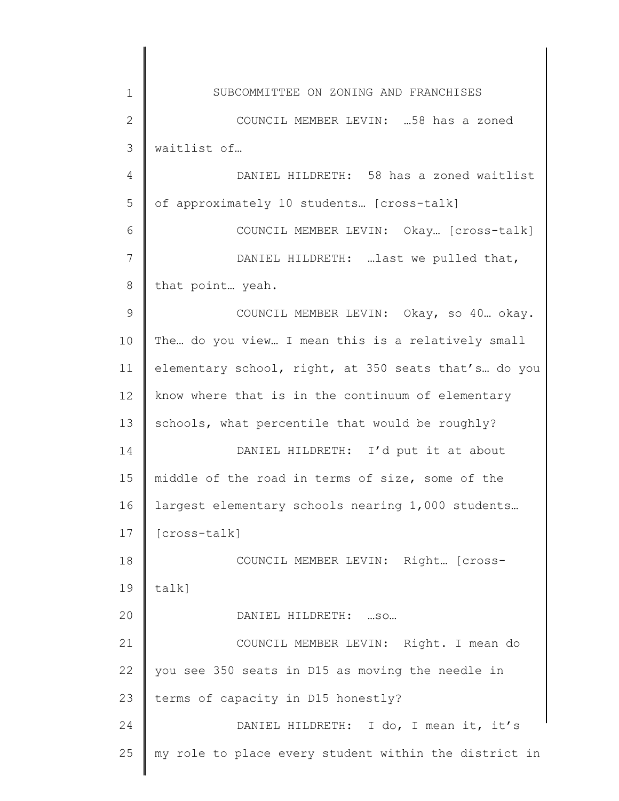| $\mathbf 1$  | SUBCOMMITTEE ON ZONING AND FRANCHISES                 |
|--------------|-------------------------------------------------------|
| $\mathbf{2}$ | COUNCIL MEMBER LEVIN:  58 has a zoned                 |
| 3            | waitlist of                                           |
| 4            | DANIEL HILDRETH: 58 has a zoned waitlist              |
| 5            | of approximately 10 students [cross-talk]             |
| 6            | COUNCIL MEMBER LEVIN: Okay [Cross-talk]               |
| 7            | DANIEL HILDRETH: last we pulled that,                 |
| 8            | that point  yeah.                                     |
| 9            | COUNCIL MEMBER LEVIN: Okay, so 40 okay.               |
| 10           | The do you view I mean this is a relatively small     |
| 11           | elementary school, right, at 350 seats that's do you  |
| 12           | know where that is in the continuum of elementary     |
| 13           | schools, what percentile that would be roughly?       |
| 14           | DANIEL HILDRETH: I'd put it at about                  |
| 15           | middle of the road in terms of size, some of the      |
| 16           | largest elementary schools nearing 1,000 students     |
| 17           | [cross-talk]                                          |
| 18           | COUNCIL MEMBER LEVIN: Right [Cross-                   |
| 19           | $talk$ ]                                              |
| 20           | DANIEL HILDRETH:  SO                                  |
| 21           | COUNCIL MEMBER LEVIN: Right. I mean do                |
| 22           | you see 350 seats in D15 as moving the needle in      |
| 23           | terms of capacity in D15 honestly?                    |
| 24           | DANIEL HILDRETH: I do, I mean it, it's                |
| 25           | my role to place every student within the district in |
|              |                                                       |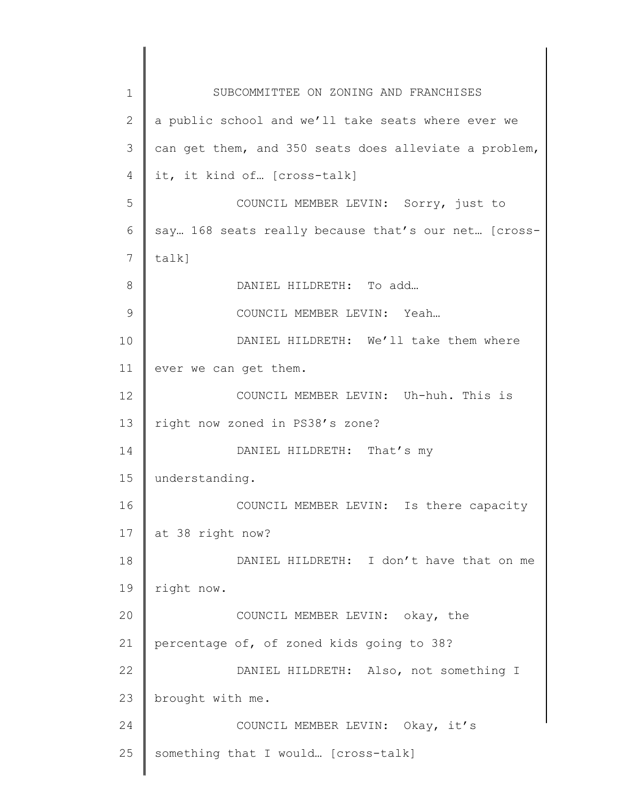| 1  | SUBCOMMITTEE ON ZONING AND FRANCHISES                 |
|----|-------------------------------------------------------|
| 2  | a public school and we'll take seats where ever we    |
| 3  | can get them, and 350 seats does alleviate a problem, |
| 4  | it, it kind of [cross-talk]                           |
| 5  | COUNCIL MEMBER LEVIN: Sorry, just to                  |
| 6  | say 168 seats really because that's our net [cross-   |
| 7  | talk]                                                 |
| 8  | DANIEL HILDRETH: To add                               |
| 9  | COUNCIL MEMBER LEVIN: Yeah                            |
| 10 | DANIEL HILDRETH: We'll take them where                |
| 11 | ever we can get them.                                 |
| 12 | COUNCIL MEMBER LEVIN: Uh-huh. This is                 |
| 13 | right now zoned in PS38's zone?                       |
| 14 | DANIEL HILDRETH: That's my                            |
| 15 | understanding.                                        |
| 16 | COUNCIL MEMBER LEVIN: Is there capacity               |
| 17 | at 38 right now?                                      |
| 18 | DANIEL HILDRETH: I don't have that on me              |
| 19 | right now.                                            |
| 20 | COUNCIL MEMBER LEVIN: okay, the                       |
| 21 | percentage of, of zoned kids going to 38?             |
| 22 | DANIEL HILDRETH: Also, not something I                |
| 23 | brought with me.                                      |
| 24 | COUNCIL MEMBER LEVIN: Okay, it's                      |
| 25 | something that I would [cross-talk]                   |
|    |                                                       |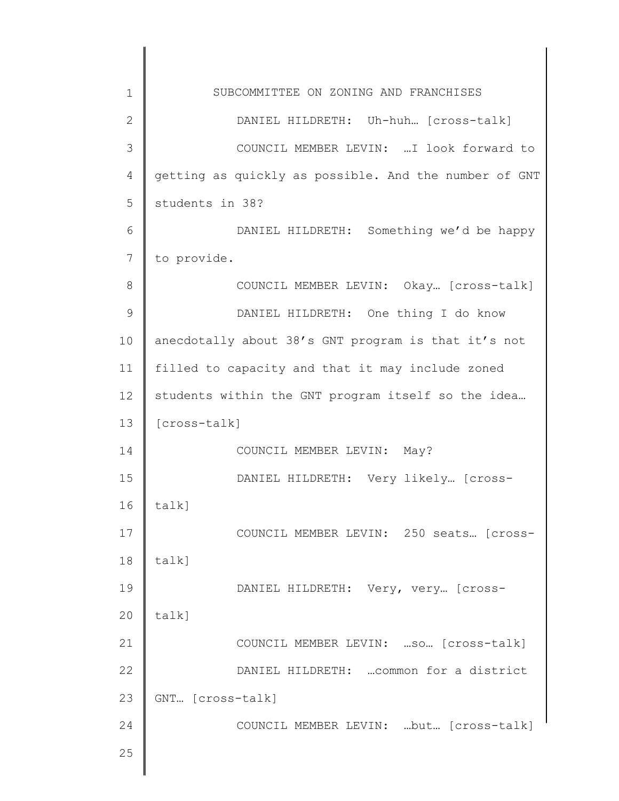| $\mathbf 1$    | SUBCOMMITTEE ON ZONING AND FRANCHISES                 |
|----------------|-------------------------------------------------------|
| $\mathbf{2}$   | DANIEL HILDRETH: Uh-huh [cross-talk]                  |
| 3              | COUNCIL MEMBER LEVIN:  I look forward to              |
| 4              | getting as quickly as possible. And the number of GNT |
| 5              | students in 38?                                       |
| 6              | DANIEL HILDRETH: Something we'd be happy              |
| $\overline{7}$ | to provide.                                           |
| 8              | COUNCIL MEMBER LEVIN: Okay [cross-talk]               |
| $\mathcal{G}$  | DANIEL HILDRETH: One thing I do know                  |
| 10             | anecdotally about 38's GNT program is that it's not   |
| 11             | filled to capacity and that it may include zoned      |
| 12             | students within the GNT program itself so the idea    |
| 13             | [cross-talk]                                          |
| 14             | COUNCIL MEMBER LEVIN: May?                            |
| 15             | DANIEL HILDRETH: Very likely [cross-                  |
| 16             | talk]                                                 |
| 17             | COUNCIL MEMBER LEVIN: 250 seats [cross-               |
| 18             | talk]                                                 |
| 19             | DANIEL HILDRETH: Very, very [cross-                   |
| 20             | talk]                                                 |
| 21             | COUNCIL MEMBER LEVIN:  so [cross-talk]                |
| 22             | DANIEL HILDRETH:  common for a district               |
| 23             | GNT [cross-talk]                                      |
| 24             | COUNCIL MEMBER LEVIN: but [cross-talk]                |
| 25             |                                                       |
|                |                                                       |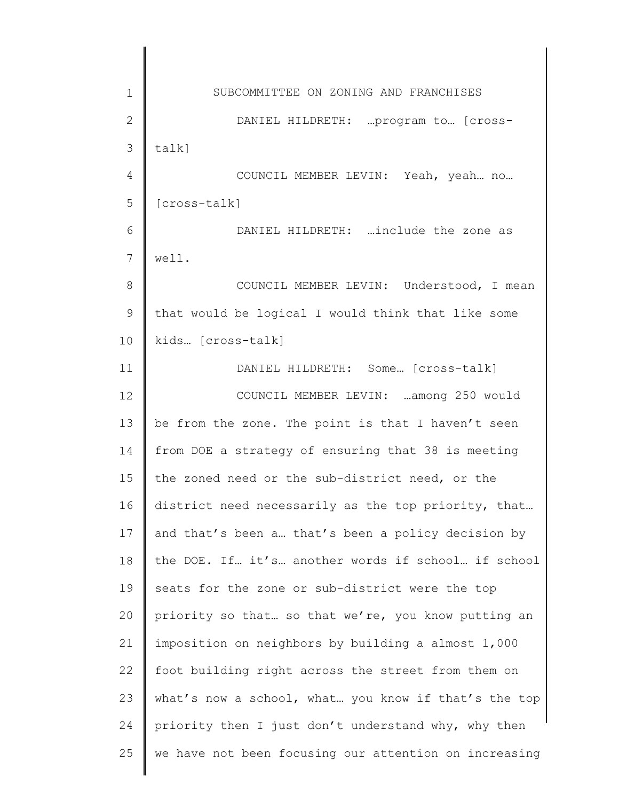1 2 3 4 5 6 7 8 9 10 11 12 13 14 15 16 17 18 19 20 21 22 23 24 25 SUBCOMMITTEE ON ZONING AND FRANCHISES DANIEL HILDRETH: …program to… [crosstalk] COUNCIL MEMBER LEVIN: Yeah, yeah… no… [cross-talk] DANIEL HILDRETH: …include the zone as well. COUNCIL MEMBER LEVIN: Understood, I mean that would be logical I would think that like some kids… [cross-talk] DANIEL HILDRETH: Some… [cross-talk] COUNCIL MEMBER LEVIN: …among 250 would be from the zone. The point is that I haven't seen from DOE a strategy of ensuring that 38 is meeting the zoned need or the sub-district need, or the district need necessarily as the top priority, that… and that's been a… that's been a policy decision by the DOE. If… it's… another words if school… if school seats for the zone or sub-district were the top priority so that… so that we're, you know putting an imposition on neighbors by building a almost 1,000 foot building right across the street from them on what's now a school, what… you know if that's the top priority then I just don't understand why, why then we have not been focusing our attention on increasing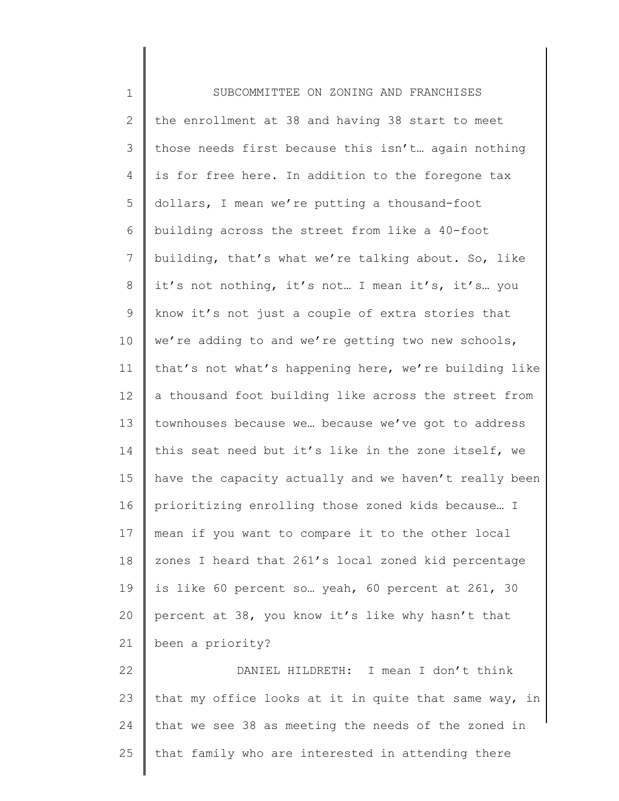| $\mathbf 1$ | SUBCOMMITTEE ON ZONING AND FRANCHISES                 |
|-------------|-------------------------------------------------------|
| 2           | the enrollment at 38 and having 38 start to meet      |
| 3           | those needs first because this isn't again nothing    |
| 4           | is for free here. In addition to the foregone tax     |
| 5           | dollars, I mean we're putting a thousand-foot         |
| 6           | building across the street from like a 40-foot        |
| 7           | building, that's what we're talking about. So, like   |
| 8           | it's not nothing, it's not I mean it's, it's you      |
| 9           | know it's not just a couple of extra stories that     |
| 10          | we're adding to and we're getting two new schools,    |
| 11          | that's not what's happening here, we're building like |
| 12          | a thousand foot building like across the street from  |
| 13          | townhouses because we because we've got to address    |
| 14          | this seat need but it's like in the zone itself, we   |
| 15          | have the capacity actually and we haven't really been |
| 16          | prioritizing enrolling those zoned kids because I     |
| 17          | mean if you want to compare it to the other local     |
| 18          | zones I heard that 261's local zoned kid percentage   |
| 19          | is like 60 percent so yeah, 60 percent at 261, 30     |
| 20          | percent at 38, you know it's like why hasn't that     |
| 21          | been a priority?                                      |
| 22          | DANIEL HILDRETH: I mean I don't think                 |
| 23          | that my office looks at it in quite that same way, in |
| 24          | that we see 38 as meeting the needs of the zoned in   |
| 25          | that family who are interested in attending there     |
|             |                                                       |

∥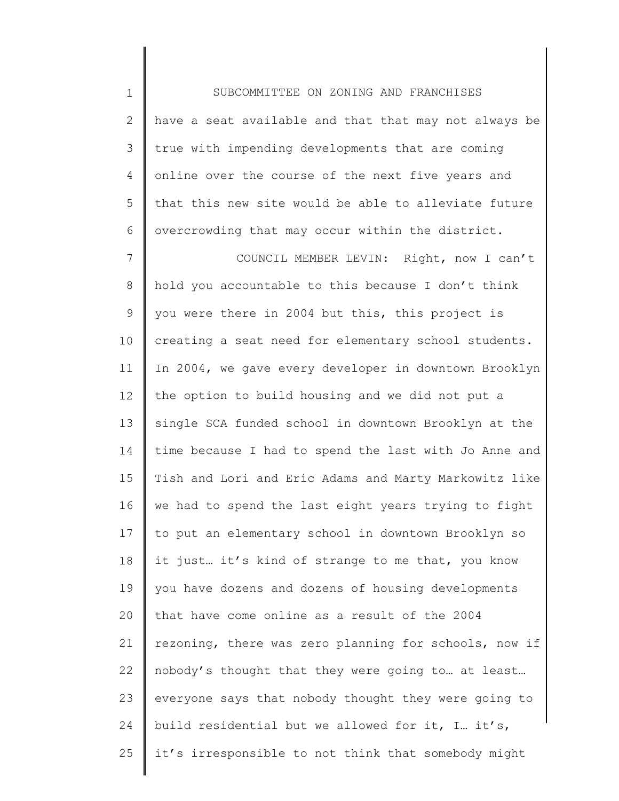1 2 3 4 5 6 7 8 9 10 11 12 13 14 15 16 17 18 19 20 21 22 23 24 25 SUBCOMMITTEE ON ZONING AND FRANCHISES have a seat available and that that may not always be true with impending developments that are coming online over the course of the next five years and that this new site would be able to alleviate future overcrowding that may occur within the district. COUNCIL MEMBER LEVIN: Right, now I can't hold you accountable to this because I don't think you were there in 2004 but this, this project is creating a seat need for elementary school students. In 2004, we gave every developer in downtown Brooklyn the option to build housing and we did not put a single SCA funded school in downtown Brooklyn at the time because I had to spend the last with Jo Anne and Tish and Lori and Eric Adams and Marty Markowitz like we had to spend the last eight years trying to fight to put an elementary school in downtown Brooklyn so it just… it's kind of strange to me that, you know you have dozens and dozens of housing developments that have come online as a result of the 2004 rezoning, there was zero planning for schools, now if nobody's thought that they were going to… at least… everyone says that nobody thought they were going to build residential but we allowed for it, I… it's, it's irresponsible to not think that somebody might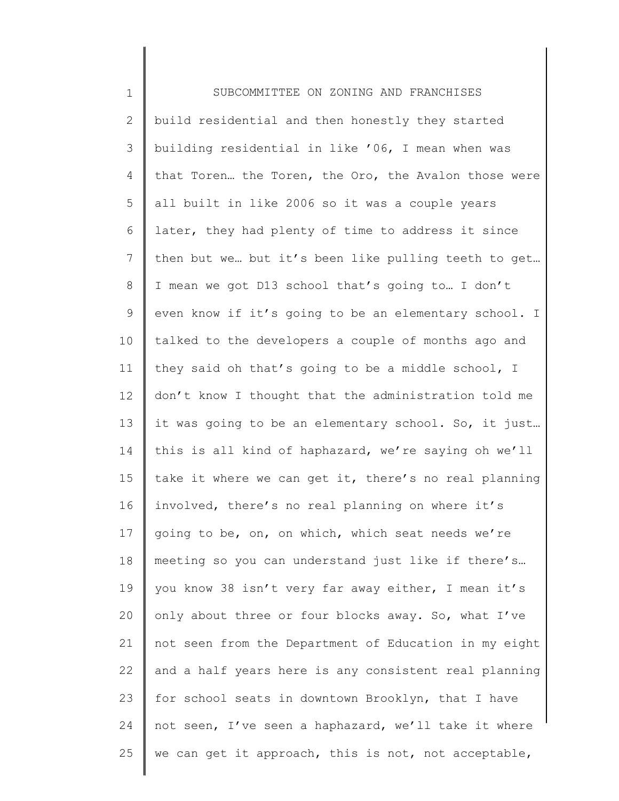| $\mathbf 1$  | SUBCOMMITTEE ON ZONING AND FRANCHISES                 |
|--------------|-------------------------------------------------------|
| $\mathbf{2}$ | build residential and then honestly they started      |
| 3            | building residential in like '06, I mean when was     |
| 4            | that Toren the Toren, the Oro, the Avalon those were  |
| 5            | all built in like 2006 so it was a couple years       |
| 6            | later, they had plenty of time to address it since    |
| 7            | then but we but it's been like pulling teeth to get   |
| 8            | I mean we got D13 school that's going to I don't      |
| 9            | even know if it's going to be an elementary school. I |
| 10           | talked to the developers a couple of months ago and   |
| 11           | they said oh that's going to be a middle school, I    |
| 12           | don't know I thought that the administration told me  |
| 13           | it was going to be an elementary school. So, it just  |
| 14           | this is all kind of haphazard, we're saying oh we'll  |
| 15           | take it where we can get it, there's no real planning |
| 16           | involved, there's no real planning on where it's      |
| 17           | going to be, on, on which, which seat needs we're     |
| 18           | meeting so you can understand just like if there's    |
| 19           | you know 38 isn't very far away either, I mean it's   |
| 20           | only about three or four blocks away. So, what I've   |
| 21           | not seen from the Department of Education in my eight |
| 22           | and a half years here is any consistent real planning |
| 23           | for school seats in downtown Brooklyn, that I have    |
| 24           | not seen, I've seen a haphazard, we'll take it where  |
| 25           | we can get it approach, this is not, not acceptable,  |
|              |                                                       |

∥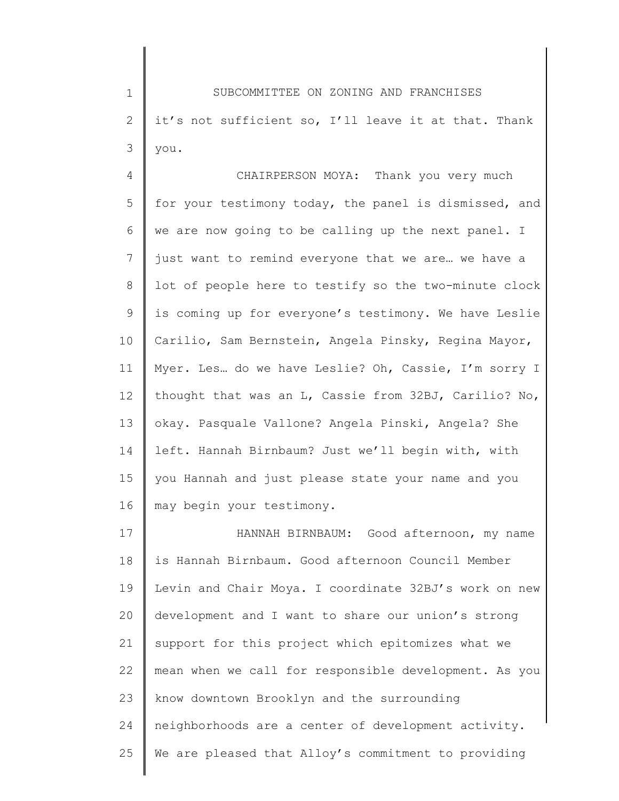1 2 3 SUBCOMMITTEE ON ZONING AND FRANCHISES it's not sufficient so, I'll leave it at that. Thank you.

4 5 6 7 8 9 10 11 12 13 14 15 16 CHAIRPERSON MOYA: Thank you very much for your testimony today, the panel is dismissed, and we are now going to be calling up the next panel. I just want to remind everyone that we are… we have a lot of people here to testify so the two-minute clock is coming up for everyone's testimony. We have Leslie Carilio, Sam Bernstein, Angela Pinsky, Regina Mayor, Myer. Les… do we have Leslie? Oh, Cassie, I'm sorry I thought that was an L, Cassie from 32BJ, Carilio? No, okay. Pasquale Vallone? Angela Pinski, Angela? She left. Hannah Birnbaum? Just we'll begin with, with you Hannah and just please state your name and you may begin your testimony.

17 18 19 20 21 22 23 24 25 HANNAH BIRNBAUM: Good afternoon, my name is Hannah Birnbaum. Good afternoon Council Member Levin and Chair Moya. I coordinate 32BJ's work on new development and I want to share our union's strong support for this project which epitomizes what we mean when we call for responsible development. As you know downtown Brooklyn and the surrounding neighborhoods are a center of development activity. We are pleased that Alloy's commitment to providing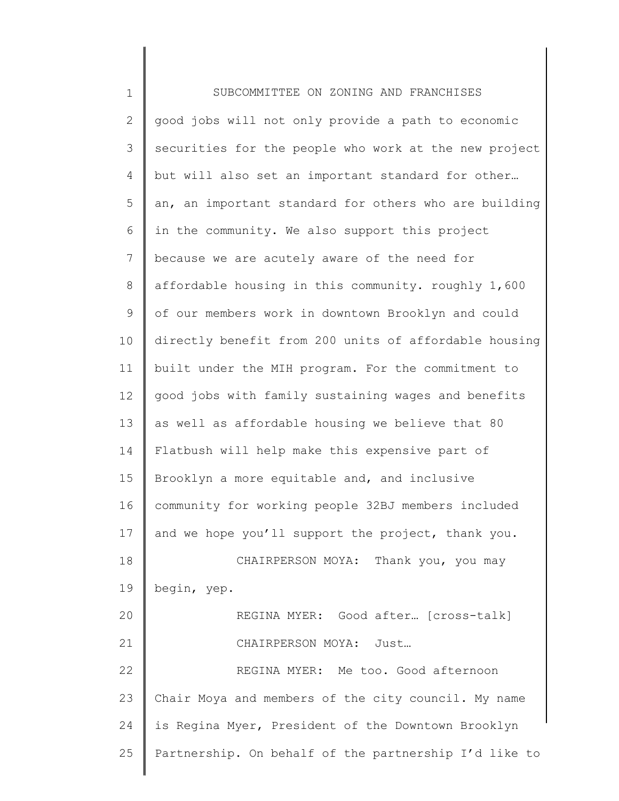| $\mathbf 1$  | SUBCOMMITTEE ON ZONING AND FRANCHISES                 |
|--------------|-------------------------------------------------------|
| $\mathbf{2}$ | good jobs will not only provide a path to economic    |
| 3            | securities for the people who work at the new project |
| 4            | but will also set an important standard for other     |
| 5            | an, an important standard for others who are building |
| 6            | in the community. We also support this project        |
| 7            | because we are acutely aware of the need for          |
| 8            | affordable housing in this community. roughly 1,600   |
| 9            | of our members work in downtown Brooklyn and could    |
| 10           | directly benefit from 200 units of affordable housing |
| 11           | built under the MIH program. For the commitment to    |
| 12           | good jobs with family sustaining wages and benefits   |
| 13           | as well as affordable housing we believe that 80      |
| 14           | Flatbush will help make this expensive part of        |
| 15           | Brooklyn a more equitable and, and inclusive          |
| 16           | community for working people 32BJ members included    |
| 17           | and we hope you'll support the project, thank you.    |
| 18           | CHAIRPERSON MOYA: Thank you, you may                  |
| 19           | begin, yep.                                           |
| 20           | REGINA MYER: Good after [cross-talk]                  |
| 21           | CHAIRPERSON MOYA: Just                                |
| 22           | REGINA MYER: Me too. Good afternoon                   |
| 23           | Chair Moya and members of the city council. My name   |
| 24           | is Regina Myer, President of the Downtown Brooklyn    |
| 25           | Partnership. On behalf of the partnership I'd like to |
|              |                                                       |

║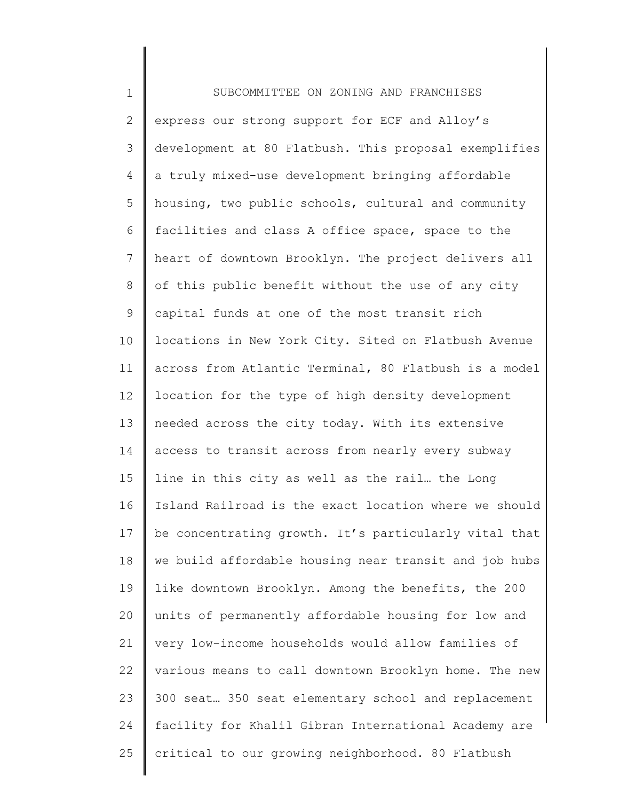1 2 3 4 5 6 7 8 9 10 11 12 13 14 15 16 17 18 19 20 21 22 23 24 25 SUBCOMMITTEE ON ZONING AND FRANCHISES express our strong support for ECF and Alloy's development at 80 Flatbush. This proposal exemplifies a truly mixed-use development bringing affordable housing, two public schools, cultural and community facilities and class A office space, space to the heart of downtown Brooklyn. The project delivers all of this public benefit without the use of any city capital funds at one of the most transit rich locations in New York City. Sited on Flatbush Avenue across from Atlantic Terminal, 80 Flatbush is a model location for the type of high density development needed across the city today. With its extensive access to transit across from nearly every subway line in this city as well as the rail… the Long Island Railroad is the exact location where we should be concentrating growth. It's particularly vital that we build affordable housing near transit and job hubs like downtown Brooklyn. Among the benefits, the 200 units of permanently affordable housing for low and very low-income households would allow families of various means to call downtown Brooklyn home. The new 300 seat… 350 seat elementary school and replacement facility for Khalil Gibran International Academy are critical to our growing neighborhood. 80 Flatbush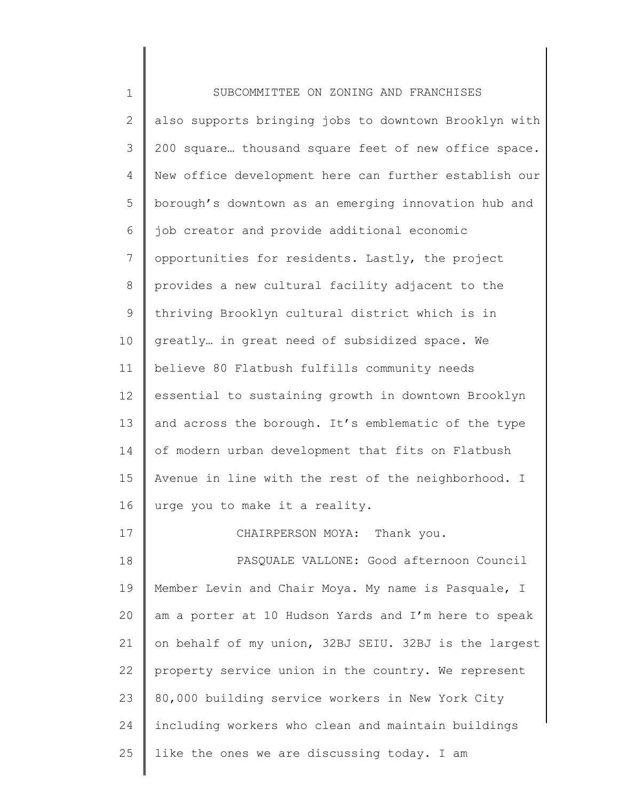| $\mathbf 1$     | SUBCOMMITTEE ON ZONING AND FRANCHISES                 |
|-----------------|-------------------------------------------------------|
| $\mathbf{2}$    | also supports bringing jobs to downtown Brooklyn with |
| 3               | 200 square thousand square feet of new office space.  |
| 4               | New office development here can further establish our |
| 5               | borough's downtown as an emerging innovation hub and  |
| 6               | job creator and provide additional economic           |
| $7\overline{ }$ | opportunities for residents. Lastly, the project      |
| $\,8\,$         | provides a new cultural facility adjacent to the      |
| 9               | thriving Brooklyn cultural district which is in       |
| 10              | greatly in great need of subsidized space. We         |
| 11              | believe 80 Flatbush fulfills community needs          |
| 12              | essential to sustaining growth in downtown Brooklyn   |
| 13              | and across the borough. It's emblematic of the type   |
| 14              | of modern urban development that fits on Flatbush     |
| 15              | Avenue in line with the rest of the neighborhood. I   |
| 16              | urge you to make it a reality.                        |
| 17              | CHAIRPERSON MOYA: Thank you.                          |
| 18              | PASQUALE VALLONE: Good afternoon Council              |
| 19              | Member Levin and Chair Moya. My name is Pasquale, I   |
| 20              | am a porter at 10 Hudson Yards and I'm here to speak  |
| 21              | on behalf of my union, 32BJ SEIU. 32BJ is the largest |
| 22              | property service union in the country. We represent   |
| 23              | 80,000 building service workers in New York City      |
| 24              | including workers who clean and maintain buildings    |
| 25              | like the ones we are discussing today. I am           |
|                 |                                                       |

║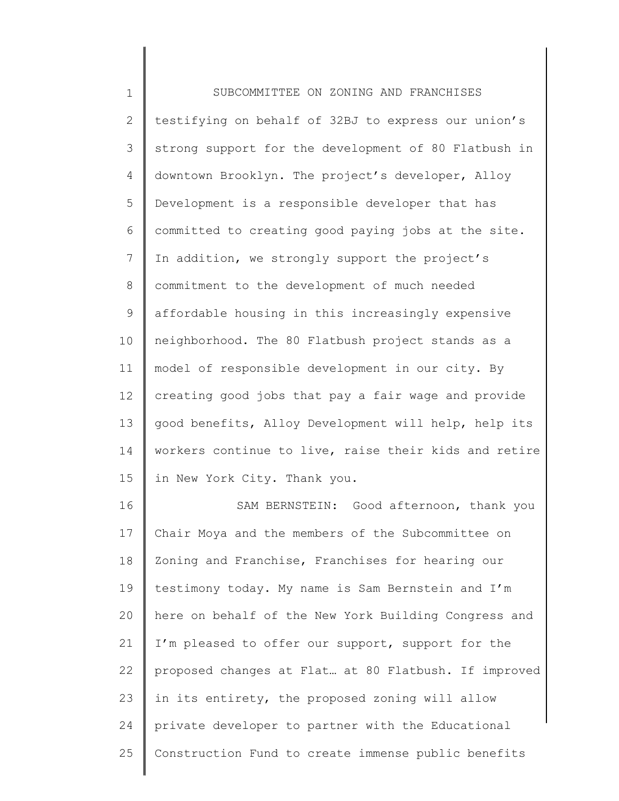1 2 3 4 5 6 7 8 9 10 11 12 13 14 15 16 SUBCOMMITTEE ON ZONING AND FRANCHISES testifying on behalf of 32BJ to express our union's strong support for the development of 80 Flatbush in downtown Brooklyn. The project's developer, Alloy Development is a responsible developer that has committed to creating good paying jobs at the site. In addition, we strongly support the project's commitment to the development of much needed affordable housing in this increasingly expensive neighborhood. The 80 Flatbush project stands as a model of responsible development in our city. By creating good jobs that pay a fair wage and provide good benefits, Alloy Development will help, help its workers continue to live, raise their kids and retire in New York City. Thank you. SAM BERNSTEIN: Good afternoon, thank you Chair Moya and the members of the Subcommittee on

17 18 19 20 21 22 23 24 25 Zoning and Franchise, Franchises for hearing our testimony today. My name is Sam Bernstein and I'm here on behalf of the New York Building Congress and I'm pleased to offer our support, support for the proposed changes at Flat… at 80 Flatbush. If improved in its entirety, the proposed zoning will allow private developer to partner with the Educational Construction Fund to create immense public benefits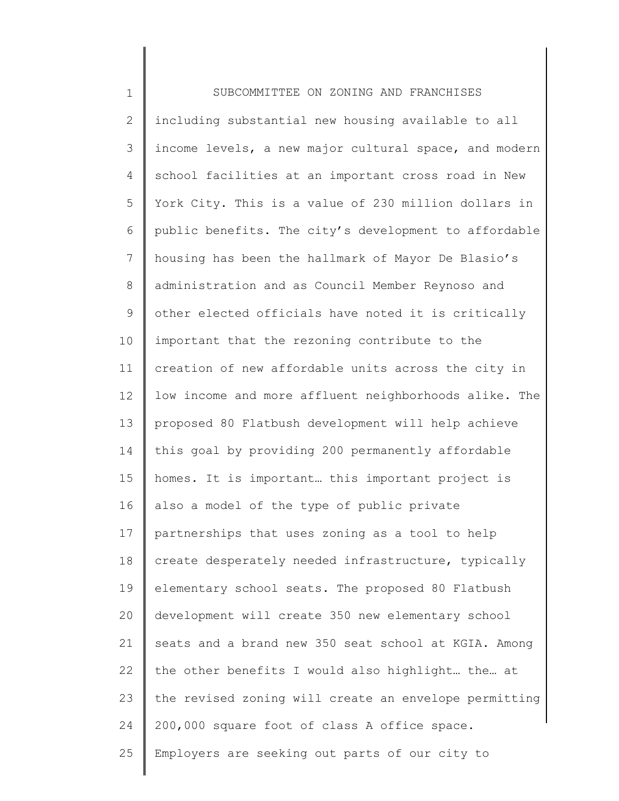| $\mathbf 1$    | SUBCOMMITTEE ON ZONING AND FRANCHISES                 |
|----------------|-------------------------------------------------------|
| $\mathbf{2}$   | including substantial new housing available to all    |
| 3              | income levels, a new major cultural space, and modern |
| $\overline{4}$ | school facilities at an important cross road in New   |
| 5              | York City. This is a value of 230 million dollars in  |
| 6              | public benefits. The city's development to affordable |
| $7\phantom{.}$ | housing has been the hallmark of Mayor De Blasio's    |
| $8\,$          | administration and as Council Member Reynoso and      |
| 9              | other elected officials have noted it is critically   |
| 10             | important that the rezoning contribute to the         |
| 11             | creation of new affordable units across the city in   |
| 12             | low income and more affluent neighborhoods alike. The |
| 13             | proposed 80 Flatbush development will help achieve    |
| 14             | this goal by providing 200 permanently affordable     |
| 15             | homes. It is important this important project is      |
| 16             | also a model of the type of public private            |
| 17             | partnerships that uses zoning as a tool to help       |
| 18             | create desperately needed infrastructure, typically   |
| 19             | elementary school seats. The proposed 80 Flatbush     |
| 20             | development will create 350 new elementary school     |
| 21             | seats and a brand new 350 seat school at KGIA. Among  |
| 22             | the other benefits I would also highlight the at      |
| 23             | the revised zoning will create an envelope permitting |
| 24             | 200,000 square foot of class A office space.          |
| 25             | Employers are seeking out parts of our city to        |
|                |                                                       |

∥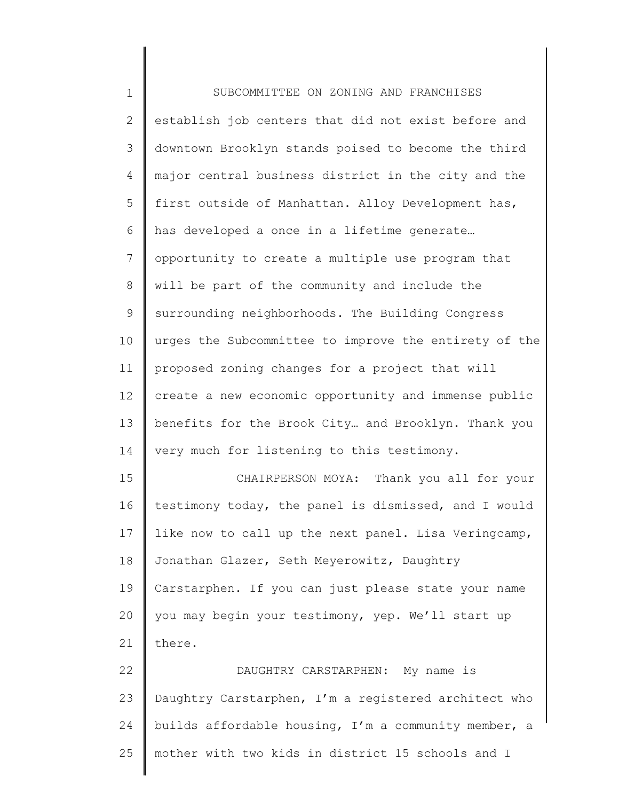| $\mathbf 1$    | SUBCOMMITTEE ON ZONING AND FRANCHISES                 |
|----------------|-------------------------------------------------------|
| $\mathbf{2}$   | establish job centers that did not exist before and   |
| 3              | downtown Brooklyn stands poised to become the third   |
| 4              | major central business district in the city and the   |
| 5              | first outside of Manhattan. Alloy Development has,    |
| 6              | has developed a once in a lifetime generate           |
| $\overline{7}$ | opportunity to create a multiple use program that     |
| 8              | will be part of the community and include the         |
| 9              | surrounding neighborhoods. The Building Congress      |
| 10             | urges the Subcommittee to improve the entirety of the |
| 11             | proposed zoning changes for a project that will       |
| 12             | create a new economic opportunity and immense public  |
| 13             | benefits for the Brook City and Brooklyn. Thank you   |
| 14             | very much for listening to this testimony.            |
| 15             | CHAIRPERSON MOYA: Thank you all for your              |
| 16             | testimony today, the panel is dismissed, and I would  |
| 17             | like now to call up the next panel. Lisa Veringcamp,  |
| 18             | Jonathan Glazer, Seth Meyerowitz, Daughtry            |
| 19             | Carstarphen. If you can just please state your name   |
| 20             | you may begin your testimony, yep. We'll start up     |
| 21             | there.                                                |
| 22             | DAUGHTRY CARSTARPHEN: My name is                      |
| 23             | Daughtry Carstarphen, I'm a registered architect who  |
| 24             | builds affordable housing, I'm a community member, a  |
| 25             | mother with two kids in district 15 schools and I     |
|                |                                                       |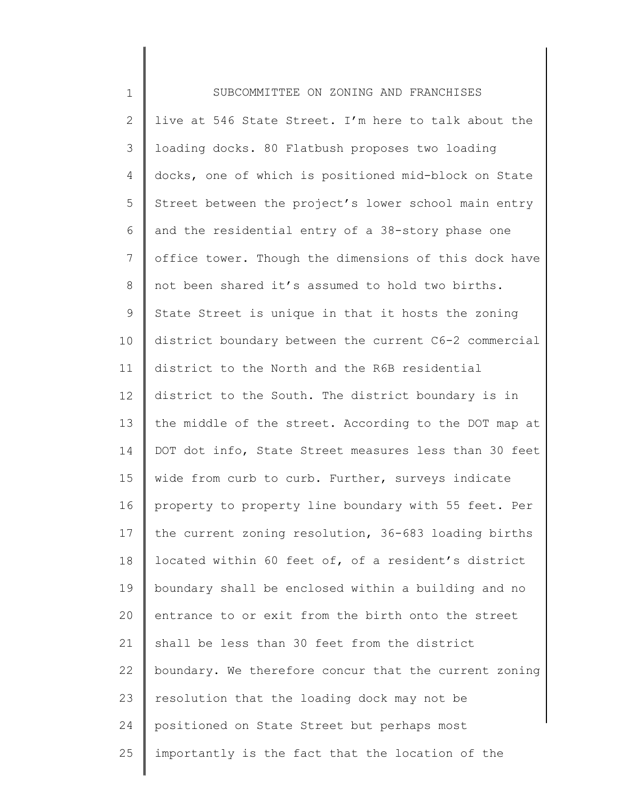| $\mathbf 1$ | SUBCOMMITTEE ON ZONING AND FRANCHISES                 |
|-------------|-------------------------------------------------------|
| 2           | live at 546 State Street. I'm here to talk about the  |
| 3           | loading docks. 80 Flatbush proposes two loading       |
| 4           | docks, one of which is positioned mid-block on State  |
| 5           | Street between the project's lower school main entry  |
| 6           | and the residential entry of a 38-story phase one     |
| 7           | office tower. Though the dimensions of this dock have |
| 8           | not been shared it's assumed to hold two births.      |
| 9           | State Street is unique in that it hosts the zoning    |
| 10          | district boundary between the current C6-2 commercial |
| 11          | district to the North and the R6B residential         |
| 12          | district to the South. The district boundary is in    |
| 13          | the middle of the street. According to the DOT map at |
| 14          | DOT dot info, State Street measures less than 30 feet |
| 15          | wide from curb to curb. Further, surveys indicate     |
| 16          | property to property line boundary with 55 feet. Per  |
| 17          | the current zoning resolution, 36-683 loading births  |
| 18          | located within 60 feet of, of a resident's district   |
| 19          | boundary shall be enclosed within a building and no   |
| 20          | entrance to or exit from the birth onto the street    |
| 21          | shall be less than 30 feet from the district          |
| 22          | boundary. We therefore concur that the current zoning |
| 23          | resolution that the loading dock may not be           |
| 24          | positioned on State Street but perhaps most           |
| 25          | importantly is the fact that the location of the      |
|             |                                                       |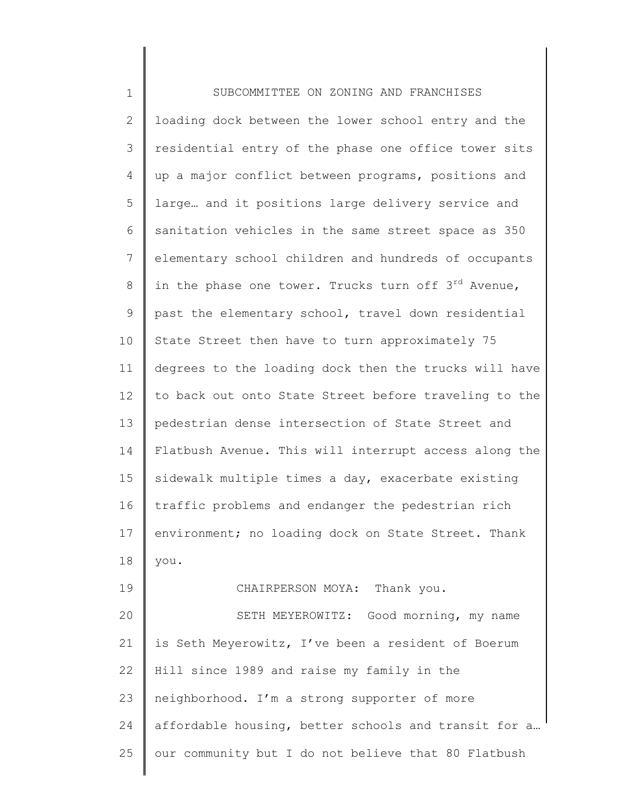| $\mathbf 1$ | SUBCOMMITTEE ON ZONING AND FRANCHISES                           |
|-------------|-----------------------------------------------------------------|
| 2           | loading dock between the lower school entry and the             |
| 3           | residential entry of the phase one office tower sits            |
| 4           | up a major conflict between programs, positions and             |
| 5           | large and it positions large delivery service and               |
| 6           | sanitation vehicles in the same street space as 350             |
| 7           | elementary school children and hundreds of occupants            |
| 8           | in the phase one tower. Trucks turn off 3 <sup>rd</sup> Avenue, |
| 9           | past the elementary school, travel down residential             |
| 10          | State Street then have to turn approximately 75                 |
| 11          | degrees to the loading dock then the trucks will have           |
| 12          | to back out onto State Street before traveling to the           |
| 13          | pedestrian dense intersection of State Street and               |
| 14          | Flatbush Avenue. This will interrupt access along the           |
| 15          | sidewalk multiple times a day, exacerbate existing              |
| 16          | traffic problems and endanger the pedestrian rich               |
| 17          | environment; no loading dock on State Street. Thank             |
| 18          | you.                                                            |
| 19          | CHAIRPERSON MOYA: Thank you.                                    |
| 20          | SETH MEYEROWITZ: Good morning, my name                          |
| 21          | is Seth Meyerowitz, I've been a resident of Boerum              |
| 22          | Hill since 1989 and raise my family in the                      |
| 23          | neighborhood. I'm a strong supporter of more                    |
| 24          | affordable housing, better schools and transit for a            |
| 25          | our community but I do not believe that 80 Flatbush             |
|             |                                                                 |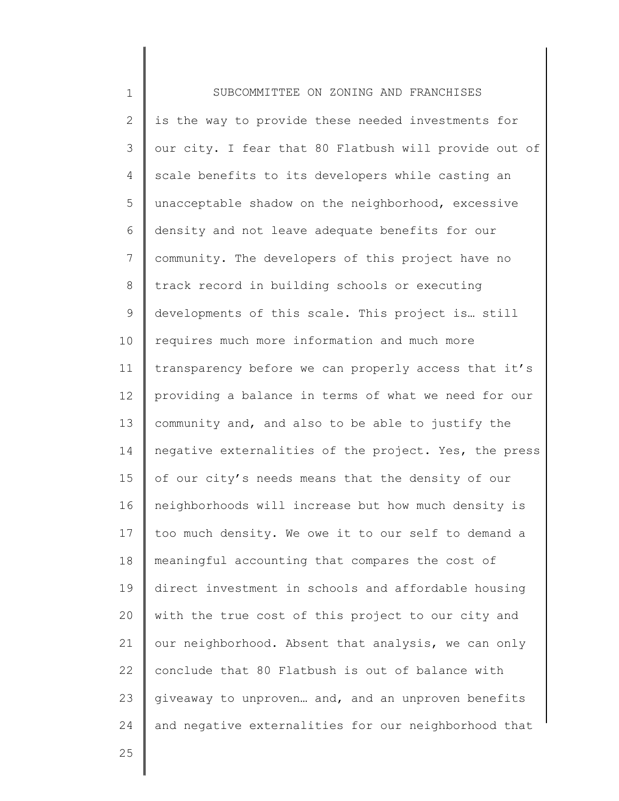1 2 3 4 5 6 7 8 9 10 11 12 13 14 15 16 17 18 19 20 21 22 23 24 SUBCOMMITTEE ON ZONING AND FRANCHISES is the way to provide these needed investments for our city. I fear that 80 Flatbush will provide out of scale benefits to its developers while casting an unacceptable shadow on the neighborhood, excessive density and not leave adequate benefits for our community. The developers of this project have no track record in building schools or executing developments of this scale. This project is… still requires much more information and much more transparency before we can properly access that it's providing a balance in terms of what we need for our community and, and also to be able to justify the negative externalities of the project. Yes, the press of our city's needs means that the density of our neighborhoods will increase but how much density is too much density. We owe it to our self to demand a meaningful accounting that compares the cost of direct investment in schools and affordable housing with the true cost of this project to our city and our neighborhood. Absent that analysis, we can only conclude that 80 Flatbush is out of balance with giveaway to unproven… and, and an unproven benefits and negative externalities for our neighborhood that

25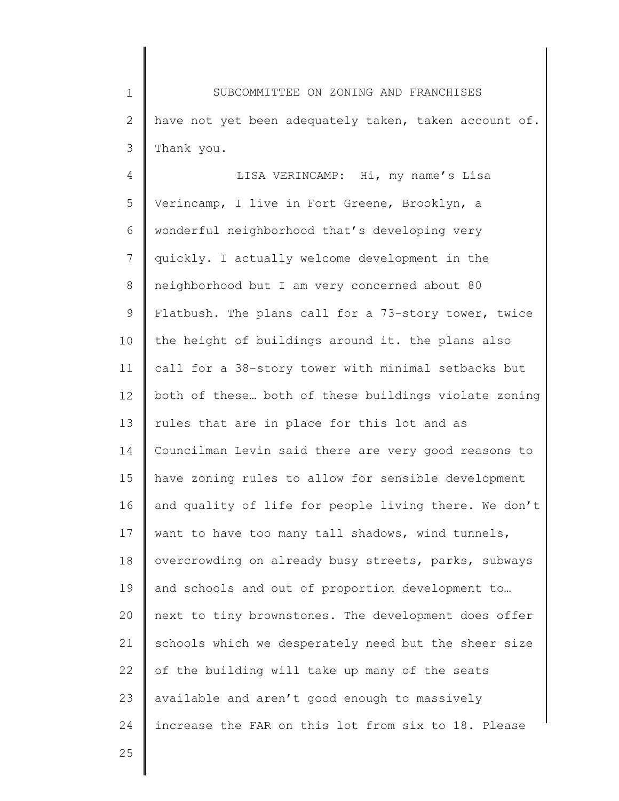1 2 3 SUBCOMMITTEE ON ZONING AND FRANCHISES have not yet been adequately taken, taken account of. Thank you.

4 5 6 7 8 9 10 11 12 13 14 15 16 17 18 19 20 21 22 23 24 LISA VERINCAMP: Hi, my name's Lisa Verincamp, I live in Fort Greene, Brooklyn, a wonderful neighborhood that's developing very quickly. I actually welcome development in the neighborhood but I am very concerned about 80 Flatbush. The plans call for a 73-story tower, twice the height of buildings around it. the plans also call for a 38-story tower with minimal setbacks but both of these… both of these buildings violate zoning rules that are in place for this lot and as Councilman Levin said there are very good reasons to have zoning rules to allow for sensible development and quality of life for people living there. We don't want to have too many tall shadows, wind tunnels, overcrowding on already busy streets, parks, subways and schools and out of proportion development to… next to tiny brownstones. The development does offer schools which we desperately need but the sheer size of the building will take up many of the seats available and aren't good enough to massively increase the FAR on this lot from six to 18. Please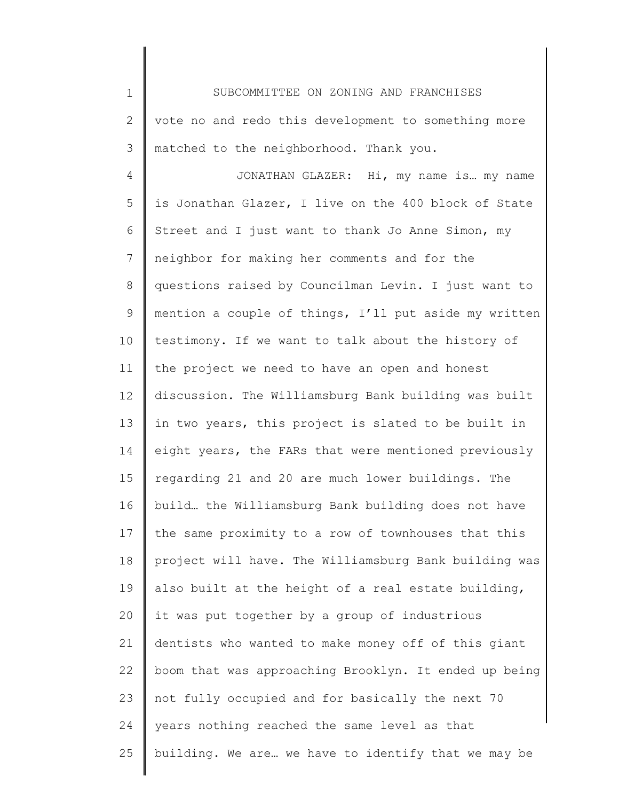1 2 3 SUBCOMMITTEE ON ZONING AND FRANCHISES vote no and redo this development to something more matched to the neighborhood. Thank you.

4 5 6 7 8 9 10 11 12 13 14 15 16 17 18 19 20 21 22 23 24 25 JONATHAN GLAZER: Hi, my name is… my name is Jonathan Glazer, I live on the 400 block of State Street and I just want to thank Jo Anne Simon, my neighbor for making her comments and for the questions raised by Councilman Levin. I just want to mention a couple of things, I'll put aside my written testimony. If we want to talk about the history of the project we need to have an open and honest discussion. The Williamsburg Bank building was built in two years, this project is slated to be built in eight years, the FARs that were mentioned previously regarding 21 and 20 are much lower buildings. The build… the Williamsburg Bank building does not have the same proximity to a row of townhouses that this project will have. The Williamsburg Bank building was also built at the height of a real estate building, it was put together by a group of industrious dentists who wanted to make money off of this giant boom that was approaching Brooklyn. It ended up being not fully occupied and for basically the next 70 years nothing reached the same level as that building. We are… we have to identify that we may be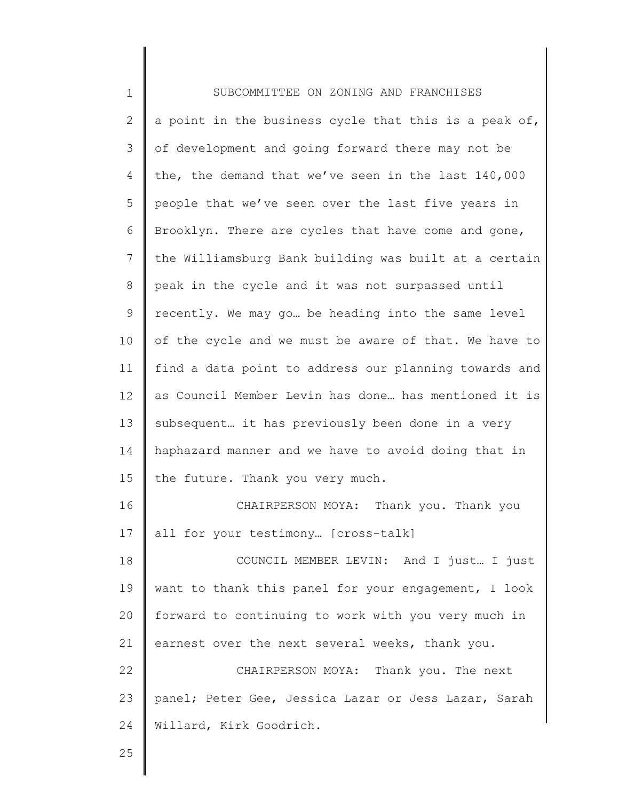| $\mathbf 1$  | SUBCOMMITTEE ON ZONING AND FRANCHISES                 |
|--------------|-------------------------------------------------------|
| $\mathbf{2}$ | a point in the business cycle that this is a peak of, |
| 3            | of development and going forward there may not be     |
| 4            | the, the demand that we've seen in the last 140,000   |
| 5            | people that we've seen over the last five years in    |
| 6            | Brooklyn. There are cycles that have come and gone,   |
| 7            | the Williamsburg Bank building was built at a certain |
| 8            | peak in the cycle and it was not surpassed until      |
| 9            | recently. We may go be heading into the same level    |
| 10           | of the cycle and we must be aware of that. We have to |
| 11           | find a data point to address our planning towards and |
| 12           | as Council Member Levin has done has mentioned it is  |
| 13           | subsequent it has previously been done in a very      |
| 14           | haphazard manner and we have to avoid doing that in   |
| 15           | the future. Thank you very much.                      |
| 16           | CHAIRPERSON MOYA: Thank you. Thank you                |
| 17           | all for your testimony [cross-talk]                   |
| 18           | COUNCIL MEMBER LEVIN: And I just I just               |
| 19           | want to thank this panel for your engagement, I look  |
| 20           | forward to continuing to work with you very much in   |
| 21           | earnest over the next several weeks, thank you.       |
| 22           | CHAIRPERSON MOYA: Thank you. The next                 |
| 23           | panel; Peter Gee, Jessica Lazar or Jess Lazar, Sarah  |
| 24           | Willard, Kirk Goodrich.                               |
|              |                                                       |

25

Ι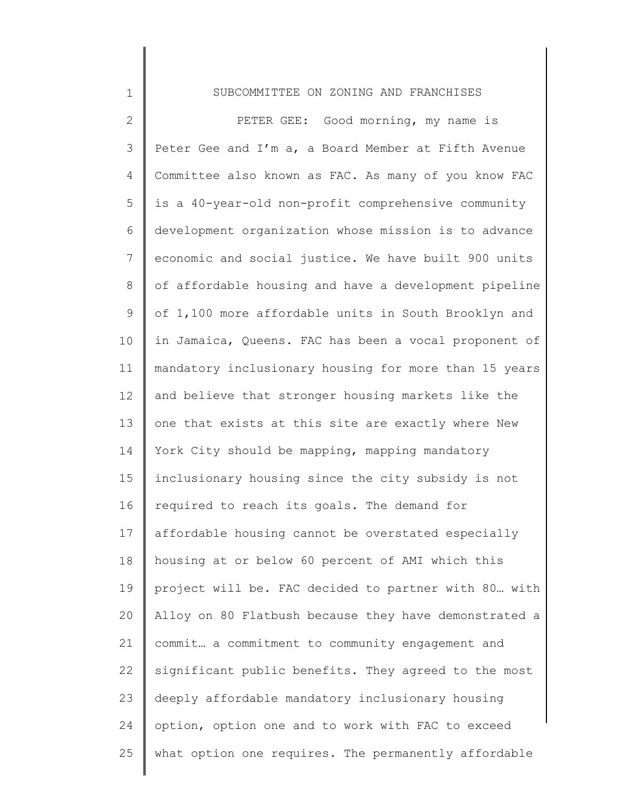## SUBCOMMITTEE ON ZONING AND FRANCHISES

1

2 3 4 5 6 7 8 9 10 11 12 13 14 15 16 17 18 19 20 21 22 23 24 25 PETER GEE: Good morning, my name is Peter Gee and I'm a, a Board Member at Fifth Avenue Committee also known as FAC. As many of you know FAC is a 40-year-old non-profit comprehensive community development organization whose mission is to advance economic and social justice. We have built 900 units of affordable housing and have a development pipeline of 1,100 more affordable units in South Brooklyn and in Jamaica, Queens. FAC has been a vocal proponent of mandatory inclusionary housing for more than 15 years and believe that stronger housing markets like the one that exists at this site are exactly where New York City should be mapping, mapping mandatory inclusionary housing since the city subsidy is not required to reach its goals. The demand for affordable housing cannot be overstated especially housing at or below 60 percent of AMI which this project will be. FAC decided to partner with 80… with Alloy on 80 Flatbush because they have demonstrated a commit… a commitment to community engagement and significant public benefits. They agreed to the most deeply affordable mandatory inclusionary housing option, option one and to work with FAC to exceed what option one requires. The permanently affordable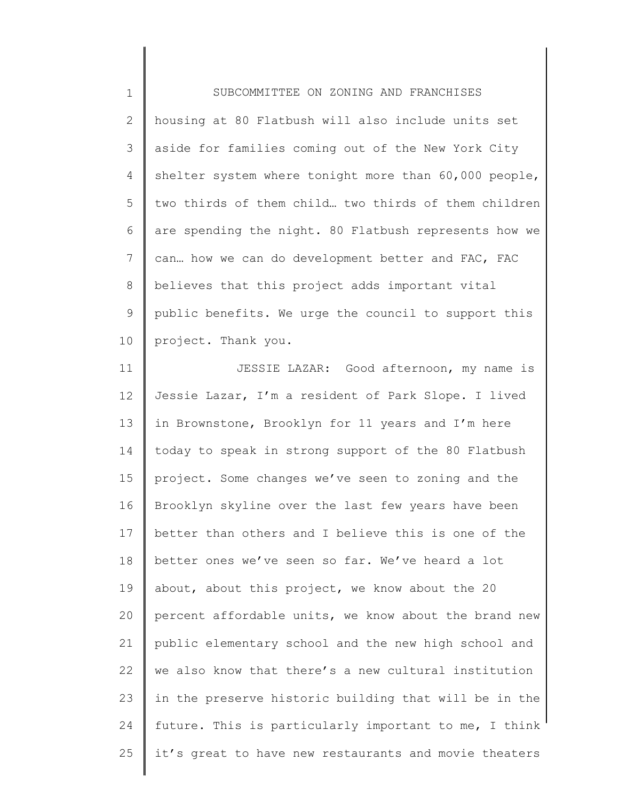1 2 3 4 5 6 7 8 9 10 SUBCOMMITTEE ON ZONING AND FRANCHISES housing at 80 Flatbush will also include units set aside for families coming out of the New York City shelter system where tonight more than 60,000 people, two thirds of them child… two thirds of them children are spending the night. 80 Flatbush represents how we can… how we can do development better and FAC, FAC believes that this project adds important vital public benefits. We urge the council to support this project. Thank you.

11 12 13 14 15 16 17 18 19 20 21 22 23 24 25 JESSIE LAZAR: Good afternoon, my name is Jessie Lazar, I'm a resident of Park Slope. I lived in Brownstone, Brooklyn for 11 years and I'm here today to speak in strong support of the 80 Flatbush project. Some changes we've seen to zoning and the Brooklyn skyline over the last few years have been better than others and I believe this is one of the better ones we've seen so far. We've heard a lot about, about this project, we know about the 20 percent affordable units, we know about the brand new public elementary school and the new high school and we also know that there's a new cultural institution in the preserve historic building that will be in the future. This is particularly important to me, I think it's great to have new restaurants and movie theaters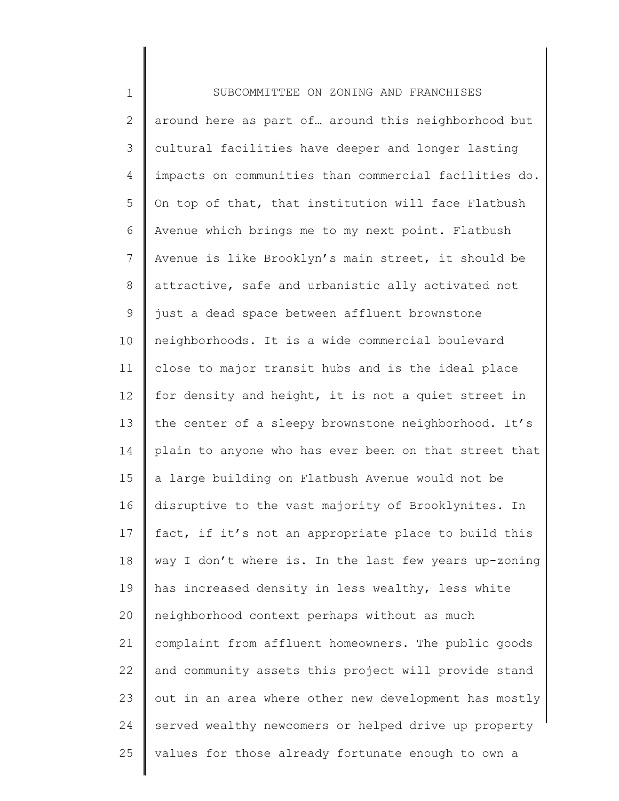| $\mathbf 1$    | SUBCOMMITTEE ON ZONING AND FRANCHISES                 |
|----------------|-------------------------------------------------------|
| $\mathbf{2}$   | around here as part of around this neighborhood but   |
| 3              | cultural facilities have deeper and longer lasting    |
| 4              | impacts on communities than commercial facilities do. |
| 5              | On top of that, that institution will face Flatbush   |
| 6              | Avenue which brings me to my next point. Flatbush     |
| $\overline{7}$ | Avenue is like Brooklyn's main street, it should be   |
| $8\,$          | attractive, safe and urbanistic ally activated not    |
| $\mathsf 9$    | just a dead space between affluent brownstone         |
| 10             | neighborhoods. It is a wide commercial boulevard      |
| 11             | close to major transit hubs and is the ideal place    |
| 12             | for density and height, it is not a quiet street in   |
| 13             | the center of a sleepy brownstone neighborhood. It's  |
| 14             | plain to anyone who has ever been on that street that |
| 15             | a large building on Flatbush Avenue would not be      |
| 16             | disruptive to the vast majority of Brooklynites. In   |
| 17             | fact, if it's not an appropriate place to build this  |
| 18             | way I don't where is. In the last few years up-zoning |
| 19             | has increased density in less wealthy, less white     |
| 20             | neighborhood context perhaps without as much          |
| 21             | complaint from affluent homeowners. The public goods  |
| 22             | and community assets this project will provide stand  |
| 23             | out in an area where other new development has mostly |
| 24             | served wealthy newcomers or helped drive up property  |
| 25             | values for those already fortunate enough to own a    |
|                |                                                       |

∥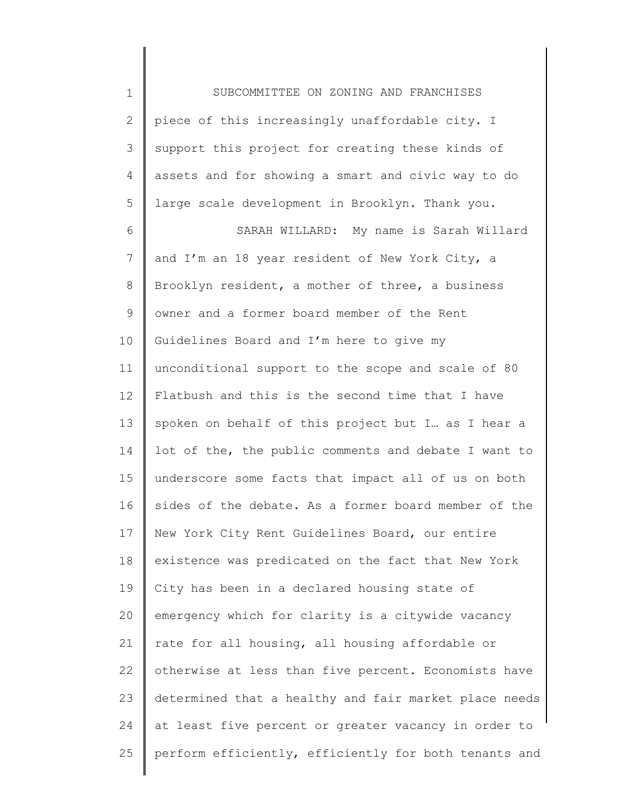1 2 3 4 5 6 7 8 9 10 11 12 13 14 15 16 17 18 19 20 21 22 23 24 25 SUBCOMMITTEE ON ZONING AND FRANCHISES piece of this increasingly unaffordable city. I support this project for creating these kinds of assets and for showing a smart and civic way to do large scale development in Brooklyn. Thank you. SARAH WILLARD: My name is Sarah Willard and I'm an 18 year resident of New York City, a Brooklyn resident, a mother of three, a business owner and a former board member of the Rent Guidelines Board and I'm here to give my unconditional support to the scope and scale of 80 Flatbush and this is the second time that I have spoken on behalf of this project but I… as I hear a lot of the, the public comments and debate I want to underscore some facts that impact all of us on both sides of the debate. As a former board member of the New York City Rent Guidelines Board, our entire existence was predicated on the fact that New York City has been in a declared housing state of emergency which for clarity is a citywide vacancy rate for all housing, all housing affordable or otherwise at less than five percent. Economists have determined that a healthy and fair market place needs at least five percent or greater vacancy in order to perform efficiently, efficiently for both tenants and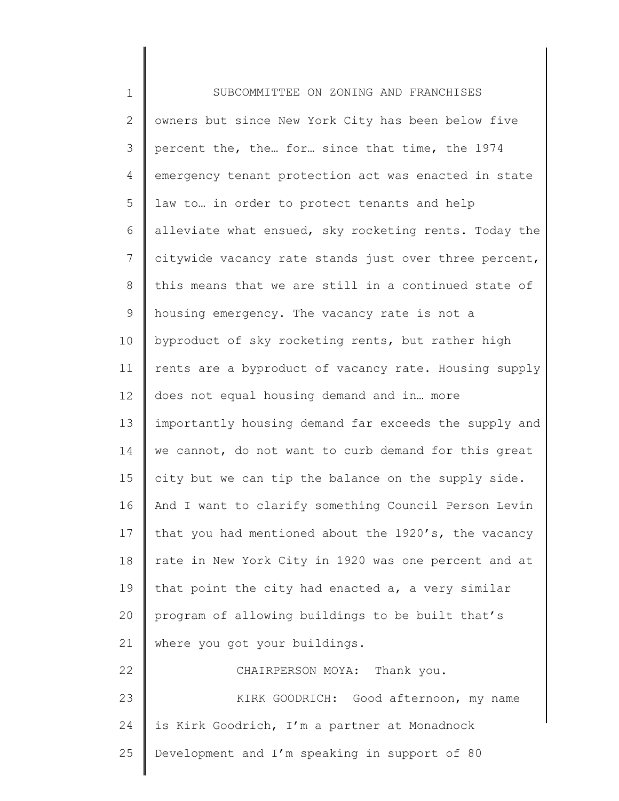| $\mathbf 1$ | SUBCOMMITTEE ON ZONING AND FRANCHISES                 |
|-------------|-------------------------------------------------------|
| 2           | owners but since New York City has been below five    |
| 3           | percent the, the for since that time, the 1974        |
| 4           | emergency tenant protection act was enacted in state  |
| 5           | law to in order to protect tenants and help           |
| 6           | alleviate what ensued, sky rocketing rents. Today the |
| 7           | citywide vacancy rate stands just over three percent, |
| 8           | this means that we are still in a continued state of  |
| $\mathsf 9$ | housing emergency. The vacancy rate is not a          |
| 10          | byproduct of sky rocketing rents, but rather high     |
| 11          | rents are a byproduct of vacancy rate. Housing supply |
| 12          | does not equal housing demand and in more             |
| 13          | importantly housing demand far exceeds the supply and |
| 14          | we cannot, do not want to curb demand for this great  |
| 15          | city but we can tip the balance on the supply side.   |
| 16          | And I want to clarify something Council Person Levin  |
| 17          | that you had mentioned about the 1920's, the vacancy  |
| 18          | rate in New York City in 1920 was one percent and at  |
| 19          | that point the city had enacted a, a very similar     |
| 20          | program of allowing buildings to be built that's      |
| 21          | where you got your buildings.                         |
| 22          | CHAIRPERSON MOYA: Thank you.                          |
| 23          | KIRK GOODRICH: Good afternoon, my name                |
| 24          | is Kirk Goodrich, I'm a partner at Monadnock          |
| 25          | Development and I'm speaking in support of 80         |
|             |                                                       |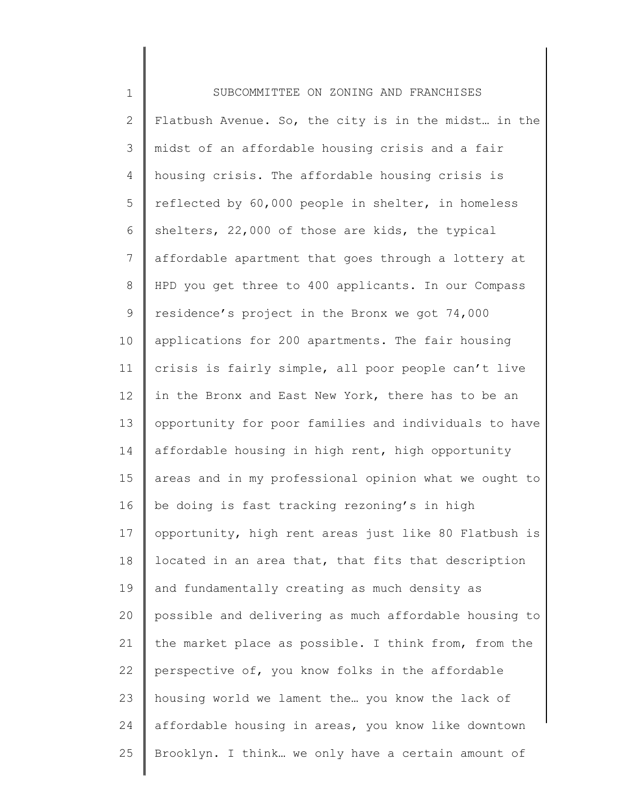1 2 3 4 5 6 7 8 9 10 11 12 13 14 15 16 17 18 19 20 21 22 23 24 25 SUBCOMMITTEE ON ZONING AND FRANCHISES Flatbush Avenue. So, the city is in the midst... in the midst of an affordable housing crisis and a fair housing crisis. The affordable housing crisis is reflected by 60,000 people in shelter, in homeless shelters, 22,000 of those are kids, the typical affordable apartment that goes through a lottery at HPD you get three to 400 applicants. In our Compass residence's project in the Bronx we got 74,000 applications for 200 apartments. The fair housing crisis is fairly simple, all poor people can't live in the Bronx and East New York, there has to be an opportunity for poor families and individuals to have affordable housing in high rent, high opportunity areas and in my professional opinion what we ought to be doing is fast tracking rezoning's in high opportunity, high rent areas just like 80 Flatbush is located in an area that, that fits that description and fundamentally creating as much density as possible and delivering as much affordable housing to the market place as possible. I think from, from the perspective of, you know folks in the affordable housing world we lament the… you know the lack of affordable housing in areas, you know like downtown Brooklyn. I think… we only have a certain amount of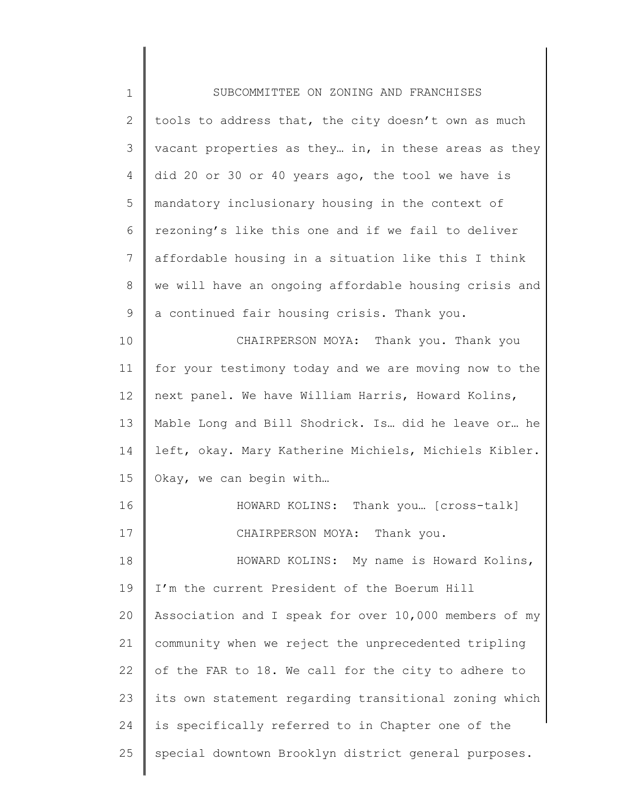| $1\,$          | SUBCOMMITTEE ON ZONING AND FRANCHISES                 |
|----------------|-------------------------------------------------------|
| $\mathbf{2}$   | tools to address that, the city doesn't own as much   |
| $\mathcal{S}$  | vacant properties as they in, in these areas as they  |
| 4              | did 20 or 30 or 40 years ago, the tool we have is     |
| 5              | mandatory inclusionary housing in the context of      |
| 6              | rezoning's like this one and if we fail to deliver    |
| $7\phantom{.}$ | affordable housing in a situation like this I think   |
| 8              | we will have an ongoing affordable housing crisis and |
| $\mathsf 9$    | a continued fair housing crisis. Thank you.           |
| 10             | CHAIRPERSON MOYA: Thank you. Thank you                |
| 11             | for your testimony today and we are moving now to the |
| 12             | next panel. We have William Harris, Howard Kolins,    |
| 13             | Mable Long and Bill Shodrick. Is did he leave or he   |
| 14             | left, okay. Mary Katherine Michiels, Michiels Kibler. |
| 15             | Okay, we can begin with                               |
| 16             | HOWARD KOLINS: Thank you [cross-talk]                 |
| 17             | CHAIRPERSON MOYA: Thank you.                          |
| 18             | HOWARD KOLINS: My name is Howard Kolins,              |
| 19             | I'm the current President of the Boerum Hill          |
| 20             | Association and I speak for over 10,000 members of my |
| 21             | community when we reject the unprecedented tripling   |
| 22             | of the FAR to 18. We call for the city to adhere to   |
| 23             | its own statement regarding transitional zoning which |
| 24             | is specifically referred to in Chapter one of the     |
| 25             | special downtown Brooklyn district general purposes.  |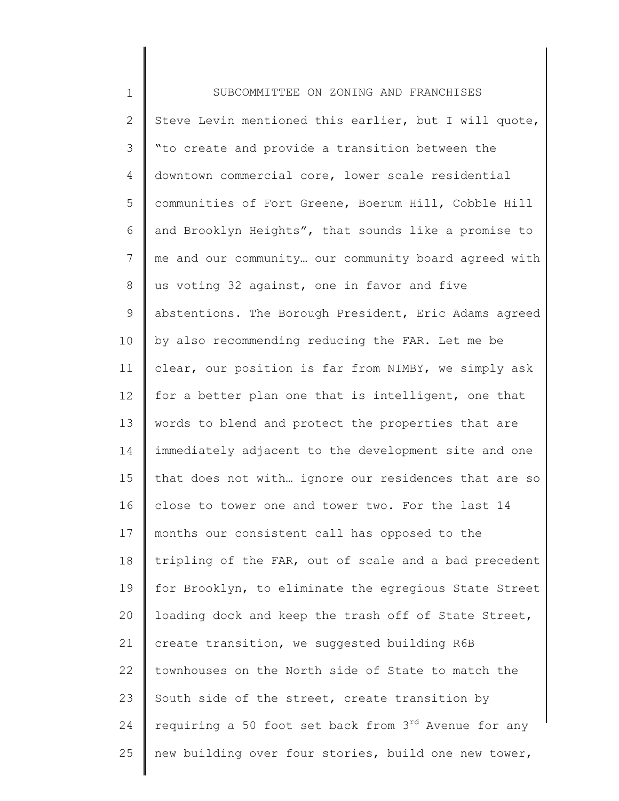1 2 3 4 5 6 7 8 9 10 11 12 13 14 15 16 17 18 19 20 21 22 23 24 25 SUBCOMMITTEE ON ZONING AND FRANCHISES Steve Levin mentioned this earlier, but I will quote, "to create and provide a transition between the downtown commercial core, lower scale residential communities of Fort Greene, Boerum Hill, Cobble Hill and Brooklyn Heights", that sounds like a promise to me and our community… our community board agreed with us voting 32 against, one in favor and five abstentions. The Borough President, Eric Adams agreed by also recommending reducing the FAR. Let me be clear, our position is far from NIMBY, we simply ask for a better plan one that is intelligent, one that words to blend and protect the properties that are immediately adjacent to the development site and one that does not with… ignore our residences that are so close to tower one and tower two. For the last 14 months our consistent call has opposed to the tripling of the FAR, out of scale and a bad precedent for Brooklyn, to eliminate the egregious State Street loading dock and keep the trash off of State Street, create transition, we suggested building R6B townhouses on the North side of State to match the South side of the street, create transition by requiring a 50 foot set back from  $3<sup>rd</sup>$  Avenue for any new building over four stories, build one new tower,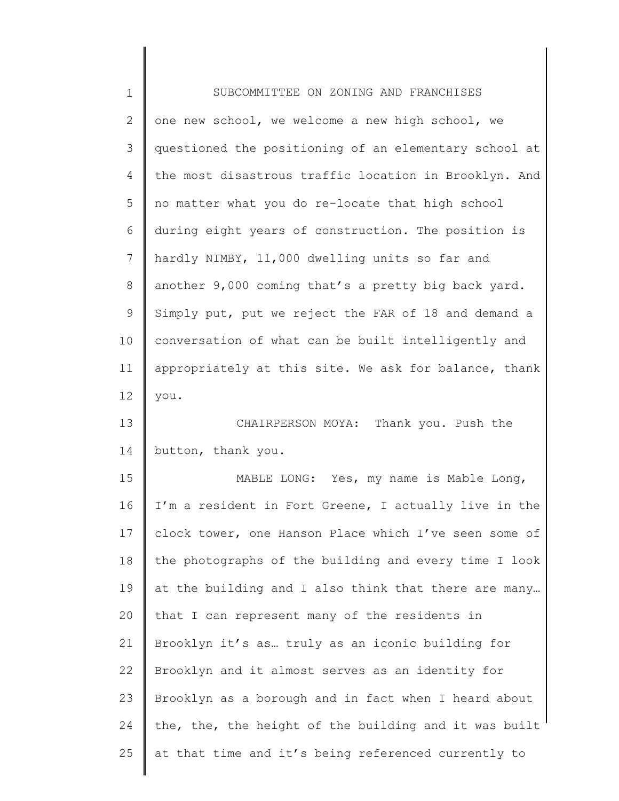| $1\,$          | SUBCOMMITTEE ON ZONING AND FRANCHISES                 |
|----------------|-------------------------------------------------------|
| $\mathbf{2}$   | one new school, we welcome a new high school, we      |
| 3              | questioned the positioning of an elementary school at |
| 4              | the most disastrous traffic location in Brooklyn. And |
| 5              | no matter what you do re-locate that high school      |
| 6              | during eight years of construction. The position is   |
| $7\phantom{.}$ | hardly NIMBY, 11,000 dwelling units so far and        |
| $\,8\,$        | another 9,000 coming that's a pretty big back yard.   |
| $\mathsf 9$    | Simply put, put we reject the FAR of 18 and demand a  |
| 10             | conversation of what can be built intelligently and   |
| 11             | appropriately at this site. We ask for balance, thank |
| 12             | you.                                                  |
| 13             | CHAIRPERSON MOYA: Thank you. Push the                 |
| 14             | button, thank you.                                    |
| 15             | MABLE LONG: Yes, my name is Mable Long,               |
| 16             | I'm a resident in Fort Greene, I actually live in the |
| 17             | clock tower, one Hanson Place which I've seen some of |
| 18             | the photographs of the building and every time I look |
| 19             | at the building and I also think that there are many  |
| 20             | that I can represent many of the residents in         |
| 21             | Brooklyn it's as truly as an iconic building for      |
| 22             | Brooklyn and it almost serves as an identity for      |
| 23             | Brooklyn as a borough and in fact when I heard about  |
| 24             | the, the, the height of the building and it was built |
| 25             | at that time and it's being referenced currently to   |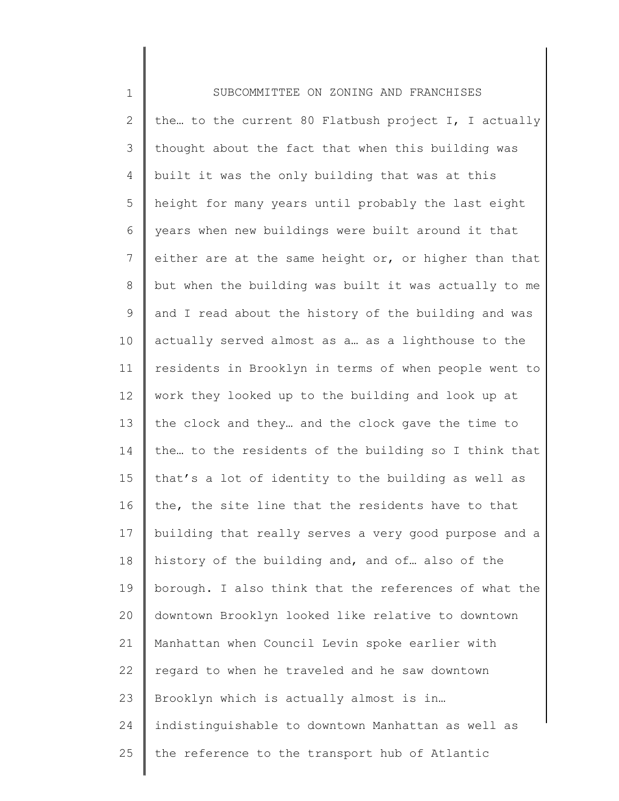1 2 3 4 5 6 7 8 9 10 11 12 13 14 15 16 17 18 19 20 21 22 23 24 25 SUBCOMMITTEE ON ZONING AND FRANCHISES the… to the current 80 Flatbush project I, I actually thought about the fact that when this building was built it was the only building that was at this height for many years until probably the last eight years when new buildings were built around it that either are at the same height or, or higher than that but when the building was built it was actually to me and I read about the history of the building and was actually served almost as a… as a lighthouse to the residents in Brooklyn in terms of when people went to work they looked up to the building and look up at the clock and they… and the clock gave the time to the… to the residents of the building so I think that that's a lot of identity to the building as well as the, the site line that the residents have to that building that really serves a very good purpose and a history of the building and, and of… also of the borough. I also think that the references of what the downtown Brooklyn looked like relative to downtown Manhattan when Council Levin spoke earlier with regard to when he traveled and he saw downtown Brooklyn which is actually almost is in… indistinguishable to downtown Manhattan as well as the reference to the transport hub of Atlantic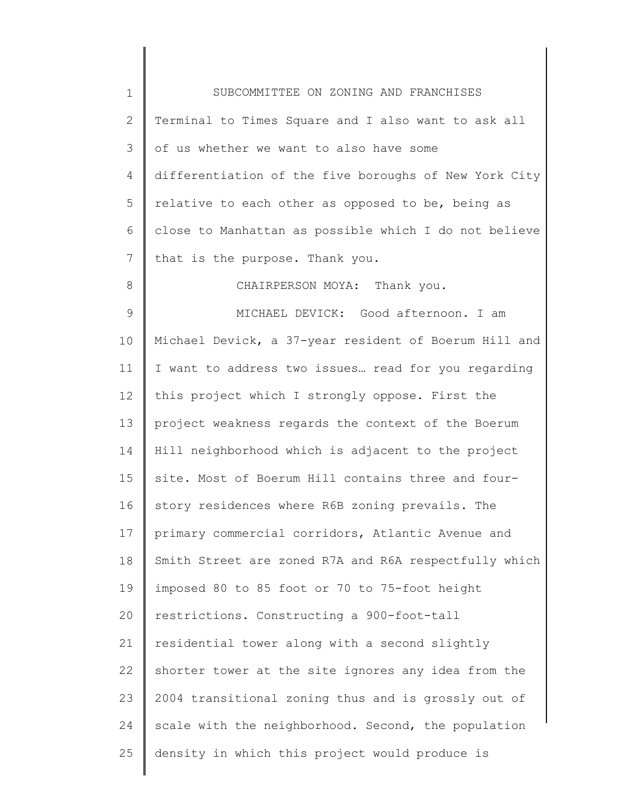| $\mathbf 1$   | SUBCOMMITTEE ON ZONING AND FRANCHISES                 |
|---------------|-------------------------------------------------------|
| $\mathbf{2}$  | Terminal to Times Square and I also want to ask all   |
| 3             | of us whether we want to also have some               |
| 4             | differentiation of the five boroughs of New York City |
| 5             | relative to each other as opposed to be, being as     |
| 6             | close to Manhattan as possible which I do not believe |
| 7             | that is the purpose. Thank you.                       |
| 8             | CHAIRPERSON MOYA: Thank you.                          |
| $\mathcal{G}$ | MICHAEL DEVICK: Good afternoon. I am                  |
| 10            | Michael Devick, a 37-year resident of Boerum Hill and |
| 11            | I want to address two issues read for you regarding   |
| 12            | this project which I strongly oppose. First the       |
| 13            | project weakness regards the context of the Boerum    |
| 14            | Hill neighborhood which is adjacent to the project    |
| 15            | site. Most of Boerum Hill contains three and four-    |
| 16            | story residences where R6B zoning prevails. The       |
| 17            | primary commercial corridors, Atlantic Avenue and     |
| 18            | Smith Street are zoned R7A and R6A respectfully which |
| 19            | imposed 80 to 85 foot or 70 to 75-foot height         |
| 20            | restrictions. Constructing a 900-foot-tall            |
| 21            | residential tower along with a second slightly        |
| 22            | shorter tower at the site ignores any idea from the   |
| 23            | 2004 transitional zoning thus and is grossly out of   |
| 24            | scale with the neighborhood. Second, the population   |
| 25            | density in which this project would produce is        |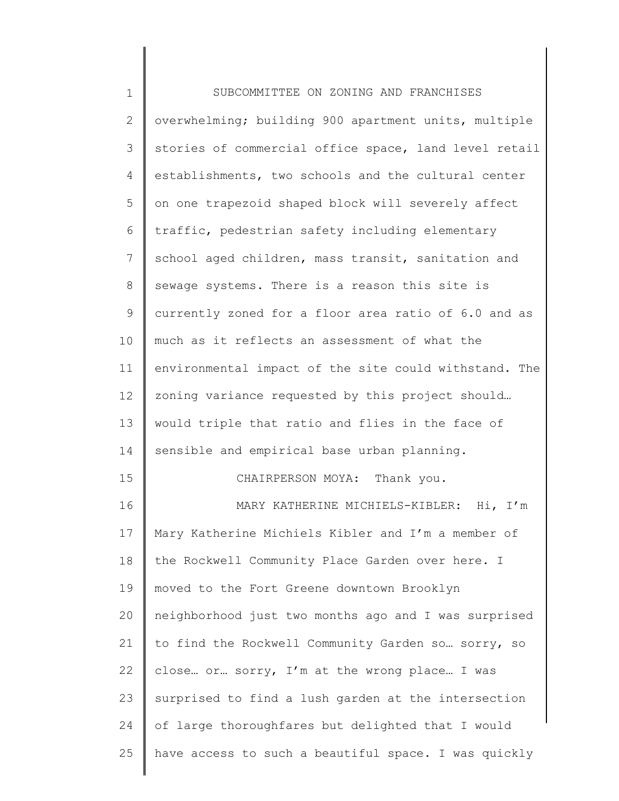| $1\,$          | SUBCOMMITTEE ON ZONING AND FRANCHISES                 |
|----------------|-------------------------------------------------------|
| $\mathbf{2}$   | overwhelming; building 900 apartment units, multiple  |
| $\mathcal{S}$  | stories of commercial office space, land level retail |
| 4              | establishments, two schools and the cultural center   |
| 5              | on one trapezoid shaped block will severely affect    |
| 6              | traffic, pedestrian safety including elementary       |
| $\overline{7}$ | school aged children, mass transit, sanitation and    |
| $8\,$          | sewage systems. There is a reason this site is        |
| $\mathsf 9$    | currently zoned for a floor area ratio of 6.0 and as  |
| 10             | much as it reflects an assessment of what the         |
| 11             | environmental impact of the site could withstand. The |
| 12             | zoning variance requested by this project should      |
| 13             | would triple that ratio and flies in the face of      |
| 14             | sensible and empirical base urban planning.           |
| 15             | CHAIRPERSON MOYA: Thank you.                          |
| 16             | MARY KATHERINE MICHIELS-KIBLER: Hi, I'm               |
| 17             | Mary Katherine Michiels Kibler and I'm a member of    |
| 18             | the Rockwell Community Place Garden over here. I      |
| 19             | moved to the Fort Greene downtown Brooklyn            |
| 20             | neighborhood just two months ago and I was surprised  |
| 21             | to find the Rockwell Community Garden so sorry, so    |
| 22             | close or sorry, I'm at the wrong place I was          |
| 23             | surprised to find a lush garden at the intersection   |
| 24             | of large thoroughfares but delighted that I would     |
| 25             | have access to such a beautiful space. I was quickly  |
|                |                                                       |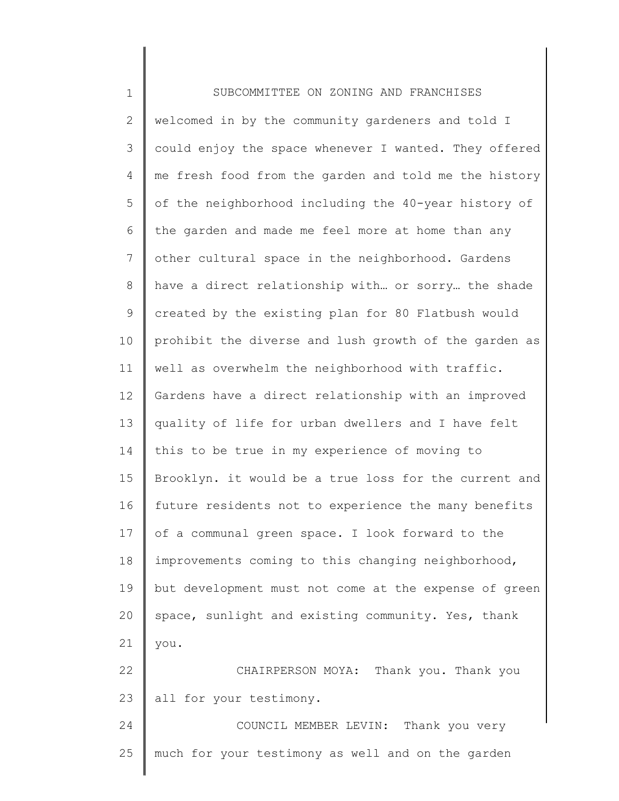| $\mathbf 1$     | SUBCOMMITTEE ON ZONING AND FRANCHISES                 |
|-----------------|-------------------------------------------------------|
| 2               | welcomed in by the community gardeners and told I     |
| 3               | could enjoy the space whenever I wanted. They offered |
| 4               | me fresh food from the garden and told me the history |
| 5               | of the neighborhood including the 40-year history of  |
| 6               | the garden and made me feel more at home than any     |
| $7\phantom{.0}$ | other cultural space in the neighborhood. Gardens     |
| 8               | have a direct relationship with or sorry the shade    |
| 9               | created by the existing plan for 80 Flatbush would    |
| 10              | prohibit the diverse and lush growth of the garden as |
| 11              | well as overwhelm the neighborhood with traffic.      |
| 12              | Gardens have a direct relationship with an improved   |
| 13              | quality of life for urban dwellers and I have felt    |
| 14              | this to be true in my experience of moving to         |
| 15              | Brooklyn. it would be a true loss for the current and |
| 16              | future residents not to experience the many benefits  |
| 17              | of a communal green space. I look forward to the      |
| 18              | improvements coming to this changing neighborhood,    |
| 19              | but development must not come at the expense of green |
| 20              | space, sunlight and existing community. Yes, thank    |
| 21              | you.                                                  |
| 22              | CHAIRPERSON MOYA: Thank you. Thank you                |
| 23              | all for your testimony.                               |
| 24              | COUNCIL MEMBER LEVIN: Thank you very                  |
| 25              | much for your testimony as well and on the garden     |
|                 |                                                       |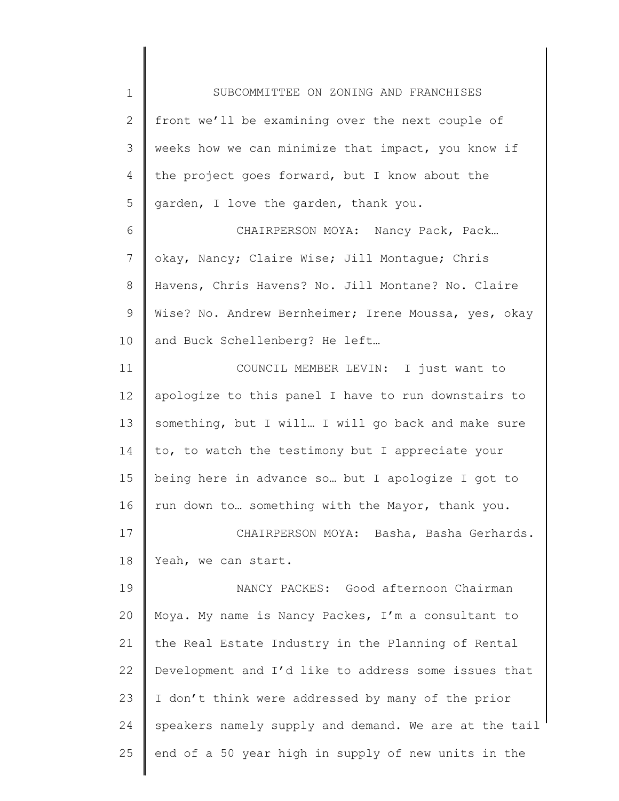1 2 3 4 5 6 7 8 9 10 11 12 13 14 15 16 17 18 19 20 21 22 23 24 25 SUBCOMMITTEE ON ZONING AND FRANCHISES front we'll be examining over the next couple of weeks how we can minimize that impact, you know if the project goes forward, but I know about the garden, I love the garden, thank you. CHAIRPERSON MOYA: Nancy Pack, Pack... okay, Nancy; Claire Wise; Jill Montague; Chris Havens, Chris Havens? No. Jill Montane? No. Claire Wise? No. Andrew Bernheimer; Irene Moussa, yes, okay and Buck Schellenberg? He left… COUNCIL MEMBER LEVIN: I just want to apologize to this panel I have to run downstairs to something, but I will… I will go back and make sure to, to watch the testimony but I appreciate your being here in advance so… but I apologize I got to run down to… something with the Mayor, thank you. CHAIRPERSON MOYA: Basha, Basha Gerhards. Yeah, we can start. NANCY PACKES: Good afternoon Chairman Moya. My name is Nancy Packes, I'm a consultant to the Real Estate Industry in the Planning of Rental Development and I'd like to address some issues that I don't think were addressed by many of the prior speakers namely supply and demand. We are at the tail end of a 50 year high in supply of new units in the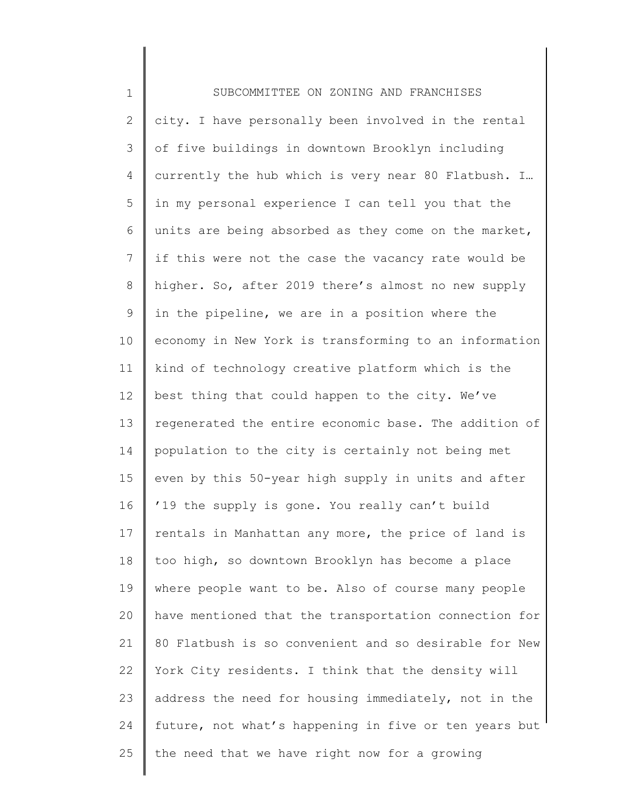| $\mathbf 1$  | SUBCOMMITTEE ON ZONING AND FRANCHISES                 |
|--------------|-------------------------------------------------------|
| $\mathbf{2}$ | city. I have personally been involved in the rental   |
| 3            | of five buildings in downtown Brooklyn including      |
| 4            | currently the hub which is very near 80 Flatbush. I   |
| 5            | in my personal experience I can tell you that the     |
| 6            | units are being absorbed as they come on the market,  |
| 7            | if this were not the case the vacancy rate would be   |
| $8\,$        | higher. So, after 2019 there's almost no new supply   |
| 9            | in the pipeline, we are in a position where the       |
| 10           | economy in New York is transforming to an information |
| 11           | kind of technology creative platform which is the     |
| 12           | best thing that could happen to the city. We've       |
| 13           | regenerated the entire economic base. The addition of |
| 14           | population to the city is certainly not being met     |
| 15           | even by this 50-year high supply in units and after   |
| 16           | '19 the supply is gone. You really can't build        |
| 17           | rentals in Manhattan any more, the price of land is   |
| 18           | too high, so downtown Brooklyn has become a place     |
| 19           | where people want to be. Also of course many people   |
| 20           | have mentioned that the transportation connection for |
| 21           | 80 Flatbush is so convenient and so desirable for New |
| 22           | York City residents. I think that the density will    |
| 23           | address the need for housing immediately, not in the  |
| 24           | future, not what's happening in five or ten years but |
| 25           | the need that we have right now for a growing         |
|              |                                                       |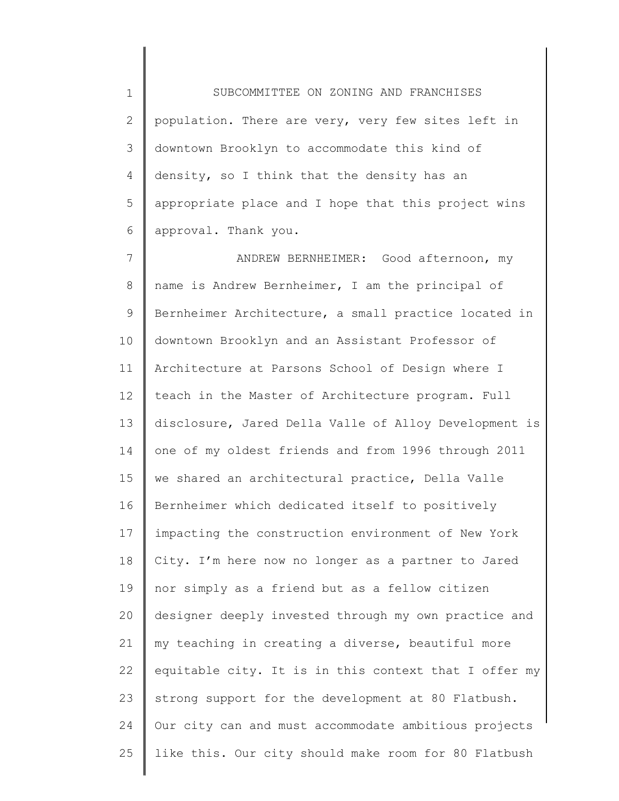1 2 3 4 5 6 SUBCOMMITTEE ON ZONING AND FRANCHISES population. There are very, very few sites left in downtown Brooklyn to accommodate this kind of density, so I think that the density has an appropriate place and I hope that this project wins approval. Thank you.

7 8 9 10 11 12 13 14 15 16 17 18 19 20 21 22 23 24 25 ANDREW BERNHEIMER: Good afternoon, my name is Andrew Bernheimer, I am the principal of Bernheimer Architecture, a small practice located in downtown Brooklyn and an Assistant Professor of Architecture at Parsons School of Design where I teach in the Master of Architecture program. Full disclosure, Jared Della Valle of Alloy Development is one of my oldest friends and from 1996 through 2011 we shared an architectural practice, Della Valle Bernheimer which dedicated itself to positively impacting the construction environment of New York City. I'm here now no longer as a partner to Jared nor simply as a friend but as a fellow citizen designer deeply invested through my own practice and my teaching in creating a diverse, beautiful more equitable city. It is in this context that I offer my strong support for the development at 80 Flatbush. Our city can and must accommodate ambitious projects like this. Our city should make room for 80 Flatbush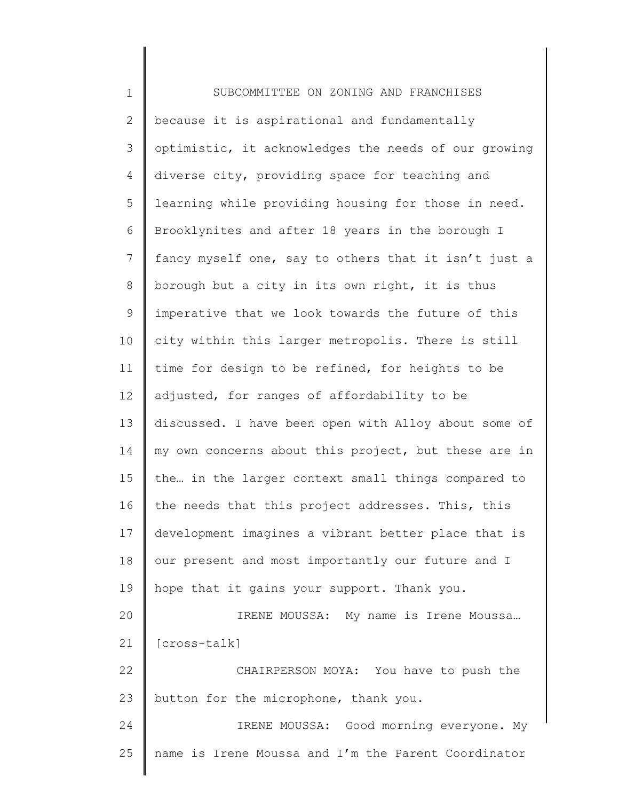1 2 3 4 5 6 7 8 9 10 11 12 13 14 15 16 17 18 19 20 21 22 23 24 25 SUBCOMMITTEE ON ZONING AND FRANCHISES because it is aspirational and fundamentally optimistic, it acknowledges the needs of our growing diverse city, providing space for teaching and learning while providing housing for those in need. Brooklynites and after 18 years in the borough I fancy myself one, say to others that it isn't just a borough but a city in its own right, it is thus imperative that we look towards the future of this city within this larger metropolis. There is still time for design to be refined, for heights to be adjusted, for ranges of affordability to be discussed. I have been open with Alloy about some of my own concerns about this project, but these are in the… in the larger context small things compared to the needs that this project addresses. This, this development imagines a vibrant better place that is our present and most importantly our future and I hope that it gains your support. Thank you. IRENE MOUSSA: My name is Irene Moussa… [cross-talk] CHAIRPERSON MOYA: You have to push the button for the microphone, thank you. IRENE MOUSSA: Good morning everyone. My name is Irene Moussa and I'm the Parent Coordinator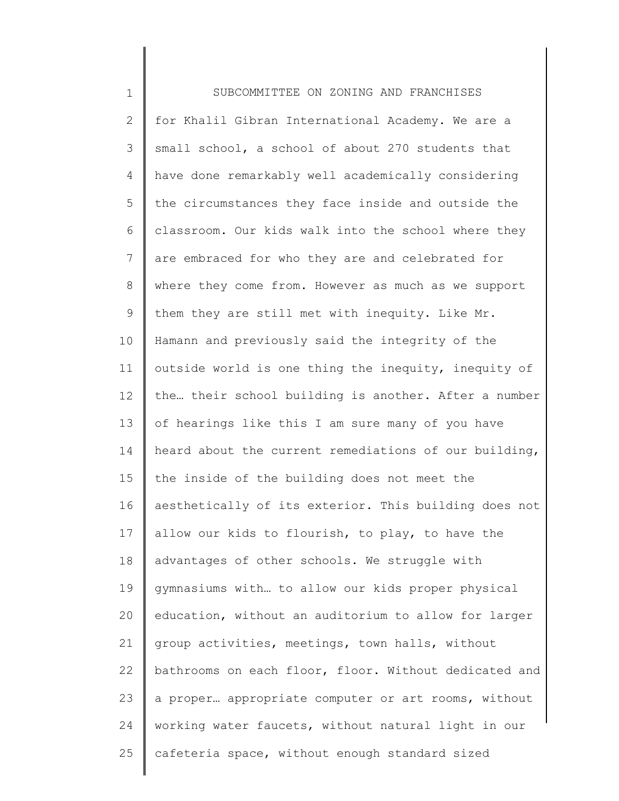| $\mathbf 1$    | SUBCOMMITTEE ON ZONING AND FRANCHISES                 |
|----------------|-------------------------------------------------------|
| $\mathbf{2}$   | for Khalil Gibran International Academy. We are a     |
| 3              | small school, a school of about 270 students that     |
| 4              | have done remarkably well academically considering    |
| 5              | the circumstances they face inside and outside the    |
| 6              | classroom. Our kids walk into the school where they   |
| $7\phantom{.}$ | are embraced for who they are and celebrated for      |
| 8              | where they come from. However as much as we support   |
| 9              | them they are still met with inequity. Like Mr.       |
| 10             | Hamann and previously said the integrity of the       |
| 11             | outside world is one thing the inequity, inequity of  |
| 12             | the their school building is another. After a number  |
| 13             | of hearings like this I am sure many of you have      |
| 14             | heard about the current remediations of our building, |
| 15             | the inside of the building does not meet the          |
| 16             | aesthetically of its exterior. This building does not |
| 17             | allow our kids to flourish, to play, to have the      |
| 18             | advantages of other schools. We struggle with         |
| 19             | gymnasiums with to allow our kids proper physical     |
| 20             | education, without an auditorium to allow for larger  |
| 21             | group activities, meetings, town halls, without       |
| 22             | bathrooms on each floor, floor. Without dedicated and |
| 23             | a proper appropriate computer or art rooms, without   |
| 24             | working water faucets, without natural light in our   |
| 25             | cafeteria space, without enough standard sized        |
|                |                                                       |

∥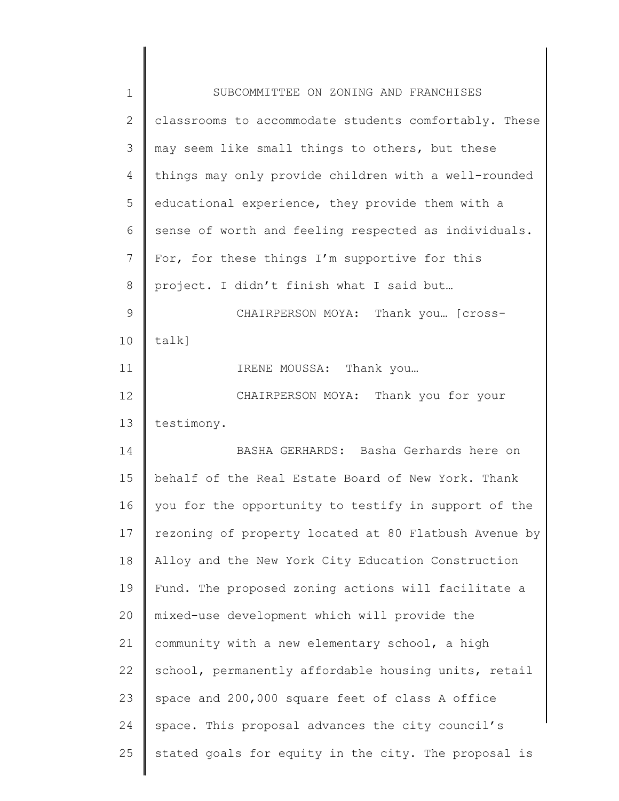| 1            | SUBCOMMITTEE ON ZONING AND FRANCHISES                 |
|--------------|-------------------------------------------------------|
| $\mathbf{2}$ | classrooms to accommodate students comfortably. These |
| 3            | may seem like small things to others, but these       |
| 4            | things may only provide children with a well-rounded  |
| 5            | educational experience, they provide them with a      |
| 6            | sense of worth and feeling respected as individuals.  |
| 7            | For, for these things I'm supportive for this         |
| 8            | project. I didn't finish what I said but              |
| 9            | CHAIRPERSON MOYA: Thank you [cross-                   |
| 10           | talk]                                                 |
| 11           | IRENE MOUSSA: Thank you                               |
| 12           | CHAIRPERSON MOYA: Thank you for your                  |
| 13           | testimony.                                            |
| 14           | BASHA GERHARDS: Basha Gerhards here on                |
| 15           | behalf of the Real Estate Board of New York. Thank    |
| 16           | you for the opportunity to testify in support of the  |
| 17           | rezoning of property located at 80 Flatbush Avenue by |
| 18           | Alloy and the New York City Education Construction    |
| 19           | Fund. The proposed zoning actions will facilitate a   |
| 20           | mixed-use development which will provide the          |
| 21           | community with a new elementary school, a high        |
| 22           | school, permanently affordable housing units, retail  |
| 23           | space and 200,000 square feet of class A office       |
| 24           | space. This proposal advances the city council's      |
| 25           | stated goals for equity in the city. The proposal is  |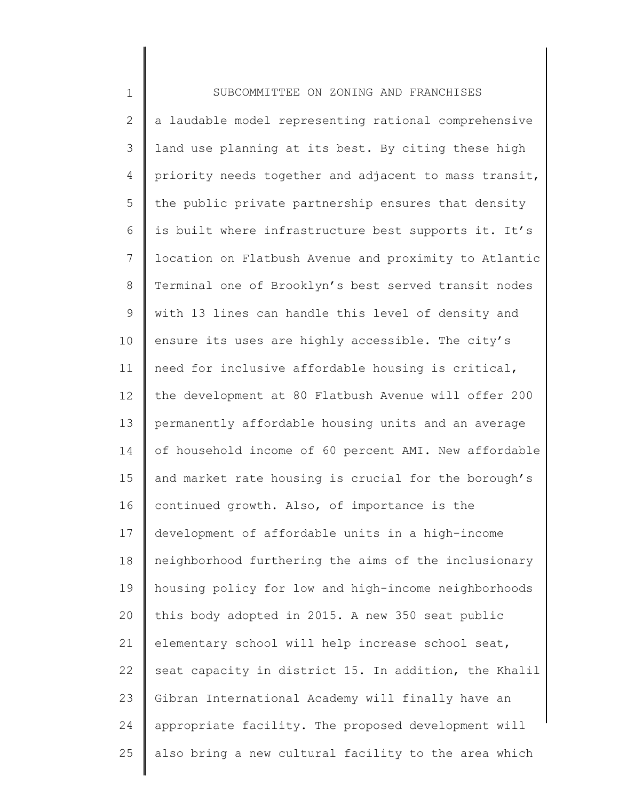| $\mathbf 1$  | SUBCOMMITTEE ON ZONING AND FRANCHISES                 |
|--------------|-------------------------------------------------------|
| $\mathbf{2}$ | a laudable model representing rational comprehensive  |
| 3            | land use planning at its best. By citing these high   |
| 4            | priority needs together and adjacent to mass transit, |
| 5            | the public private partnership ensures that density   |
| 6            | is built where infrastructure best supports it. It's  |
| 7            | location on Flatbush Avenue and proximity to Atlantic |
| $8\,$        | Terminal one of Brooklyn's best served transit nodes  |
| 9            | with 13 lines can handle this level of density and    |
| 10           | ensure its uses are highly accessible. The city's     |
| 11           | need for inclusive affordable housing is critical,    |
| 12           | the development at 80 Flatbush Avenue will offer 200  |
| 13           | permanently affordable housing units and an average   |
| 14           | of household income of 60 percent AMI. New affordable |
| 15           | and market rate housing is crucial for the borough's  |
| 16           | continued growth. Also, of importance is the          |
| 17           | development of affordable units in a high-income      |
| 18           | neighborhood furthering the aims of the inclusionary  |
| 19           | housing policy for low and high-income neighborhoods  |
| 20           | this body adopted in 2015. A new 350 seat public      |
| 21           | elementary school will help increase school seat,     |
| 22           | seat capacity in district 15. In addition, the Khalil |
| 23           | Gibran International Academy will finally have an     |
| 24           | appropriate facility. The proposed development will   |
| 25           | also bring a new cultural facility to the area which  |
|              |                                                       |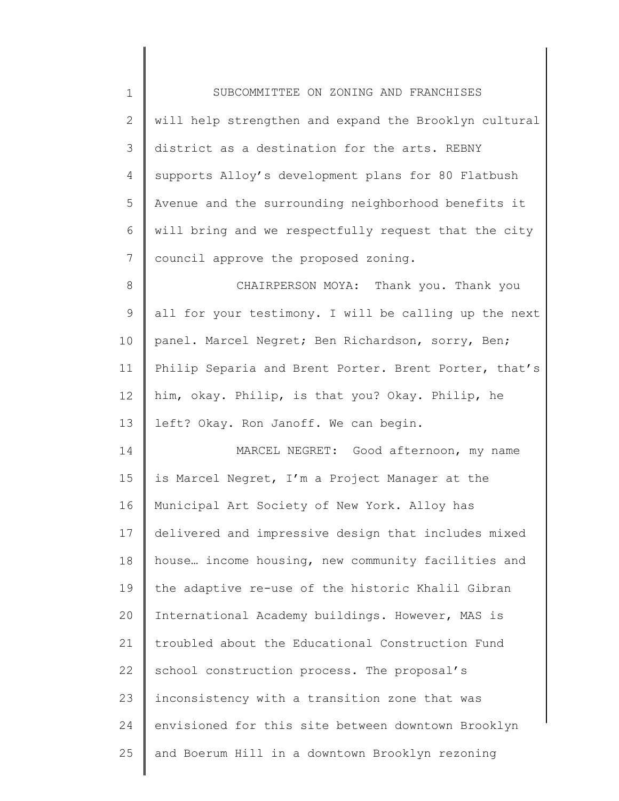| $1\,$          | SUBCOMMITTEE ON ZONING AND FRANCHISES                 |
|----------------|-------------------------------------------------------|
| $\mathbf{2}$   | will help strengthen and expand the Brooklyn cultural |
| 3              | district as a destination for the arts. REBNY         |
| $\overline{4}$ | supports Alloy's development plans for 80 Flatbush    |
| 5              | Avenue and the surrounding neighborhood benefits it   |
| 6              | will bring and we respectfully request that the city  |
| $\overline{7}$ | council approve the proposed zoning.                  |
| 8              | CHAIRPERSON MOYA: Thank you. Thank you                |
| $\mathsf 9$    | all for your testimony. I will be calling up the next |
| 10             | panel. Marcel Negret; Ben Richardson, sorry, Ben;     |
| 11             | Philip Separia and Brent Porter. Brent Porter, that's |
| 12             | him, okay. Philip, is that you? Okay. Philip, he      |
| 13             | left? Okay. Ron Janoff. We can begin.                 |
| 14             | MARCEL NEGRET: Good afternoon, my name                |
| 15             | is Marcel Negret, I'm a Project Manager at the        |
| 16             | Municipal Art Society of New York. Alloy has          |
| 17             | delivered and impressive design that includes mixed   |
| 18             | house income housing, new community facilities and    |
| 19             | the adaptive re-use of the historic Khalil Gibran     |
| 20             | International Academy buildings. However, MAS is      |
| 21             | troubled about the Educational Construction Fund      |
| 22             | school construction process. The proposal's           |
| 23             | inconsistency with a transition zone that was         |
| 24             | envisioned for this site between downtown Brooklyn    |
| 25             | and Boerum Hill in a downtown Brooklyn rezoning       |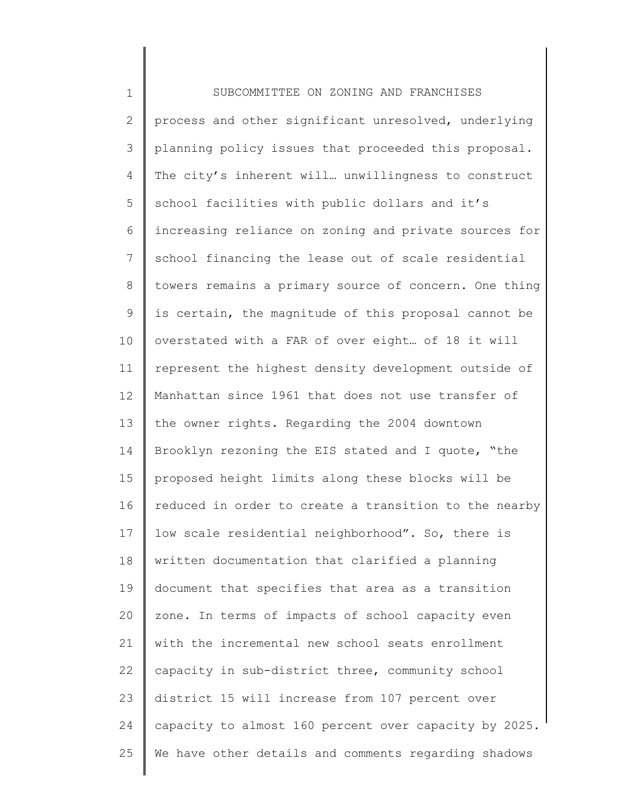1 2 3 4 5 6 7 8 9 10 11 12 13 14 15 16 17 18 19 20 21 22 23 24 25 SUBCOMMITTEE ON ZONING AND FRANCHISES process and other significant unresolved, underlying planning policy issues that proceeded this proposal. The city's inherent will… unwillingness to construct school facilities with public dollars and it's increasing reliance on zoning and private sources for school financing the lease out of scale residential towers remains a primary source of concern. One thing is certain, the magnitude of this proposal cannot be overstated with a FAR of over eight… of 18 it will represent the highest density development outside of Manhattan since 1961 that does not use transfer of the owner rights. Regarding the 2004 downtown Brooklyn rezoning the EIS stated and I quote, "the proposed height limits along these blocks will be reduced in order to create a transition to the nearby low scale residential neighborhood". So, there is written documentation that clarified a planning document that specifies that area as a transition zone. In terms of impacts of school capacity even with the incremental new school seats enrollment capacity in sub-district three, community school district 15 will increase from 107 percent over capacity to almost 160 percent over capacity by 2025. We have other details and comments regarding shadows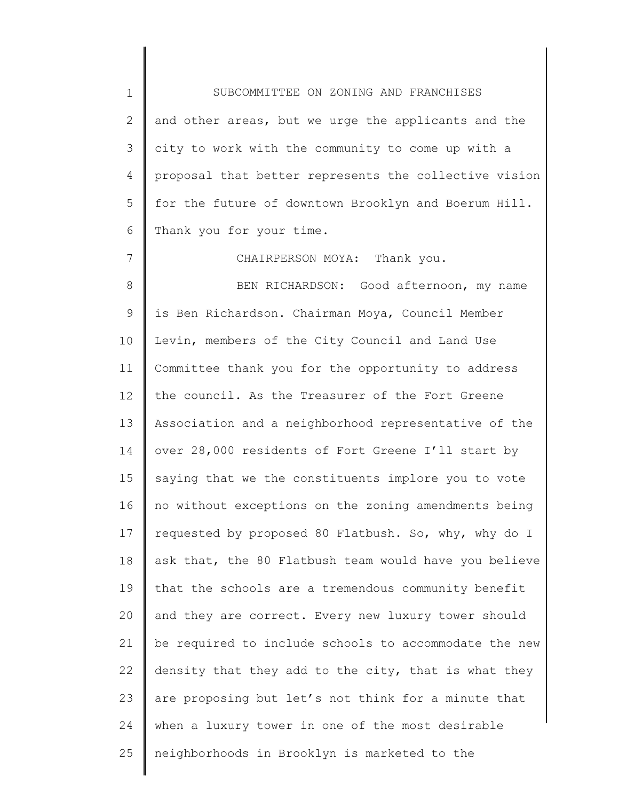1 2 3 4 5 6 7 SUBCOMMITTEE ON ZONING AND FRANCHISES and other areas, but we urge the applicants and the city to work with the community to come up with a proposal that better represents the collective vision for the future of downtown Brooklyn and Boerum Hill. Thank you for your time.

CHAIRPERSON MOYA: Thank you.

8 9 10 11 12 13 14 15 16 17 18 19 20 21 22 23 24 25 BEN RICHARDSON: Good afternoon, my name is Ben Richardson. Chairman Moya, Council Member Levin, members of the City Council and Land Use Committee thank you for the opportunity to address the council. As the Treasurer of the Fort Greene Association and a neighborhood representative of the over 28,000 residents of Fort Greene I'll start by saying that we the constituents implore you to vote no without exceptions on the zoning amendments being requested by proposed 80 Flatbush. So, why, why do I ask that, the 80 Flatbush team would have you believe that the schools are a tremendous community benefit and they are correct. Every new luxury tower should be required to include schools to accommodate the new density that they add to the city, that is what they are proposing but let's not think for a minute that when a luxury tower in one of the most desirable neighborhoods in Brooklyn is marketed to the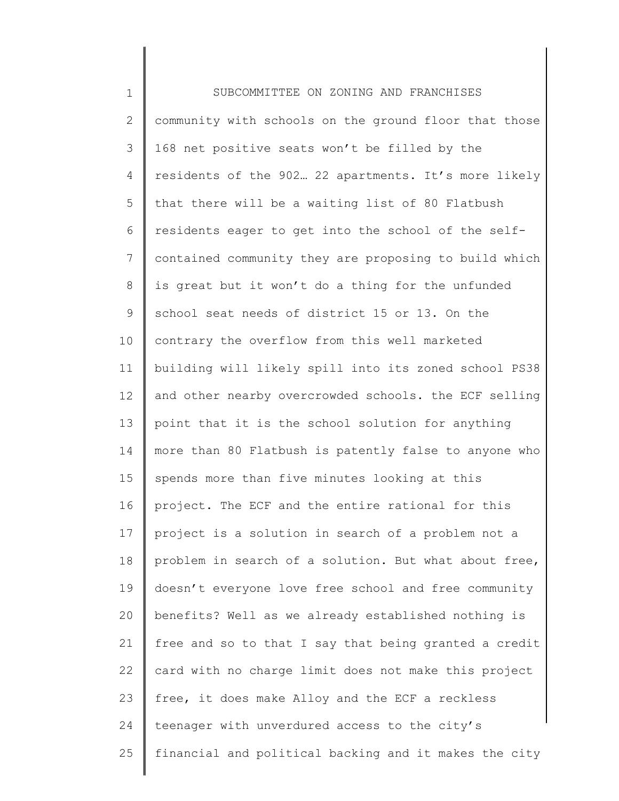1 2 3 4 5 6 7 8 9 10 11 12 13 14 15 16 17 18 19 20 21 22 23 24 25 SUBCOMMITTEE ON ZONING AND FRANCHISES community with schools on the ground floor that those 168 net positive seats won't be filled by the residents of the 902… 22 apartments. It's more likely that there will be a waiting list of 80 Flatbush residents eager to get into the school of the selfcontained community they are proposing to build which is great but it won't do a thing for the unfunded school seat needs of district 15 or 13. On the contrary the overflow from this well marketed building will likely spill into its zoned school PS38 and other nearby overcrowded schools. the ECF selling point that it is the school solution for anything more than 80 Flatbush is patently false to anyone who spends more than five minutes looking at this project. The ECF and the entire rational for this project is a solution in search of a problem not a problem in search of a solution. But what about free, doesn't everyone love free school and free community benefits? Well as we already established nothing is free and so to that I say that being granted a credit card with no charge limit does not make this project free, it does make Alloy and the ECF a reckless teenager with unverdured access to the city's financial and political backing and it makes the city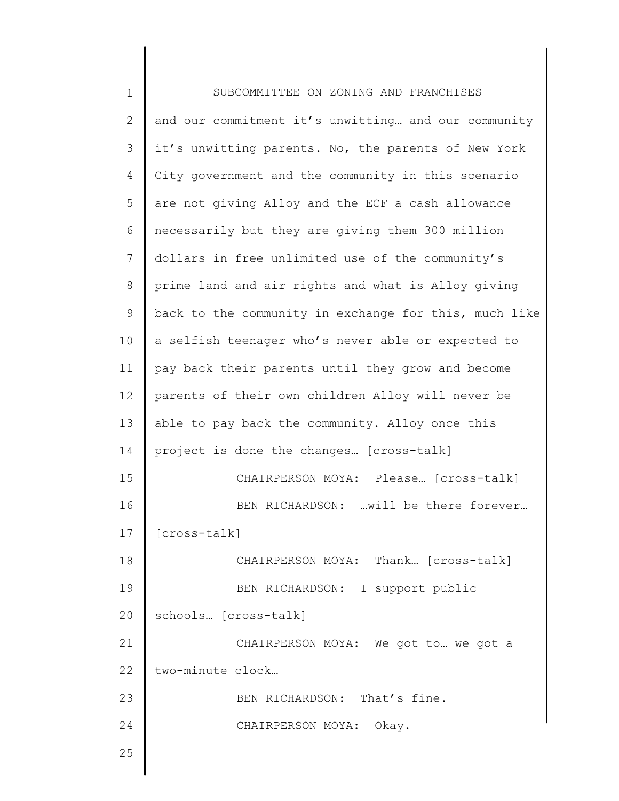| $\mathbf 1$ | SUBCOMMITTEE ON ZONING AND FRANCHISES                 |
|-------------|-------------------------------------------------------|
| 2           | and our commitment it's unwitting and our community   |
| 3           | it's unwitting parents. No, the parents of New York   |
| 4           | City government and the community in this scenario    |
| 5           | are not giving Alloy and the ECF a cash allowance     |
| 6           | necessarily but they are giving them 300 million      |
| 7           | dollars in free unlimited use of the community's      |
| 8           | prime land and air rights and what is Alloy giving    |
| $\mathsf 9$ | back to the community in exchange for this, much like |
| 10          | a selfish teenager who's never able or expected to    |
| 11          | pay back their parents until they grow and become     |
| 12          | parents of their own children Alloy will never be     |
| 13          | able to pay back the community. Alloy once this       |
| 14          | project is done the changes [cross-talk]              |
| 15          | CHAIRPERSON MOYA: Please [cross-talk]                 |
| 16          | BEN RICHARDSON: will be there forever                 |
| 17          | [cross-talk]                                          |
| 18          | CHAIRPERSON MOYA: Thank [cross-talk]                  |
| 19          | BEN RICHARDSON: I support public                      |
| 20          | schools [cross-talk]                                  |
| 21          | CHAIRPERSON MOYA: We got to  we got a                 |
| 22          | two-minute clock                                      |
| 23          | BEN RICHARDSON: That's fine.                          |
| 24          | CHAIRPERSON MOYA: Okay.                               |
| 25          |                                                       |
|             |                                                       |

 $\mathsf I$ ∥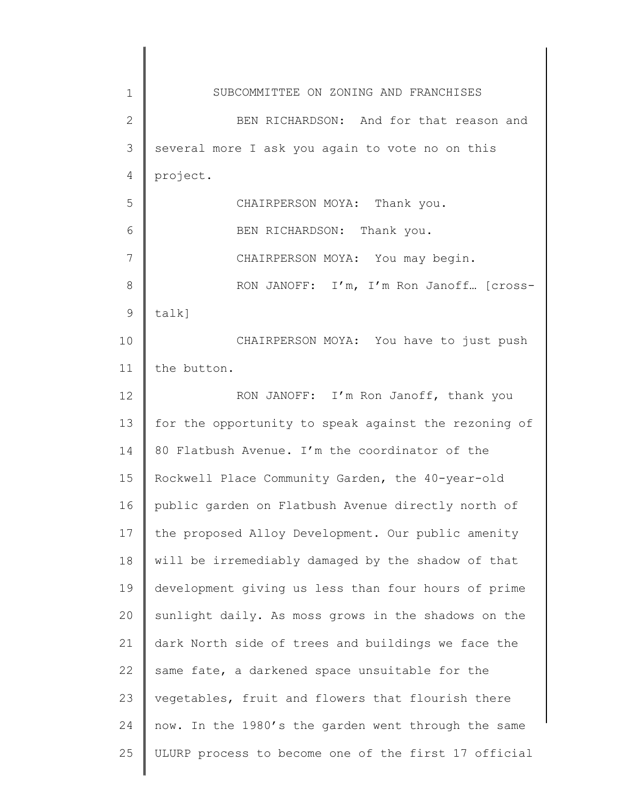| $\mathbf 1$   | SUBCOMMITTEE ON ZONING AND FRANCHISES                |
|---------------|------------------------------------------------------|
| $\mathbf{2}$  | BEN RICHARDSON: And for that reason and              |
| 3             | several more I ask you again to vote no on this      |
| 4             | project.                                             |
| 5             | CHAIRPERSON MOYA: Thank you.                         |
| 6             | BEN RICHARDSON: Thank you.                           |
| 7             | CHAIRPERSON MOYA: You may begin.                     |
| 8             | RON JANOFF: I'm, I'm Ron Janoff [cross-              |
| $\mathcal{G}$ | talk]                                                |
| 10            | CHAIRPERSON MOYA: You have to just push              |
| 11            | the button.                                          |
| 12            | RON JANOFF: I'm Ron Janoff, thank you                |
| 13            | for the opportunity to speak against the rezoning of |
| 14            | 80 Flatbush Avenue. I'm the coordinator of the       |
| 15            | Rockwell Place Community Garden, the 40-year-old     |
| 16            | public garden on Flatbush Avenue directly north of   |
| 17            | the proposed Alloy Development. Our public amenity   |
| 18            | will be irremediably damaged by the shadow of that   |
| 19            | development giving us less than four hours of prime  |
| 20            | sunlight daily. As moss grows in the shadows on the  |
| 21            | dark North side of trees and buildings we face the   |
| 22            | same fate, a darkened space unsuitable for the       |
| 23            | vegetables, fruit and flowers that flourish there    |
| 24            | now. In the 1980's the garden went through the same  |
| 25            | ULURP process to become one of the first 17 official |
|               |                                                      |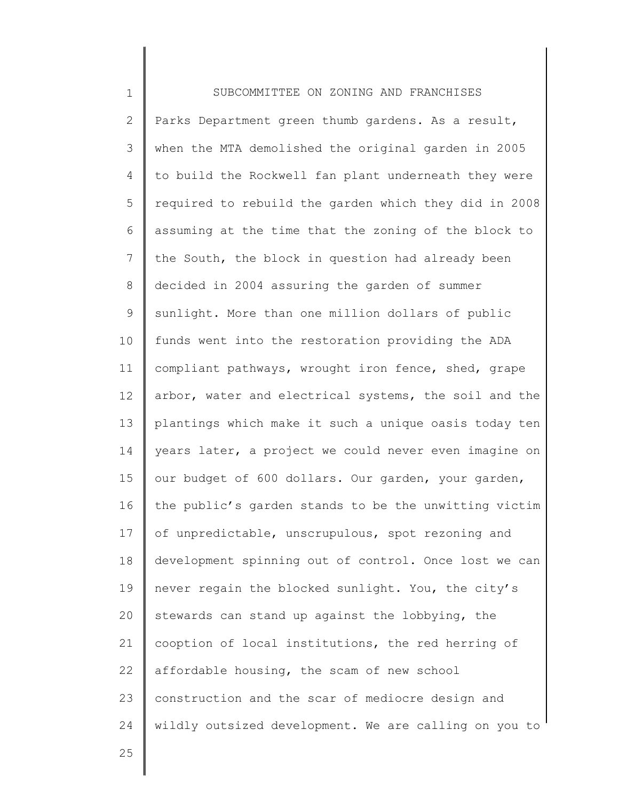1 2 3 4 5 6 7 8 9 10 11 12 13 14 15 16 17 18 19 20 21 22 23 24 SUBCOMMITTEE ON ZONING AND FRANCHISES Parks Department green thumb gardens. As a result, when the MTA demolished the original garden in 2005 to build the Rockwell fan plant underneath they were required to rebuild the garden which they did in 2008 assuming at the time that the zoning of the block to the South, the block in question had already been decided in 2004 assuring the garden of summer sunlight. More than one million dollars of public funds went into the restoration providing the ADA compliant pathways, wrought iron fence, shed, grape arbor, water and electrical systems, the soil and the plantings which make it such a unique oasis today ten years later, a project we could never even imagine on our budget of 600 dollars. Our garden, your garden, the public's garden stands to be the unwitting victim of unpredictable, unscrupulous, spot rezoning and development spinning out of control. Once lost we can never regain the blocked sunlight. You, the city's stewards can stand up against the lobbying, the cooption of local institutions, the red herring of affordable housing, the scam of new school construction and the scar of mediocre design and wildly outsized development. We are calling on you to

25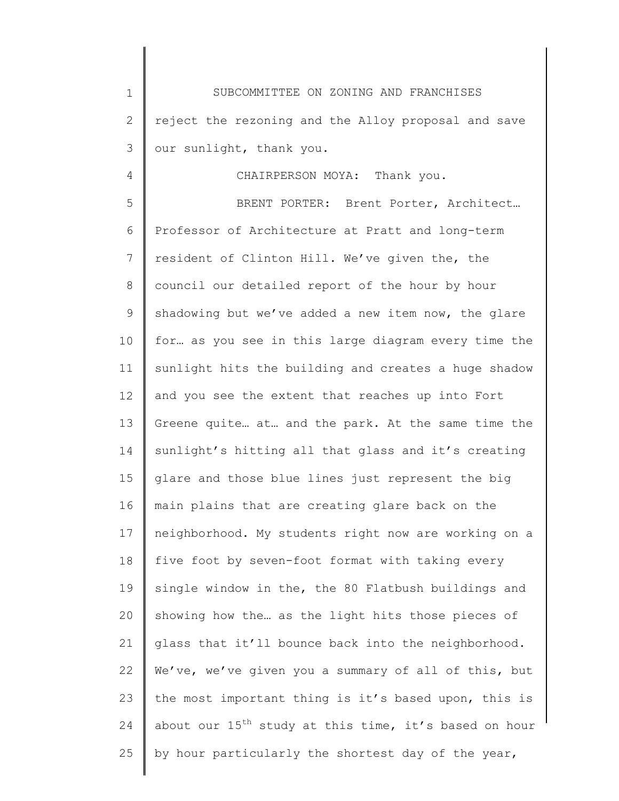1 2 3 SUBCOMMITTEE ON ZONING AND FRANCHISES reject the rezoning and the Alloy proposal and save our sunlight, thank you.

4

## CHAIRPERSON MOYA: Thank you.

5 6 7 8 9 10 11 12 13 14 15 16 17 18 19 20 21 22 23 24 25 BRENT PORTER: Brent Porter, Architect… Professor of Architecture at Pratt and long-term resident of Clinton Hill. We've given the, the council our detailed report of the hour by hour shadowing but we've added a new item now, the glare for… as you see in this large diagram every time the sunlight hits the building and creates a huge shadow and you see the extent that reaches up into Fort Greene quite… at… and the park. At the same time the sunlight's hitting all that glass and it's creating glare and those blue lines just represent the big main plains that are creating glare back on the neighborhood. My students right now are working on a five foot by seven-foot format with taking every single window in the, the 80 Flatbush buildings and showing how the… as the light hits those pieces of glass that it'll bounce back into the neighborhood. We've, we've given you a summary of all of this, but the most important thing is it's based upon, this is about our  $15^{th}$  study at this time, it's based on hour by hour particularly the shortest day of the year,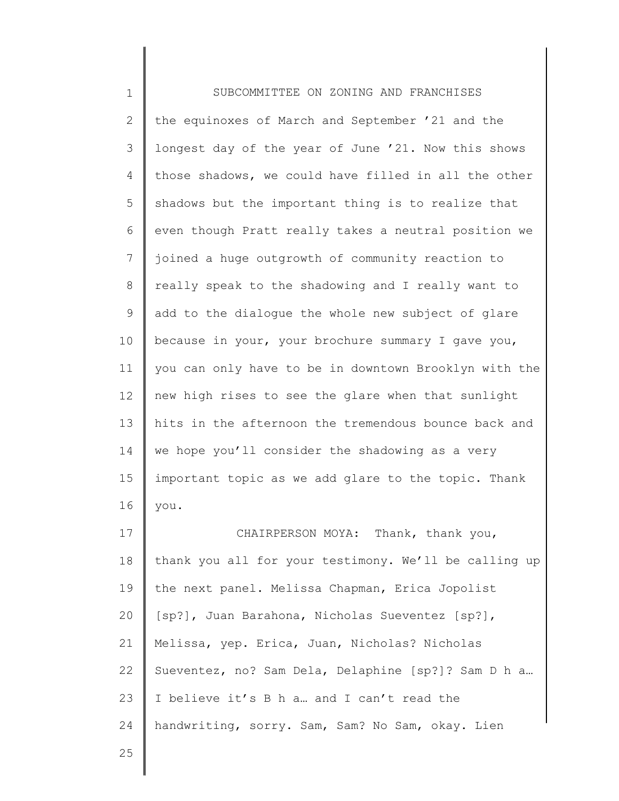1 2 3 4 5 6 7 8 9 10 11 12 13 14 15 16 17 18 19 20 21 22 23 24 25 SUBCOMMITTEE ON ZONING AND FRANCHISES the equinoxes of March and September '21 and the longest day of the year of June '21. Now this shows those shadows, we could have filled in all the other shadows but the important thing is to realize that even though Pratt really takes a neutral position we joined a huge outgrowth of community reaction to really speak to the shadowing and I really want to add to the dialogue the whole new subject of glare because in your, your brochure summary I gave you, you can only have to be in downtown Brooklyn with the new high rises to see the glare when that sunlight hits in the afternoon the tremendous bounce back and we hope you'll consider the shadowing as a very important topic as we add glare to the topic. Thank you. CHAIRPERSON MOYA: Thank, thank you, thank you all for your testimony. We'll be calling up the next panel. Melissa Chapman, Erica Jopolist [sp?], Juan Barahona, Nicholas Sueventez [sp?], Melissa, yep. Erica, Juan, Nicholas? Nicholas Sueventez, no? Sam Dela, Delaphine [sp?]? Sam D h a… I believe it's B h a… and I can't read the handwriting, sorry. Sam, Sam? No Sam, okay. Lien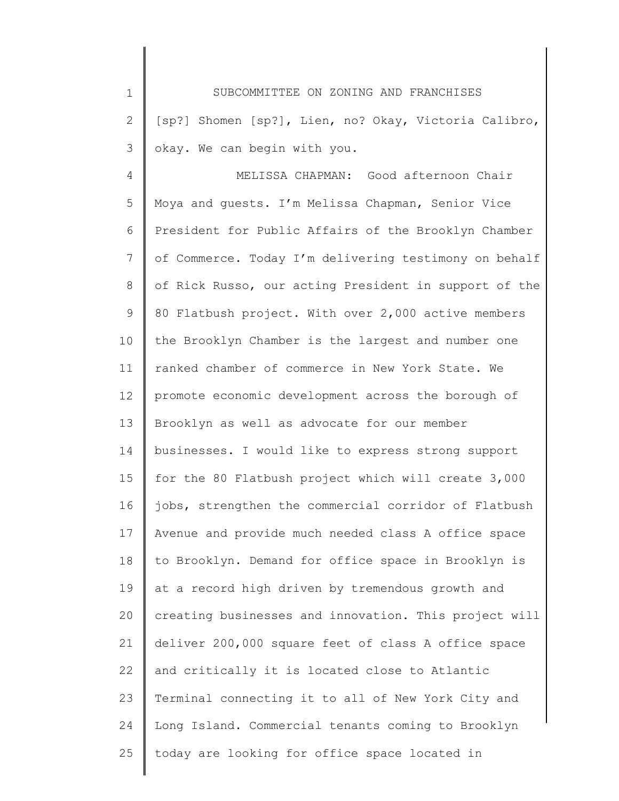1 2 3 SUBCOMMITTEE ON ZONING AND FRANCHISES [sp?] Shomen [sp?], Lien, no? Okay, Victoria Calibro, okay. We can begin with you.

4 5 6 7 8 9 10 11 12 13 14 15 16 17 18 19 20 21 22 23 24 25 MELISSA CHAPMAN: Good afternoon Chair Moya and guests. I'm Melissa Chapman, Senior Vice President for Public Affairs of the Brooklyn Chamber of Commerce. Today I'm delivering testimony on behalf of Rick Russo, our acting President in support of the 80 Flatbush project. With over 2,000 active members the Brooklyn Chamber is the largest and number one ranked chamber of commerce in New York State. We promote economic development across the borough of Brooklyn as well as advocate for our member businesses. I would like to express strong support for the 80 Flatbush project which will create 3,000 jobs, strengthen the commercial corridor of Flatbush Avenue and provide much needed class A office space to Brooklyn. Demand for office space in Brooklyn is at a record high driven by tremendous growth and creating businesses and innovation. This project will deliver 200,000 square feet of class A office space and critically it is located close to Atlantic Terminal connecting it to all of New York City and Long Island. Commercial tenants coming to Brooklyn today are looking for office space located in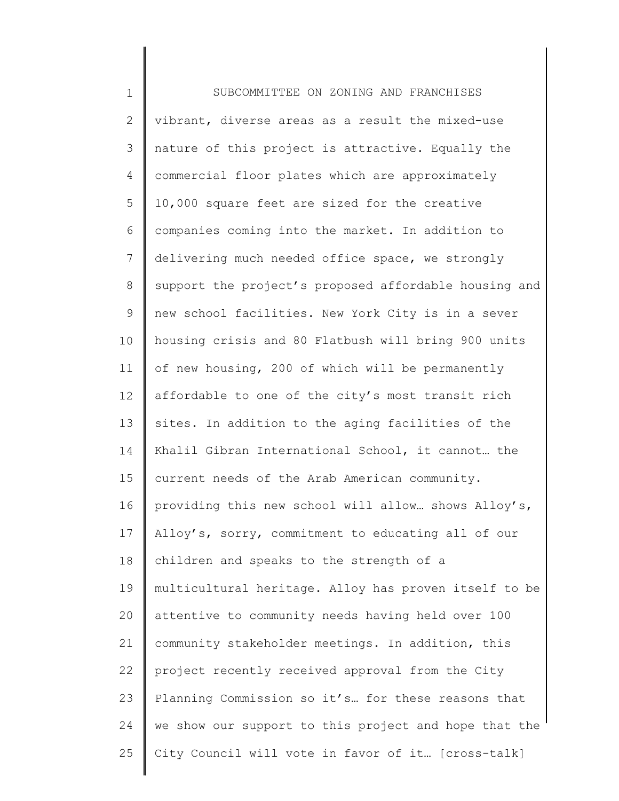1 2 3 4 5 6 7 8 9 10 11 12 13 14 15 16 17 18 19 20 21 22 23 24 25 SUBCOMMITTEE ON ZONING AND FRANCHISES vibrant, diverse areas as a result the mixed-use nature of this project is attractive. Equally the commercial floor plates which are approximately 10,000 square feet are sized for the creative companies coming into the market. In addition to delivering much needed office space, we strongly support the project's proposed affordable housing and new school facilities. New York City is in a sever housing crisis and 80 Flatbush will bring 900 units of new housing, 200 of which will be permanently affordable to one of the city's most transit rich sites. In addition to the aging facilities of the Khalil Gibran International School, it cannot… the current needs of the Arab American community. providing this new school will allow… shows Alloy's, Alloy's, sorry, commitment to educating all of our children and speaks to the strength of a multicultural heritage. Alloy has proven itself to be attentive to community needs having held over 100 community stakeholder meetings. In addition, this project recently received approval from the City Planning Commission so it's… for these reasons that we show our support to this project and hope that the City Council will vote in favor of it… [cross-talk]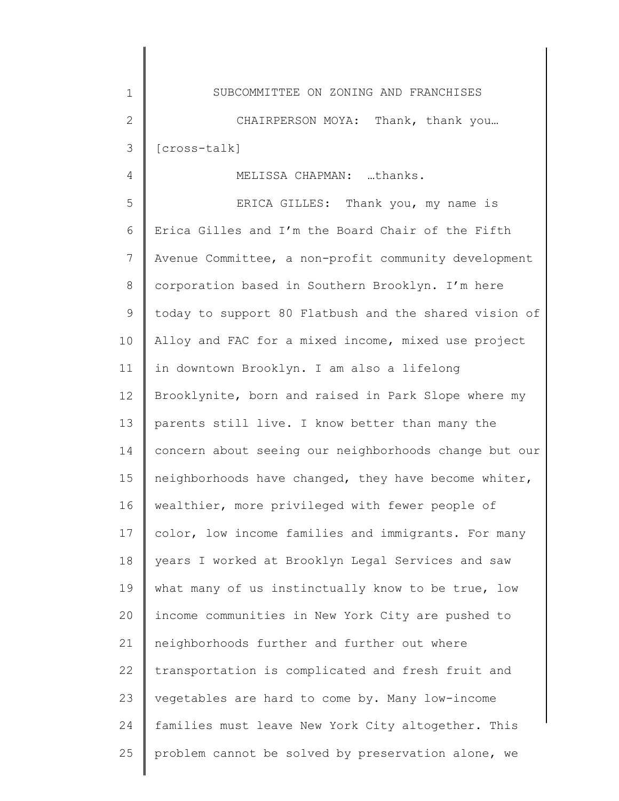1 2 3 SUBCOMMITTEE ON ZONING AND FRANCHISES CHAIRPERSON MOYA: Thank, thank you... [cross-talk]

4

MELISSA CHAPMAN: …thanks.

5 6 7 8 9 10 11 12 13 14 15 16 17 18 19 20 21 22 23 24 25 ERICA GILLES: Thank you, my name is Erica Gilles and I'm the Board Chair of the Fifth Avenue Committee, a non-profit community development corporation based in Southern Brooklyn. I'm here today to support 80 Flatbush and the shared vision of Alloy and FAC for a mixed income, mixed use project in downtown Brooklyn. I am also a lifelong Brooklynite, born and raised in Park Slope where my parents still live. I know better than many the concern about seeing our neighborhoods change but our neighborhoods have changed, they have become whiter, wealthier, more privileged with fewer people of color, low income families and immigrants. For many years I worked at Brooklyn Legal Services and saw what many of us instinctually know to be true, low income communities in New York City are pushed to neighborhoods further and further out where transportation is complicated and fresh fruit and vegetables are hard to come by. Many low-income families must leave New York City altogether. This problem cannot be solved by preservation alone, we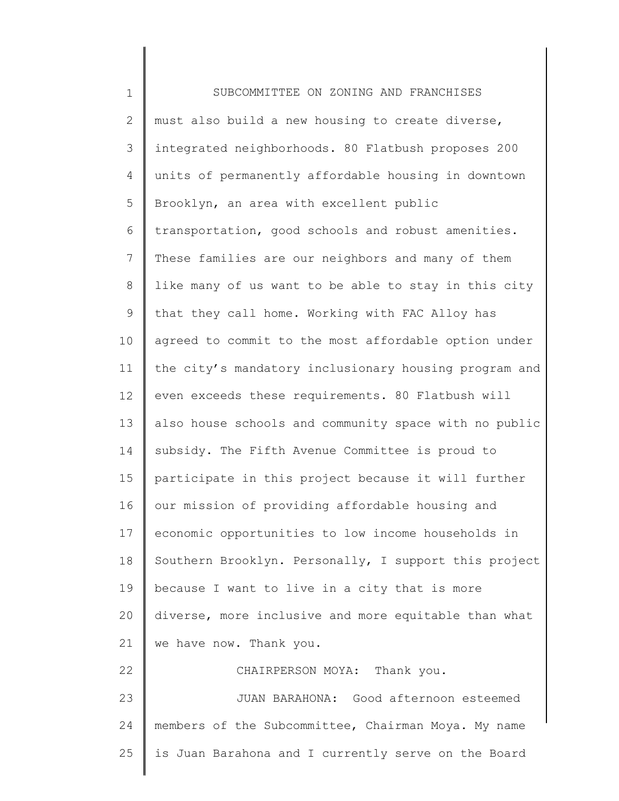| $\mathbf 1$    | SUBCOMMITTEE ON ZONING AND FRANCHISES                 |
|----------------|-------------------------------------------------------|
| $\overline{2}$ | must also build a new housing to create diverse,      |
| 3              | integrated neighborhoods. 80 Flatbush proposes 200    |
| $\overline{4}$ | units of permanently affordable housing in downtown   |
| 5              | Brooklyn, an area with excellent public               |
| 6              | transportation, good schools and robust amenities.    |
| 7              | These families are our neighbors and many of them     |
| 8              | like many of us want to be able to stay in this city  |
| 9              | that they call home. Working with FAC Alloy has       |
| 10             | agreed to commit to the most affordable option under  |
| 11             | the city's mandatory inclusionary housing program and |
| 12             | even exceeds these requirements. 80 Flatbush will     |
| 13             | also house schools and community space with no public |
| 14             | subsidy. The Fifth Avenue Committee is proud to       |
| 15             | participate in this project because it will further   |
| 16             | our mission of providing affordable housing and       |
| 17             | economic opportunities to low income households in    |
| 18             | Southern Brooklyn. Personally, I support this project |
| 19             | because I want to live in a city that is more         |
| 20             | diverse, more inclusive and more equitable than what  |
| 21             | we have now. Thank you.                               |
| 22             | CHAIRPERSON MOYA: Thank you.                          |
| 23             | JUAN BARAHONA: Good afternoon esteemed                |
| 24             | members of the Subcommittee, Chairman Moya. My name   |
| 25             | is Juan Barahona and I currently serve on the Board   |
|                |                                                       |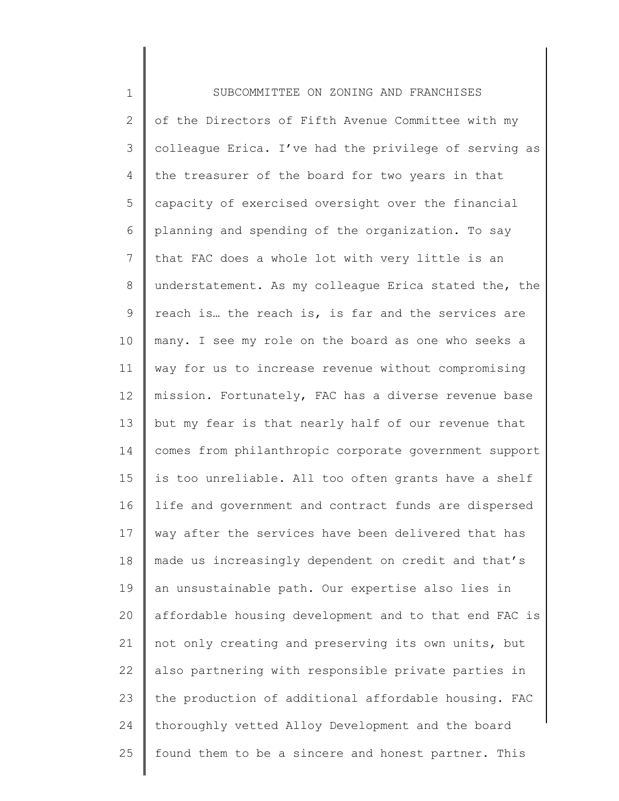1 2 3 4 5 6 7 8 9 10 11 12 13 14 15 16 17 18 19 20 21 22 23 24 25 SUBCOMMITTEE ON ZONING AND FRANCHISES of the Directors of Fifth Avenue Committee with my colleague Erica. I've had the privilege of serving as the treasurer of the board for two years in that capacity of exercised oversight over the financial planning and spending of the organization. To say that FAC does a whole lot with very little is an understatement. As my colleague Erica stated the, the reach is… the reach is, is far and the services are many. I see my role on the board as one who seeks a way for us to increase revenue without compromising mission. Fortunately, FAC has a diverse revenue base but my fear is that nearly half of our revenue that comes from philanthropic corporate government support is too unreliable. All too often grants have a shelf life and government and contract funds are dispersed way after the services have been delivered that has made us increasingly dependent on credit and that's an unsustainable path. Our expertise also lies in affordable housing development and to that end FAC is not only creating and preserving its own units, but also partnering with responsible private parties in the production of additional affordable housing. FAC thoroughly vetted Alloy Development and the board found them to be a sincere and honest partner. This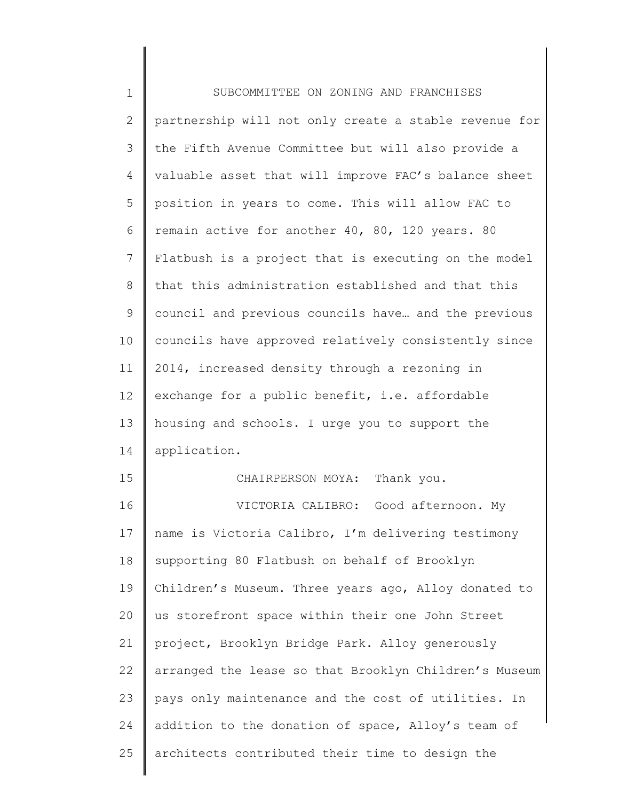| $1\,$          | SUBCOMMITTEE ON ZONING AND FRANCHISES                 |
|----------------|-------------------------------------------------------|
| $\mathbf{2}$   | partnership will not only create a stable revenue for |
| 3              | the Fifth Avenue Committee but will also provide a    |
| 4              | valuable asset that will improve FAC's balance sheet  |
| 5              | position in years to come. This will allow FAC to     |
| 6              | remain active for another 40, 80, 120 years. 80       |
| $\overline{7}$ | Flatbush is a project that is executing on the model  |
| $8\,$          | that this administration established and that this    |
| $\mathsf 9$    | council and previous councils have and the previous   |
| 10             | councils have approved relatively consistently since  |
| 11             | 2014, increased density through a rezoning in         |
| 12             | exchange for a public benefit, i.e. affordable        |
| 13             | housing and schools. I urge you to support the        |
| 14             | application.                                          |
| 15             | Thank you.<br>CHAIRPERSON MOYA:                       |
| 16             | VICTORIA CALIBRO: Good afternoon. My                  |
| 17             | name is Victoria Calibro, I'm delivering testimony    |
| 18             | supporting 80 Flatbush on behalf of Brooklyn          |
| 19             | Children's Museum. Three years ago, Alloy donated to  |
| 20             | us storefront space within their one John Street      |
| 21             | project, Brooklyn Bridge Park. Alloy generously       |
| 22             | arranged the lease so that Brooklyn Children's Museum |
| 23             | pays only maintenance and the cost of utilities. In   |
| 24             | addition to the donation of space, Alloy's team of    |
| 25             | architects contributed their time to design the       |
|                |                                                       |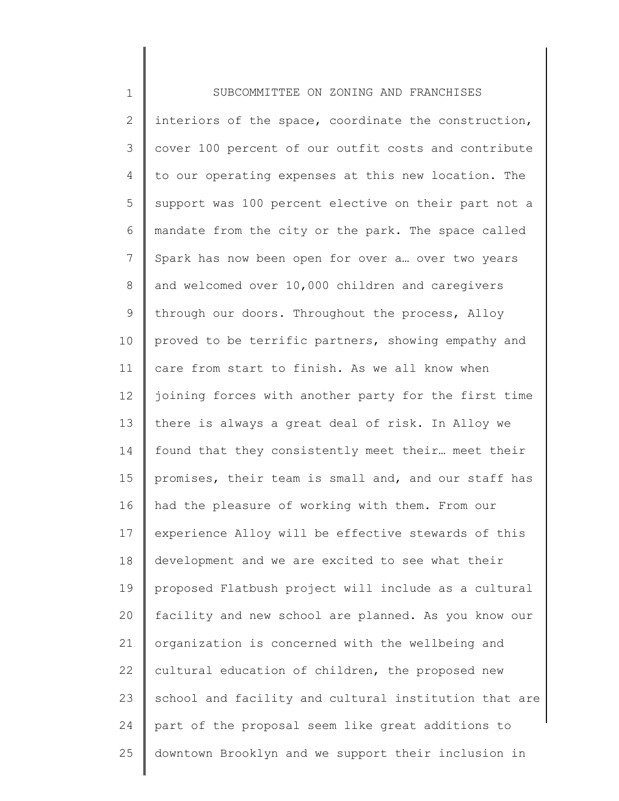| $\mathbf 1$     | SUBCOMMITTEE ON ZONING AND FRANCHISES                 |
|-----------------|-------------------------------------------------------|
| 2               | interiors of the space, coordinate the construction,  |
| 3               | cover 100 percent of our outfit costs and contribute  |
| $\overline{4}$  | to our operating expenses at this new location. The   |
| 5               | support was 100 percent elective on their part not a  |
| 6               | mandate from the city or the park. The space called   |
| $7\phantom{.}$  | Spark has now been open for over a over two years     |
| $8\,$           | and welcomed over 10,000 children and caregivers      |
| 9               | through our doors. Throughout the process, Alloy      |
| 10              | proved to be terrific partners, showing empathy and   |
| 11              | care from start to finish. As we all know when        |
| 12 <sup>°</sup> | joining forces with another party for the first time  |
| 13              | there is always a great deal of risk. In Alloy we     |
| 14              | found that they consistently meet their meet their    |
| 15              | promises, their team is small and, and our staff has  |
| 16              | had the pleasure of working with them. From our       |
| 17              | experience Alloy will be effective stewards of this   |
| 18              | development and we are excited to see what their      |
| 19              | proposed Flatbush project will include as a cultural  |
| 20              | facility and new school are planned. As you know our  |
| 21              | organization is concerned with the wellbeing and      |
| 22              | cultural education of children, the proposed new      |
| 23              | school and facility and cultural institution that are |
| 24              | part of the proposal seem like great additions to     |
| 25              | downtown Brooklyn and we support their inclusion in   |
|                 |                                                       |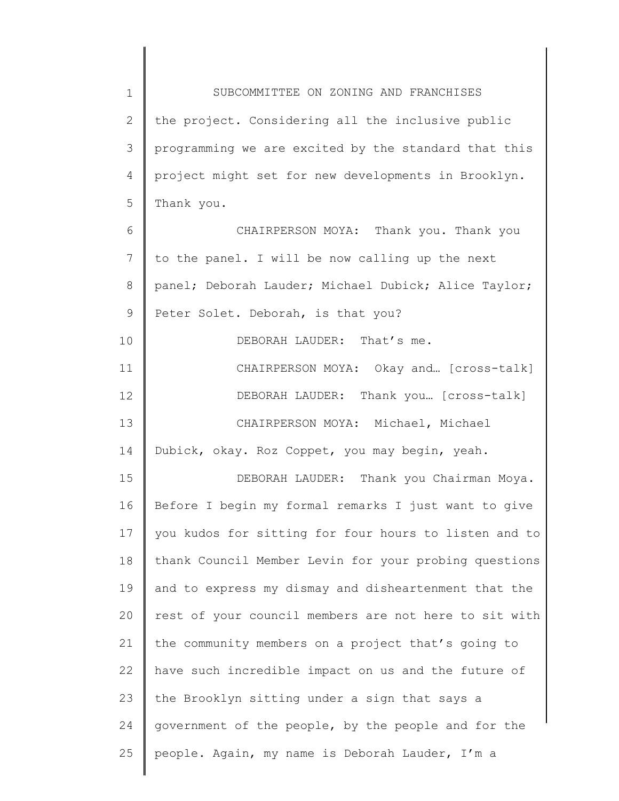1 2 3 4 5 6 7 8 9 10 11 12 13 14 15 16 17 18 19 20 21 22 23 24 25 SUBCOMMITTEE ON ZONING AND FRANCHISES the project. Considering all the inclusive public programming we are excited by the standard that this project might set for new developments in Brooklyn. Thank you. CHAIRPERSON MOYA: Thank you. Thank you to the panel. I will be now calling up the next panel; Deborah Lauder; Michael Dubick; Alice Taylor; Peter Solet. Deborah, is that you? DEBORAH LAUDER: That's me. CHAIRPERSON MOYA: Okay and… [cross-talk] DEBORAH LAUDER: Thank you… [cross-talk] CHAIRPERSON MOYA: Michael, Michael Dubick, okay. Roz Coppet, you may begin, yeah. DEBORAH LAUDER: Thank you Chairman Moya. Before I begin my formal remarks I just want to give you kudos for sitting for four hours to listen and to thank Council Member Levin for your probing questions and to express my dismay and disheartenment that the rest of your council members are not here to sit with the community members on a project that's going to have such incredible impact on us and the future of the Brooklyn sitting under a sign that says a government of the people, by the people and for the people. Again, my name is Deborah Lauder, I'm a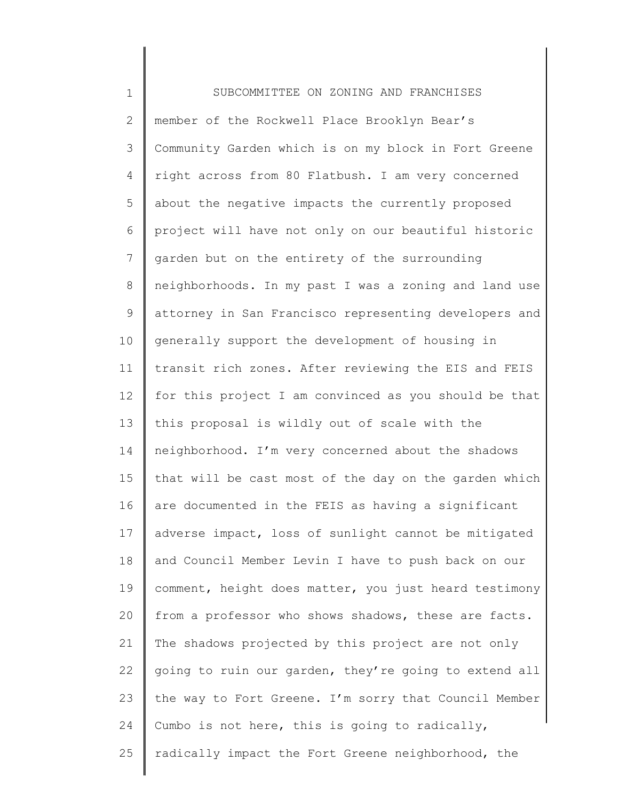1 2 3 4 5 6 7 8 9 10 11 12 13 14 15 16 17 18 19 20 21 22 23 24 25 SUBCOMMITTEE ON ZONING AND FRANCHISES member of the Rockwell Place Brooklyn Bear's Community Garden which is on my block in Fort Greene right across from 80 Flatbush. I am very concerned about the negative impacts the currently proposed project will have not only on our beautiful historic garden but on the entirety of the surrounding neighborhoods. In my past I was a zoning and land use attorney in San Francisco representing developers and generally support the development of housing in transit rich zones. After reviewing the EIS and FEIS for this project I am convinced as you should be that this proposal is wildly out of scale with the neighborhood. I'm very concerned about the shadows that will be cast most of the day on the garden which are documented in the FEIS as having a significant adverse impact, loss of sunlight cannot be mitigated and Council Member Levin I have to push back on our comment, height does matter, you just heard testimony from a professor who shows shadows, these are facts. The shadows projected by this project are not only going to ruin our garden, they're going to extend all the way to Fort Greene. I'm sorry that Council Member Cumbo is not here, this is going to radically, radically impact the Fort Greene neighborhood, the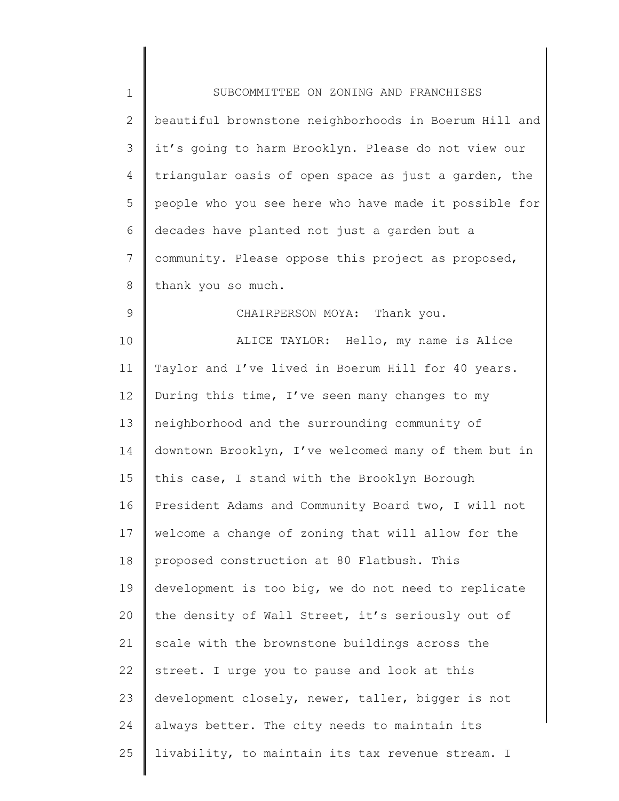| $1\,$          | SUBCOMMITTEE ON ZONING AND FRANCHISES                 |
|----------------|-------------------------------------------------------|
| $\mathbf{2}$   | beautiful brownstone neighborhoods in Boerum Hill and |
| 3              | it's going to harm Brooklyn. Please do not view our   |
| 4              | triangular oasis of open space as just a garden, the  |
| 5              | people who you see here who have made it possible for |
| 6              | decades have planted not just a garden but a          |
| $7\phantom{.}$ | community. Please oppose this project as proposed,    |
| $8\,$          | thank you so much.                                    |
| $\mathsf 9$    | CHAIRPERSON MOYA: Thank you.                          |
| 10             | ALICE TAYLOR: Hello, my name is Alice                 |
| 11             | Taylor and I've lived in Boerum Hill for 40 years.    |
| 12             | During this time, I've seen many changes to my        |
| 13             | neighborhood and the surrounding community of         |
| 14             | downtown Brooklyn, I've welcomed many of them but in  |
| 15             | this case, I stand with the Brooklyn Borough          |
| 16             | President Adams and Community Board two, I will not   |
| 17             | welcome a change of zoning that will allow for the    |
| 18             | proposed construction at 80 Flatbush. This            |
| 19             | development is too big, we do not need to replicate   |
| 20             | the density of Wall Street, it's seriously out of     |
| 21             | scale with the brownstone buildings across the        |
| 22             | street. I urge you to pause and look at this          |
| 23             | development closely, newer, taller, bigger is not     |
| 24             | always better. The city needs to maintain its         |
| 25             | livability, to maintain its tax revenue stream. I     |
|                |                                                       |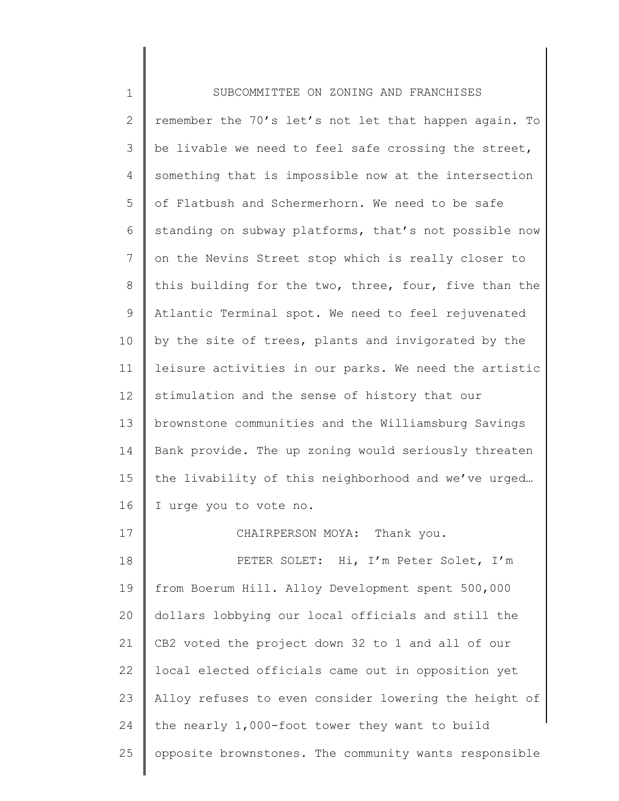1 2 3 4 5 6 7 8 9 10 11 12 13 14 15 16 17 18 19 20 21 22 23 24 25 SUBCOMMITTEE ON ZONING AND FRANCHISES remember the 70's let's not let that happen again. To be livable we need to feel safe crossing the street, something that is impossible now at the intersection of Flatbush and Schermerhorn. We need to be safe standing on subway platforms, that's not possible now on the Nevins Street stop which is really closer to this building for the two, three, four, five than the Atlantic Terminal spot. We need to feel rejuvenated by the site of trees, plants and invigorated by the leisure activities in our parks. We need the artistic stimulation and the sense of history that our brownstone communities and the Williamsburg Savings Bank provide. The up zoning would seriously threaten the livability of this neighborhood and we've urged… I urge you to vote no. CHAIRPERSON MOYA: Thank you. PETER SOLET: Hi, I'm Peter Solet, I'm from Boerum Hill. Alloy Development spent 500,000 dollars lobbying our local officials and still the CB2 voted the project down 32 to 1 and all of our local elected officials came out in opposition yet Alloy refuses to even consider lowering the height of the nearly 1,000-foot tower they want to build opposite brownstones. The community wants responsible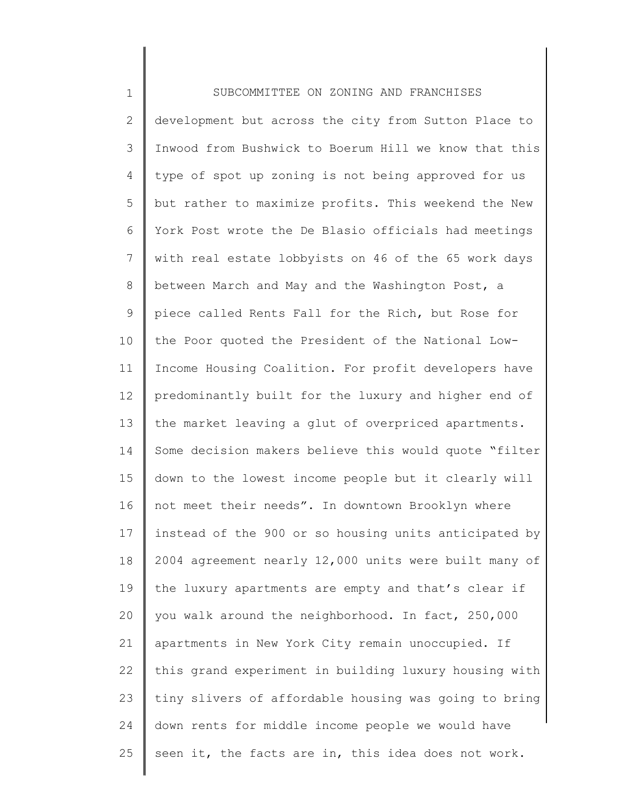| $\mathbf 1$   | SUBCOMMITTEE ON ZONING AND FRANCHISES                 |
|---------------|-------------------------------------------------------|
| $\mathbf{2}$  | development but across the city from Sutton Place to  |
| $\mathcal{S}$ | Inwood from Bushwick to Boerum Hill we know that this |
| 4             | type of spot up zoning is not being approved for us   |
| 5             | but rather to maximize profits. This weekend the New  |
| 6             | York Post wrote the De Blasio officials had meetings  |
| 7             | with real estate lobbyists on 46 of the 65 work days  |
| $8\,$         | between March and May and the Washington Post, a      |
| $\mathsf 9$   | piece called Rents Fall for the Rich, but Rose for    |
| 10            | the Poor quoted the President of the National Low-    |
| 11            | Income Housing Coalition. For profit developers have  |
| 12            | predominantly built for the luxury and higher end of  |
| 13            | the market leaving a glut of overpriced apartments.   |
| 14            | Some decision makers believe this would quote "filter |
| 15            | down to the lowest income people but it clearly will  |
| 16            | not meet their needs". In downtown Brooklyn where     |
| 17            | instead of the 900 or so housing units anticipated by |
| 18            | 2004 agreement nearly 12,000 units were built many of |
| 19            | the luxury apartments are empty and that's clear if   |
| 20            | you walk around the neighborhood. In fact, 250,000    |
| 21            | apartments in New York City remain unoccupied. If     |
| 22            | this grand experiment in building luxury housing with |
| 23            | tiny slivers of affordable housing was going to bring |
| 24            | down rents for middle income people we would have     |
| 25            | seen it, the facts are in, this idea does not work.   |
|               |                                                       |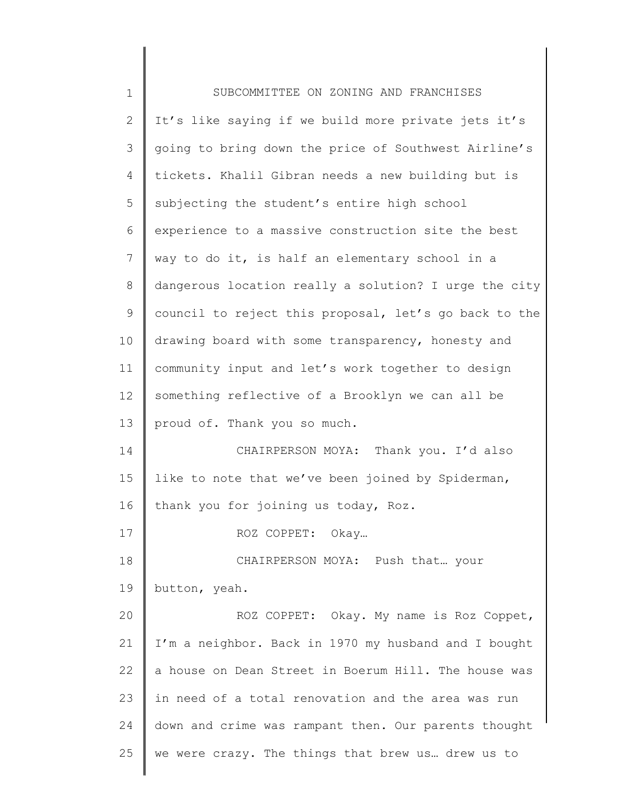| $\mathbf 1$  | SUBCOMMITTEE ON ZONING AND FRANCHISES                 |
|--------------|-------------------------------------------------------|
| $\mathbf{2}$ | It's like saying if we build more private jets it's   |
| 3            | going to bring down the price of Southwest Airline's  |
| 4            | tickets. Khalil Gibran needs a new building but is    |
| 5            | subjecting the student's entire high school           |
| 6            | experience to a massive construction site the best    |
| 7            | way to do it, is half an elementary school in a       |
| 8            | dangerous location really a solution? I urge the city |
| 9            | council to reject this proposal, let's go back to the |
| 10           | drawing board with some transparency, honesty and     |
| 11           | community input and let's work together to design     |
| 12           | something reflective of a Brooklyn we can all be      |
| 13           | proud of. Thank you so much.                          |
| 14           | CHAIRPERSON MOYA: Thank you. I'd also                 |
| 15           | like to note that we've been joined by Spiderman,     |
| 16           | thank you for joining us today, Roz.                  |
| 17           | ROZ COPPET: Okay                                      |
| 18           | CHAIRPERSON MOYA: Push that your                      |
| 19           | button, yeah.                                         |
| 20           | ROZ COPPET: Okay. My name is Roz Coppet,              |
| 21           | I'm a neighbor. Back in 1970 my husband and I bought  |
| 22           | a house on Dean Street in Boerum Hill. The house was  |
| 23           | in need of a total renovation and the area was run    |
| 24           | down and crime was rampant then. Our parents thought  |
| 25           | we were crazy. The things that brew us drew us to     |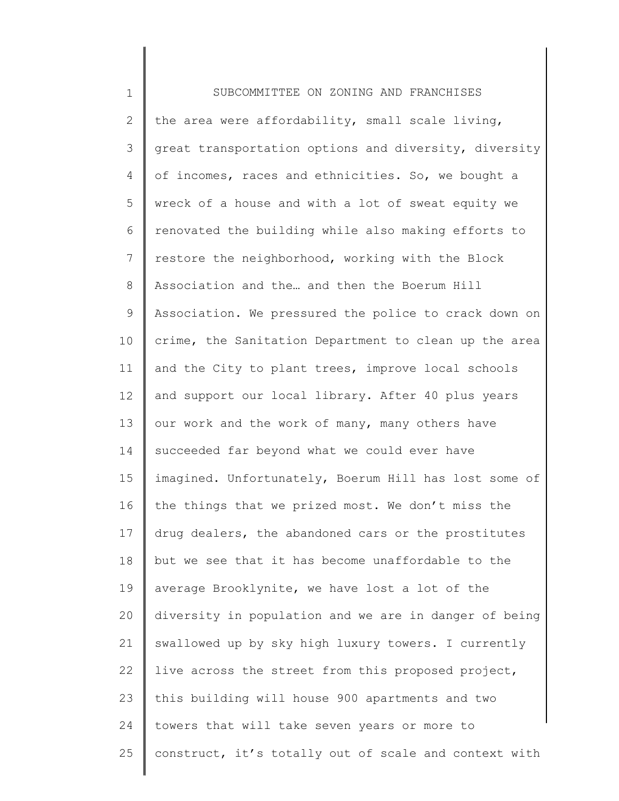| $\mathbf 1$  | SUBCOMMITTEE ON ZONING AND FRANCHISES                 |
|--------------|-------------------------------------------------------|
| $\mathbf{2}$ | the area were affordability, small scale living,      |
| 3            | great transportation options and diversity, diversity |
| 4            | of incomes, races and ethnicities. So, we bought a    |
| 5            | wreck of a house and with a lot of sweat equity we    |
| 6            | renovated the building while also making efforts to   |
| 7            | restore the neighborhood, working with the Block      |
| 8            | Association and the and then the Boerum Hill          |
| 9            | Association. We pressured the police to crack down on |
| 10           | crime, the Sanitation Department to clean up the area |
| 11           | and the City to plant trees, improve local schools    |
| 12           | and support our local library. After 40 plus years    |
| 13           | our work and the work of many, many others have       |
| 14           | succeeded far beyond what we could ever have          |
| 15           | imagined. Unfortunately, Boerum Hill has lost some of |
| 16           | the things that we prized most. We don't miss the     |
| 17           | drug dealers, the abandoned cars or the prostitutes   |
| 18           | but we see that it has become unaffordable to the     |
| 19           | average Brooklynite, we have lost a lot of the        |
| 20           | diversity in population and we are in danger of being |
| 21           | swallowed up by sky high luxury towers. I currently   |
| 22           | live across the street from this proposed project,    |
| 23           | this building will house 900 apartments and two       |
| 24           | towers that will take seven years or more to          |
| 25           | construct, it's totally out of scale and context with |
|              |                                                       |

∥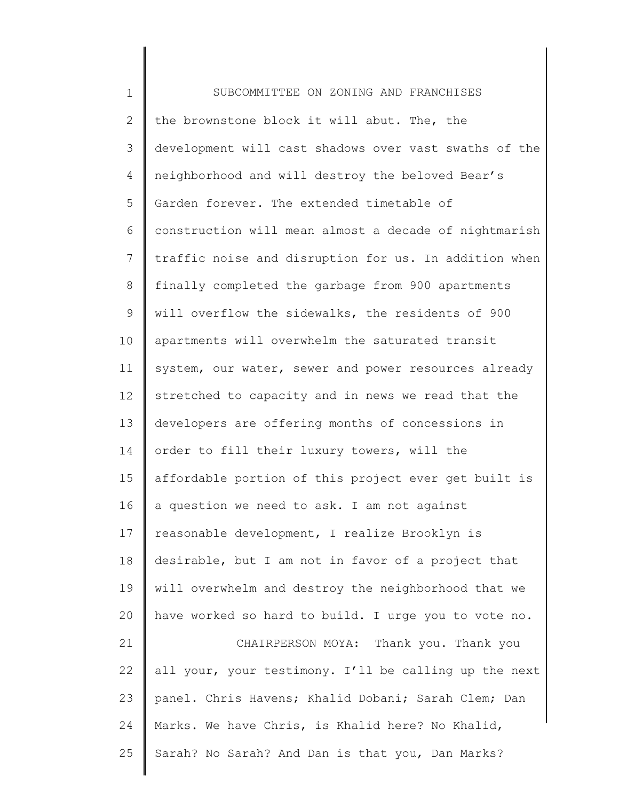| $\mathbf 1$     | SUBCOMMITTEE ON ZONING AND FRANCHISES                 |
|-----------------|-------------------------------------------------------|
| $\overline{2}$  | the brownstone block it will abut. The, the           |
| 3               | development will cast shadows over vast swaths of the |
| 4               | neighborhood and will destroy the beloved Bear's      |
| 5               | Garden forever. The extended timetable of             |
| 6               | construction will mean almost a decade of nightmarish |
| $7\phantom{.0}$ | traffic noise and disruption for us. In addition when |
| 8               | finally completed the garbage from 900 apartments     |
| 9               | will overflow the sidewalks, the residents of 900     |
| 10              | apartments will overwhelm the saturated transit       |
| 11              | system, our water, sewer and power resources already  |
| 12              | stretched to capacity and in news we read that the    |
| 13              | developers are offering months of concessions in      |
| 14              | order to fill their luxury towers, will the           |
| 15              | affordable portion of this project ever get built is  |
| 16              | a question we need to ask. I am not against           |
| 17              | reasonable development, I realize Brooklyn is         |
| 18              | desirable, but I am not in favor of a project that    |
| 19              | will overwhelm and destroy the neighborhood that we   |
| 20              | have worked so hard to build. I urge you to vote no.  |
| 21              | CHAIRPERSON MOYA: Thank you. Thank you                |
| 22              | all your, your testimony. I'll be calling up the next |
| 23              | panel. Chris Havens; Khalid Dobani; Sarah Clem; Dan   |
| 24              | Marks. We have Chris, is Khalid here? No Khalid,      |
| 25              | Sarah? No Sarah? And Dan is that you, Dan Marks?      |
|                 |                                                       |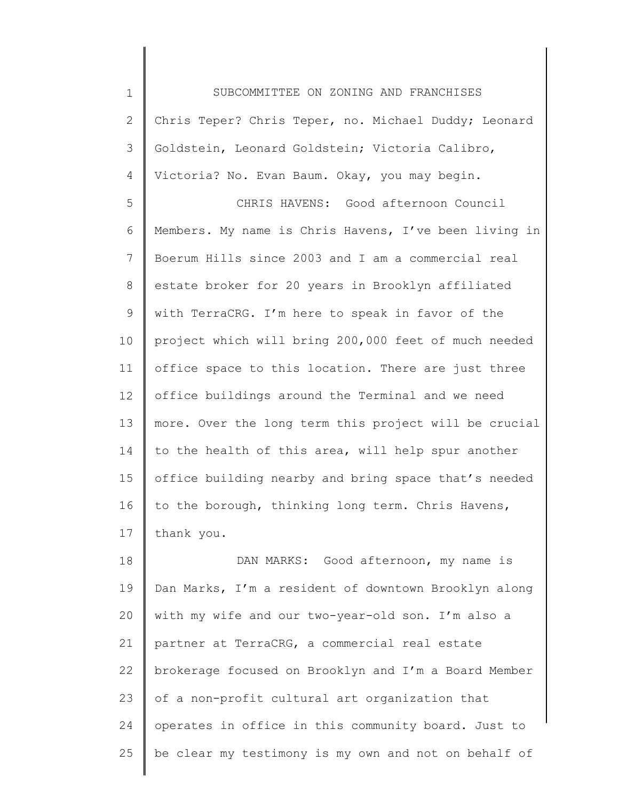1 2 3 4 SUBCOMMITTEE ON ZONING AND FRANCHISES Chris Teper? Chris Teper, no. Michael Duddy; Leonard Goldstein, Leonard Goldstein; Victoria Calibro, Victoria? No. Evan Baum. Okay, you may begin.

5 6 7 8 9 10 11 12 13 14 15 16 17 CHRIS HAVENS: Good afternoon Council Members. My name is Chris Havens, I've been living in Boerum Hills since 2003 and I am a commercial real estate broker for 20 years in Brooklyn affiliated with TerraCRG. I'm here to speak in favor of the project which will bring 200,000 feet of much needed office space to this location. There are just three office buildings around the Terminal and we need more. Over the long term this project will be crucial to the health of this area, will help spur another office building nearby and bring space that's needed to the borough, thinking long term. Chris Havens, thank you.

18 19 20 21 22 23 24 25 DAN MARKS: Good afternoon, my name is Dan Marks, I'm a resident of downtown Brooklyn along with my wife and our two-year-old son. I'm also a partner at TerraCRG, a commercial real estate brokerage focused on Brooklyn and I'm a Board Member of a non-profit cultural art organization that operates in office in this community board. Just to be clear my testimony is my own and not on behalf of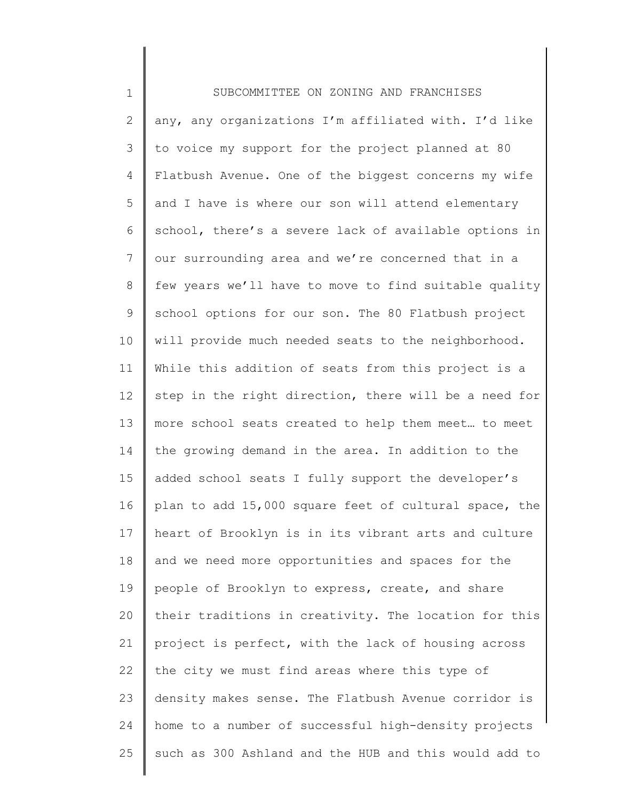| $\mathbf 1$    | SUBCOMMITTEE ON ZONING AND FRANCHISES                 |
|----------------|-------------------------------------------------------|
| $\mathbf{2}$   | any, any organizations I'm affiliated with. I'd like  |
| 3              | to voice my support for the project planned at 80     |
| 4              | Flatbush Avenue. One of the biggest concerns my wife  |
| 5              | and I have is where our son will attend elementary    |
| 6              | school, there's a severe lack of available options in |
| $\overline{7}$ | our surrounding area and we're concerned that in a    |
| 8              | few years we'll have to move to find suitable quality |
| 9              | school options for our son. The 80 Flatbush project   |
| 10             | will provide much needed seats to the neighborhood.   |
| 11             | While this addition of seats from this project is a   |
| 12             | step in the right direction, there will be a need for |
| 13             | more school seats created to help them meet to meet   |
| 14             | the growing demand in the area. In addition to the    |
| 15             | added school seats I fully support the developer's    |
| 16             | plan to add 15,000 square feet of cultural space, the |
| 17             | heart of Brooklyn is in its vibrant arts and culture  |
| 18             | and we need more opportunities and spaces for the     |
| 19             | people of Brooklyn to express, create, and share      |
| 20             | their traditions in creativity. The location for this |
| 21             | project is perfect, with the lack of housing across   |
| 22             | the city we must find areas where this type of        |
| 23             | density makes sense. The Flatbush Avenue corridor is  |
| 24             | home to a number of successful high-density projects  |
| 25             | such as 300 Ashland and the HUB and this would add to |
|                |                                                       |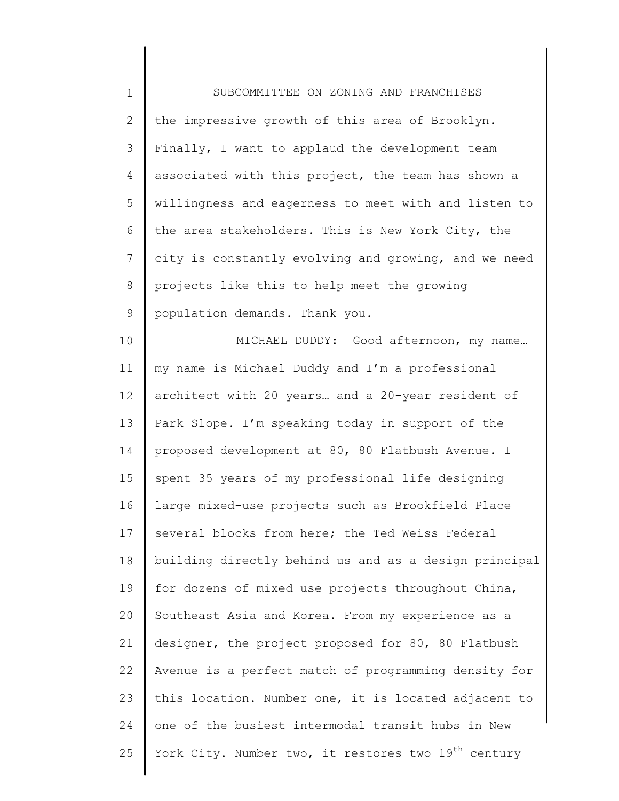| $\mathbf 1$    | SUBCOMMITTEE ON ZONING AND FRANCHISES                           |
|----------------|-----------------------------------------------------------------|
| $\mathbf{2}$   | the impressive growth of this area of Brooklyn.                 |
| 3              | Finally, I want to applaud the development team                 |
| 4              | associated with this project, the team has shown a              |
| 5              | willingness and eagerness to meet with and listen to            |
| 6              | the area stakeholders. This is New York City, the               |
| $\overline{7}$ | city is constantly evolving and growing, and we need            |
| $\,8\,$        | projects like this to help meet the growing                     |
| $\mathsf 9$    | population demands. Thank you.                                  |
| 10             | MICHAEL DUDDY: Good afternoon, my name                          |
| 11             | my name is Michael Duddy and I'm a professional                 |
| 12             | architect with 20 years and a 20-year resident of               |
| 13             | Park Slope. I'm speaking today in support of the                |
| 14             | proposed development at 80, 80 Flatbush Avenue. I               |
| 15             | spent 35 years of my professional life designing                |
| 16             | large mixed-use projects such as Brookfield Place               |
| 17             | several blocks from here; the Ted Weiss Federal                 |
| 18             | building directly behind us and as a design principal           |
| 19             | for dozens of mixed use projects throughout China,              |
| 20             | Southeast Asia and Korea. From my experience as a               |
| 21             | designer, the project proposed for 80, 80 Flatbush              |
| 22             | Avenue is a perfect match of programming density for            |
| 23             | this location. Number one, it is located adjacent to            |
| 24             | one of the busiest intermodal transit hubs in New               |
| 25             | York City. Number two, it restores two 19 <sup>th</sup> century |
|                |                                                                 |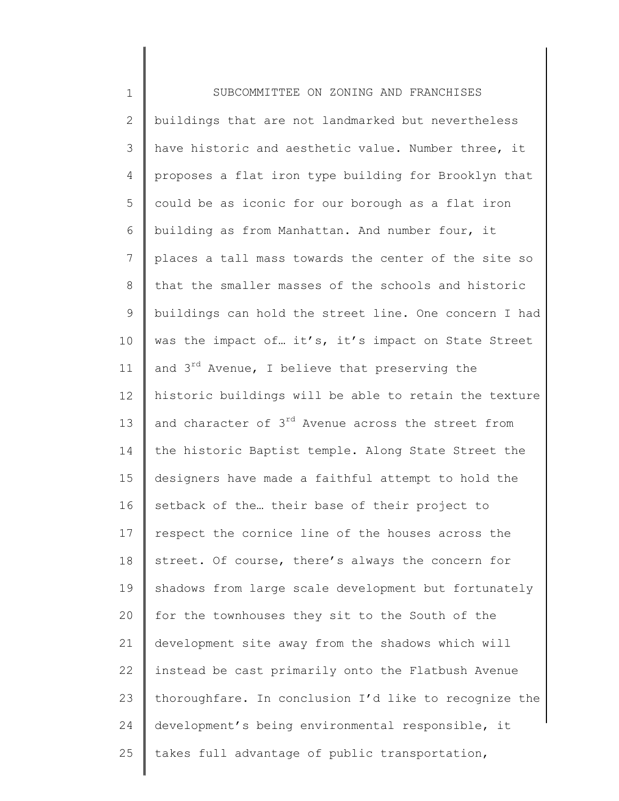1 2 3 4 5 6 7 8 9 10 11 12 13 14 15 16 17 18 19 20 21 22 23 24 25 SUBCOMMITTEE ON ZONING AND FRANCHISES buildings that are not landmarked but nevertheless have historic and aesthetic value. Number three, it proposes a flat iron type building for Brooklyn that could be as iconic for our borough as a flat iron building as from Manhattan. And number four, it places a tall mass towards the center of the site so that the smaller masses of the schools and historic buildings can hold the street line. One concern I had was the impact of... it's, it's impact on State Street and 3<sup>rd</sup> Avenue, I believe that preserving the historic buildings will be able to retain the texture and character of 3<sup>rd</sup> Avenue across the street from the historic Baptist temple. Along State Street the designers have made a faithful attempt to hold the setback of the… their base of their project to respect the cornice line of the houses across the street. Of course, there's always the concern for shadows from large scale development but fortunately for the townhouses they sit to the South of the development site away from the shadows which will instead be cast primarily onto the Flatbush Avenue thoroughfare. In conclusion I'd like to recognize the development's being environmental responsible, it takes full advantage of public transportation,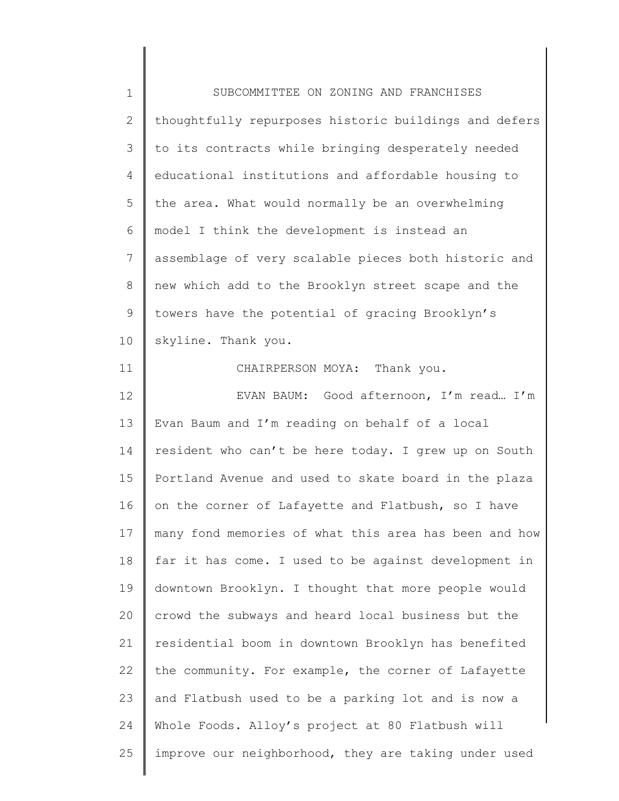| $\mathbf 1$    | SUBCOMMITTEE ON ZONING AND FRANCHISES                 |
|----------------|-------------------------------------------------------|
| $\mathbf{2}$   | thoughtfully repurposes historic buildings and defers |
| 3              | to its contracts while bringing desperately needed    |
| $\overline{4}$ | educational institutions and affordable housing to    |
| 5              | the area. What would normally be an overwhelming      |
| 6              | model I think the development is instead an           |
| $7\phantom{.}$ | assemblage of very scalable pieces both historic and  |
| 8              | new which add to the Brooklyn street scape and the    |
| $\mathsf 9$    | towers have the potential of gracing Brooklyn's       |
| 10             | skyline. Thank you.                                   |
| 11             | CHAIRPERSON MOYA: Thank you.                          |
| 12             | EVAN BAUM: Good afternoon, I'm read I'm               |
| 13             | Evan Baum and I'm reading on behalf of a local        |
| 14             | resident who can't be here today. I grew up on South  |
| 15             | Portland Avenue and used to skate board in the plaza  |
| 16             | on the corner of Lafayette and Flatbush, so I have    |
| 17             | many fond memories of what this area has been and how |
| 18             | far it has come. I used to be against development in  |
| 19             | downtown Brooklyn. I thought that more people would   |
| 20             | crowd the subways and heard local business but the    |
| 21             | residential boom in downtown Brooklyn has benefited   |
| 22             | the community. For example, the corner of Lafayette   |
| 23             | and Flatbush used to be a parking lot and is now a    |
| 24             | Whole Foods. Alloy's project at 80 Flatbush will      |
| 25             | improve our neighborhood, they are taking under used  |
|                |                                                       |

 $\begin{array}{c} \hline \end{array}$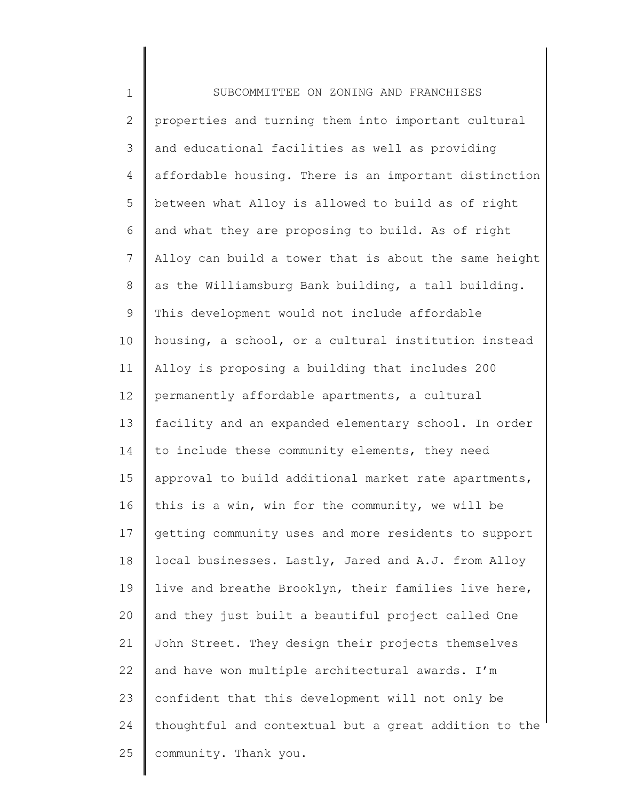1 2 3 4 5 6 7 8 9 10 11 12 13 14 15 16 17 18 19 20 21 22 23 24 25 SUBCOMMITTEE ON ZONING AND FRANCHISES properties and turning them into important cultural and educational facilities as well as providing affordable housing. There is an important distinction between what Alloy is allowed to build as of right and what they are proposing to build. As of right Alloy can build a tower that is about the same height as the Williamsburg Bank building, a tall building. This development would not include affordable housing, a school, or a cultural institution instead Alloy is proposing a building that includes 200 permanently affordable apartments, a cultural facility and an expanded elementary school. In order to include these community elements, they need approval to build additional market rate apartments, this is a win, win for the community, we will be getting community uses and more residents to support local businesses. Lastly, Jared and A.J. from Alloy live and breathe Brooklyn, their families live here, and they just built a beautiful project called One John Street. They design their projects themselves and have won multiple architectural awards. I'm confident that this development will not only be thoughtful and contextual but a great addition to the community. Thank you.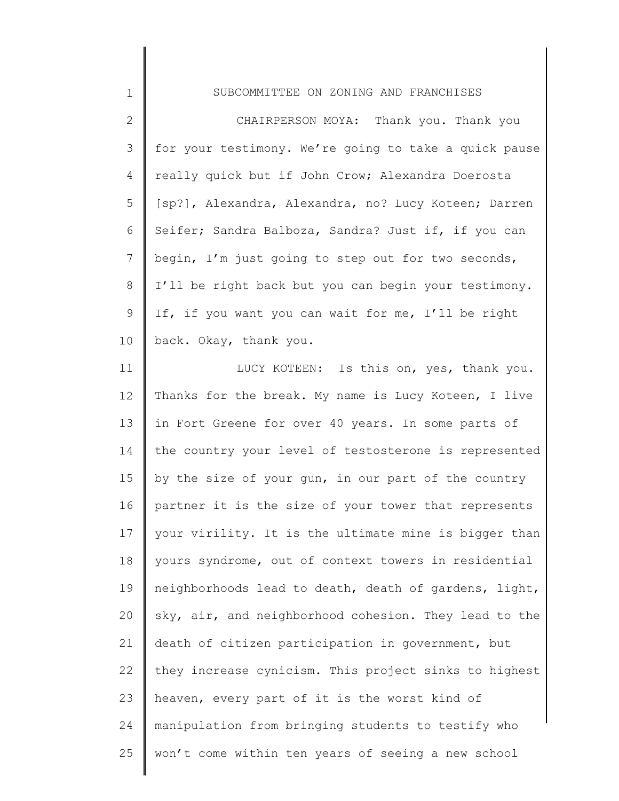| $\mathbf 1$     | SUBCOMMITTEE ON ZONING AND FRANCHISES                 |
|-----------------|-------------------------------------------------------|
| $\overline{2}$  | CHAIRPERSON MOYA: Thank you. Thank you                |
| 3               | for your testimony. We're going to take a quick pause |
| 4               | really quick but if John Crow; Alexandra Doerosta     |
| 5               | [sp?], Alexandra, Alexandra, no? Lucy Koteen; Darren  |
| 6               | Seifer; Sandra Balboza, Sandra? Just if, if you can   |
| $7\overline{ }$ | begin, I'm just going to step out for two seconds,    |
| 8               | I'll be right back but you can begin your testimony.  |
| 9               | If, if you want you can wait for me, I'll be right    |
| 10 <sup>°</sup> | back. Okay, thank you.                                |

11 12 13 14 15 16 17 18 19 20 21 22 23 24 25 LUCY KOTEEN: Is this on, yes, thank you. Thanks for the break. My name is Lucy Koteen, I live in Fort Greene for over 40 years. In some parts of the country your level of testosterone is represented by the size of your gun, in our part of the country partner it is the size of your tower that represents your virility. It is the ultimate mine is bigger than yours syndrome, out of context towers in residential neighborhoods lead to death, death of gardens, light, sky, air, and neighborhood cohesion. They lead to the death of citizen participation in government, but they increase cynicism. This project sinks to highest heaven, every part of it is the worst kind of manipulation from bringing students to testify who won't come within ten years of seeing a new school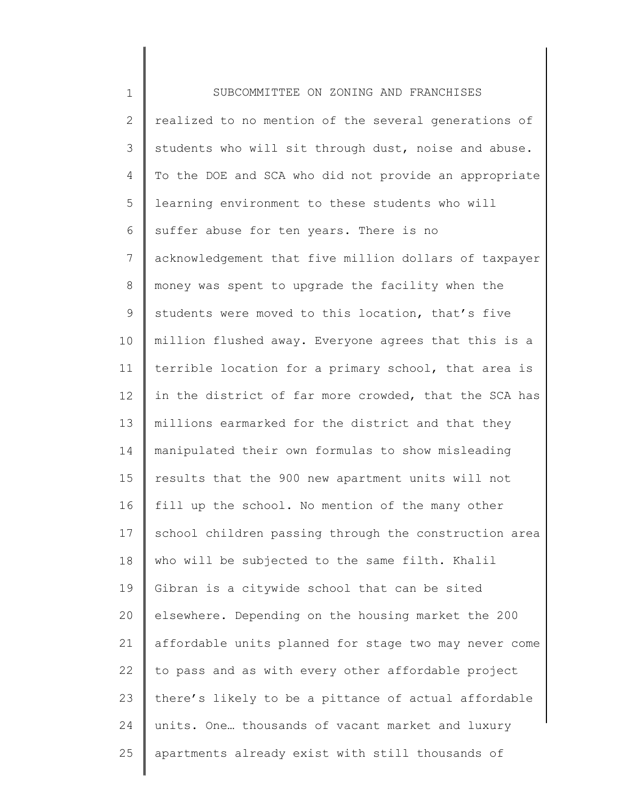1 2 3 4 5 6 7 8 9 10 11 12 13 14 15 16 17 18 19 20 21 22 23 24 25 SUBCOMMITTEE ON ZONING AND FRANCHISES realized to no mention of the several generations of students who will sit through dust, noise and abuse. To the DOE and SCA who did not provide an appropriate learning environment to these students who will suffer abuse for ten years. There is no acknowledgement that five million dollars of taxpayer money was spent to upgrade the facility when the students were moved to this location, that's five million flushed away. Everyone agrees that this is a terrible location for a primary school, that area is in the district of far more crowded, that the SCA has millions earmarked for the district and that they manipulated their own formulas to show misleading results that the 900 new apartment units will not fill up the school. No mention of the many other school children passing through the construction area who will be subjected to the same filth. Khalil Gibran is a citywide school that can be sited elsewhere. Depending on the housing market the 200 affordable units planned for stage two may never come to pass and as with every other affordable project there's likely to be a pittance of actual affordable units. One… thousands of vacant market and luxury apartments already exist with still thousands of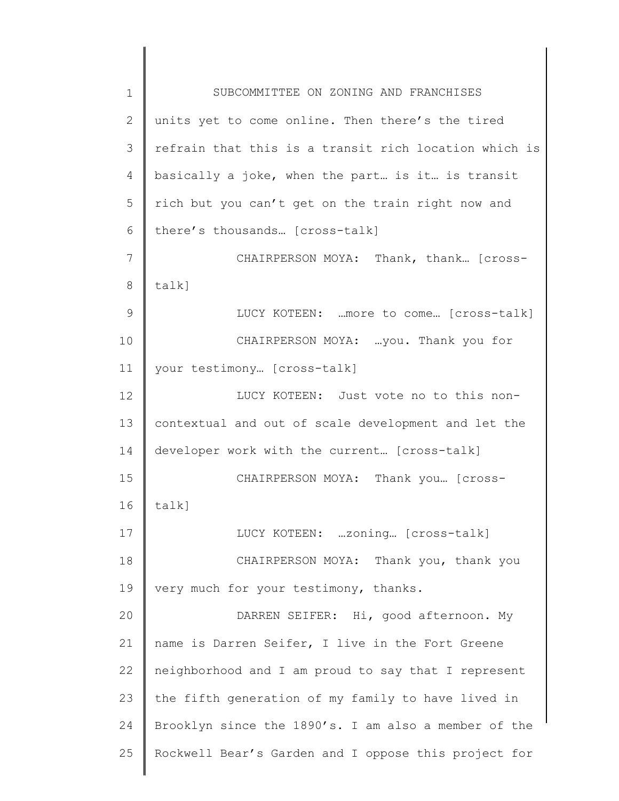1 2 3 4 5 6 7 8 9 10 11 12 13 14 15 16 17 18 19 20 21 22 23 24 25 SUBCOMMITTEE ON ZONING AND FRANCHISES units yet to come online. Then there's the tired refrain that this is a transit rich location which is basically a joke, when the part… is it… is transit rich but you can't get on the train right now and there's thousands… [cross-talk] CHAIRPERSON MOYA: Thank, thank… [crosstalk] LUCY KOTEEN: …more to come… [cross-talk] CHAIRPERSON MOYA: …you. Thank you for your testimony… [cross-talk] LUCY KOTEEN: Just vote no to this noncontextual and out of scale development and let the developer work with the current… [cross-talk] CHAIRPERSON MOYA: Thank you… [crosstalk] LUCY KOTEEN: …zoning… [cross-talk] CHAIRPERSON MOYA: Thank you, thank you very much for your testimony, thanks. DARREN SEIFER: Hi, good afternoon. My name is Darren Seifer, I live in the Fort Greene neighborhood and I am proud to say that I represent the fifth generation of my family to have lived in Brooklyn since the 1890's. I am also a member of the Rockwell Bear's Garden and I oppose this project for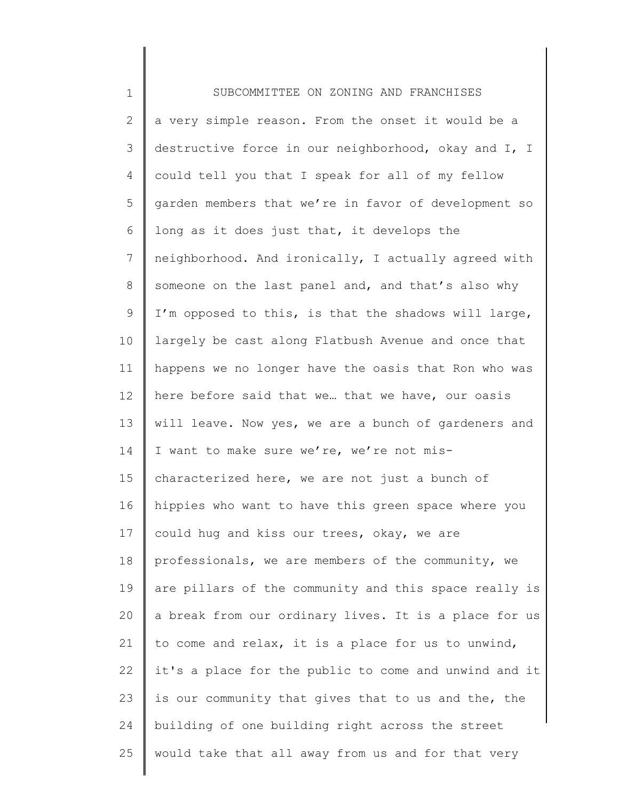| $\mathbf 1$  | SUBCOMMITTEE ON ZONING AND FRANCHISES                 |
|--------------|-------------------------------------------------------|
| $\mathbf{2}$ | a very simple reason. From the onset it would be a    |
| 3            | destructive force in our neighborhood, okay and I, I  |
| 4            | could tell you that I speak for all of my fellow      |
| 5            | garden members that we're in favor of development so  |
| 6            | long as it does just that, it develops the            |
| 7            | neighborhood. And ironically, I actually agreed with  |
| $8\,$        | someone on the last panel and, and that's also why    |
| 9            | I'm opposed to this, is that the shadows will large,  |
| 10           | largely be cast along Flatbush Avenue and once that   |
| 11           | happens we no longer have the oasis that Ron who was  |
| 12           | here before said that we that we have, our oasis      |
| 13           | will leave. Now yes, we are a bunch of gardeners and  |
| 14           | I want to make sure we're, we're not mis-             |
| 15           | characterized here, we are not just a bunch of        |
| 16           | hippies who want to have this green space where you   |
| 17           | could hug and kiss our trees, okay, we are            |
| 18           | professionals, we are members of the community, we    |
| 19           | are pillars of the community and this space really is |
| 20           | a break from our ordinary lives. It is a place for us |
| 21           | to come and relax, it is a place for us to unwind,    |
| 22           | it's a place for the public to come and unwind and it |
| 23           | is our community that gives that to us and the, the   |
| 24           | building of one building right across the street      |
| 25           | would take that all away from us and for that very    |
|              |                                                       |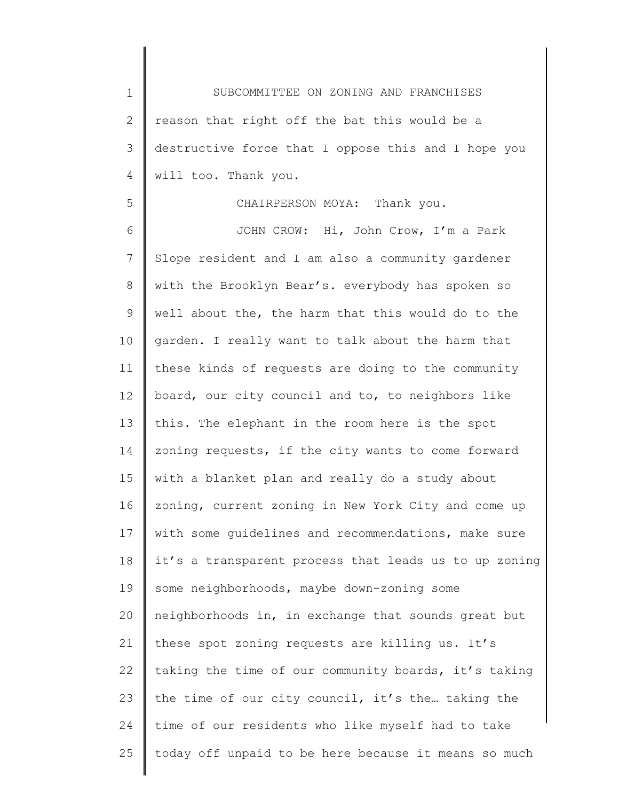1 2 3 4 SUBCOMMITTEE ON ZONING AND FRANCHISES reason that right off the bat this would be a destructive force that I oppose this and I hope you will too. Thank you.

5

6 7 8 9 10 11 12 13 14 15 16 17 18 19 20 21 22 23 24 25 CHAIRPERSON MOYA: Thank you. JOHN CROW: Hi, John Crow, I'm a Park Slope resident and I am also a community gardener with the Brooklyn Bear's. everybody has spoken so well about the, the harm that this would do to the garden. I really want to talk about the harm that these kinds of requests are doing to the community board, our city council and to, to neighbors like this. The elephant in the room here is the spot zoning requests, if the city wants to come forward with a blanket plan and really do a study about zoning, current zoning in New York City and come up with some guidelines and recommendations, make sure it's a transparent process that leads us to up zoning some neighborhoods, maybe down-zoning some neighborhoods in, in exchange that sounds great but these spot zoning requests are killing us. It's taking the time of our community boards, it's taking the time of our city council, it's the… taking the time of our residents who like myself had to take today off unpaid to be here because it means so much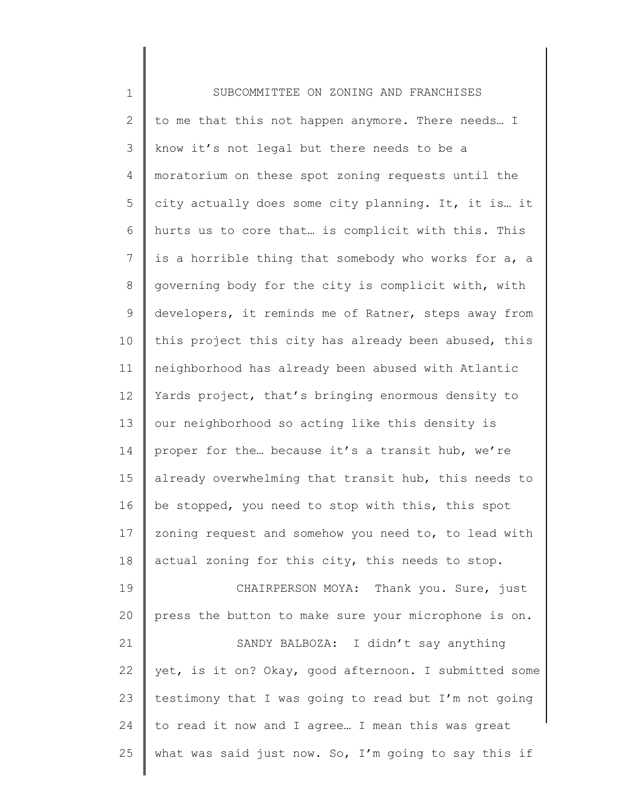| $\mathbf 1$    | SUBCOMMITTEE ON ZONING AND FRANCHISES                 |
|----------------|-------------------------------------------------------|
| $\mathbf{2}$   | to me that this not happen anymore. There needs I     |
| 3              | know it's not legal but there needs to be a           |
| 4              | moratorium on these spot zoning requests until the    |
| 5              | city actually does some city planning. It, it is it   |
| 6              | hurts us to core that is complicit with this. This    |
| $\overline{7}$ | is a horrible thing that somebody who works for a, a  |
| $8\,$          | governing body for the city is complicit with, with   |
| 9              | developers, it reminds me of Ratner, steps away from  |
| 10             | this project this city has already been abused, this  |
| 11             | neighborhood has already been abused with Atlantic    |
| 12             | Yards project, that's bringing enormous density to    |
| 13             | our neighborhood so acting like this density is       |
| 14             | proper for the because it's a transit hub, we're      |
| 15             | already overwhelming that transit hub, this needs to  |
| 16             | be stopped, you need to stop with this, this spot     |
| 17             | zoning request and somehow you need to, to lead with  |
| 18             | actual zoning for this city, this needs to stop.      |
| 19             | CHAIRPERSON MOYA: Thank you. Sure, just               |
| 20             | press the button to make sure your microphone is on.  |
| 21             | SANDY BALBOZA: I didn't say anything                  |
| 22             | yet, is it on? Okay, good afternoon. I submitted some |
| 23             | testimony that I was going to read but I'm not going  |
| 24             | to read it now and I agree I mean this was great      |
| 25             | what was said just now. So, I'm going to say this if  |
|                |                                                       |

∥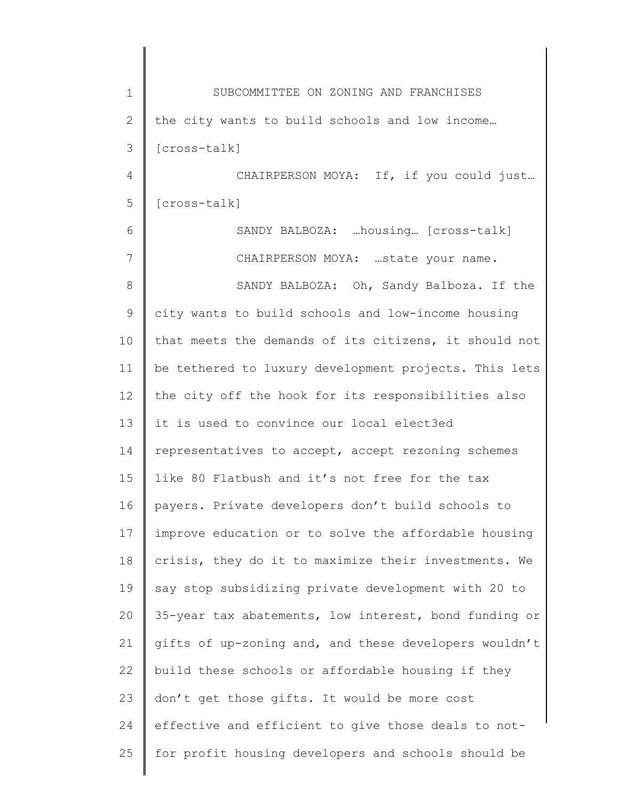| $\mathbf 1$    | SUBCOMMITTEE ON ZONING AND FRANCHISES                 |
|----------------|-------------------------------------------------------|
| $\mathbf{2}$   | the city wants to build schools and low income        |
| 3              | [cross-talk]                                          |
| $\overline{4}$ | CHAIRPERSON MOYA: If, if you could just               |
| 5              | [cross-talk]                                          |
| 6              | SANDY BALBOZA: housing [cross-talk]                   |
| 7              | CHAIRPERSON MOYA: state your name.                    |
| 8              | SANDY BALBOZA: Oh, Sandy Balboza. If the              |
| $\mathcal{G}$  | city wants to build schools and low-income housing    |
| 10             | that meets the demands of its citizens, it should not |
| 11             | be tethered to luxury development projects. This lets |
| 12             | the city off the hook for its responsibilities also   |
| 13             | it is used to convince our local elect3ed             |
| 14             | representatives to accept, accept rezoning schemes    |
| 15             | like 80 Flatbush and it's not free for the tax        |
| 16             | payers. Private developers don't build schools to     |
| 17             | improve education or to solve the affordable housing  |
| 18             | crisis, they do it to maximize their investments. We  |
| 19             | say stop subsidizing private development with 20 to   |
| 20             | 35-year tax abatements, low interest, bond funding or |
| 21             | gifts of up-zoning and, and these developers wouldn't |
| 22             | build these schools or affordable housing if they     |
| 23             | don't get those gifts. It would be more cost          |
| 24             | effective and efficient to give those deals to not-   |
| 25             | for profit housing developers and schools should be   |
|                |                                                       |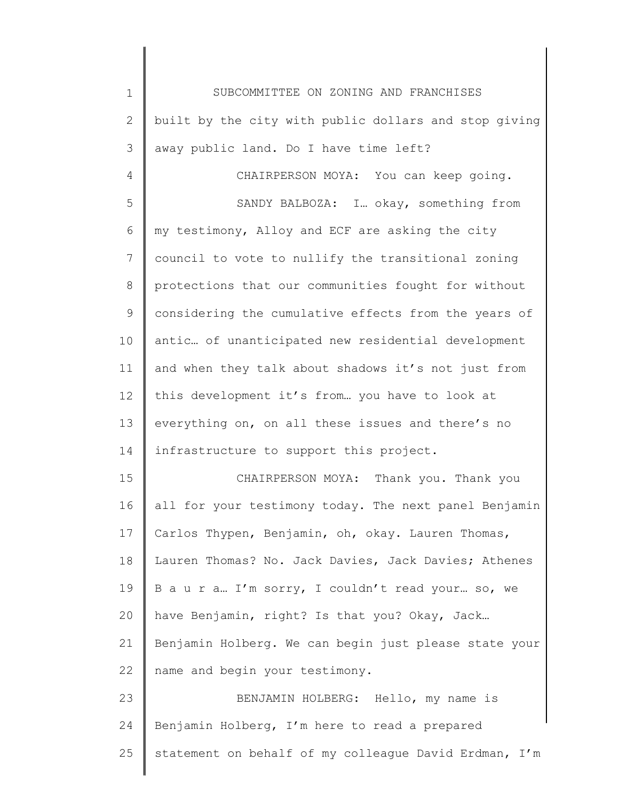1 2 3 4 5 6 7 8 9 10 11 12 13 14 15 16 17 18 19 20 21 22 23 24 25 SUBCOMMITTEE ON ZONING AND FRANCHISES built by the city with public dollars and stop giving away public land. Do I have time left? CHAIRPERSON MOYA: You can keep going. SANDY BALBOZA: I… okay, something from my testimony, Alloy and ECF are asking the city council to vote to nullify the transitional zoning protections that our communities fought for without considering the cumulative effects from the years of antic… of unanticipated new residential development and when they talk about shadows it's not just from this development it's from… you have to look at everything on, on all these issues and there's no infrastructure to support this project. CHAIRPERSON MOYA: Thank you. Thank you all for your testimony today. The next panel Benjamin Carlos Thypen, Benjamin, oh, okay. Lauren Thomas, Lauren Thomas? No. Jack Davies, Jack Davies; Athenes B a u r a… I'm sorry, I couldn't read your… so, we have Benjamin, right? Is that you? Okay, Jack… Benjamin Holberg. We can begin just please state your name and begin your testimony. BENJAMIN HOLBERG: Hello, my name is Benjamin Holberg, I'm here to read a prepared statement on behalf of my colleague David Erdman, I'm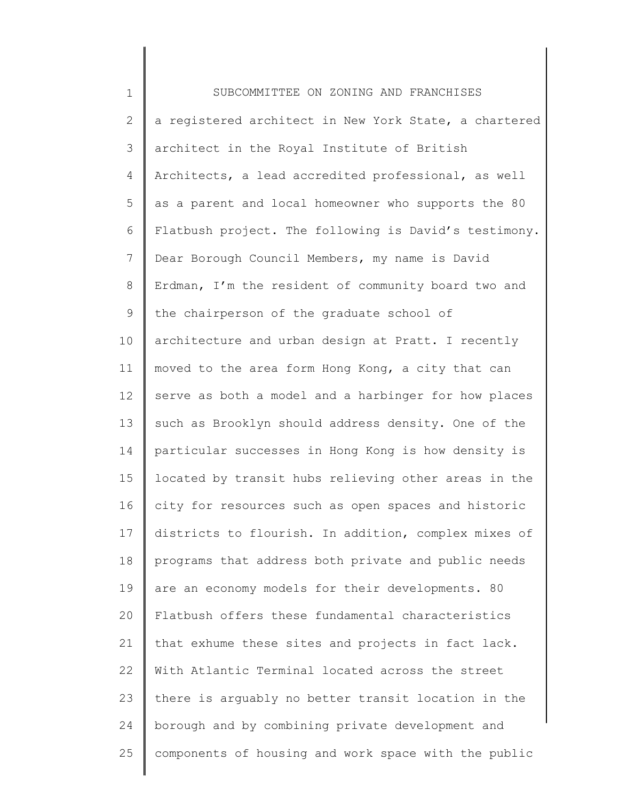1 2 3 4 5 6 7 8 9 10 11 12 13 14 15 16 17 18 19 20 21 22 23 24 25 SUBCOMMITTEE ON ZONING AND FRANCHISES a registered architect in New York State, a chartered architect in the Royal Institute of British Architects, a lead accredited professional, as well as a parent and local homeowner who supports the 80 Flatbush project. The following is David's testimony. Dear Borough Council Members, my name is David Erdman, I'm the resident of community board two and the chairperson of the graduate school of architecture and urban design at Pratt. I recently moved to the area form Hong Kong, a city that can serve as both a model and a harbinger for how places such as Brooklyn should address density. One of the particular successes in Hong Kong is how density is located by transit hubs relieving other areas in the city for resources such as open spaces and historic districts to flourish. In addition, complex mixes of programs that address both private and public needs are an economy models for their developments. 80 Flatbush offers these fundamental characteristics that exhume these sites and projects in fact lack. With Atlantic Terminal located across the street there is arguably no better transit location in the borough and by combining private development and components of housing and work space with the public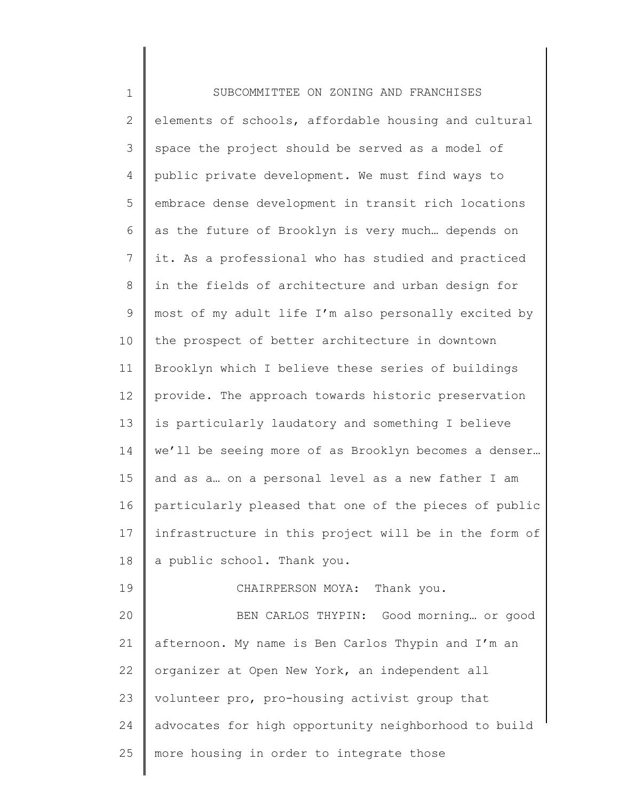| $\mathbf 1$    | SUBCOMMITTEE ON ZONING AND FRANCHISES                 |
|----------------|-------------------------------------------------------|
| $\mathbf{2}$   | elements of schools, affordable housing and cultural  |
| 3              | space the project should be served as a model of      |
| 4              | public private development. We must find ways to      |
| 5              | embrace dense development in transit rich locations   |
| 6              | as the future of Brooklyn is very much depends on     |
| $7\phantom{.}$ | it. As a professional who has studied and practiced   |
| 8              | in the fields of architecture and urban design for    |
| 9              | most of my adult life I'm also personally excited by  |
| 10             | the prospect of better architecture in downtown       |
| 11             | Brooklyn which I believe these series of buildings    |
| 12             | provide. The approach towards historic preservation   |
| 13             | is particularly laudatory and something I believe     |
| 14             | we'll be seeing more of as Brooklyn becomes a denser  |
| 15             | and as a on a personal level as a new father I am     |
| 16             | particularly pleased that one of the pieces of public |
| 17             | infrastructure in this project will be in the form of |
| 18             | a public school. Thank you.                           |
| 19             | CHAIRPERSON MOYA: Thank you.                          |
| 20             | BEN CARLOS THYPIN: Good morning or good               |
| 21             | afternoon. My name is Ben Carlos Thypin and I'm an    |
| 22             | organizer at Open New York, an independent all        |
| 23             | volunteer pro, pro-housing activist group that        |
| 24             | advocates for high opportunity neighborhood to build  |
| 25             | more housing in order to integrate those              |
|                |                                                       |

 $\begin{array}{c} \hline \end{array}$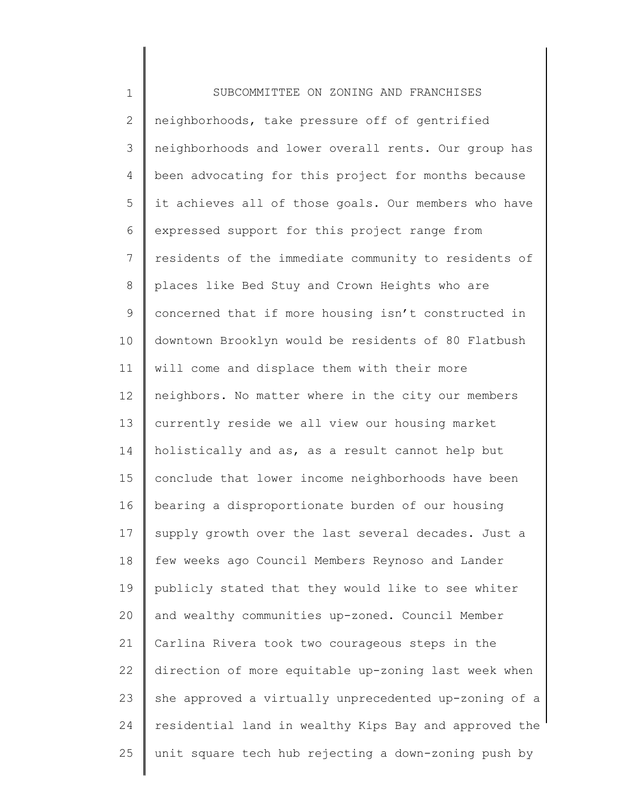1 2 3 4 5 6 7 8 9 10 11 12 13 14 15 16 17 18 19 20 21 22 23 24 25 SUBCOMMITTEE ON ZONING AND FRANCHISES neighborhoods, take pressure off of gentrified neighborhoods and lower overall rents. Our group has been advocating for this project for months because it achieves all of those goals. Our members who have expressed support for this project range from residents of the immediate community to residents of places like Bed Stuy and Crown Heights who are concerned that if more housing isn't constructed in downtown Brooklyn would be residents of 80 Flatbush will come and displace them with their more neighbors. No matter where in the city our members currently reside we all view our housing market holistically and as, as a result cannot help but conclude that lower income neighborhoods have been bearing a disproportionate burden of our housing supply growth over the last several decades. Just a few weeks ago Council Members Reynoso and Lander publicly stated that they would like to see whiter and wealthy communities up-zoned. Council Member Carlina Rivera took two courageous steps in the direction of more equitable up-zoning last week when she approved a virtually unprecedented up-zoning of a residential land in wealthy Kips Bay and approved the unit square tech hub rejecting a down-zoning push by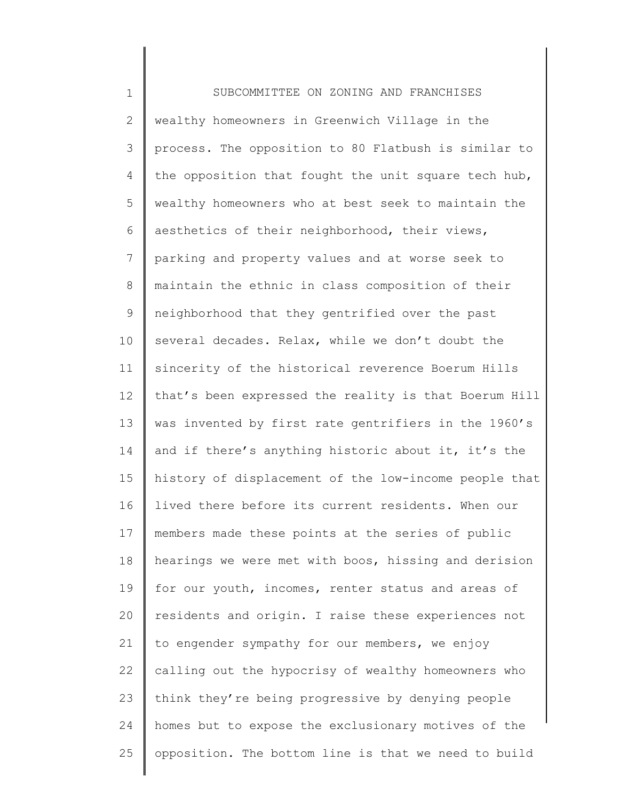1 2 3 4 5 6 7 8 9 10 11 12 13 14 15 16 17 18 19 20 21 22 23 24 25 SUBCOMMITTEE ON ZONING AND FRANCHISES wealthy homeowners in Greenwich Village in the process. The opposition to 80 Flatbush is similar to the opposition that fought the unit square tech hub, wealthy homeowners who at best seek to maintain the aesthetics of their neighborhood, their views, parking and property values and at worse seek to maintain the ethnic in class composition of their neighborhood that they gentrified over the past several decades. Relax, while we don't doubt the sincerity of the historical reverence Boerum Hills that's been expressed the reality is that Boerum Hill was invented by first rate gentrifiers in the 1960's and if there's anything historic about it, it's the history of displacement of the low-income people that lived there before its current residents. When our members made these points at the series of public hearings we were met with boos, hissing and derision for our youth, incomes, renter status and areas of residents and origin. I raise these experiences not to engender sympathy for our members, we enjoy calling out the hypocrisy of wealthy homeowners who think they're being progressive by denying people homes but to expose the exclusionary motives of the opposition. The bottom line is that we need to build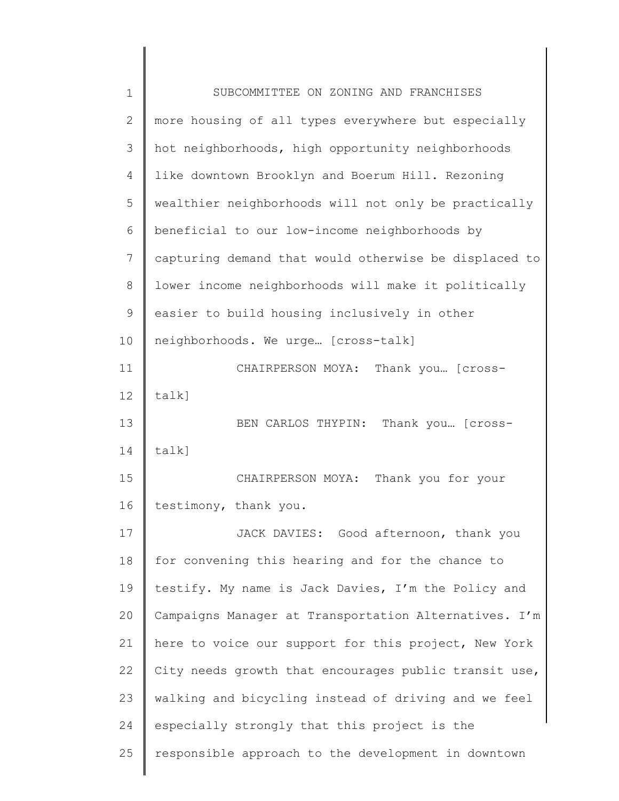| $\mathbf 1$ | SUBCOMMITTEE ON ZONING AND FRANCHISES                 |
|-------------|-------------------------------------------------------|
| 2           | more housing of all types everywhere but especially   |
| 3           | hot neighborhoods, high opportunity neighborhoods     |
| 4           | like downtown Brooklyn and Boerum Hill. Rezoning      |
| 5           | wealthier neighborhoods will not only be practically  |
| 6           | beneficial to our low-income neighborhoods by         |
| 7           | capturing demand that would otherwise be displaced to |
| 8           | lower income neighborhoods will make it politically   |
| 9           | easier to build housing inclusively in other          |
| 10          | neighborhoods. We urge [cross-talk]                   |
| 11          | CHAIRPERSON MOYA: Thank you [Cross-                   |
| 12          | talk]                                                 |
| 13          | BEN CARLOS THYPIN: Thank you [Cross-                  |
| 14          | talk]                                                 |
| 15          | CHAIRPERSON MOYA: Thank you for your                  |
| 16          | testimony, thank you.                                 |
| 17          | JACK DAVIES: Good afternoon, thank you                |
| 18          | for convening this hearing and for the chance to      |
| 19          | testify. My name is Jack Davies, I'm the Policy and   |
| 20          | Campaigns Manager at Transportation Alternatives. I'm |
| 21          | here to voice our support for this project, New York  |
| 22          | City needs growth that encourages public transit use, |
| 23          | walking and bicycling instead of driving and we feel  |
| 24          | especially strongly that this project is the          |
| 25          | responsible approach to the development in downtown   |
|             |                                                       |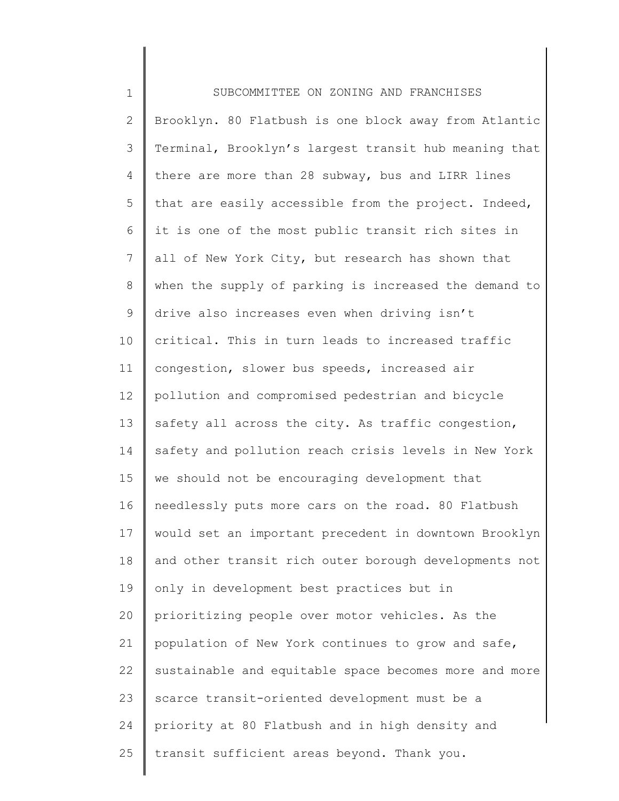| $\mathbf 1$    | SUBCOMMITTEE ON ZONING AND FRANCHISES                 |
|----------------|-------------------------------------------------------|
| $\mathbf{2}$   | Brooklyn. 80 Flatbush is one block away from Atlantic |
| 3              | Terminal, Brooklyn's largest transit hub meaning that |
| 4              | there are more than 28 subway, bus and LIRR lines     |
| 5              | that are easily accessible from the project. Indeed,  |
| 6              | it is one of the most public transit rich sites in    |
| $7\phantom{.}$ | all of New York City, but research has shown that     |
| 8              | when the supply of parking is increased the demand to |
| 9              | drive also increases even when driving isn't          |
| 10             | critical. This in turn leads to increased traffic     |
| 11             | congestion, slower bus speeds, increased air          |
| 12             | pollution and compromised pedestrian and bicycle      |
| 13             | safety all across the city. As traffic congestion,    |
| 14             | safety and pollution reach crisis levels in New York  |
| 15             | we should not be encouraging development that         |
| 16             | needlessly puts more cars on the road. 80 Flatbush    |
| 17             | would set an important precedent in downtown Brooklyn |
| 18             | and other transit rich outer borough developments not |
| 19             | only in development best practices but in             |
| 20             | prioritizing people over motor vehicles. As the       |
| 21             | population of New York continues to grow and safe,    |
| 22             | sustainable and equitable space becomes more and more |
| 23             | scarce transit-oriented development must be a         |
| 24             | priority at 80 Flatbush and in high density and       |
| 25             | transit sufficient areas beyond. Thank you.           |
|                |                                                       |

∥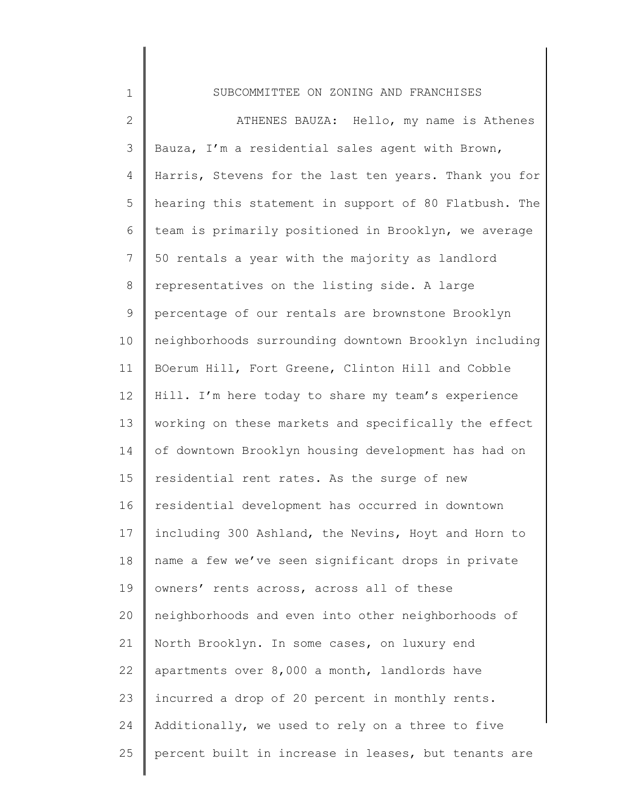| $\mathbf 1$    | SUBCOMMITTEE ON ZONING AND FRANCHISES                 |
|----------------|-------------------------------------------------------|
| $\mathbf{2}$   | ATHENES BAUZA: Hello, my name is Athenes              |
| $\mathcal{S}$  | Bauza, I'm a residential sales agent with Brown,      |
| 4              | Harris, Stevens for the last ten years. Thank you for |
| 5              | hearing this statement in support of 80 Flatbush. The |
| 6              | team is primarily positioned in Brooklyn, we average  |
| $\overline{7}$ | 50 rentals a year with the majority as landlord       |
| 8              | representatives on the listing side. A large          |
| $\mathsf 9$    | percentage of our rentals are brownstone Brooklyn     |
| 10             | neighborhoods surrounding downtown Brooklyn including |
| 11             | BOerum Hill, Fort Greene, Clinton Hill and Cobble     |
| 12             | Hill. I'm here today to share my team's experience    |
| 13             | working on these markets and specifically the effect  |
| 14             | of downtown Brooklyn housing development has had on   |
| 15             | residential rent rates. As the surge of new           |
| 16             | residential development has occurred in downtown      |
| 17             | including 300 Ashland, the Nevins, Hoyt and Horn to   |
| 18             | name a few we've seen significant drops in private    |
| 19             | owners' rents across, across all of these             |
| 20             | neighborhoods and even into other neighborhoods of    |
| 21             | North Brooklyn. In some cases, on luxury end          |
| 22             | apartments over 8,000 a month, landlords have         |
| 23             | incurred a drop of 20 percent in monthly rents.       |
| 24             | Additionally, we used to rely on a three to five      |
| 25             | percent built in increase in leases, but tenants are  |
|                |                                                       |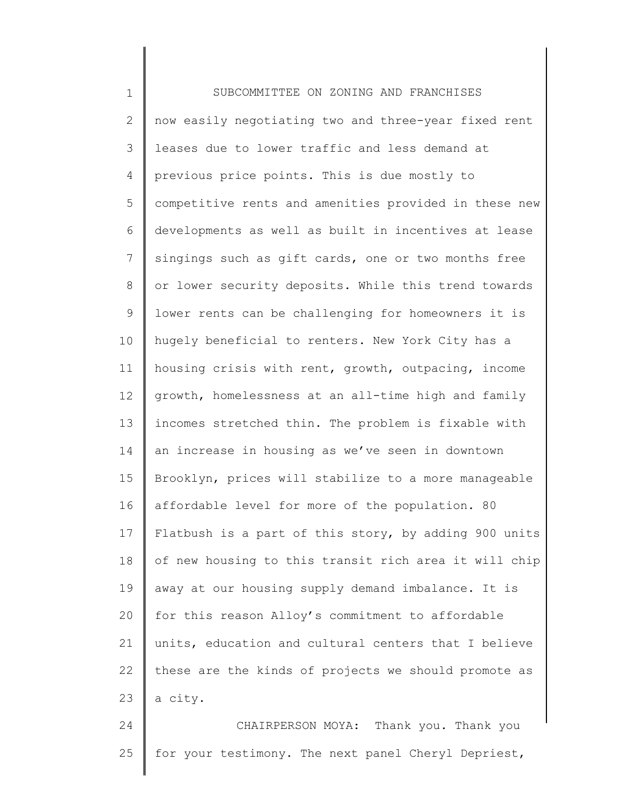1 2 3 4 5 6 7 8 9 10 11 12 13 14 15 16 17 18 19 20 21 22 23 24 SUBCOMMITTEE ON ZONING AND FRANCHISES now easily negotiating two and three-year fixed rent leases due to lower traffic and less demand at previous price points. This is due mostly to competitive rents and amenities provided in these new developments as well as built in incentives at lease singings such as gift cards, one or two months free or lower security deposits. While this trend towards lower rents can be challenging for homeowners it is hugely beneficial to renters. New York City has a housing crisis with rent, growth, outpacing, income growth, homelessness at an all-time high and family incomes stretched thin. The problem is fixable with an increase in housing as we've seen in downtown Brooklyn, prices will stabilize to a more manageable affordable level for more of the population. 80 Flatbush is a part of this story, by adding 900 units of new housing to this transit rich area it will chip away at our housing supply demand imbalance. It is for this reason Alloy's commitment to affordable units, education and cultural centers that I believe these are the kinds of projects we should promote as a city. CHAIRPERSON MOYA: Thank you. Thank you

for your testimony. The next panel Cheryl Depriest,

25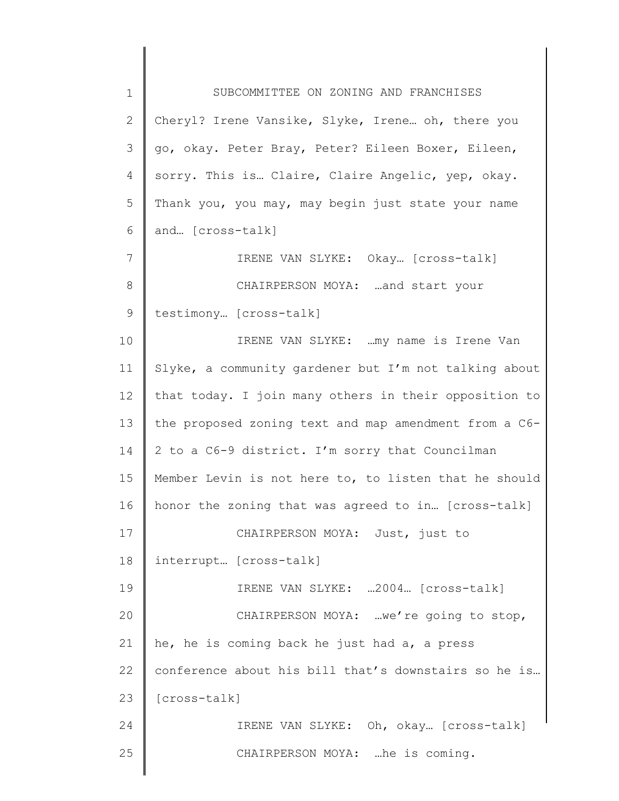1 2 3 4 5 6 7 8 9 10 11 12 13 14 15 16 17 18 19 20 21 22 23 24 25 SUBCOMMITTEE ON ZONING AND FRANCHISES Cheryl? Irene Vansike, Slyke, Irene... oh, there you go, okay. Peter Bray, Peter? Eileen Boxer, Eileen, sorry. This is… Claire, Claire Angelic, yep, okay. Thank you, you may, may begin just state your name and… [cross-talk] IRENE VAN SLYKE: Okay… [cross-talk] CHAIRPERSON MOYA: …and start your testimony… [cross-talk] IRENE VAN SLYKE: …my name is Irene Van Slyke, a community gardener but I'm not talking about that today. I join many others in their opposition to the proposed zoning text and map amendment from a C6- 2 to a C6-9 district. I'm sorry that Councilman Member Levin is not here to, to listen that he should honor the zoning that was agreed to in… [cross-talk] CHAIRPERSON MOYA: Just, just to interrupt… [cross-talk] IRENE VAN SLYKE: …2004… [cross-talk] CHAIRPERSON MOYA: …we're going to stop, he, he is coming back he just had a, a press conference about his bill that's downstairs so he is… [cross-talk] IRENE VAN SLYKE: Oh, okay… [cross-talk] CHAIRPERSON MOYA: …he is coming.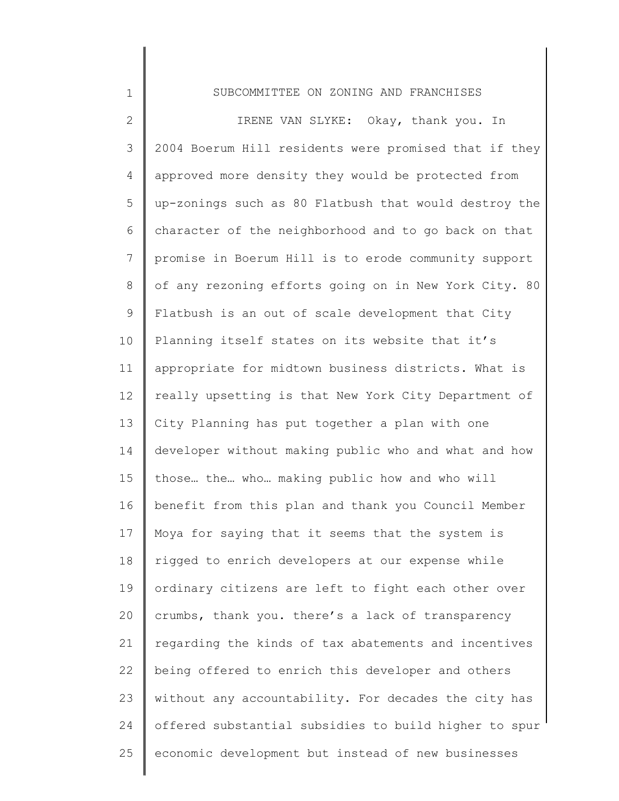## SUBCOMMITTEE ON ZONING AND FRANCHISES

1

2 3 4 5 6 7 8 9 10 11 12 13 14 15 16 17 18 19 20 21 22 23 24 25 IRENE VAN SLYKE: Okay, thank you. In 2004 Boerum Hill residents were promised that if they approved more density they would be protected from up-zonings such as 80 Flatbush that would destroy the character of the neighborhood and to go back on that promise in Boerum Hill is to erode community support of any rezoning efforts going on in New York City. 80 Flatbush is an out of scale development that City Planning itself states on its website that it's appropriate for midtown business districts. What is really upsetting is that New York City Department of City Planning has put together a plan with one developer without making public who and what and how those… the… who… making public how and who will benefit from this plan and thank you Council Member Moya for saying that it seems that the system is rigged to enrich developers at our expense while ordinary citizens are left to fight each other over crumbs, thank you. there's a lack of transparency regarding the kinds of tax abatements and incentives being offered to enrich this developer and others without any accountability. For decades the city has offered substantial subsidies to build higher to spur economic development but instead of new businesses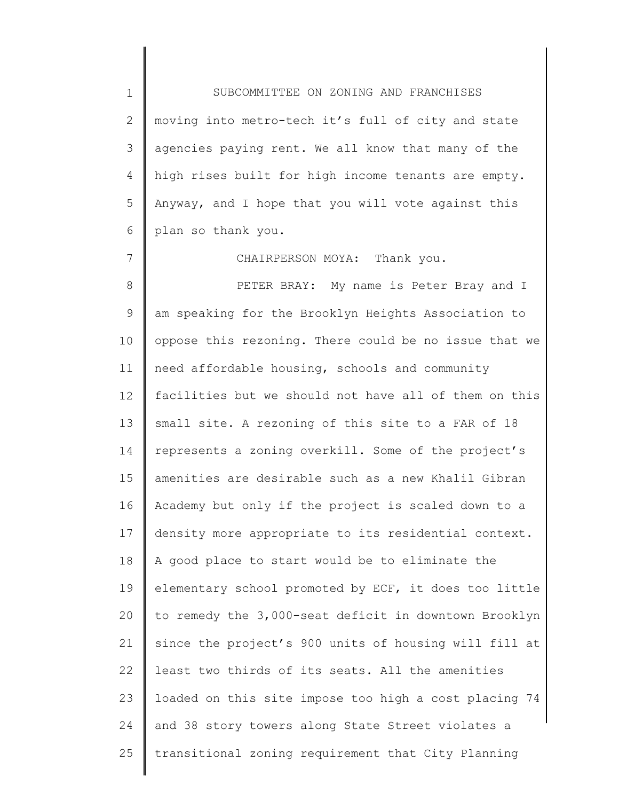1 2 3 4 5 6 SUBCOMMITTEE ON ZONING AND FRANCHISES moving into metro-tech it's full of city and state agencies paying rent. We all know that many of the high rises built for high income tenants are empty. Anyway, and I hope that you will vote against this plan so thank you.

CHAIRPERSON MOYA: Thank you.

7

8 9 10 11 12 13 14 15 16 17 18 19 20 21 22 23 24 25 PETER BRAY: My name is Peter Bray and I am speaking for the Brooklyn Heights Association to oppose this rezoning. There could be no issue that we need affordable housing, schools and community facilities but we should not have all of them on this small site. A rezoning of this site to a FAR of 18 represents a zoning overkill. Some of the project's amenities are desirable such as a new Khalil Gibran Academy but only if the project is scaled down to a density more appropriate to its residential context. A good place to start would be to eliminate the elementary school promoted by ECF, it does too little to remedy the 3,000-seat deficit in downtown Brooklyn since the project's 900 units of housing will fill at least two thirds of its seats. All the amenities loaded on this site impose too high a cost placing 74 and 38 story towers along State Street violates a transitional zoning requirement that City Planning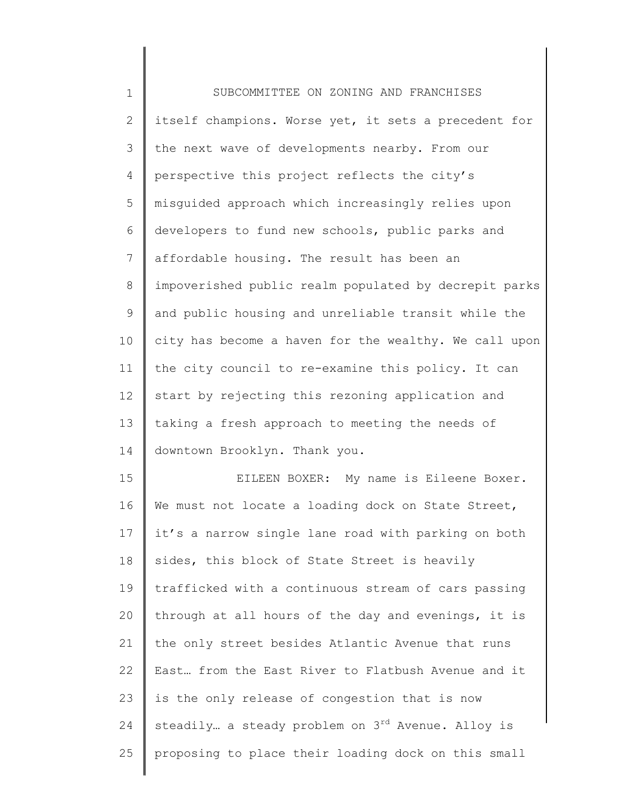| $\mathbf 1$    | SUBCOMMITTEE ON ZONING AND FRANCHISES                         |
|----------------|---------------------------------------------------------------|
| $\mathbf{2}$   | itself champions. Worse yet, it sets a precedent for          |
| 3              | the next wave of developments nearby. From our                |
| $\overline{4}$ | perspective this project reflects the city's                  |
| 5              | misguided approach which increasingly relies upon             |
| 6              | developers to fund new schools, public parks and              |
| 7              | affordable housing. The result has been an                    |
| 8              | impoverished public realm populated by decrepit parks         |
| 9              | and public housing and unreliable transit while the           |
| 10             | city has become a haven for the wealthy. We call upon         |
| 11             | the city council to re-examine this policy. It can            |
| 12             | start by rejecting this rezoning application and              |
| 13             | taking a fresh approach to meeting the needs of               |
| 14             | downtown Brooklyn. Thank you.                                 |
| 15             | EILEEN BOXER: My name is Eileene Boxer.                       |
| 16             | We must not locate a loading dock on State Street,            |
| 17             | it's a narrow single lane road with parking on both           |
| 18             | sides, this block of State Street is heavily                  |
| 19             | trafficked with a continuous stream of cars passing           |
| 20             | through at all hours of the day and evenings, it is           |
| 21             | the only street besides Atlantic Avenue that runs             |
| 22             | East from the East River to Flatbush Avenue and it            |
| 23             | is the only release of congestion that is now                 |
| 24             | steadily a steady problem on 3 <sup>rd</sup> Avenue. Alloy is |
| 25             | proposing to place their loading dock on this small           |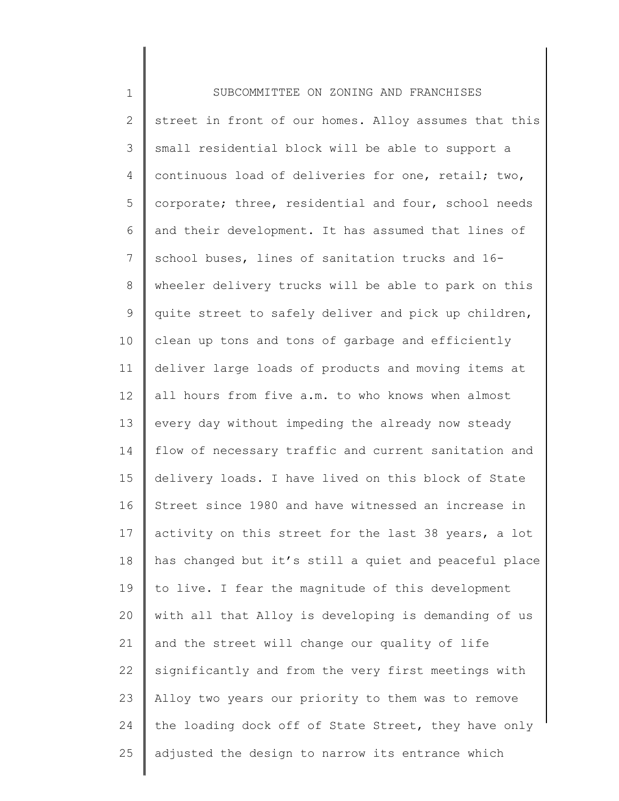1 2 3 4 5 6 7 8 9 10 11 12 13 14 15 16 17 18 19 20 21 22 23 24 25 SUBCOMMITTEE ON ZONING AND FRANCHISES street in front of our homes. Alloy assumes that this small residential block will be able to support a continuous load of deliveries for one, retail; two, corporate; three, residential and four, school needs and their development. It has assumed that lines of school buses, lines of sanitation trucks and 16 wheeler delivery trucks will be able to park on this quite street to safely deliver and pick up children, clean up tons and tons of garbage and efficiently deliver large loads of products and moving items at all hours from five a.m. to who knows when almost every day without impeding the already now steady flow of necessary traffic and current sanitation and delivery loads. I have lived on this block of State Street since 1980 and have witnessed an increase in activity on this street for the last 38 years, a lot has changed but it's still a quiet and peaceful place to live. I fear the magnitude of this development with all that Alloy is developing is demanding of us and the street will change our quality of life significantly and from the very first meetings with Alloy two years our priority to them was to remove the loading dock off of State Street, they have only adjusted the design to narrow its entrance which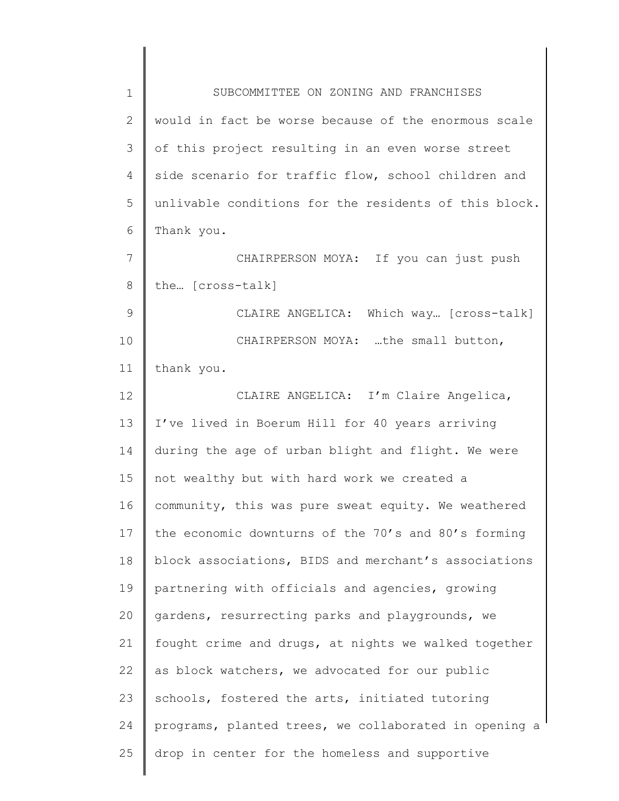| $\mathbf 1$ | SUBCOMMITTEE ON ZONING AND FRANCHISES                 |
|-------------|-------------------------------------------------------|
| 2           | would in fact be worse because of the enormous scale  |
| 3           | of this project resulting in an even worse street     |
| 4           | side scenario for traffic flow, school children and   |
| 5           | unlivable conditions for the residents of this block. |
| 6           | Thank you.                                            |
| 7           | CHAIRPERSON MOYA: If you can just push                |
| 8           | the [cross-talk]                                      |
| 9           | CLAIRE ANGELICA: Which way [cross-talk]               |
| 10          | CHAIRPERSON MOYA: the small button,                   |
| 11          | thank you.                                            |
| 12          | CLAIRE ANGELICA: I'm Claire Angelica,                 |
| 13          | I've lived in Boerum Hill for 40 years arriving       |
| 14          | during the age of urban blight and flight. We were    |
| 15          | not wealthy but with hard work we created a           |
| 16          | community, this was pure sweat equity. We weathered   |
| 17          | the economic downturns of the 70's and 80's forming   |
| 18          | block associations, BIDS and merchant's associations  |
| 19          | partnering with officials and agencies, growing       |
| 20          | gardens, resurrecting parks and playgrounds, we       |
| 21          | fought crime and drugs, at nights we walked together  |
| 22          | as block watchers, we advocated for our public        |
| 23          | schools, fostered the arts, initiated tutoring        |
| 24          | programs, planted trees, we collaborated in opening a |
| 25          | drop in center for the homeless and supportive        |
|             |                                                       |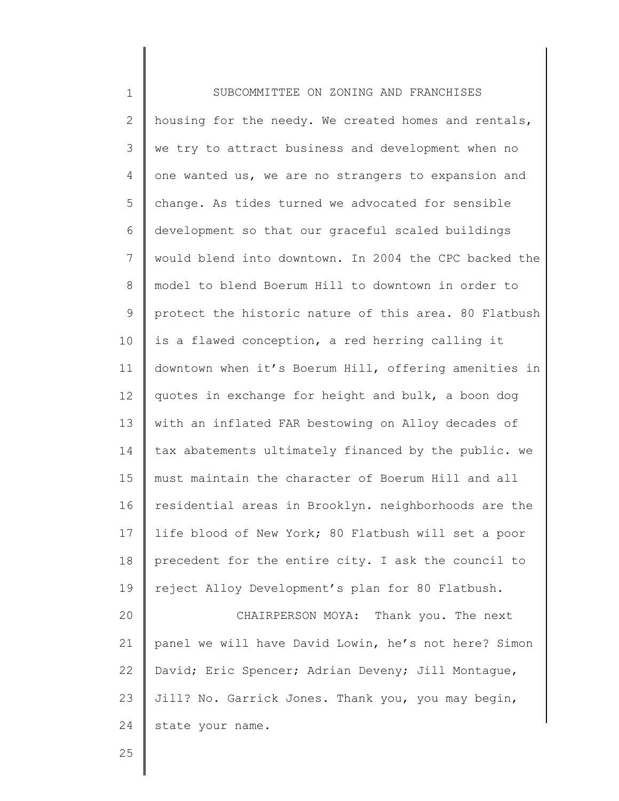| $\mathbf 1$    | SUBCOMMITTEE ON ZONING AND FRANCHISES                 |
|----------------|-------------------------------------------------------|
| $\overline{2}$ | housing for the needy. We created homes and rentals,  |
| 3              | we try to attract business and development when no    |
| $\overline{4}$ | one wanted us, we are no strangers to expansion and   |
| 5              | change. As tides turned we advocated for sensible     |
| 6              | development so that our graceful scaled buildings     |
| 7              | would blend into downtown. In 2004 the CPC backed the |
| 8              | model to blend Boerum Hill to downtown in order to    |
| 9              | protect the historic nature of this area. 80 Flatbush |
| 10             | is a flawed conception, a red herring calling it      |
| 11             | downtown when it's Boerum Hill, offering amenities in |
| 12             | quotes in exchange for height and bulk, a boon dog    |
| 13             | with an inflated FAR bestowing on Alloy decades of    |
| 14             | tax abatements ultimately financed by the public. we  |
| 15             | must maintain the character of Boerum Hill and all    |
| 16             | residential areas in Brooklyn. neighborhoods are the  |
| 17             | life blood of New York; 80 Flatbush will set a poor   |
| 18             | precedent for the entire city. I ask the council to   |
| 19             | reject Alloy Development's plan for 80 Flatbush.      |
| 20             | CHAIRPERSON MOYA: Thank you. The next                 |
| 21             | panel we will have David Lowin, he's not here? Simon  |
| 22             | David; Eric Spencer; Adrian Deveny; Jill Montague,    |
| 23             | Jill? No. Garrick Jones. Thank you, you may begin,    |
| 24             | state your name.                                      |
|                |                                                       |

25

Ι

 $\mathsf I$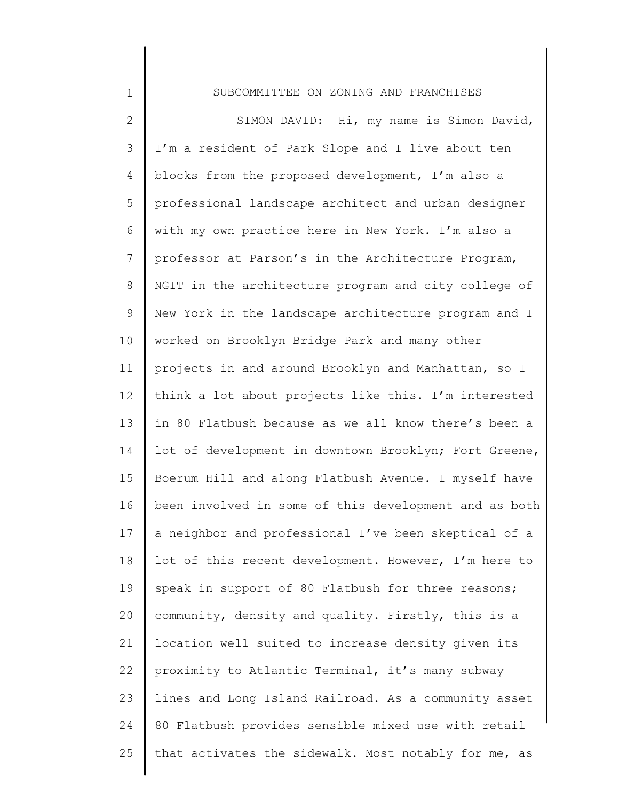| $\mathbf 1$     | SUBCOMMITTEE ON ZONING AND FRANCHISES                 |
|-----------------|-------------------------------------------------------|
| $\mathbf{2}$    | SIMON DAVID: Hi, my name is Simon David,              |
| 3               | I'm a resident of Park Slope and I live about ten     |
| 4               | blocks from the proposed development, I'm also a      |
| 5               | professional landscape architect and urban designer   |
| 6               | with my own practice here in New York. I'm also a     |
| $7\phantom{.0}$ | professor at Parson's in the Architecture Program,    |
| 8               | NGIT in the architecture program and city college of  |
| 9               | New York in the landscape architecture program and I  |
| 10              | worked on Brooklyn Bridge Park and many other         |
| 11              | projects in and around Brooklyn and Manhattan, so I   |
| 12              | think a lot about projects like this. I'm interested  |
| 13              | in 80 Flatbush because as we all know there's been a  |
| 14              | lot of development in downtown Brooklyn; Fort Greene, |
| 15              | Boerum Hill and along Flatbush Avenue. I myself have  |
| 16              | been involved in some of this development and as both |
| 17              | a neighbor and professional I've been skeptical of a  |
| 18              | lot of this recent development. However, I'm here to  |
| 19              | speak in support of 80 Flatbush for three reasons;    |
| 20              | community, density and quality. Firstly, this is a    |
| 21              | location well suited to increase density given its    |
| 22              | proximity to Atlantic Terminal, it's many subway      |
| 23              | lines and Long Island Railroad. As a community asset  |
| 24              | 80 Flatbush provides sensible mixed use with retail   |
| 25              | that activates the sidewalk. Most notably for me, as  |
|                 |                                                       |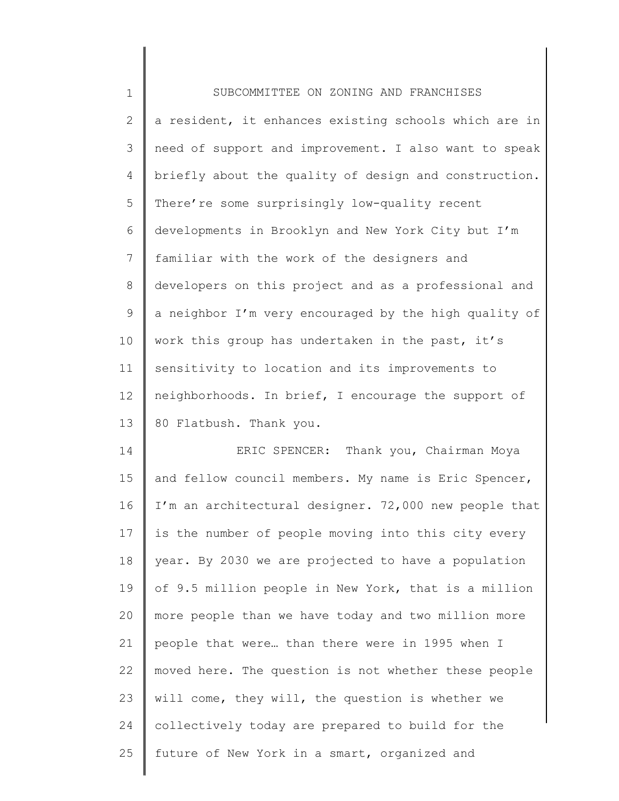| $\mathbf 1$  | SUBCOMMITTEE ON ZONING AND FRANCHISES                 |
|--------------|-------------------------------------------------------|
| $\mathbf{2}$ | a resident, it enhances existing schools which are in |
| 3            | need of support and improvement. I also want to speak |
| 4            | briefly about the quality of design and construction. |
| 5            | There're some surprisingly low-quality recent         |
| 6            | developments in Brooklyn and New York City but I'm    |
| 7            | familiar with the work of the designers and           |
| 8            | developers on this project and as a professional and  |
| 9            | a neighbor I'm very encouraged by the high quality of |
| 10           | work this group has undertaken in the past, it's      |
| 11           | sensitivity to location and its improvements to       |
| 12           | neighborhoods. In brief, I encourage the support of   |
| 13           | 80 Flatbush. Thank you.                               |
| 14           | ERIC SPENCER: Thank you, Chairman Moya                |
| 15           | and fellow council members. My name is Eric Spencer,  |
| 16           | I'm an architectural designer. 72,000 new people that |
| 17           | is the number of people moving into this city every   |
| 18           | year. By 2030 we are projected to have a population   |
| 19           | of 9.5 million people in New York, that is a million  |
| 20           | more people than we have today and two million more   |
| 21           | people that were than there were in 1995 when I       |
| 22           | moved here. The question is not whether these people  |
| 23           | will come, they will, the question is whether we      |
| 24           | collectively today are prepared to build for the      |
| 25           | future of New York in a smart, organized and          |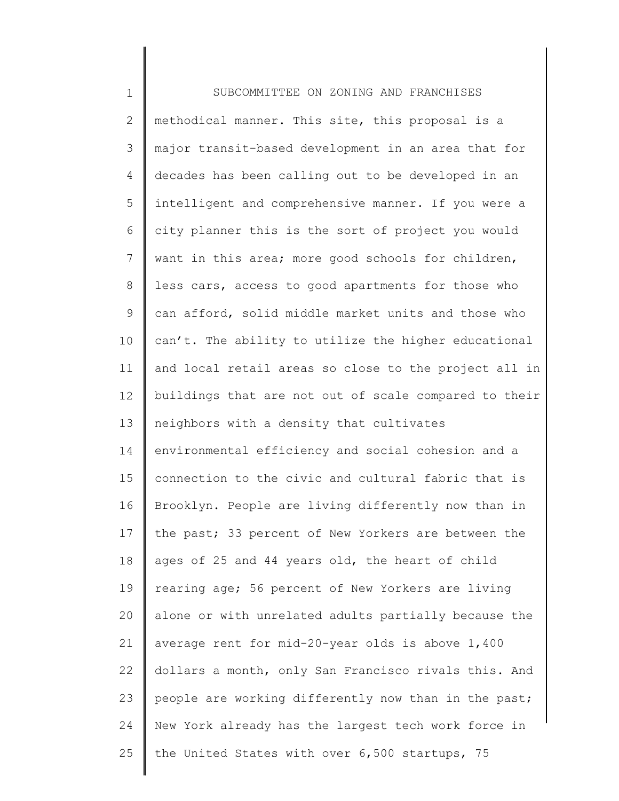| $\mathbf 1$    | SUBCOMMITTEE ON ZONING AND FRANCHISES                 |
|----------------|-------------------------------------------------------|
| $\mathbf{2}$   | methodical manner. This site, this proposal is a      |
| 3              | major transit-based development in an area that for   |
| 4              | decades has been calling out to be developed in an    |
| 5              | intelligent and comprehensive manner. If you were a   |
| 6              | city planner this is the sort of project you would    |
| $7\phantom{.}$ | want in this area; more good schools for children,    |
| 8              | less cars, access to good apartments for those who    |
| 9              | can afford, solid middle market units and those who   |
| 10             | can't. The ability to utilize the higher educational  |
| 11             | and local retail areas so close to the project all in |
| 12             | buildings that are not out of scale compared to their |
| 13             | neighbors with a density that cultivates              |
| 14             | environmental efficiency and social cohesion and a    |
| 15             | connection to the civic and cultural fabric that is   |
| 16             | Brooklyn. People are living differently now than in   |
| 17             | the past; 33 percent of New Yorkers are between the   |
| 18             | ages of 25 and 44 years old, the heart of child       |
| 19             | rearing age; 56 percent of New Yorkers are living     |
| 20             | alone or with unrelated adults partially because the  |
| 21             | average rent for mid-20-year olds is above 1,400      |
| 22             | dollars a month, only San Francisco rivals this. And  |
| 23             | people are working differently now than in the past;  |
| 24             | New York already has the largest tech work force in   |
| 25             | the United States with over 6,500 startups, 75        |
|                |                                                       |

 $\begin{array}{c} \hline \end{array}$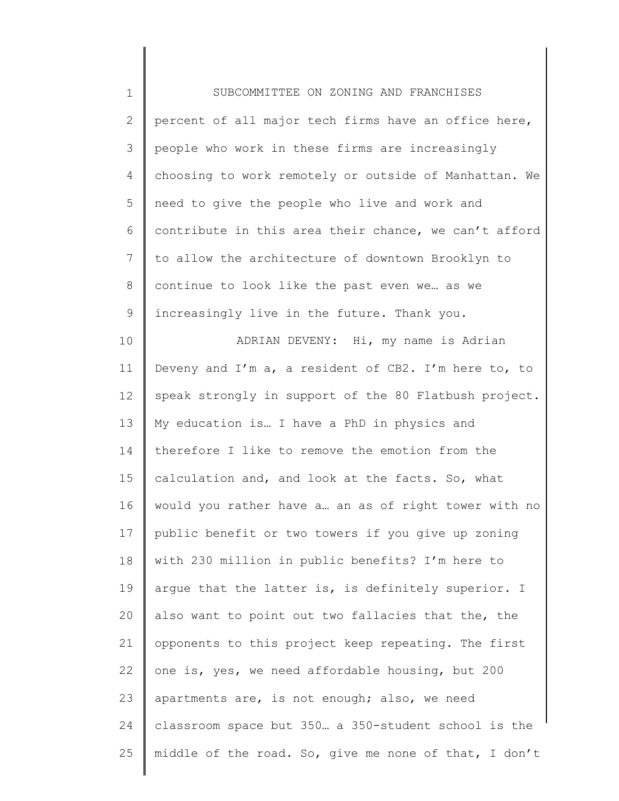| $\mathbf 1$    | SUBCOMMITTEE ON ZONING AND FRANCHISES                    |
|----------------|----------------------------------------------------------|
| $\overline{2}$ | percent of all major tech firms have an office here,     |
| 3              | people who work in these firms are increasingly          |
| 4              | choosing to work remotely or outside of Manhattan. We    |
| 5              | need to give the people who live and work and            |
| 6              | contribute in this area their chance, we can't afford    |
| 7              | to allow the architecture of downtown Brooklyn to        |
| $\,8\,$        | continue to look like the past even we as we             |
| $\mathsf 9$    | increasingly live in the future. Thank you.              |
| 10             | ADRIAN DEVENY: Hi, my name is Adrian                     |
| 11             | Deveny and $I'm$ a, a resident of CB2. I'm here to, to   |
| 12             | speak strongly in support of the 80 Flatbush project.    |
| 13             | My education is I have a PhD in physics and              |
| 14             | therefore I like to remove the emotion from the          |
| 15             | calculation and, and look at the facts. So, what         |
| 16             | would you rather have a an as of right tower with no     |
|                | 17    public benefit or two towers if you give up zoning |
| 18             | with 230 million in public benefits? I'm here to         |
| 19             | argue that the latter is, is definitely superior. I      |
| 20             | also want to point out two fallacies that the, the       |
| 21             | opponents to this project keep repeating. The first      |
| 22             | one is, yes, we need affordable housing, but 200         |
| 23             | apartments are, is not enough; also, we need             |
| 24             | classroom space but 350. a 350-student school is the     |
| 25             | middle of the road. So, give me none of that, I don't    |
|                |                                                          |

║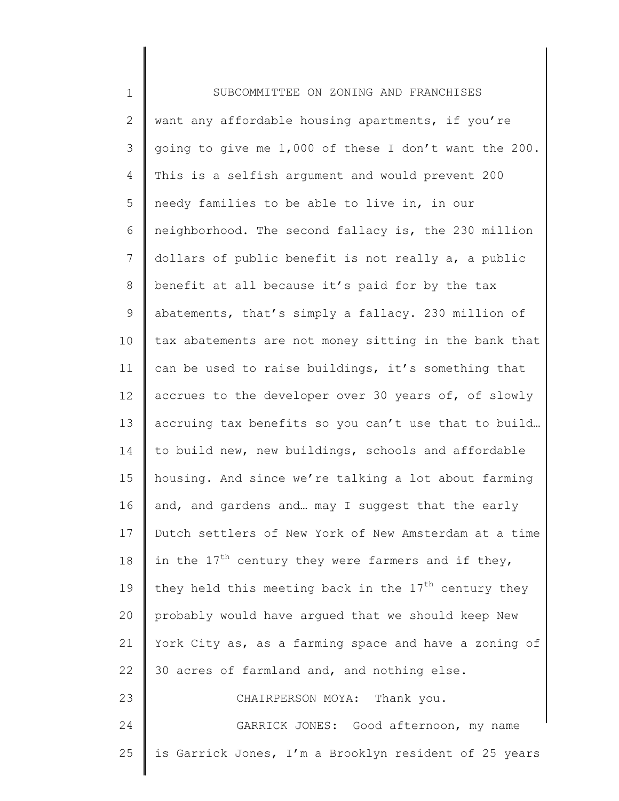| $\mathbf 1$  | SUBCOMMITTEE ON ZONING AND FRANCHISES                  |
|--------------|--------------------------------------------------------|
| $\mathbf{2}$ | want any affordable housing apartments, if you're      |
| 3            | going to give me 1,000 of these I don't want the 200.  |
| 4            | This is a selfish argument and would prevent 200       |
| 5            | needy families to be able to live in, in our           |
| 6            | neighborhood. The second fallacy is, the 230 million   |
| 7            | dollars of public benefit is not really a, a public    |
| 8            | benefit at all because it's paid for by the tax        |
| 9            | abatements, that's simply a fallacy. 230 million of    |
| 10           | tax abatements are not money sitting in the bank that  |
| 11           | can be used to raise buildings, it's something that    |
| 12           | accrues to the developer over 30 years of, of slowly   |
| 13           | accruing tax benefits so you can't use that to build   |
| 14           | to build new, new buildings, schools and affordable    |
| 15           | housing. And since we're talking a lot about farming   |
| 16           | and, and gardens and may I suggest that the early      |
| 17           | Dutch settlers of New York of New Amsterdam at a time  |
| 18           | in the $17th$ century they were farmers and if they,   |
| 19           | they held this meeting back in the $17th$ century they |
| 20           | probably would have arqued that we should keep New     |
| 21           | York City as, as a farming space and have a zoning of  |
| 22           | 30 acres of farmland and, and nothing else.            |
| 23           | CHAIRPERSON MOYA: Thank you.                           |
| 24           | GARRICK JONES: Good afternoon, my name                 |
| 25           | is Garrick Jones, I'm a Brooklyn resident of 25 years  |
|              |                                                        |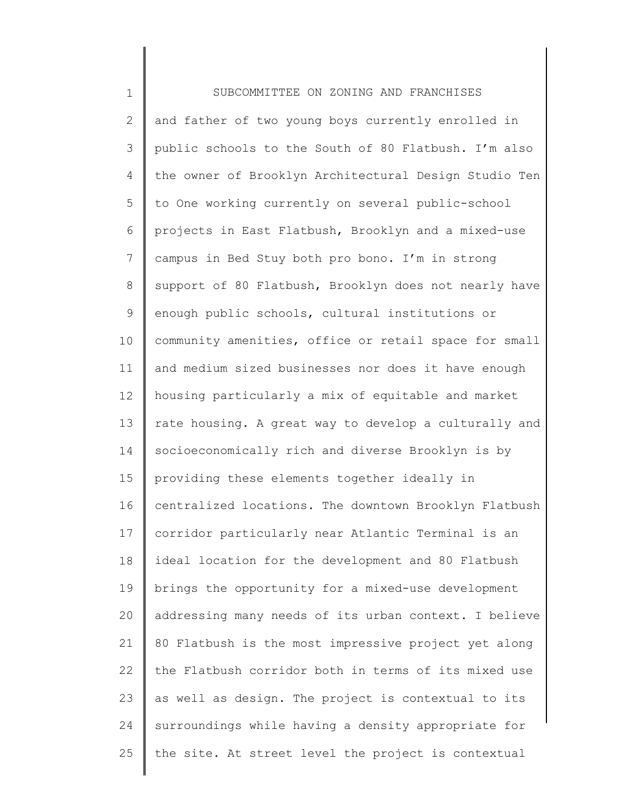1 2 3 4 5 6 7 8 9 10 11 12 13 14 15 16 17 18 19 20 21 22 23 24 25 SUBCOMMITTEE ON ZONING AND FRANCHISES and father of two young boys currently enrolled in public schools to the South of 80 Flatbush. I'm also the owner of Brooklyn Architectural Design Studio Ten to One working currently on several public-school projects in East Flatbush, Brooklyn and a mixed-use campus in Bed Stuy both pro bono. I'm in strong support of 80 Flatbush, Brooklyn does not nearly have enough public schools, cultural institutions or community amenities, office or retail space for small and medium sized businesses nor does it have enough housing particularly a mix of equitable and market rate housing. A great way to develop a culturally and socioeconomically rich and diverse Brooklyn is by providing these elements together ideally in centralized locations. The downtown Brooklyn Flatbush corridor particularly near Atlantic Terminal is an ideal location for the development and 80 Flatbush brings the opportunity for a mixed-use development addressing many needs of its urban context. I believe 80 Flatbush is the most impressive project yet along the Flatbush corridor both in terms of its mixed use as well as design. The project is contextual to its surroundings while having a density appropriate for the site. At street level the project is contextual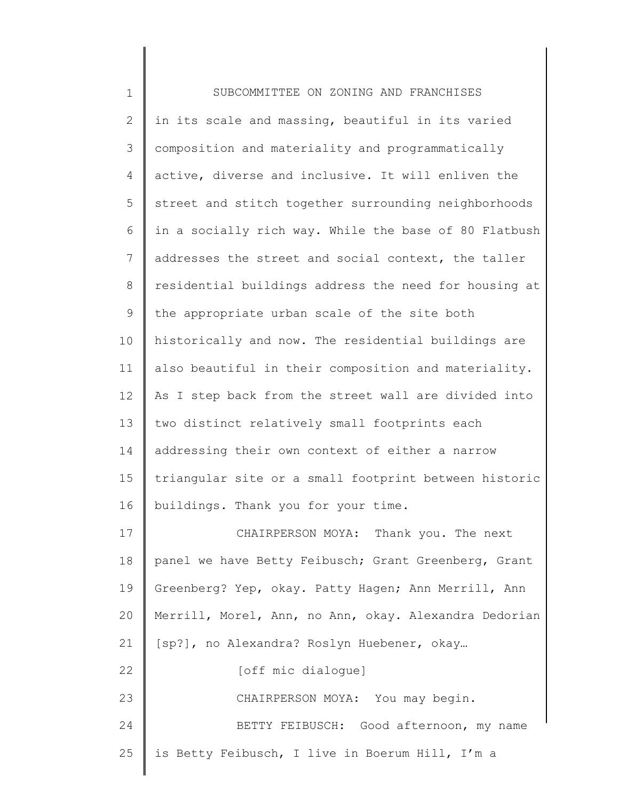| $\mathbf 1$    | SUBCOMMITTEE ON ZONING AND FRANCHISES                 |
|----------------|-------------------------------------------------------|
| $\mathbf{2}$   | in its scale and massing, beautiful in its varied     |
| 3              | composition and materiality and programmatically      |
| $\overline{4}$ | active, diverse and inclusive. It will enliven the    |
| 5              | street and stitch together surrounding neighborhoods  |
| 6              | in a socially rich way. While the base of 80 Flatbush |
| 7              | addresses the street and social context, the taller   |
| 8              | residential buildings address the need for housing at |
| 9              | the appropriate urban scale of the site both          |
| 10             | historically and now. The residential buildings are   |
| 11             | also beautiful in their composition and materiality.  |
| 12             | As I step back from the street wall are divided into  |
| 13             | two distinct relatively small footprints each         |
| 14             | addressing their own context of either a narrow       |
| 15             | triangular site or a small footprint between historic |
| 16             | buildings. Thank you for your time.                   |
| 17             | CHAIRPERSON MOYA: Thank you. The next                 |
| 18             | panel we have Betty Feibusch; Grant Greenberg, Grant  |
| 19             | Greenberg? Yep, okay. Patty Hagen; Ann Merrill, Ann   |
| 20             | Merrill, Morel, Ann, no Ann, okay. Alexandra Dedorian |
| 21             | [sp?], no Alexandra? Roslyn Huebener, okay            |
| 22             | [off mic dialogue]                                    |
| 23             | CHAIRPERSON MOYA: You may begin.                      |
| 24             | BETTY FEIBUSCH: Good afternoon, my name               |
| 25             | is Betty Feibusch, I live in Boerum Hill, I'm a       |
|                |                                                       |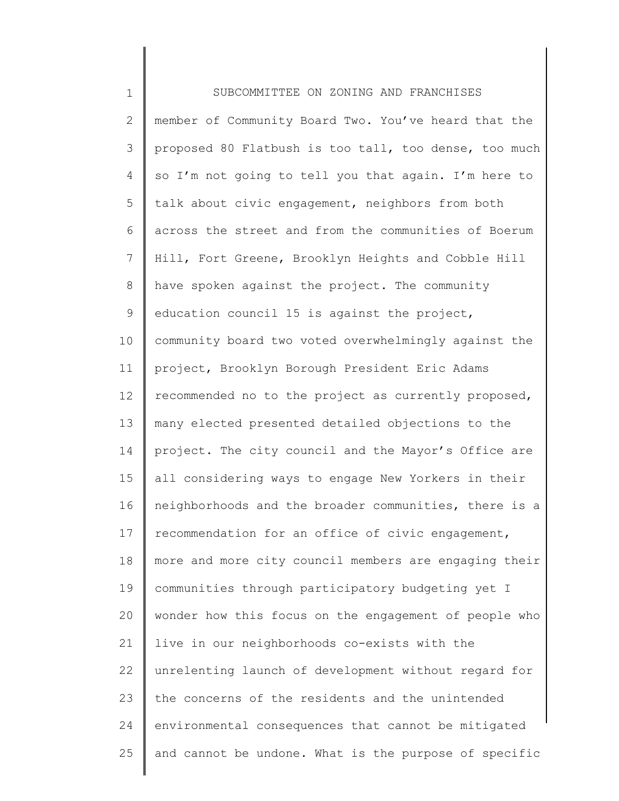| $\mathbf 1$   | SUBCOMMITTEE ON ZONING AND FRANCHISES                 |
|---------------|-------------------------------------------------------|
| $\mathbf{2}$  | member of Community Board Two. You've heard that the  |
| 3             | proposed 80 Flatbush is too tall, too dense, too much |
| 4             | so I'm not going to tell you that again. I'm here to  |
| 5             | talk about civic engagement, neighbors from both      |
| 6             | across the street and from the communities of Boerum  |
| 7             | Hill, Fort Greene, Brooklyn Heights and Cobble Hill   |
| $\,8\,$       | have spoken against the project. The community        |
| $\mathcal{G}$ | education council 15 is against the project,          |
| 10            | community board two voted overwhelmingly against the  |
| 11            | project, Brooklyn Borough President Eric Adams        |
| 12            | recommended no to the project as currently proposed,  |
| 13            | many elected presented detailed objections to the     |
| 14            | project. The city council and the Mayor's Office are  |
| 15            | all considering ways to engage New Yorkers in their   |
| 16            | neighborhoods and the broader communities, there is a |
| 17            | recommendation for an office of civic engagement,     |
| 18            | more and more city council members are engaging their |
| 19            | communities through participatory budgeting yet I     |
| 20            | wonder how this focus on the engagement of people who |
| 21            | live in our neighborhoods co-exists with the          |
| 22            | unrelenting launch of development without regard for  |
| 23            | the concerns of the residents and the unintended      |
| 24            | environmental consequences that cannot be mitigated   |
| 25            | and cannot be undone. What is the purpose of specific |
|               |                                                       |

║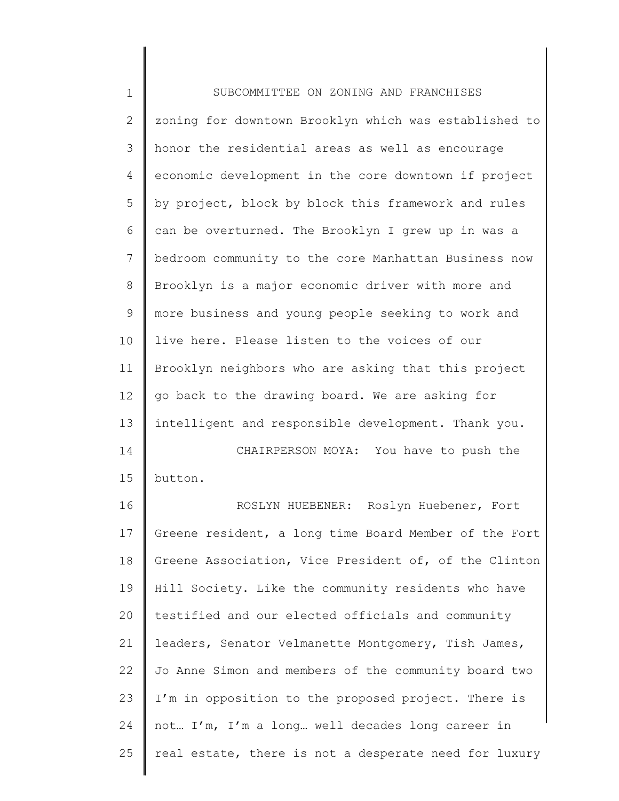| $\mathbf 1$  | SUBCOMMITTEE ON ZONING AND FRANCHISES                 |
|--------------|-------------------------------------------------------|
| $\mathbf{2}$ | zoning for downtown Brooklyn which was established to |
| 3            | honor the residential areas as well as encourage      |
| 4            | economic development in the core downtown if project  |
| 5            | by project, block by block this framework and rules   |
| 6            | can be overturned. The Brooklyn I grew up in was a    |
| 7            | bedroom community to the core Manhattan Business now  |
| 8            | Brooklyn is a major economic driver with more and     |
| 9            | more business and young people seeking to work and    |
| 10           | live here. Please listen to the voices of our         |
| 11           | Brooklyn neighbors who are asking that this project   |
| 12           | go back to the drawing board. We are asking for       |
| 13           | intelligent and responsible development. Thank you.   |
| 14           | CHAIRPERSON MOYA: You have to push the                |
| 15           | button.                                               |
| 16           | ROSLYN HUEBENER: Roslyn Huebener, Fort                |
| 17           | Greene resident, a long time Board Member of the Fort |
| 18           | Greene Association, Vice President of, of the Clinton |
| 19           | Hill Society. Like the community residents who have   |
| 20           | testified and our elected officials and community     |
| 21           | leaders, Senator Velmanette Montgomery, Tish James,   |
| 22           | Jo Anne Simon and members of the community board two  |
| 23           | I'm in opposition to the proposed project. There is   |
| 24           | not I'm, I'm a long well decades long career in       |

25 | real estate, there is not a desperate need for luxury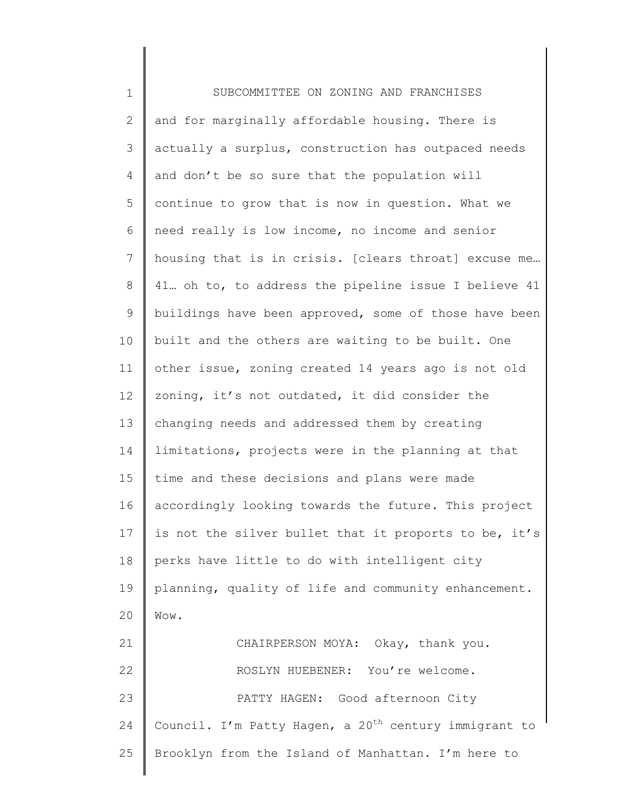1 2 3 4 5 6 7 8 9 10 11 12 13 14 15 16 17 18 19 20 21 22 23 24 25 SUBCOMMITTEE ON ZONING AND FRANCHISES and for marginally affordable housing. There is actually a surplus, construction has outpaced needs and don't be so sure that the population will continue to grow that is now in question. What we need really is low income, no income and senior housing that is in crisis. [clears throat] excuse me… 41… oh to, to address the pipeline issue I believe 41 buildings have been approved, some of those have been built and the others are waiting to be built. One other issue, zoning created 14 years ago is not old zoning, it's not outdated, it did consider the changing needs and addressed them by creating limitations, projects were in the planning at that time and these decisions and plans were made accordingly looking towards the future. This project is not the silver bullet that it proports to be, it's perks have little to do with intelligent city planning, quality of life and community enhancement. Wow. CHAIRPERSON MOYA: Okay, thank you. ROSLYN HUEBENER: You're welcome. PATTY HAGEN: Good afternoon City Council. I'm Patty Hagen, a 20<sup>th</sup> century immigrant to Brooklyn from the Island of Manhattan. I'm here to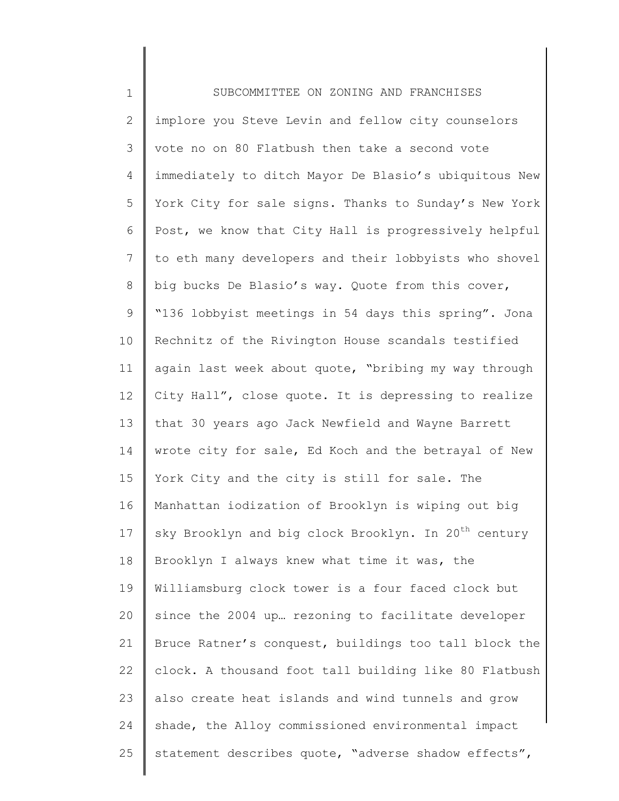1 2 3 4 5 6 7 8 9 10 11 12 13 14 15 16 17 18 19 20 21 22 23 24 25 SUBCOMMITTEE ON ZONING AND FRANCHISES implore you Steve Levin and fellow city counselors vote no on 80 Flatbush then take a second vote immediately to ditch Mayor De Blasio's ubiquitous New York City for sale signs. Thanks to Sunday's New York Post, we know that City Hall is progressively helpful to eth many developers and their lobbyists who shovel big bucks De Blasio's way. Quote from this cover, "136 lobbyist meetings in 54 days this spring". Jona Rechnitz of the Rivington House scandals testified again last week about quote, "bribing my way through City Hall", close quote. It is depressing to realize that 30 years ago Jack Newfield and Wayne Barrett wrote city for sale, Ed Koch and the betrayal of New York City and the city is still for sale. The Manhattan iodization of Brooklyn is wiping out big sky Brooklyn and big clock Brooklyn. In 20<sup>th</sup> century Brooklyn I always knew what time it was, the Williamsburg clock tower is a four faced clock but since the 2004 up… rezoning to facilitate developer Bruce Ratner's conquest, buildings too tall block the clock. A thousand foot tall building like 80 Flatbush also create heat islands and wind tunnels and grow shade, the Alloy commissioned environmental impact statement describes quote, "adverse shadow effects",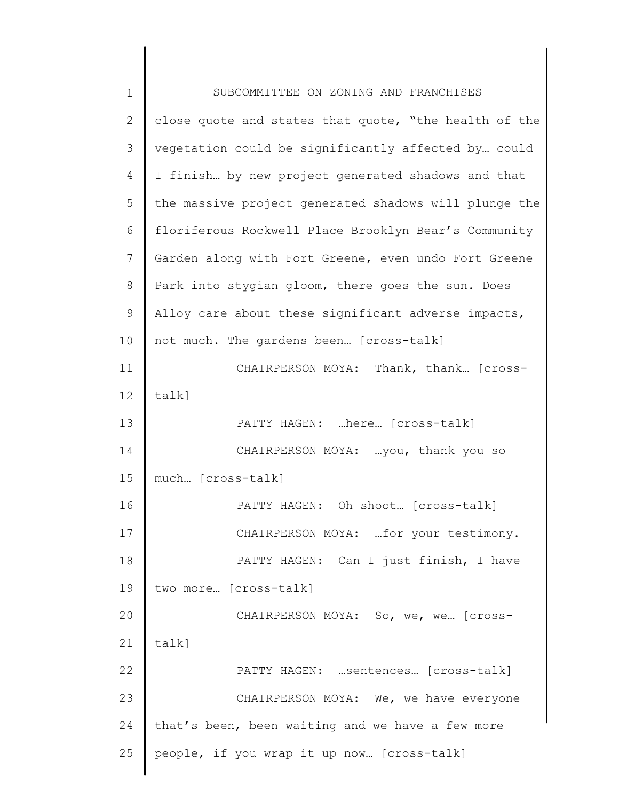| $\mathbf 1$ | SUBCOMMITTEE ON ZONING AND FRANCHISES                 |
|-------------|-------------------------------------------------------|
| 2           | close quote and states that quote, "the health of the |
| 3           | vegetation could be significantly affected by could   |
| 4           | I finish by new project generated shadows and that    |
| 5           | the massive project generated shadows will plunge the |
| 6           | floriferous Rockwell Place Brooklyn Bear's Community  |
| 7           | Garden along with Fort Greene, even undo Fort Greene  |
| 8           | Park into stygian gloom, there goes the sun. Does     |
| 9           | Alloy care about these significant adverse impacts,   |
| 10          | not much. The gardens been [cross-talk]               |
| 11          | CHAIRPERSON MOYA: Thank, thank [Cross-                |
| 12          | $talk$ ]                                              |
| 13          | PATTY HAGEN: here [cross-talk]                        |
| 14          | CHAIRPERSON MOYA:  you, thank you so                  |
| 15          | much [cross-talk]                                     |
| 16          | PATTY HAGEN: Oh shoot [cross-talk]                    |
| 17          | CHAIRPERSON MOYA:  for your testimony.                |
| 18          | PATTY HAGEN: Can I just finish, I have                |
| 19          | two more [cross-talk]                                 |
| 20          | CHAIRPERSON MOYA: So, we, we [Cross-                  |
| 21          | talk]                                                 |
| 22          | PATTY HAGEN:  sentences [cross-talk]                  |
| 23          | CHAIRPERSON MOYA: We, we have everyone                |
| 24          | that's been, been waiting and we have a few more      |
| 25          | people, if you wrap it up now [cross-talk]            |
|             |                                                       |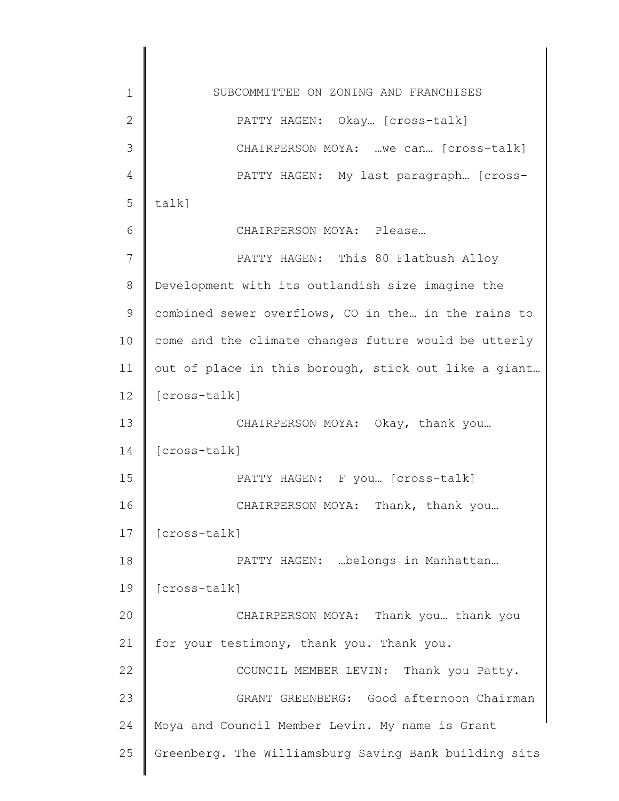1 2 3 4 5 6 7 8 9 10 11 12 13 14 15 16 17 18 19 20 21 22 23 24 25 SUBCOMMITTEE ON ZONING AND FRANCHISES PATTY HAGEN: Okay... [cross-talk] CHAIRPERSON MOYA: …we can… [cross-talk] PATTY HAGEN: My last paragraph… [crosstalk] CHAIRPERSON MOYA: Please… PATTY HAGEN: This 80 Flatbush Alloy Development with its outlandish size imagine the combined sewer overflows, CO in the… in the rains to come and the climate changes future would be utterly out of place in this borough, stick out like a giant… [cross-talk] CHAIRPERSON MOYA: Okay, thank you… [cross-talk] PATTY HAGEN: F you… [cross-talk] CHAIRPERSON MOYA: Thank, thank you… [cross-talk] PATTY HAGEN: …belongs in Manhattan… [cross-talk] CHAIRPERSON MOYA: Thank you… thank you for your testimony, thank you. Thank you. COUNCIL MEMBER LEVIN: Thank you Patty. GRANT GREENBERG: Good afternoon Chairman Moya and Council Member Levin. My name is Grant Greenberg. The Williamsburg Saving Bank building sits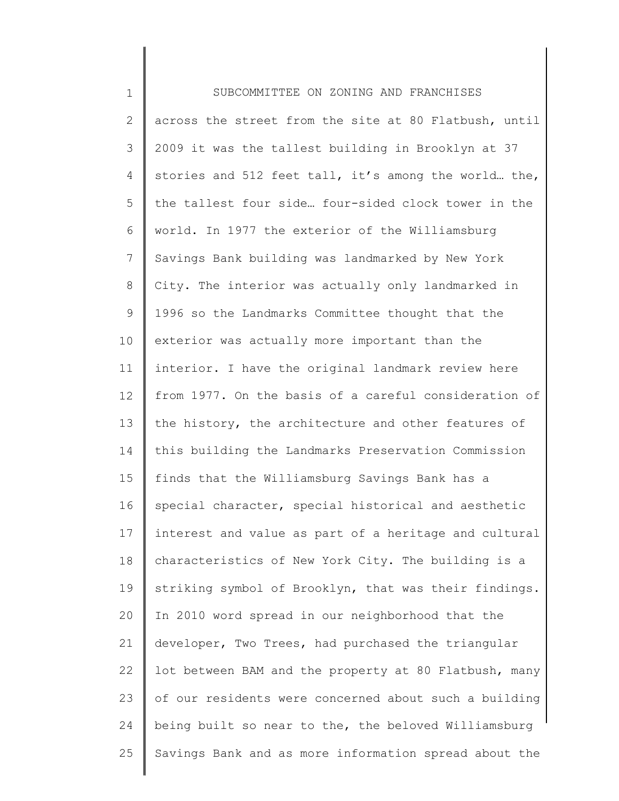| $\mathbf 1$    | SUBCOMMITTEE ON ZONING AND FRANCHISES                 |
|----------------|-------------------------------------------------------|
| $\mathbf{2}$   | across the street from the site at 80 Flatbush, until |
| 3              | 2009 it was the tallest building in Brooklyn at 37    |
| 4              | stories and 512 feet tall, it's among the world the,  |
| 5              | the tallest four side four-sided clock tower in the   |
| 6              | world. In 1977 the exterior of the Williamsburg       |
| $\overline{7}$ | Savings Bank building was landmarked by New York      |
| $8\,$          | City. The interior was actually only landmarked in    |
| 9              | 1996 so the Landmarks Committee thought that the      |
| 10             | exterior was actually more important than the         |
| 11             | interior. I have the original landmark review here    |
| 12             | from 1977. On the basis of a careful consideration of |
| 13             | the history, the architecture and other features of   |
| 14             | this building the Landmarks Preservation Commission   |
| 15             | finds that the Williamsburg Savings Bank has a        |
| 16             | special character, special historical and aesthetic   |
| 17             | interest and value as part of a heritage and cultural |
| 18             | characteristics of New York City. The building is a   |
| 19             | striking symbol of Brooklyn, that was their findings. |
| 20             | In 2010 word spread in our neighborhood that the      |
| 21             | developer, Two Trees, had purchased the triangular    |
| 22             | lot between BAM and the property at 80 Flatbush, many |
| 23             | of our residents were concerned about such a building |
| 24             | being built so near to the, the beloved Williamsburg  |
| 25             | Savings Bank and as more information spread about the |
|                |                                                       |

║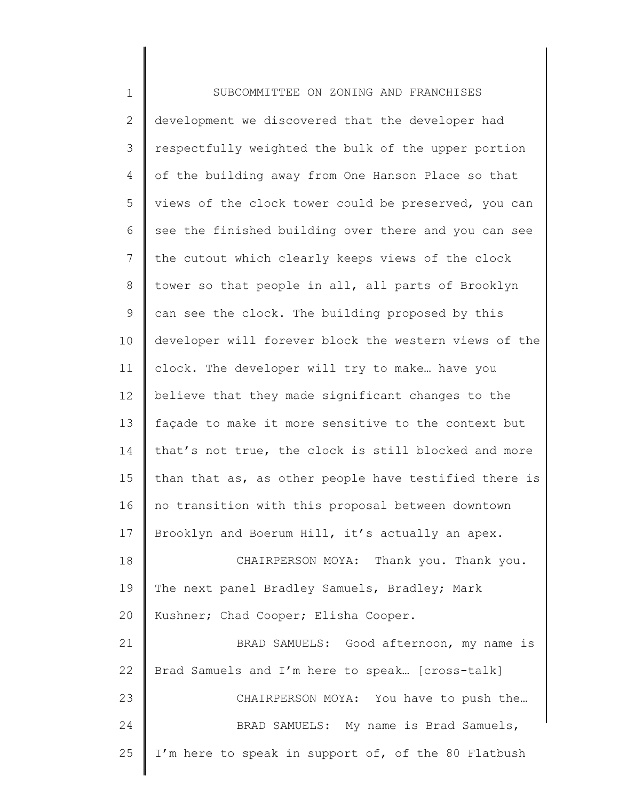1 2 3 4 5 6 7 8 9 10 11 12 13 14 15 16 17 18 19 20 21 22 23 24 25 SUBCOMMITTEE ON ZONING AND FRANCHISES development we discovered that the developer had respectfully weighted the bulk of the upper portion of the building away from One Hanson Place so that views of the clock tower could be preserved, you can see the finished building over there and you can see the cutout which clearly keeps views of the clock tower so that people in all, all parts of Brooklyn can see the clock. The building proposed by this developer will forever block the western views of the clock. The developer will try to make… have you believe that they made significant changes to the façade to make it more sensitive to the context but that's not true, the clock is still blocked and more than that as, as other people have testified there is no transition with this proposal between downtown Brooklyn and Boerum Hill, it's actually an apex. CHAIRPERSON MOYA: Thank you. Thank you. The next panel Bradley Samuels, Bradley; Mark Kushner; Chad Cooper; Elisha Cooper. BRAD SAMUELS: Good afternoon, my name is Brad Samuels and I'm here to speak… [cross-talk] CHAIRPERSON MOYA: You have to push the… BRAD SAMUELS: My name is Brad Samuels, I'm here to speak in support of, of the 80 Flatbush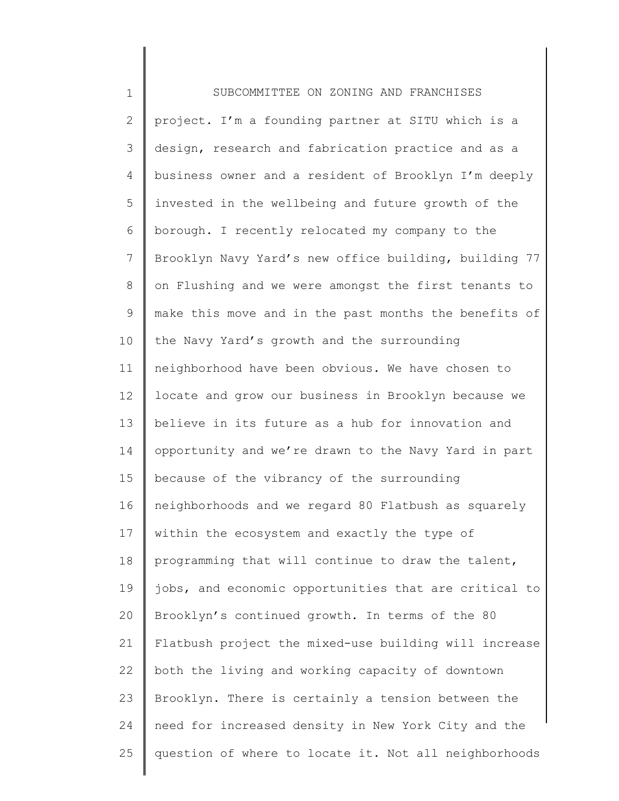| $\mathbf 1$  | SUBCOMMITTEE ON ZONING AND FRANCHISES                 |
|--------------|-------------------------------------------------------|
| $\mathbf{2}$ | project. I'm a founding partner at SITU which is a    |
| 3            | design, research and fabrication practice and as a    |
| 4            | business owner and a resident of Brooklyn I'm deeply  |
| 5            | invested in the wellbeing and future growth of the    |
| 6            | borough. I recently relocated my company to the       |
| 7            | Brooklyn Navy Yard's new office building, building 77 |
| 8            | on Flushing and we were amongst the first tenants to  |
| 9            | make this move and in the past months the benefits of |
| 10           | the Navy Yard's growth and the surrounding            |
| 11           | neighborhood have been obvious. We have chosen to     |
| 12           | locate and grow our business in Brooklyn because we   |
| 13           | believe in its future as a hub for innovation and     |
| 14           | opportunity and we're drawn to the Navy Yard in part  |
| 15           | because of the vibrancy of the surrounding            |
| 16           | neighborhoods and we regard 80 Flatbush as squarely   |
| 17           | within the ecosystem and exactly the type of          |
| 18           | programming that will continue to draw the talent,    |
| 19           | jobs, and economic opportunities that are critical to |
| 20           | Brooklyn's continued growth. In terms of the 80       |
| 21           | Flatbush project the mixed-use building will increase |
| 22           | both the living and working capacity of downtown      |
| 23           | Brooklyn. There is certainly a tension between the    |
| 24           | need for increased density in New York City and the   |
| 25           | question of where to locate it. Not all neighborhoods |
|              |                                                       |

║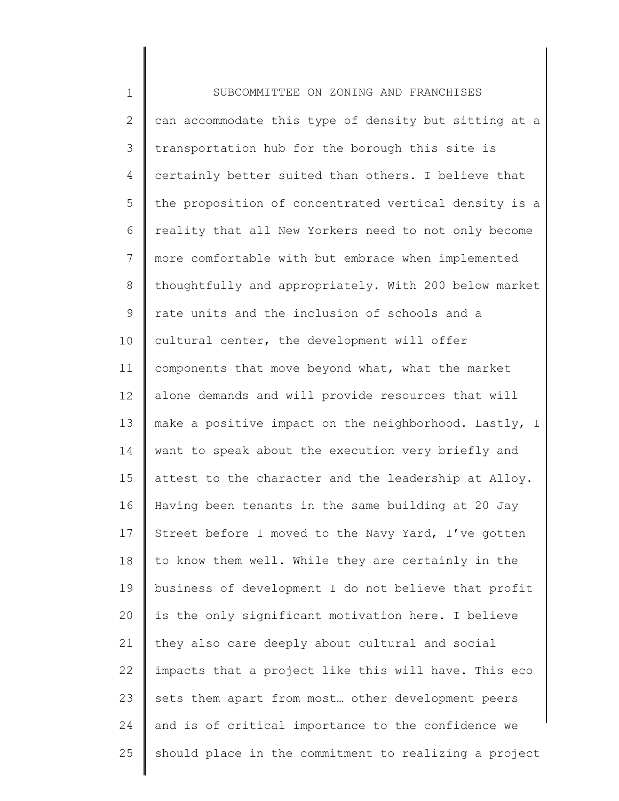1 2 3 4 5 6 7 8 9 10 11 12 13 14 15 16 17 18 19 20 21 22 23 24 25 SUBCOMMITTEE ON ZONING AND FRANCHISES can accommodate this type of density but sitting at a transportation hub for the borough this site is certainly better suited than others. I believe that the proposition of concentrated vertical density is a reality that all New Yorkers need to not only become more comfortable with but embrace when implemented thoughtfully and appropriately. With 200 below market rate units and the inclusion of schools and a cultural center, the development will offer components that move beyond what, what the market alone demands and will provide resources that will make a positive impact on the neighborhood. Lastly, I want to speak about the execution very briefly and attest to the character and the leadership at Alloy. Having been tenants in the same building at 20 Jay Street before I moved to the Navy Yard, I've gotten to know them well. While they are certainly in the business of development I do not believe that profit is the only significant motivation here. I believe they also care deeply about cultural and social impacts that a project like this will have. This eco sets them apart from most… other development peers and is of critical importance to the confidence we should place in the commitment to realizing a project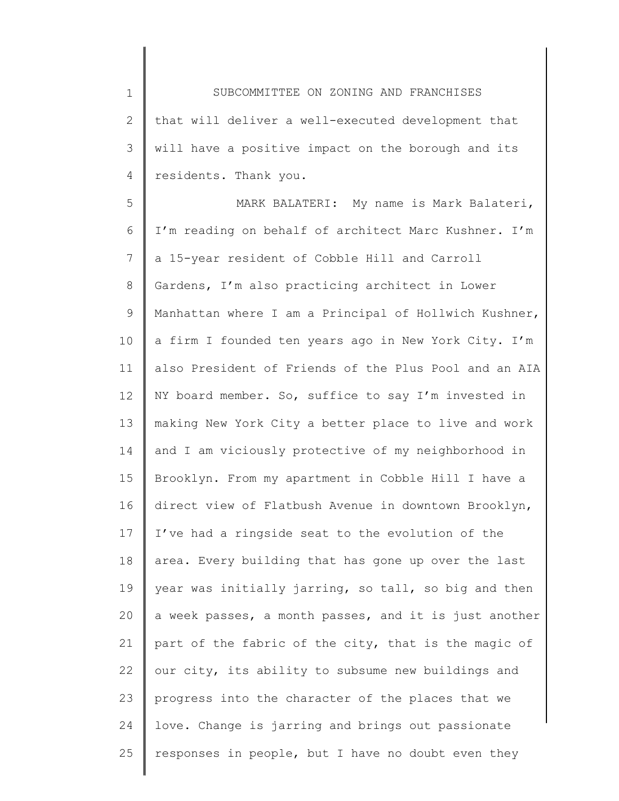1 2 3 4 SUBCOMMITTEE ON ZONING AND FRANCHISES that will deliver a well-executed development that will have a positive impact on the borough and its residents. Thank you.

5 6 7 8 9 10 11 12 13 14 15 16 17 18 19 20 21 22 23 24 25 MARK BALATERI: My name is Mark Balateri, I'm reading on behalf of architect Marc Kushner. I'm a 15-year resident of Cobble Hill and Carroll Gardens, I'm also practicing architect in Lower Manhattan where I am a Principal of Hollwich Kushner, a firm I founded ten years ago in New York City. I'm also President of Friends of the Plus Pool and an AIA NY board member. So, suffice to say I'm invested in making New York City a better place to live and work and I am viciously protective of my neighborhood in Brooklyn. From my apartment in Cobble Hill I have a direct view of Flatbush Avenue in downtown Brooklyn, I've had a ringside seat to the evolution of the area. Every building that has gone up over the last year was initially jarring, so tall, so big and then a week passes, a month passes, and it is just another part of the fabric of the city, that is the magic of our city, its ability to subsume new buildings and progress into the character of the places that we love. Change is jarring and brings out passionate responses in people, but I have no doubt even they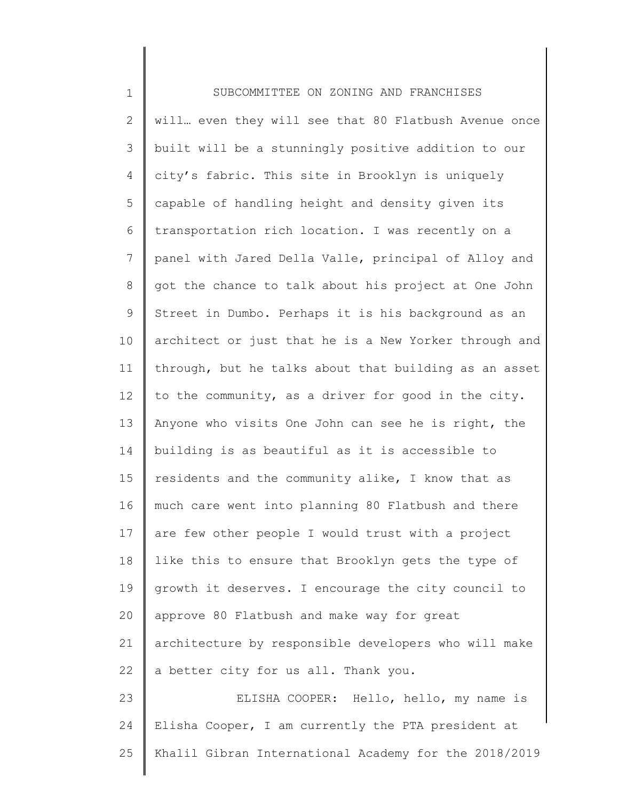1 2 3 4 5 6 7 8 9 10 11 12 13 14 15 16 17 18 19 20 21 22 23 24 25 SUBCOMMITTEE ON ZONING AND FRANCHISES will… even they will see that 80 Flatbush Avenue once built will be a stunningly positive addition to our city's fabric. This site in Brooklyn is uniquely capable of handling height and density given its transportation rich location. I was recently on a panel with Jared Della Valle, principal of Alloy and got the chance to talk about his project at One John Street in Dumbo. Perhaps it is his background as an architect or just that he is a New Yorker through and through, but he talks about that building as an asset to the community, as a driver for good in the city. Anyone who visits One John can see he is right, the building is as beautiful as it is accessible to residents and the community alike, I know that as much care went into planning 80 Flatbush and there are few other people I would trust with a project like this to ensure that Brooklyn gets the type of growth it deserves. I encourage the city council to approve 80 Flatbush and make way for great architecture by responsible developers who will make a better city for us all. Thank you. ELISHA COOPER: Hello, hello, my name is Elisha Cooper, I am currently the PTA president at Khalil Gibran International Academy for the 2018/2019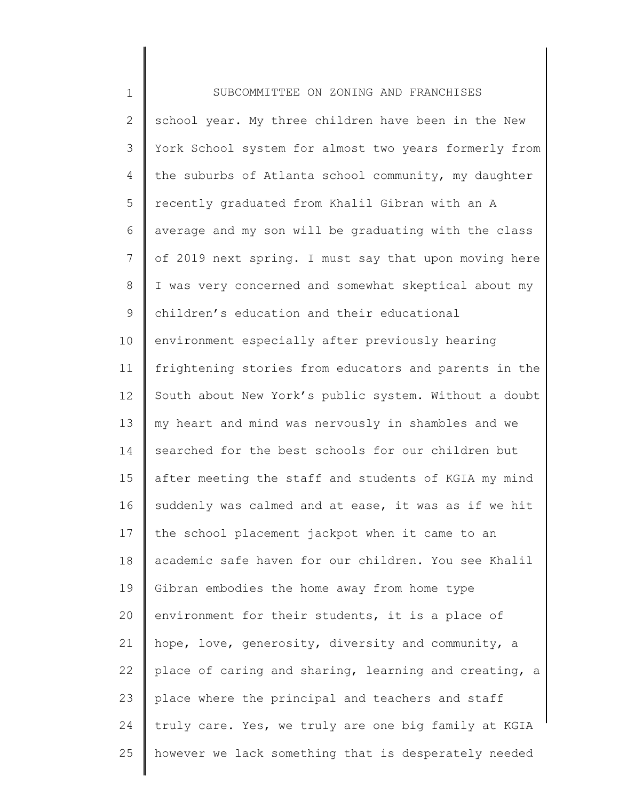| $\mathbf 1$    | SUBCOMMITTEE ON ZONING AND FRANCHISES                 |
|----------------|-------------------------------------------------------|
| $\overline{2}$ | school year. My three children have been in the New   |
| 3              | York School system for almost two years formerly from |
| 4              | the suburbs of Atlanta school community, my daughter  |
| 5              | recently graduated from Khalil Gibran with an A       |
| 6              | average and my son will be graduating with the class  |
| $7\phantom{.}$ | of 2019 next spring. I must say that upon moving here |
| $8\,$          | I was very concerned and somewhat skeptical about my  |
| 9              | children's education and their educational            |
| 10             | environment especially after previously hearing       |
| 11             | frightening stories from educators and parents in the |
| 12             | South about New York's public system. Without a doubt |
| 13             | my heart and mind was nervously in shambles and we    |
| 14             | searched for the best schools for our children but    |
| 15             | after meeting the staff and students of KGIA my mind  |
| 16             | suddenly was calmed and at ease, it was as if we hit  |
| 17             | the school placement jackpot when it came to an       |
| 18             | academic safe haven for our children. You see Khalil  |
| 19             | Gibran embodies the home away from home type          |
| 20             | environment for their students, it is a place of      |
| 21             | hope, love, generosity, diversity and community, a    |
| 22             | place of caring and sharing, learning and creating, a |
| 23             | place where the principal and teachers and staff      |
| 24             | truly care. Yes, we truly are one big family at KGIA  |
| 25             | however we lack something that is desperately needed  |
|                |                                                       |

∥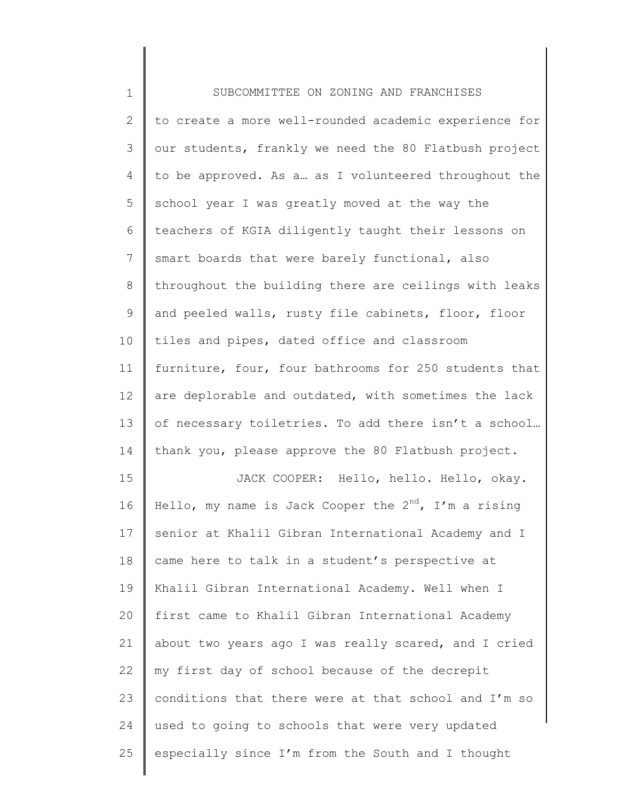| $\mathbf 1$    | SUBCOMMITTEE ON ZONING AND FRANCHISES                     |
|----------------|-----------------------------------------------------------|
| $\mathbf{2}$   | to create a more well-rounded academic experience for     |
| 3              | our students, frankly we need the 80 Flatbush project     |
| 4              | to be approved. As a as I volunteered throughout the      |
| 5              | school year I was greatly moved at the way the            |
| 6              | teachers of KGIA diligently taught their lessons on       |
| $\overline{7}$ | smart boards that were barely functional, also            |
| $8\,$          | throughout the building there are ceilings with leaks     |
| $\mathsf 9$    | and peeled walls, rusty file cabinets, floor, floor       |
| 10             | tiles and pipes, dated office and classroom               |
| 11             | furniture, four, four bathrooms for 250 students that     |
| 12             | are deplorable and outdated, with sometimes the lack      |
| 13             | of necessary toiletries. To add there isn't a school      |
| 14             | thank you, please approve the 80 Flatbush project.        |
| 15             | JACK COOPER: Hello, hello. Hello, okay.                   |
| 16             | Hello, my name is Jack Cooper the $2^{nd}$ , I'm a rising |
| 17             | senior at Khalil Gibran International Academy and I       |
| 18             | came here to talk in a student's perspective at           |
| 19             | Khalil Gibran International Academy. Well when I          |
| 20             | first came to Khalil Gibran International Academy         |
| 21             | about two years ago I was really scared, and I cried      |
| 22             | my first day of school because of the decrepit            |
| 23             | conditions that there were at that school and I'm so      |
| 24             | used to going to schools that were very updated           |
| 25             | especially since I'm from the South and I thought         |

║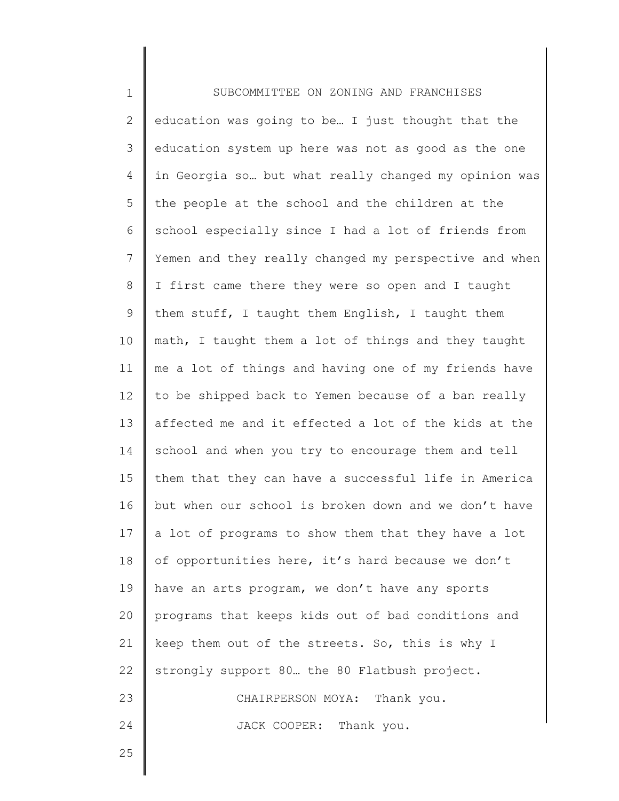| $\mathbf 1$    | SUBCOMMITTEE ON ZONING AND FRANCHISES                 |
|----------------|-------------------------------------------------------|
| $\overline{2}$ | education was going to be I just thought that the     |
| 3              | education system up here was not as good as the one   |
| 4              | in Georgia so but what really changed my opinion was  |
| 5              | the people at the school and the children at the      |
| 6              | school especially since I had a lot of friends from   |
| 7              | Yemen and they really changed my perspective and when |
| 8              | I first came there they were so open and I taught     |
| $\mathsf 9$    | them stuff, I taught them English, I taught them      |
| 10             | math, I taught them a lot of things and they taught   |
| 11             | me a lot of things and having one of my friends have  |
| 12             | to be shipped back to Yemen because of a ban really   |
| 13             | affected me and it effected a lot of the kids at the  |
| 14             | school and when you try to encourage them and tell    |
| 15             | them that they can have a successful life in America  |
| 16             | but when our school is broken down and we don't have  |
| 17             | a lot of programs to show them that they have a lot   |
| 18             | of opportunities here, it's hard because we don't     |
| 19             | have an arts program, we don't have any sports        |
| 20             | programs that keeps kids out of bad conditions and    |
| 21             | keep them out of the streets. So, this is why I       |
| 22             | strongly support 80 the 80 Flatbush project.          |
| 23             | CHAIRPERSON MOYA: Thank you.                          |
| 24             | JACK COOPER: Thank you.                               |
| 25             |                                                       |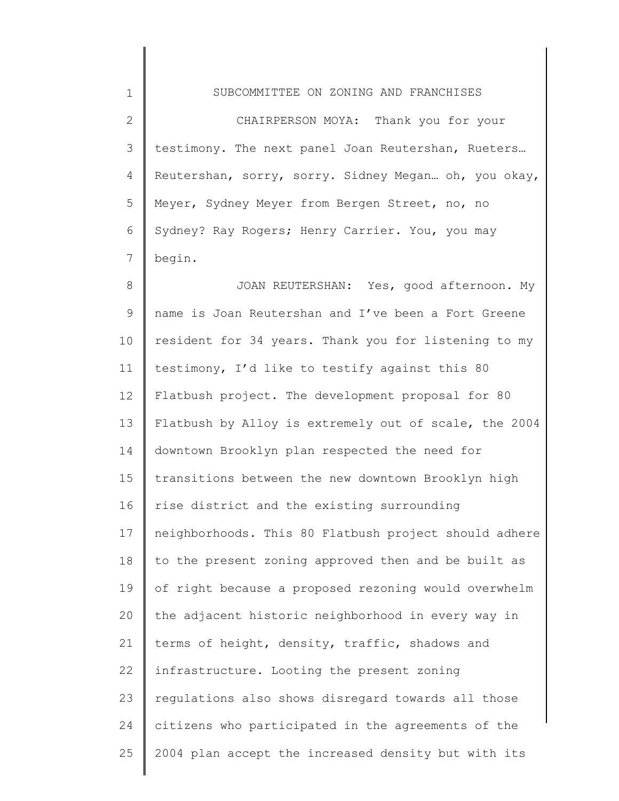1 2 3 4 5 6 7 SUBCOMMITTEE ON ZONING AND FRANCHISES CHAIRPERSON MOYA: Thank you for your testimony. The next panel Joan Reutershan, Rueters… Reutershan, sorry, sorry. Sidney Megan… oh, you okay, Meyer, Sydney Meyer from Bergen Street, no, no Sydney? Ray Rogers; Henry Carrier. You, you may begin.

8 9 10 11 12 13 14 15 16 17 18 19 20 21 22 23 24 25 JOAN REUTERSHAN: Yes, good afternoon. My name is Joan Reutershan and I've been a Fort Greene resident for 34 years. Thank you for listening to my testimony, I'd like to testify against this 80 Flatbush project. The development proposal for 80 Flatbush by Alloy is extremely out of scale, the 2004 downtown Brooklyn plan respected the need for transitions between the new downtown Brooklyn high rise district and the existing surrounding neighborhoods. This 80 Flatbush project should adhere to the present zoning approved then and be built as of right because a proposed rezoning would overwhelm the adjacent historic neighborhood in every way in terms of height, density, traffic, shadows and infrastructure. Looting the present zoning regulations also shows disregard towards all those citizens who participated in the agreements of the 2004 plan accept the increased density but with its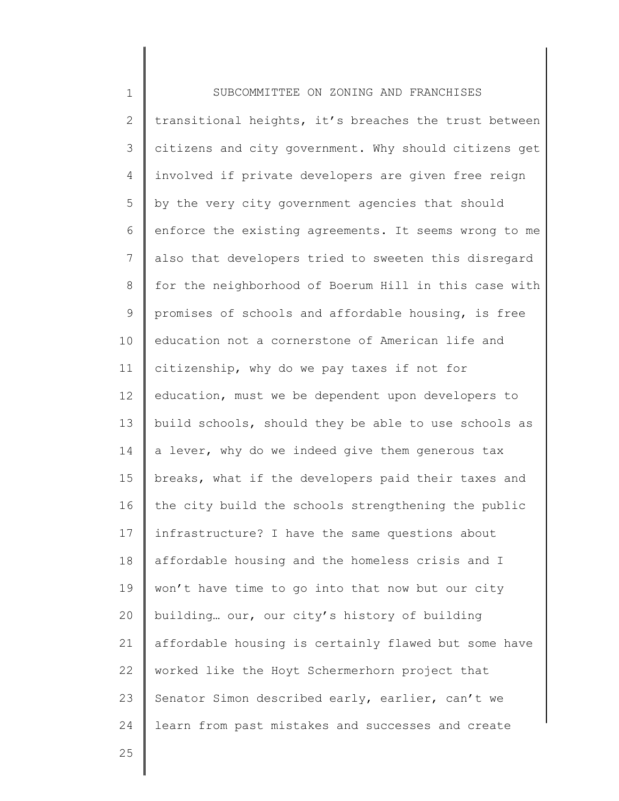1 2 3 4 5 6 7 8 9 10 11 12 13 14 15 16 17 18 19 20 21 22 23 24 25 SUBCOMMITTEE ON ZONING AND FRANCHISES transitional heights, it's breaches the trust between citizens and city government. Why should citizens get involved if private developers are given free reign by the very city government agencies that should enforce the existing agreements. It seems wrong to me also that developers tried to sweeten this disregard for the neighborhood of Boerum Hill in this case with promises of schools and affordable housing, is free education not a cornerstone of American life and citizenship, why do we pay taxes if not for education, must we be dependent upon developers to build schools, should they be able to use schools as a lever, why do we indeed give them generous tax breaks, what if the developers paid their taxes and the city build the schools strengthening the public infrastructure? I have the same questions about affordable housing and the homeless crisis and I won't have time to go into that now but our city building… our, our city's history of building affordable housing is certainly flawed but some have worked like the Hoyt Schermerhorn project that Senator Simon described early, earlier, can't we learn from past mistakes and successes and create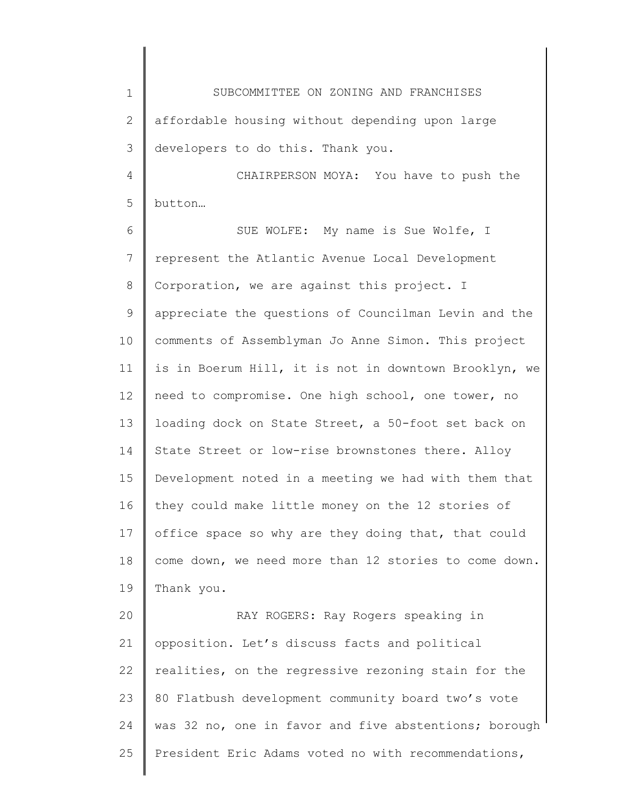1 2 3 SUBCOMMITTEE ON ZONING AND FRANCHISES affordable housing without depending upon large developers to do this. Thank you.

4 5 CHAIRPERSON MOYA: You have to push the button…

6 7 8 9 10 11 12 13 14 15 16 17 18 19 SUE WOLFE: My name is Sue Wolfe, I represent the Atlantic Avenue Local Development Corporation, we are against this project. I appreciate the questions of Councilman Levin and the comments of Assemblyman Jo Anne Simon. This project is in Boerum Hill, it is not in downtown Brooklyn, we need to compromise. One high school, one tower, no loading dock on State Street, a 50-foot set back on State Street or low-rise brownstones there. Alloy Development noted in a meeting we had with them that they could make little money on the 12 stories of office space so why are they doing that, that could come down, we need more than 12 stories to come down. Thank you.

20 21 22 23 24 25 RAY ROGERS: Ray Rogers speaking in opposition. Let's discuss facts and political realities, on the regressive rezoning stain for the 80 Flatbush development community board two's vote was 32 no, one in favor and five abstentions; borough President Eric Adams voted no with recommendations,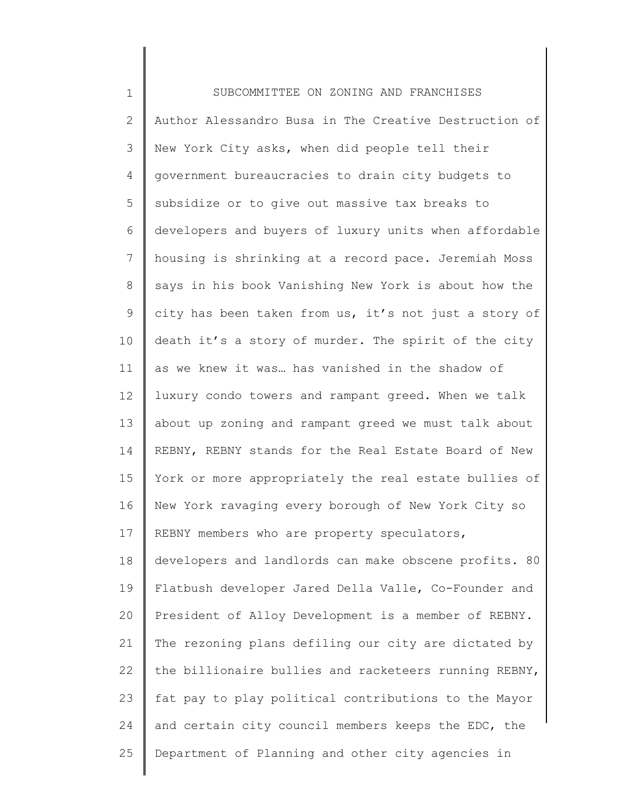1 2 3 4 5 6 7 8 9 10 11 12 13 14 15 16 17 18 19 20 21 22 23 24 25 SUBCOMMITTEE ON ZONING AND FRANCHISES Author Alessandro Busa in The Creative Destruction of New York City asks, when did people tell their government bureaucracies to drain city budgets to subsidize or to give out massive tax breaks to developers and buyers of luxury units when affordable housing is shrinking at a record pace. Jeremiah Moss says in his book Vanishing New York is about how the city has been taken from us, it's not just a story of death it's a story of murder. The spirit of the city as we knew it was… has vanished in the shadow of luxury condo towers and rampant greed. When we talk about up zoning and rampant greed we must talk about REBNY, REBNY stands for the Real Estate Board of New York or more appropriately the real estate bullies of New York ravaging every borough of New York City so REBNY members who are property speculators, developers and landlords can make obscene profits. 80 Flatbush developer Jared Della Valle, Co-Founder and President of Alloy Development is a member of REBNY. The rezoning plans defiling our city are dictated by the billionaire bullies and racketeers running REBNY, fat pay to play political contributions to the Mayor and certain city council members keeps the EDC, the Department of Planning and other city agencies in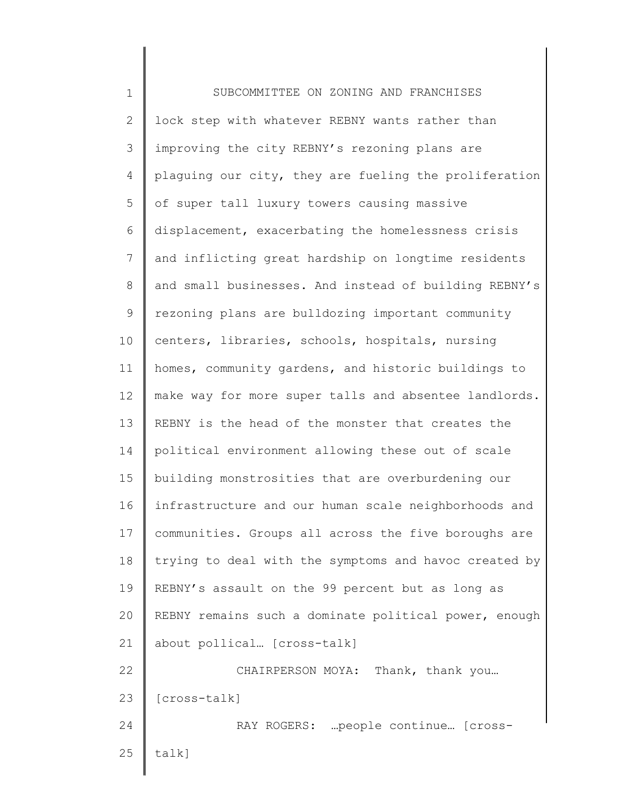1 2 3 4 5 6 7 8 9 10 11 12 13 14 15 16 17 18 19 20 21 22 23 24 25 SUBCOMMITTEE ON ZONING AND FRANCHISES lock step with whatever REBNY wants rather than improving the city REBNY's rezoning plans are plaguing our city, they are fueling the proliferation of super tall luxury towers causing massive displacement, exacerbating the homelessness crisis and inflicting great hardship on longtime residents and small businesses. And instead of building REBNY's rezoning plans are bulldozing important community centers, libraries, schools, hospitals, nursing homes, community gardens, and historic buildings to make way for more super talls and absentee landlords. REBNY is the head of the monster that creates the political environment allowing these out of scale building monstrosities that are overburdening our infrastructure and our human scale neighborhoods and communities. Groups all across the five boroughs are trying to deal with the symptoms and havoc created by REBNY's assault on the 99 percent but as long as REBNY remains such a dominate political power, enough about pollical… [cross-talk] CHAIRPERSON MOYA: Thank, thank you… [cross-talk] RAY ROGERS: …people continue… [crosstalk]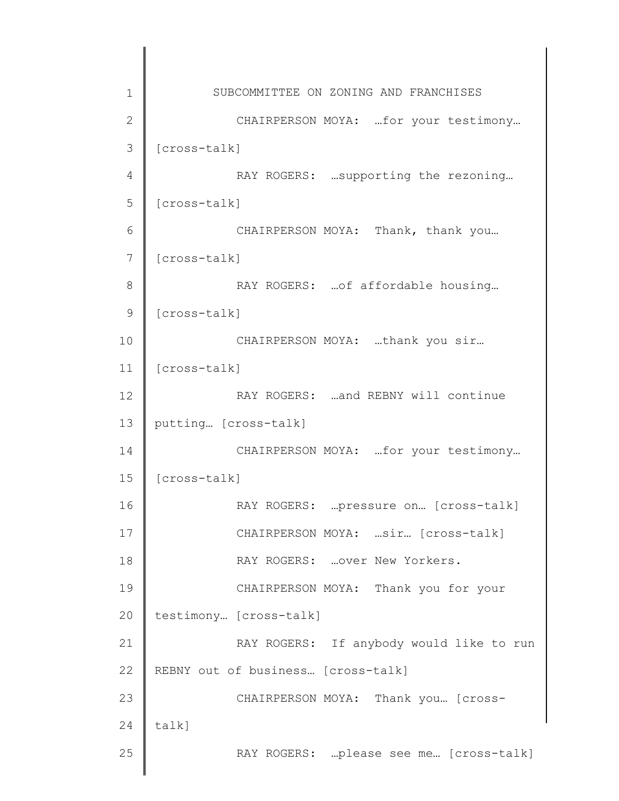| 1              | SUBCOMMITTEE ON ZONING AND FRANCHISES    |
|----------------|------------------------------------------|
| $\overline{2}$ | CHAIRPERSON MOYA:  for your testimony    |
| 3              | [cross-talk]                             |
| 4              | RAY ROGERS:  supporting the rezoning     |
| 5              | [cross-talk]                             |
| 6              | CHAIRPERSON MOYA: Thank, thank you       |
| 7              | [cross-talk]                             |
| 8              | RAY ROGERS:  of affordable housing       |
| 9              | [cross-talk]                             |
| 10             | CHAIRPERSON MOYA: thank you sir          |
| 11             | [cross-talk]                             |
| 12             | RAY ROGERS:  and REBNY will continue     |
| 13             | putting [cross-talk]                     |
| 14             | CHAIRPERSON MOYA:  for your testimony    |
| 15             | [cross-talk]                             |
| 16             | RAY ROGERS:  pressure on  [cross-talk]   |
| 17             | CHAIRPERSON MOYA: sir [cross-talk]       |
| 18             | RAY ROGERS:  over New Yorkers.           |
| 19             | CHAIRPERSON MOYA: Thank you for your     |
| 20             | testimony [cross-talk]                   |
| 21             | RAY ROGERS: If anybody would like to run |
| 22             | REBNY out of business [cross-talk]       |
| 23             | CHAIRPERSON MOYA: Thank you [Cross-      |
| 24             | $talk$ ]                                 |
| 25             | RAY ROGERS: please see me [cross-talk]   |
|                |                                          |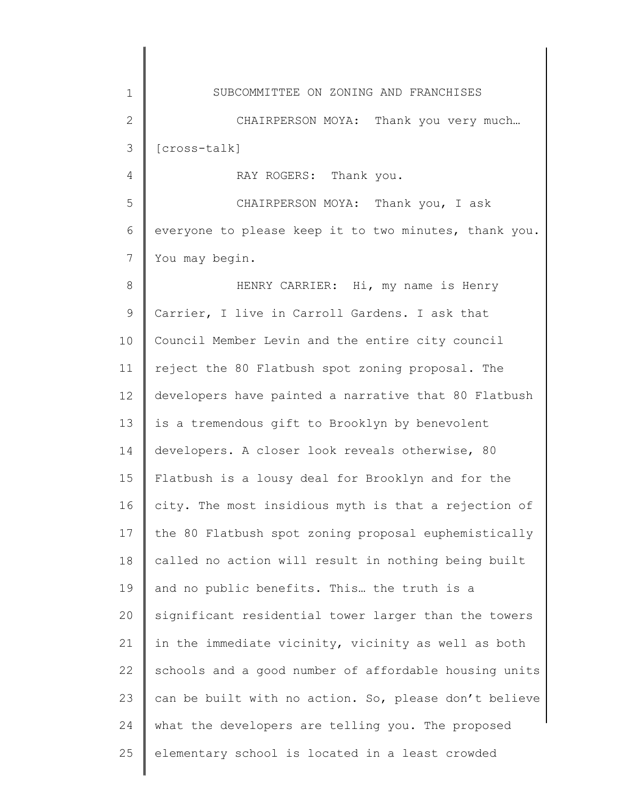1 2 3 4 5 6 7 8 9 10 11 12 13 14 15 16 17 18 19 20 21 22 23 24 25 SUBCOMMITTEE ON ZONING AND FRANCHISES CHAIRPERSON MOYA: Thank you very much... [cross-talk] RAY ROGERS: Thank you. CHAIRPERSON MOYA: Thank you, I ask everyone to please keep it to two minutes, thank you. You may begin. HENRY CARRIER: Hi, my name is Henry Carrier, I live in Carroll Gardens. I ask that Council Member Levin and the entire city council reject the 80 Flatbush spot zoning proposal. The developers have painted a narrative that 80 Flatbush is a tremendous gift to Brooklyn by benevolent developers. A closer look reveals otherwise, 80 Flatbush is a lousy deal for Brooklyn and for the city. The most insidious myth is that a rejection of the 80 Flatbush spot zoning proposal euphemistically called no action will result in nothing being built and no public benefits. This… the truth is a significant residential tower larger than the towers in the immediate vicinity, vicinity as well as both schools and a good number of affordable housing units can be built with no action. So, please don't believe what the developers are telling you. The proposed elementary school is located in a least crowded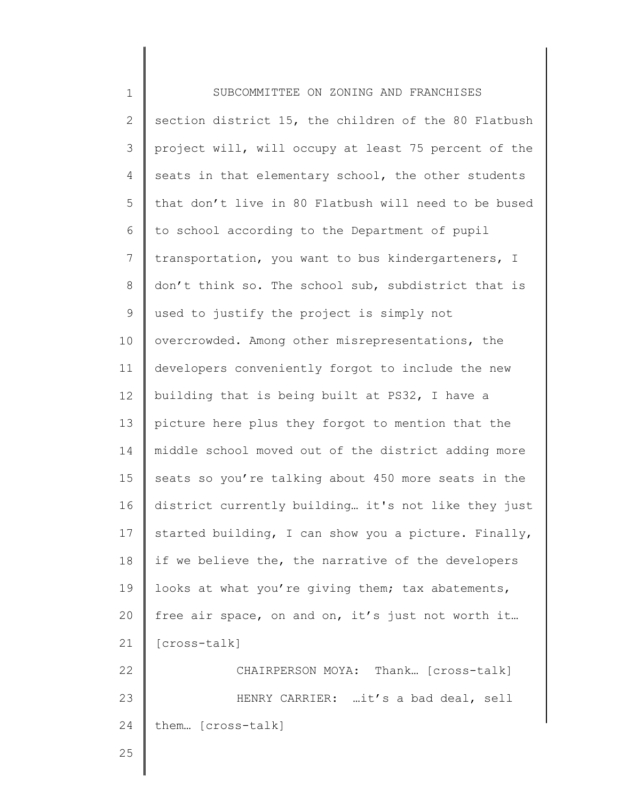| $\mathbf 1$    | SUBCOMMITTEE ON ZONING AND FRANCHISES                |
|----------------|------------------------------------------------------|
| $\mathbf{2}$   | section district 15, the children of the 80 Flatbush |
| 3              | project will, will occupy at least 75 percent of the |
| 4              | seats in that elementary school, the other students  |
| 5              | that don't live in 80 Flatbush will need to be bused |
| 6              | to school according to the Department of pupil       |
| $\overline{7}$ | transportation, you want to bus kindergarteners, I   |
| $\,8\,$        | don't think so. The school sub, subdistrict that is  |
| $\mathcal{G}$  | used to justify the project is simply not            |
| 10             | overcrowded. Among other misrepresentations, the     |
| 11             | developers conveniently forgot to include the new    |
| 12             | building that is being built at PS32, I have a       |
| 13             | picture here plus they forgot to mention that the    |
| 14             | middle school moved out of the district adding more  |
| 15             | seats so you're talking about 450 more seats in the  |
| 16             | district currently building it's not like they just  |
| 17             | started building, I can show you a picture. Finally, |
| 18             | if we believe the, the narrative of the developers   |
| 19             | looks at what you're giving them; tax abatements,    |
| 20             | free air space, on and on, it's just not worth it    |
| 21             | [cross-talk]                                         |
| 22             | CHAIRPERSON MOYA: Thank [cross-talk]                 |
| 23             | HENRY CARRIER: it's a bad deal, sell                 |
| 24             | them [cross-talk]                                    |
| 25             |                                                      |
|                |                                                      |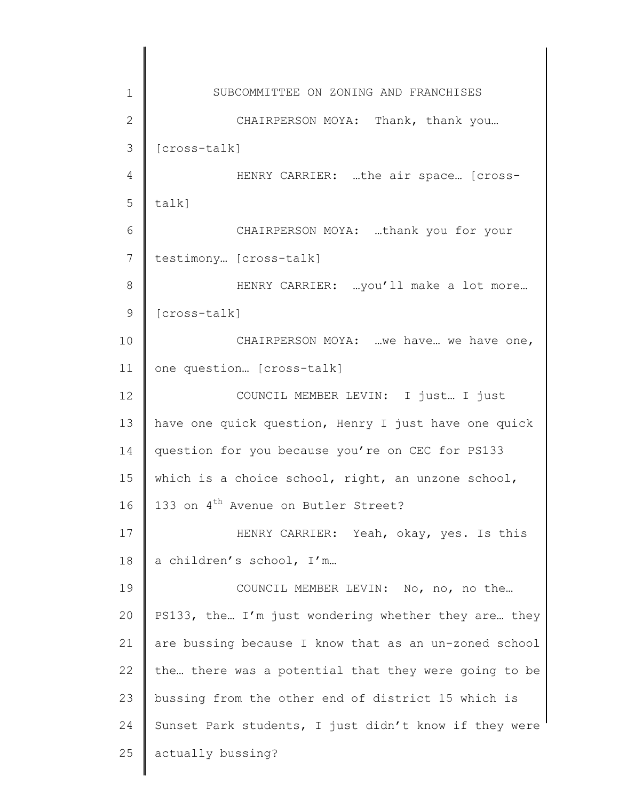1 2 3 4 5 6 7 8 9 10 11 12 13 14 15 16 17 18 19 20 21 22 23 24 25 SUBCOMMITTEE ON ZONING AND FRANCHISES CHAIRPERSON MOYA: Thank, thank you... [cross-talk] HENRY CARRIER: …the air space… [crosstalk] CHAIRPERSON MOYA: …thank you for your testimony… [cross-talk] HENRY CARRIER: …you'll make a lot more… [cross-talk] CHAIRPERSON MOYA: …we have… we have one, one question… [cross-talk] COUNCIL MEMBER LEVIN: I just… I just have one quick question, Henry I just have one quick question for you because you're on CEC for PS133 which is a choice school, right, an unzone school, 133 on 4<sup>th</sup> Avenue on Butler Street? HENRY CARRIER: Yeah, okay, yes. Is this a children's school, I'm… COUNCIL MEMBER LEVIN: No, no, no the… PS133, the… I'm just wondering whether they are… they are bussing because I know that as an un-zoned school the… there was a potential that they were going to be bussing from the other end of district 15 which is Sunset Park students, I just didn't know if they were actually bussing?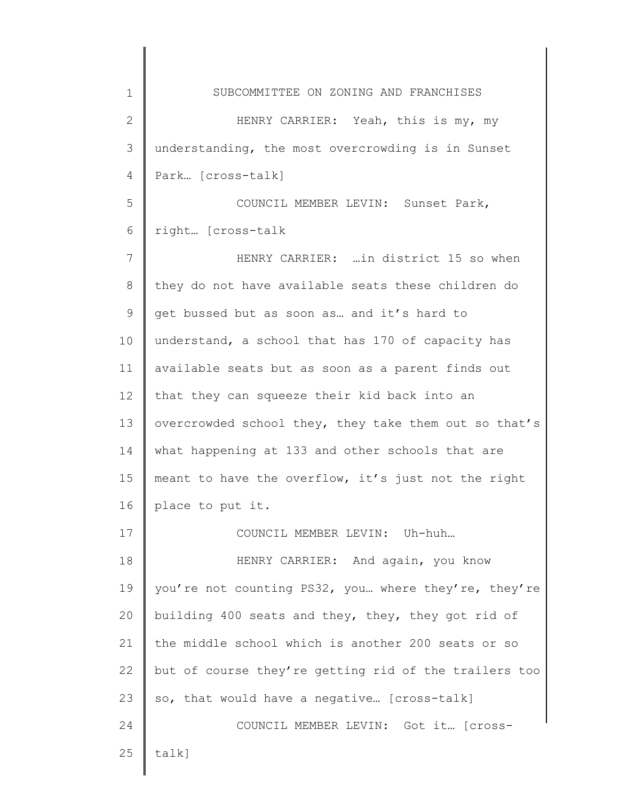1 2 3 4 5 6 7 8 9 10 11 12 13 14 15 16 17 18 19 20 21 22 23 24 25 SUBCOMMITTEE ON ZONING AND FRANCHISES HENRY CARRIER: Yeah, this is my, my understanding, the most overcrowding is in Sunset Park… [cross-talk] COUNCIL MEMBER LEVIN: Sunset Park, right… [cross-talk HENRY CARRIER: …in district 15 so when they do not have available seats these children do get bussed but as soon as… and it's hard to understand, a school that has 170 of capacity has available seats but as soon as a parent finds out that they can squeeze their kid back into an overcrowded school they, they take them out so that's what happening at 133 and other schools that are meant to have the overflow, it's just not the right place to put it. COUNCIL MEMBER LEVIN: Uh-huh… HENRY CARRIER: And again, you know you're not counting PS32, you… where they're, they're building 400 seats and they, they, they got rid of the middle school which is another 200 seats or so but of course they're getting rid of the trailers too so, that would have a negative… [cross-talk] COUNCIL MEMBER LEVIN: Got it… [crosstalk]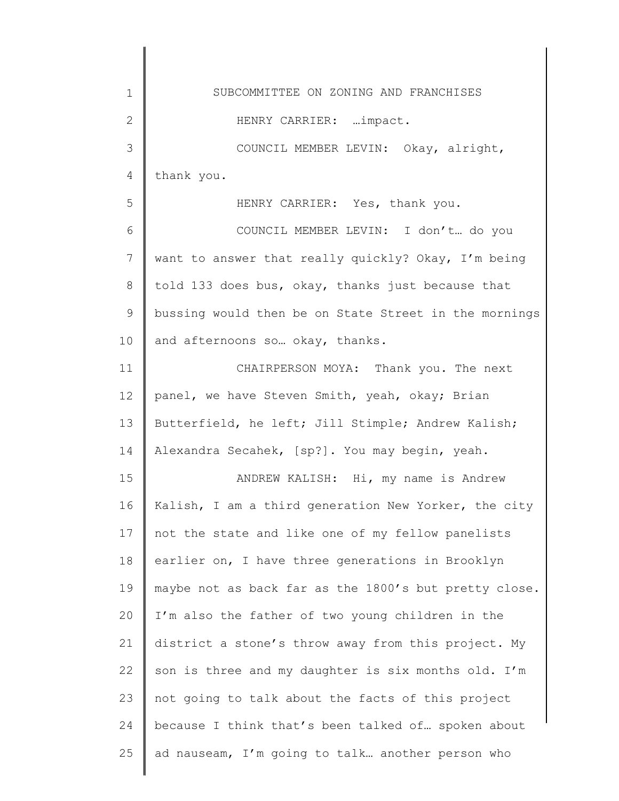| 1            | SUBCOMMITTEE ON ZONING AND FRANCHISES                 |
|--------------|-------------------------------------------------------|
| $\mathbf{2}$ | HENRY CARRIER:  impact.                               |
| 3            | COUNCIL MEMBER LEVIN: Okay, alright,                  |
| 4            | thank you.                                            |
| 5            | HENRY CARRIER: Yes, thank you.                        |
| 6            | COUNCIL MEMBER LEVIN: I don't do you                  |
| 7            | want to answer that really quickly? Okay, I'm being   |
| 8            | told 133 does bus, okay, thanks just because that     |
| 9            | bussing would then be on State Street in the mornings |
| 10           | and afternoons so okay, thanks.                       |
| 11           | CHAIRPERSON MOYA: Thank you. The next                 |
| 12           | panel, we have Steven Smith, yeah, okay; Brian        |
| 13           | Butterfield, he left; Jill Stimple; Andrew Kalish;    |
| 14           | Alexandra Secahek, [sp?]. You may begin, yeah.        |
| 15           | ANDREW KALISH: Hi, my name is Andrew                  |
| 16           | Kalish, I am a third generation New Yorker, the city  |
| 17           | not the state and like one of my fellow panelists     |
| 18           | earlier on, I have three generations in Brooklyn      |
| 19           | maybe not as back far as the 1800's but pretty close. |
| 20           | I'm also the father of two young children in the      |
| 21           | district a stone's throw away from this project. My   |
| 22           | son is three and my daughter is six months old. I'm   |
| 23           | not going to talk about the facts of this project     |
| 24           | because I think that's been talked of spoken about    |
| 25           | ad nauseam, I'm going to talk another person who      |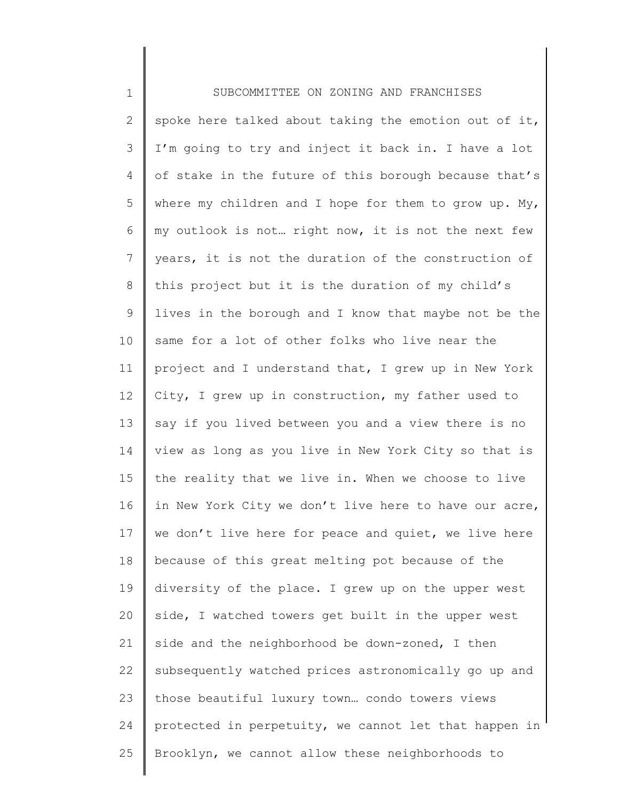1 2 3 4 5 6 7 8 9 10 11 12 13 14 15 16 17 18 19 20 21 22 23 24 25 SUBCOMMITTEE ON ZONING AND FRANCHISES spoke here talked about taking the emotion out of it, I'm going to try and inject it back in. I have a lot of stake in the future of this borough because that's where my children and I hope for them to grow up. My, my outlook is not… right now, it is not the next few years, it is not the duration of the construction of this project but it is the duration of my child's lives in the borough and I know that maybe not be the same for a lot of other folks who live near the project and I understand that, I grew up in New York City, I grew up in construction, my father used to say if you lived between you and a view there is no view as long as you live in New York City so that is the reality that we live in. When we choose to live in New York City we don't live here to have our acre, we don't live here for peace and quiet, we live here because of this great melting pot because of the diversity of the place. I grew up on the upper west side, I watched towers get built in the upper west side and the neighborhood be down-zoned, I then subsequently watched prices astronomically go up and those beautiful luxury town… condo towers views protected in perpetuity, we cannot let that happen in Brooklyn, we cannot allow these neighborhoods to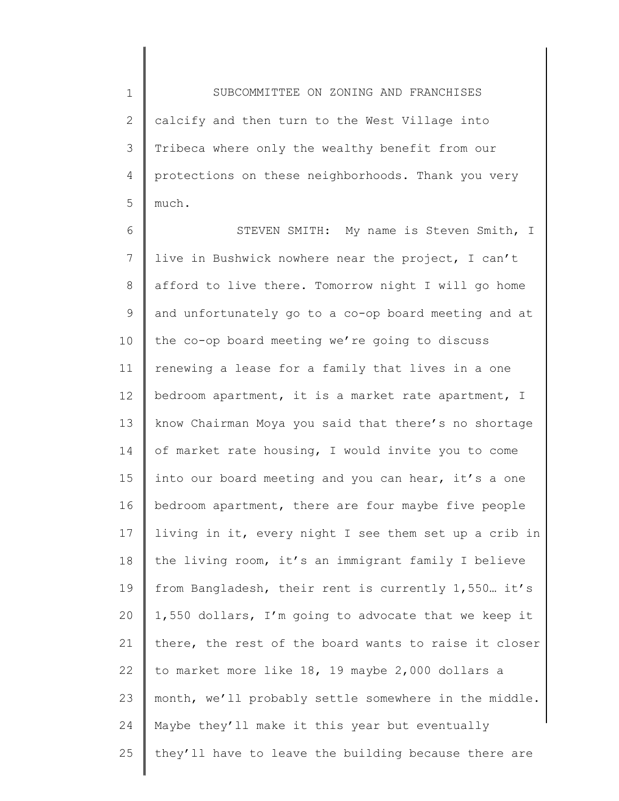1 2 3 4 5 SUBCOMMITTEE ON ZONING AND FRANCHISES calcify and then turn to the West Village into Tribeca where only the wealthy benefit from our protections on these neighborhoods. Thank you very much.

6 7 8 9 10 11 12 13 14 15 16 17 18 19 20 21 22 23 24 25 STEVEN SMITH: My name is Steven Smith, I live in Bushwick nowhere near the project, I can't afford to live there. Tomorrow night I will go home and unfortunately go to a co-op board meeting and at the co-op board meeting we're going to discuss renewing a lease for a family that lives in a one bedroom apartment, it is a market rate apartment, I know Chairman Moya you said that there's no shortage of market rate housing, I would invite you to come into our board meeting and you can hear, it's a one bedroom apartment, there are four maybe five people living in it, every night I see them set up a crib in the living room, it's an immigrant family I believe from Bangladesh, their rent is currently 1,550… it's 1,550 dollars, I'm going to advocate that we keep it there, the rest of the board wants to raise it closer to market more like 18, 19 maybe 2,000 dollars a month, we'll probably settle somewhere in the middle. Maybe they'll make it this year but eventually they'll have to leave the building because there are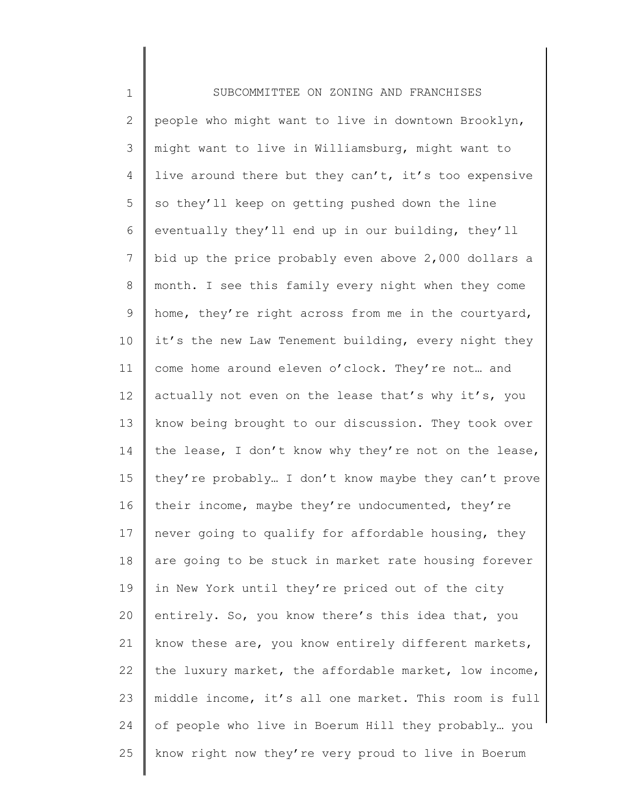1 2 3 4 5 6 7 8 9 10 11 12 13 14 15 16 17 18 19 20 21 22 23 24 25 SUBCOMMITTEE ON ZONING AND FRANCHISES people who might want to live in downtown Brooklyn, might want to live in Williamsburg, might want to live around there but they can't, it's too expensive so they'll keep on getting pushed down the line eventually they'll end up in our building, they'll bid up the price probably even above 2,000 dollars a month. I see this family every night when they come home, they're right across from me in the courtyard, it's the new Law Tenement building, every night they come home around eleven o'clock. They're not… and actually not even on the lease that's why it's, you know being brought to our discussion. They took over the lease, I don't know why they're not on the lease, they're probably… I don't know maybe they can't prove their income, maybe they're undocumented, they're never going to qualify for affordable housing, they are going to be stuck in market rate housing forever in New York until they're priced out of the city entirely. So, you know there's this idea that, you know these are, you know entirely different markets, the luxury market, the affordable market, low income, middle income, it's all one market. This room is full of people who live in Boerum Hill they probably… you know right now they're very proud to live in Boerum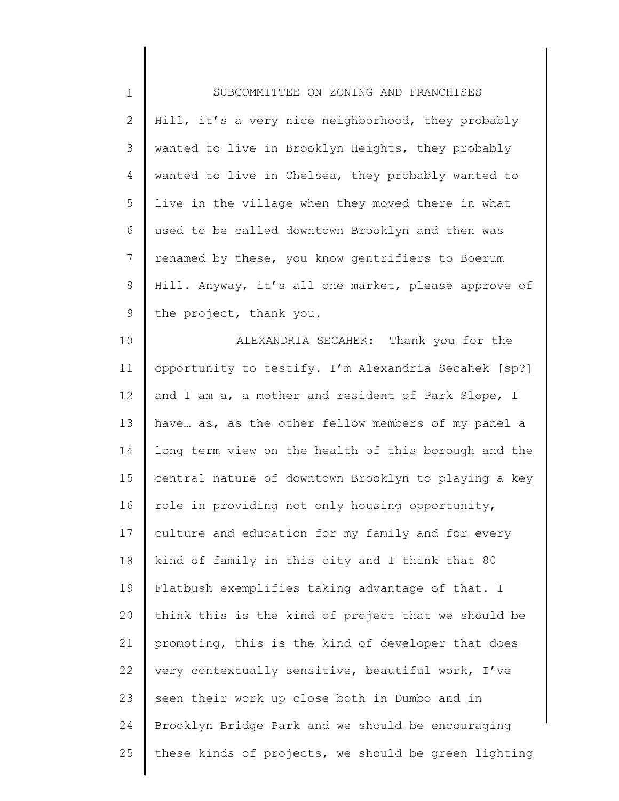| $\mathbf 1$    | SUBCOMMITTEE ON ZONING AND FRANCHISES                |
|----------------|------------------------------------------------------|
| $\mathbf{2}$   | Hill, it's a very nice neighborhood, they probably   |
| 3              | wanted to live in Brooklyn Heights, they probably    |
| 4              | wanted to live in Chelsea, they probably wanted to   |
| 5              | live in the village when they moved there in what    |
| 6              | used to be called downtown Brooklyn and then was     |
| $7\phantom{.}$ | renamed by these, you know gentrifiers to Boerum     |
| $8\,$          | Hill. Anyway, it's all one market, please approve of |
| $\mathsf 9$    | the project, thank you.                              |
| 10             | ALEXANDRIA SECAHEK: Thank you for the                |
| 11             | opportunity to testify. I'm Alexandria Secahek [sp?] |
| 12             | and I am a, a mother and resident of Park Slope, I   |
| 13             | have as, as the other fellow members of my panel a   |
| 14             | long term view on the health of this borough and the |
| 15             | central nature of downtown Brooklyn to playing a key |
| 16             | role in providing not only housing opportunity,      |
| 17             | culture and education for my family and for every    |
| 18             | kind of family in this city and I think that 80      |
| 19             | Flatbush exemplifies taking advantage of that. I     |
| 20             | think this is the kind of project that we should be  |
| 21             | promoting, this is the kind of developer that does   |
| 22             | very contextually sensitive, beautiful work, I've    |
| 23             | seen their work up close both in Dumbo and in        |
| 24             | Brooklyn Bridge Park and we should be encouraging    |
| 25             | these kinds of projects, we should be green lighting |
|                |                                                      |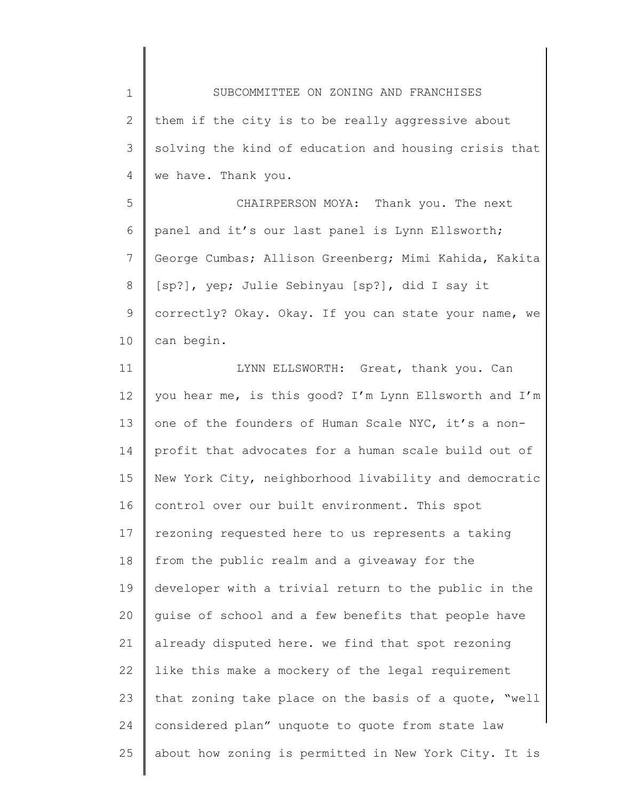1 2 3 4 5 SUBCOMMITTEE ON ZONING AND FRANCHISES them if the city is to be really aggressive about solving the kind of education and housing crisis that we have. Thank you.

6 7 8 9 10 CHAIRPERSON MOYA: Thank you. The next panel and it's our last panel is Lynn Ellsworth; George Cumbas; Allison Greenberg; Mimi Kahida, Kakita [sp?], yep; Julie Sebinyau [sp?], did I say it correctly? Okay. Okay. If you can state your name, we can begin.

11 12 13 14 15 16 17 18 19 20 21 22 23 24 25 LYNN ELLSWORTH: Great, thank you. Can you hear me, is this good? I'm Lynn Ellsworth and I'm one of the founders of Human Scale NYC, it's a nonprofit that advocates for a human scale build out of New York City, neighborhood livability and democratic control over our built environment. This spot rezoning requested here to us represents a taking from the public realm and a giveaway for the developer with a trivial return to the public in the guise of school and a few benefits that people have already disputed here. we find that spot rezoning like this make a mockery of the legal requirement that zoning take place on the basis of a quote, "well considered plan" unquote to quote from state law about how zoning is permitted in New York City. It is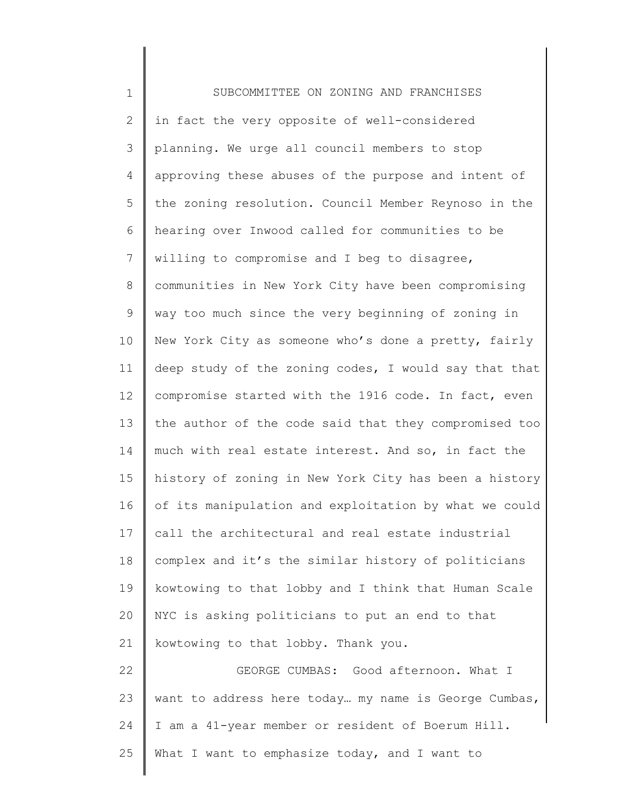| $\mathbf 1$    | SUBCOMMITTEE ON ZONING AND FRANCHISES                 |
|----------------|-------------------------------------------------------|
| 2              | in fact the very opposite of well-considered          |
| 3              | planning. We urge all council members to stop         |
| 4              | approving these abuses of the purpose and intent of   |
| 5              | the zoning resolution. Council Member Reynoso in the  |
| 6              | hearing over Inwood called for communities to be      |
| $7\phantom{.}$ | willing to compromise and I beg to disagree,          |
| 8              | communities in New York City have been compromising   |
| 9              | way too much since the very beginning of zoning in    |
| 10             | New York City as someone who's done a pretty, fairly  |
| 11             | deep study of the zoning codes, I would say that that |
| 12             | compromise started with the 1916 code. In fact, even  |
| 13             | the author of the code said that they compromised too |
| 14             | much with real estate interest. And so, in fact the   |
| 15             | history of zoning in New York City has been a history |
| 16             | of its manipulation and exploitation by what we could |
| 17             | call the architectural and real estate industrial     |
| 18             | complex and it's the similar history of politicians   |
| 19             | kowtowing to that lobby and I think that Human Scale  |
| 20             | NYC is asking politicians to put an end to that       |
| 21             | kowtowing to that lobby. Thank you.                   |
| 22             | GEORGE CUMBAS: Good afternoon. What I                 |
| 23             | want to address here today my name is George Cumbas,  |
| 24             | I am a 41-year member or resident of Boerum Hill.     |
| 25             | What I want to emphasize today, and I want to         |
|                |                                                       |

∥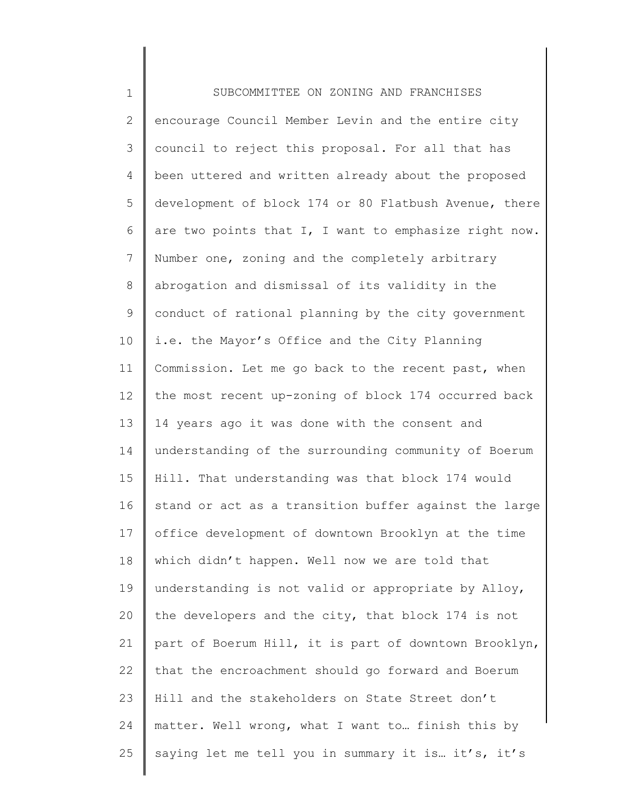1 2 3 4 5 6 7 8 9 10 11 12 13 14 15 16 17 18 19 20 21 22 23 24 25 SUBCOMMITTEE ON ZONING AND FRANCHISES encourage Council Member Levin and the entire city council to reject this proposal. For all that has been uttered and written already about the proposed development of block 174 or 80 Flatbush Avenue, there are two points that I, I want to emphasize right now. Number one, zoning and the completely arbitrary abrogation and dismissal of its validity in the conduct of rational planning by the city government i.e. the Mayor's Office and the City Planning Commission. Let me go back to the recent past, when the most recent up-zoning of block 174 occurred back 14 years ago it was done with the consent and understanding of the surrounding community of Boerum Hill. That understanding was that block 174 would stand or act as a transition buffer against the large office development of downtown Brooklyn at the time which didn't happen. Well now we are told that understanding is not valid or appropriate by Alloy, the developers and the city, that block 174 is not part of Boerum Hill, it is part of downtown Brooklyn, that the encroachment should go forward and Boerum Hill and the stakeholders on State Street don't matter. Well wrong, what I want to… finish this by saying let me tell you in summary it is... it's, it's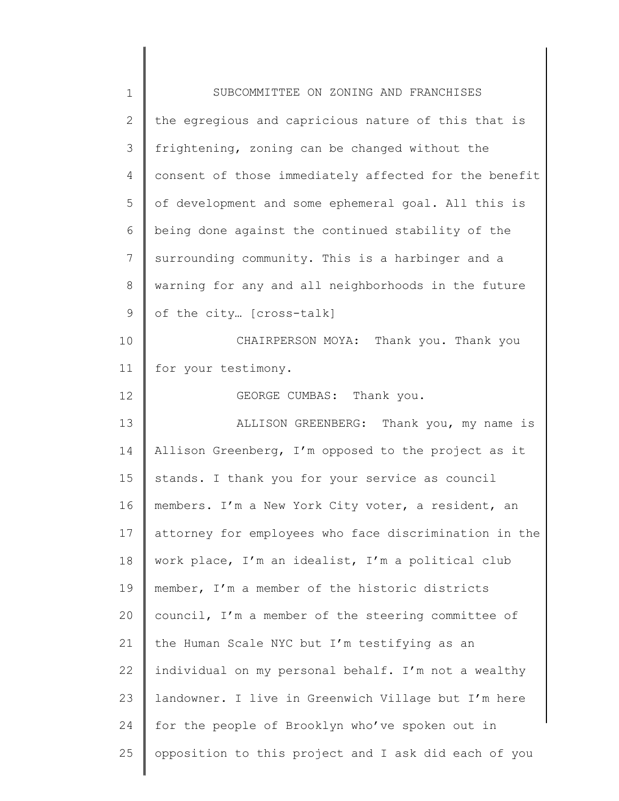| $\mathbf 1$    | SUBCOMMITTEE ON ZONING AND FRANCHISES                 |
|----------------|-------------------------------------------------------|
| $\overline{2}$ | the egregious and capricious nature of this that is   |
| 3              | frightening, zoning can be changed without the        |
| 4              | consent of those immediately affected for the benefit |
| 5              | of development and some ephemeral goal. All this is   |
| 6              | being done against the continued stability of the     |
| $\overline{7}$ | surrounding community. This is a harbinger and a      |
| $8\,$          | warning for any and all neighborhoods in the future   |
| 9              | of the city [cross-talk]                              |
| 10             | CHAIRPERSON MOYA: Thank you. Thank you                |
| 11             | for your testimony.                                   |
| 12             | GEORGE CUMBAS: Thank you.                             |
| 13             | ALLISON GREENBERG: Thank you, my name is              |
| 14             | Allison Greenberg, I'm opposed to the project as it   |
| 15             | stands. I thank you for your service as council       |
| 16             | members. I'm a New York City voter, a resident, an    |
| 17             | attorney for employees who face discrimination in the |
| 18             | work place, I'm an idealist, I'm a political club     |
| 19             | member, I'm a member of the historic districts        |
| 20             | council, I'm a member of the steering committee of    |
| 21             | the Human Scale NYC but I'm testifying as an          |
| 22             | individual on my personal behalf. I'm not a wealthy   |
| 23             | landowner. I live in Greenwich Village but I'm here   |
| 24             | for the people of Brooklyn who've spoken out in       |
| 25             | opposition to this project and I ask did each of you  |
|                |                                                       |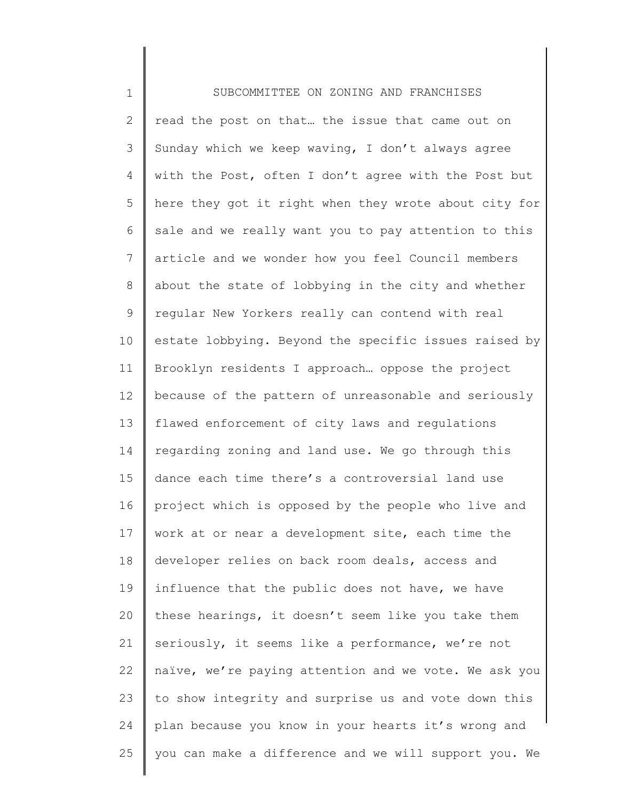1 2 3 4 5 6 7 8 9 10 11 12 13 14 15 16 17 18 19 20 21 22 23 24 25 SUBCOMMITTEE ON ZONING AND FRANCHISES read the post on that... the issue that came out on Sunday which we keep waving, I don't always agree with the Post, often I don't agree with the Post but here they got it right when they wrote about city for sale and we really want you to pay attention to this article and we wonder how you feel Council members about the state of lobbying in the city and whether regular New Yorkers really can contend with real estate lobbying. Beyond the specific issues raised by Brooklyn residents I approach… oppose the project because of the pattern of unreasonable and seriously flawed enforcement of city laws and regulations regarding zoning and land use. We go through this dance each time there's a controversial land use project which is opposed by the people who live and work at or near a development site, each time the developer relies on back room deals, access and influence that the public does not have, we have these hearings, it doesn't seem like you take them seriously, it seems like a performance, we're not naïve, we're paying attention and we vote. We ask you to show integrity and surprise us and vote down this plan because you know in your hearts it's wrong and you can make a difference and we will support you. We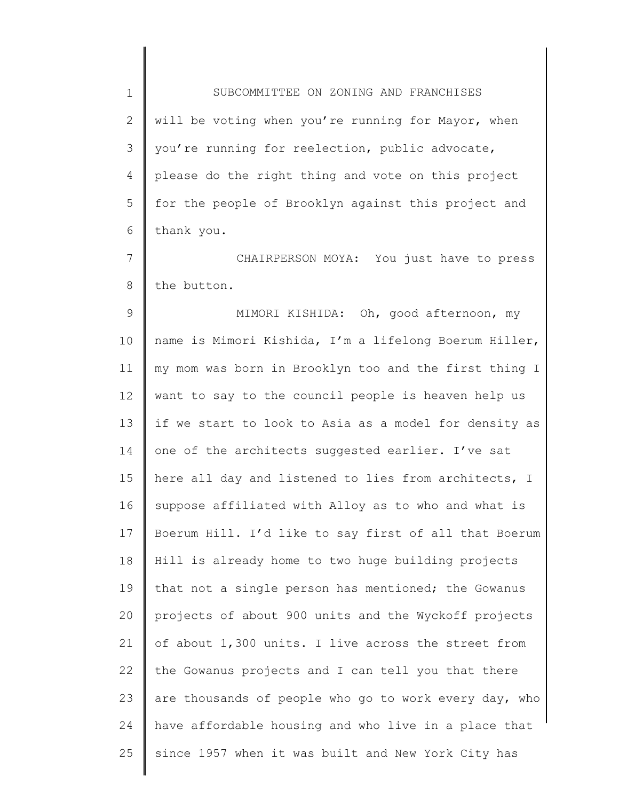1 2 3 4 5 6 SUBCOMMITTEE ON ZONING AND FRANCHISES will be voting when you're running for Mayor, when you're running for reelection, public advocate, please do the right thing and vote on this project for the people of Brooklyn against this project and thank you.

7 8 CHAIRPERSON MOYA: You just have to press the button.

9 10 11 12 13 14 15 16 17 18 19 20 21 22 23 24 25 MIMORI KISHIDA: Oh, good afternoon, my name is Mimori Kishida, I'm a lifelong Boerum Hiller, my mom was born in Brooklyn too and the first thing I want to say to the council people is heaven help us if we start to look to Asia as a model for density as one of the architects suggested earlier. I've sat here all day and listened to lies from architects, I suppose affiliated with Alloy as to who and what is Boerum Hill. I'd like to say first of all that Boerum Hill is already home to two huge building projects that not a single person has mentioned; the Gowanus projects of about 900 units and the Wyckoff projects of about 1,300 units. I live across the street from the Gowanus projects and I can tell you that there are thousands of people who go to work every day, who have affordable housing and who live in a place that since 1957 when it was built and New York City has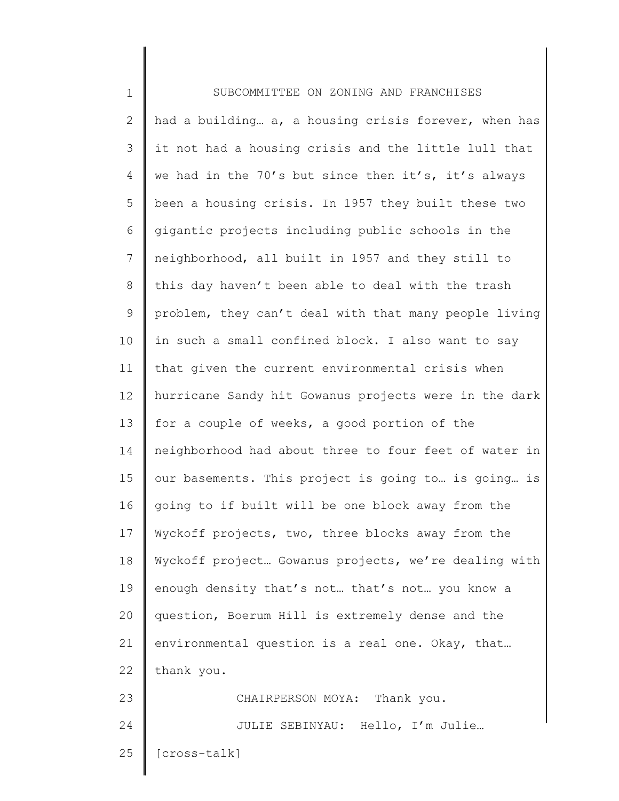| $\mathbf 1$    | SUBCOMMITTEE ON ZONING AND FRANCHISES                 |
|----------------|-------------------------------------------------------|
| $\mathbf{2}$   | had a building a, a housing crisis forever, when has  |
| 3              | it not had a housing crisis and the little lull that  |
| $\overline{4}$ | we had in the 70's but since then it's, it's always   |
| 5              | been a housing crisis. In 1957 they built these two   |
| 6              | gigantic projects including public schools in the     |
| 7              | neighborhood, all built in 1957 and they still to     |
| $8\,$          | this day haven't been able to deal with the trash     |
| $\mathcal{G}$  | problem, they can't deal with that many people living |
| 10             | in such a small confined block. I also want to say    |
| 11             | that given the current environmental crisis when      |
| 12             | hurricane Sandy hit Gowanus projects were in the dark |
| 13             | for a couple of weeks, a good portion of the          |
| 14             | neighborhood had about three to four feet of water in |
| 15             | our basements. This project is going to is going is   |
| 16             | going to if built will be one block away from the     |
| 17             | Wyckoff projects, two, three blocks away from the     |
| 18             | Wyckoff project Gowanus projects, we're dealing with  |
| 19             | enough density that's not that's not you know a       |
| 20             | question, Boerum Hill is extremely dense and the      |
| 21             | environmental question is a real one. Okay, that      |
| 22             | thank you.                                            |
| 23             | CHAIRPERSON MOYA: Thank you.                          |
| 24             | JULIE SEBINYAU: Hello, I'm Julie                      |
| 25             | [cross-talk]                                          |
|                |                                                       |

∥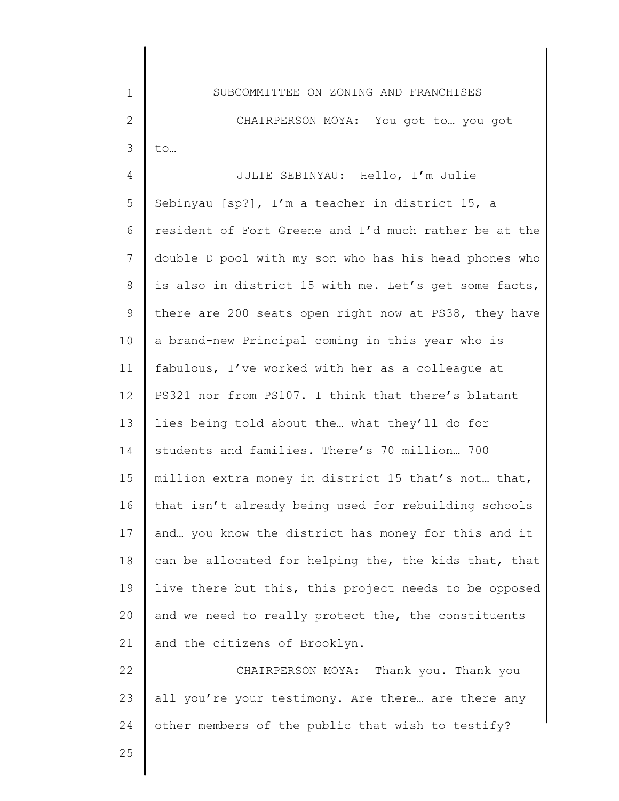1 2 3 SUBCOMMITTEE ON ZONING AND FRANCHISES CHAIRPERSON MOYA: You got to ... you got to…

4 5 6 7 8 9 10 11 12 13 14 15 16 17 18 19 20 21 JULIE SEBINYAU: Hello, I'm Julie Sebinyau [sp?], I'm a teacher in district 15, a resident of Fort Greene and I'd much rather be at the double D pool with my son who has his head phones who is also in district 15 with me. Let's get some facts, there are 200 seats open right now at PS38, they have a brand-new Principal coming in this year who is fabulous, I've worked with her as a colleague at PS321 nor from PS107. I think that there's blatant lies being told about the… what they'll do for students and families. There's 70 million… 700 million extra money in district 15 that's not… that, that isn't already being used for rebuilding schools and… you know the district has money for this and it can be allocated for helping the, the kids that, that live there but this, this project needs to be opposed and we need to really protect the, the constituents and the citizens of Brooklyn.

22 23 24 CHAIRPERSON MOYA: Thank you. Thank you all you're your testimony. Are there... are there any other members of the public that wish to testify?

25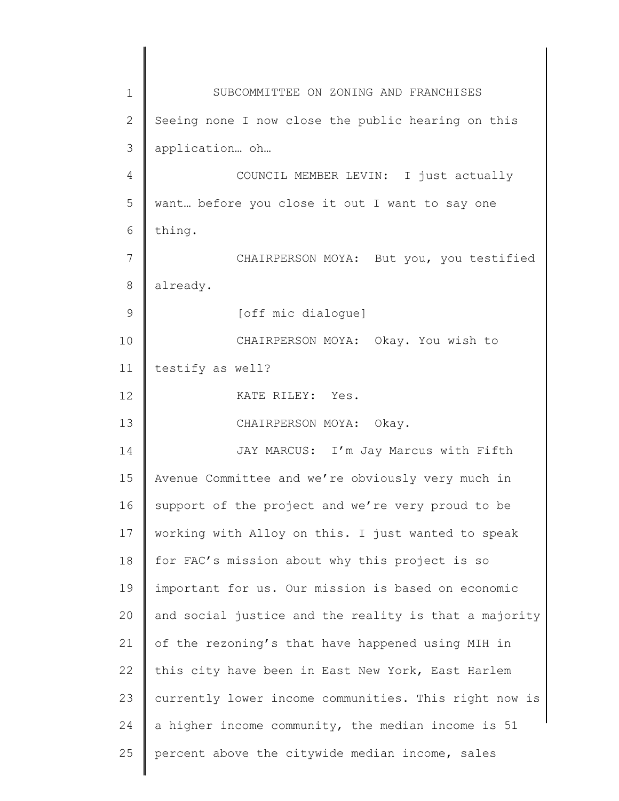1 2 3 4 5 6 7 8 9 10 11 12 13 14 15 16 17 18 19 20 21 22 23 24 25 SUBCOMMITTEE ON ZONING AND FRANCHISES Seeing none I now close the public hearing on this application… oh… COUNCIL MEMBER LEVIN: I just actually want… before you close it out I want to say one thing. CHAIRPERSON MOYA: But you, you testified already. [off mic dialogue] CHAIRPERSON MOYA: Okay. You wish to testify as well? KATE RILEY: Yes. CHAIRPERSON MOYA: Okay. JAY MARCUS: I'm Jay Marcus with Fifth Avenue Committee and we're obviously very much in support of the project and we're very proud to be working with Alloy on this. I just wanted to speak for FAC's mission about why this project is so important for us. Our mission is based on economic and social justice and the reality is that a majority of the rezoning's that have happened using MIH in this city have been in East New York, East Harlem currently lower income communities. This right now is a higher income community, the median income is 51 percent above the citywide median income, sales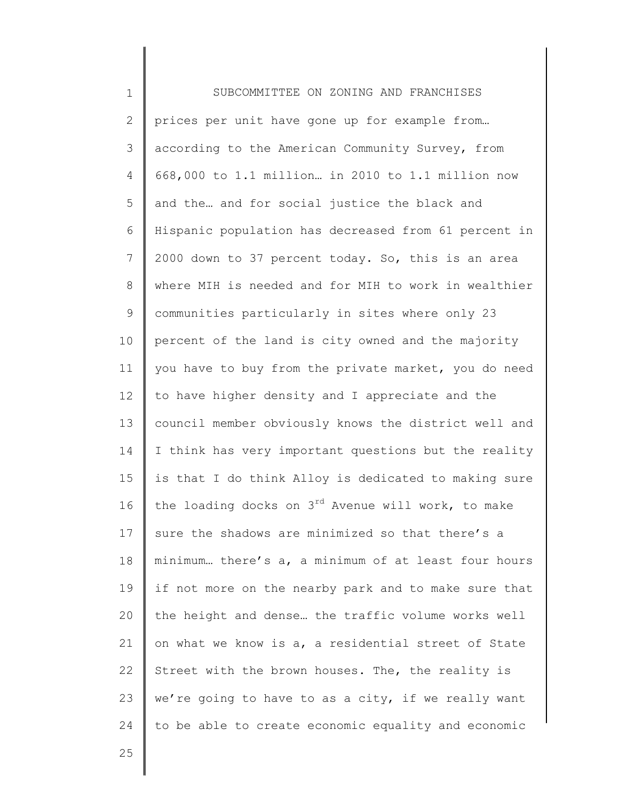1 2 3 4 5 6 7 8 9 10 11 12 13 14 15 16 17 18 19 20 21 22 23 24 SUBCOMMITTEE ON ZONING AND FRANCHISES prices per unit have gone up for example from... according to the American Community Survey, from 668,000 to 1.1 million… in 2010 to 1.1 million now and the… and for social justice the black and Hispanic population has decreased from 61 percent in 2000 down to 37 percent today. So, this is an area where MIH is needed and for MIH to work in wealthier communities particularly in sites where only 23 percent of the land is city owned and the majority you have to buy from the private market, you do need to have higher density and I appreciate and the council member obviously knows the district well and I think has very important questions but the reality is that I do think Alloy is dedicated to making sure the loading docks on  $3^{rd}$  Avenue will work, to make sure the shadows are minimized so that there's a minimum… there's a, a minimum of at least four hours if not more on the nearby park and to make sure that the height and dense… the traffic volume works well on what we know is a, a residential street of State Street with the brown houses. The, the reality is we're going to have to as a city, if we really want to be able to create economic equality and economic

25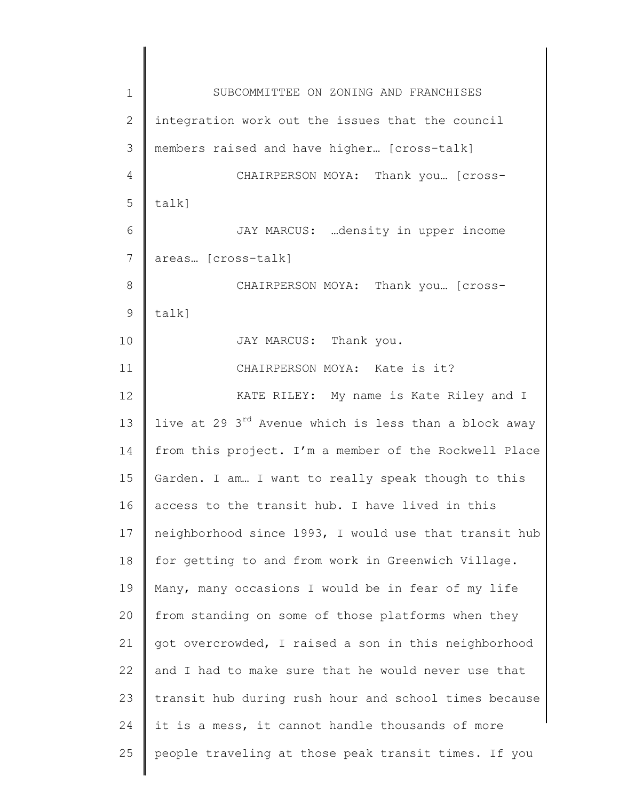1 2 3 4 5 6 7 8 9 10 11 12 13 14 15 16 17 18 19 20 21 22 23 24 25 SUBCOMMITTEE ON ZONING AND FRANCHISES integration work out the issues that the council members raised and have higher… [cross-talk] CHAIRPERSON MOYA: Thank you… [crosstalk] JAY MARCUS: …density in upper income areas… [cross-talk] CHAIRPERSON MOYA: Thank you… [crosstalk] JAY MARCUS: Thank you. CHAIRPERSON MOYA: Kate is it? KATE RILEY: My name is Kate Riley and I live at 29 3<sup>rd</sup> Avenue which is less than a block away from this project. I'm a member of the Rockwell Place Garden. I am… I want to really speak though to this access to the transit hub. I have lived in this neighborhood since 1993, I would use that transit hub for getting to and from work in Greenwich Village. Many, many occasions I would be in fear of my life from standing on some of those platforms when they got overcrowded, I raised a son in this neighborhood and I had to make sure that he would never use that transit hub during rush hour and school times because it is a mess, it cannot handle thousands of more people traveling at those peak transit times. If you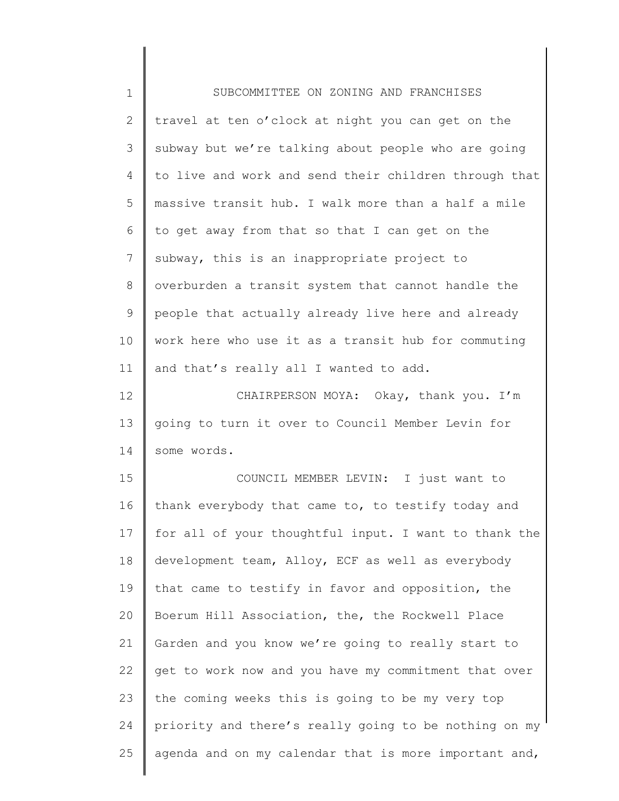| $\mathbf 1$  | SUBCOMMITTEE ON ZONING AND FRANCHISES                 |
|--------------|-------------------------------------------------------|
| $\mathbf{2}$ | travel at ten o'clock at night you can get on the     |
| 3            | subway but we're talking about people who are going   |
| 4            | to live and work and send their children through that |
| 5            | massive transit hub. I walk more than a half a mile   |
| 6            | to get away from that so that I can get on the        |
| 7            | subway, this is an inappropriate project to           |
| $8\,$        | overburden a transit system that cannot handle the    |
| 9            | people that actually already live here and already    |
| 10           | work here who use it as a transit hub for commuting   |
| 11           | and that's really all I wanted to add.                |
| 12           | CHAIRPERSON MOYA: Okay, thank you. I'm                |
| 13           | going to turn it over to Council Member Levin for     |
| 14           | some words.                                           |
| 15           | COUNCIL MEMBER LEVIN: I just want to                  |
| 16           | thank everybody that came to, to testify today and    |
| 17           | for all of your thoughtful input. I want to thank the |
| 18           | development team, Alloy, ECF as well as everybody     |
| 19           | that came to testify in favor and opposition, the     |
| 20           | Boerum Hill Association, the, the Rockwell Place      |
| 21           | Garden and you know we're going to really start to    |
| 22           | get to work now and you have my commitment that over  |
| 23           | the coming weeks this is going to be my very top      |
| 24           | priority and there's really going to be nothing on my |
| 25           | agenda and on my calendar that is more important and, |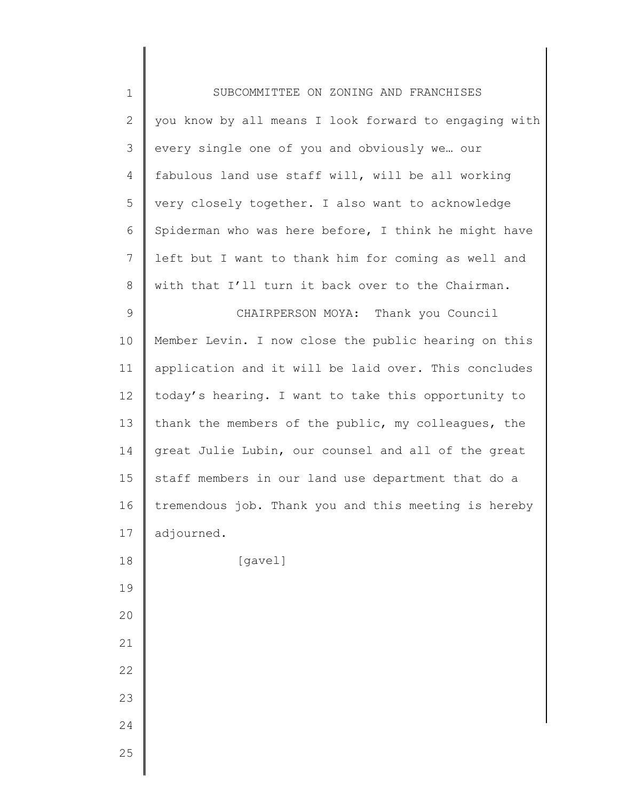| $\mathbf 1$    | SUBCOMMITTEE ON ZONING AND FRANCHISES                 |
|----------------|-------------------------------------------------------|
| $\mathbf{2}$   | you know by all means I look forward to engaging with |
| 3              | every single one of you and obviously we our          |
| 4              | fabulous land use staff will, will be all working     |
| 5              | very closely together. I also want to acknowledge     |
| 6              | Spiderman who was here before, I think he might have  |
| $\overline{7}$ | left but I want to thank him for coming as well and   |
| 8              | with that I'll turn it back over to the Chairman.     |
| $\mathsf 9$    | CHAIRPERSON MOYA: Thank you Council                   |
| 10             | Member Levin. I now close the public hearing on this  |
| 11             | application and it will be laid over. This concludes  |
| 12             | today's hearing. I want to take this opportunity to   |
| 13             | thank the members of the public, my colleagues, the   |
| 14             | great Julie Lubin, our counsel and all of the great   |
| 15             | staff members in our land use department that do a    |
| 16             | tremendous job. Thank you and this meeting is hereby  |
| 17             | adjourned.                                            |
| 18             | [gavel]                                               |
| 19             |                                                       |
| 20             |                                                       |
| 21             |                                                       |
| 22             |                                                       |
| 23             |                                                       |
| 24             |                                                       |
| 25             |                                                       |